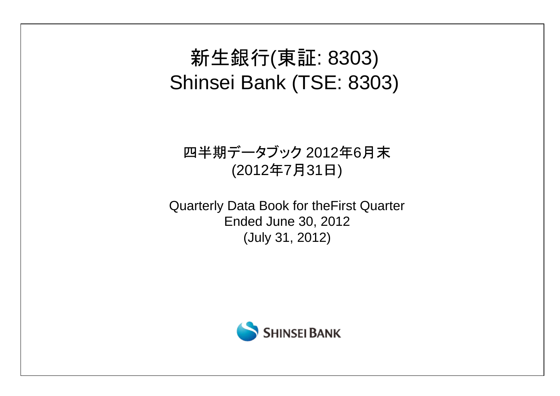# 新生銀行(東証: 8303) Shinsei Bank (TSE: 8303)

# 四半期データブック 2012年6月末 (2012年7月31日)

Quarterly Data Book for theFirst Quarter Ended June 30, 2012 (July 31, 2012)

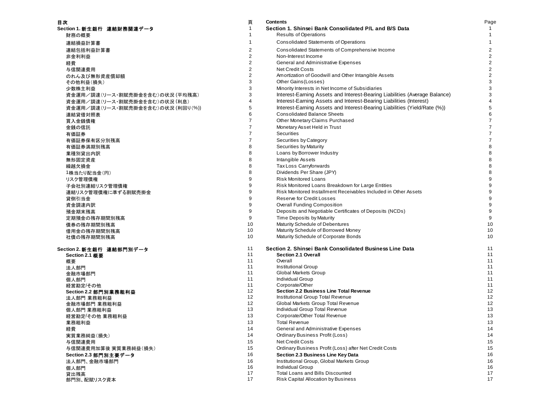| 目次                                | 頁              | <b>Contents</b>                                                            | Page                    |
|-----------------------------------|----------------|----------------------------------------------------------------------------|-------------------------|
| Section 1. 新生銀行 連結財務関連データ         | $\mathbf 1$    | Section 1. Shinsei Bank Consolidated P/L and B/S Data                      |                         |
| 財務の概要                             |                | <b>Results of Operations</b>                                               | $\mathbf{1}$            |
| 連結損益計算書                           |                | <b>Consolidated Statements of Operations</b>                               | $\mathbf{1}$            |
| 連結包括利益計算書                         | $\overline{2}$ | Consolidated Statements of Comprehensive Income                            | $\overline{2}$          |
| 非金利利益                             | 2              | Non-Interest Income                                                        | $\overline{2}$          |
| 経費                                | $\overline{c}$ | General and Administrative Expenses                                        | $\overline{\mathbf{c}}$ |
| 与信関連費用                            | 2              | <b>Net Credit Costs</b>                                                    | $\overline{\mathbf{c}}$ |
| のれん及び無形資産償却額                      | 2              | Amortization of Goodwill and Other Intangible Assets                       | $\overline{c}$          |
| その他利益(損失)                         | 3              | Other Gains (Losses)                                                       | 3                       |
| 少数株主利益                            | 3              | Minority Interests in Net Income of Subsidiaries                           | 3                       |
| 資金運用/調達(リース・割賦売掛金を含む)の状況 (平均残高)   | 3              | Interest-Earning Assets and Interest-Bearing Liabilities (Average Balance) | 3                       |
| 資金運用/調達(リース・割賦売掛金を含む)の状況(利息)      | 4              | Interest-Earning Assets and Interest-Bearing Liabilities (Interest)        | $\overline{\mathbf{4}}$ |
| 資金運用/調達(リース・割賦売掛金を含む)の状況 (利回り(%)) | 5              | Interest-Earning Assets and Interest-Bearing Liabilities (Yield/Rate (%))  | 5                       |
| 連結貸借対照表                           | 6              | <b>Consolidated Balance Sheets</b>                                         | 6                       |
| 買入金銭債権                            | 7              | Other Monetary Claims Purchased                                            | $\overline{7}$          |
| 金銭の信託                             | $\overline{7}$ | Monetary Asset Held in Trust                                               | $\overline{7}$          |
| 有価証券                              | $\overline{7}$ | Securities                                                                 | $\overline{7}$          |
| 有価証券保有区分別残高                       | $\overline{7}$ | Securities by Category                                                     | $\overline{7}$          |
| 有価証券満期別残高                         | 8              | Securities by Maturity                                                     | 8                       |
| 業種別貸出内訳                           | 8              | Loans by Borrower Industry                                                 | 8                       |
| 無形固定資産                            | 8              | Intangible Assets                                                          | 8                       |
| 繰越欠損金                             | 8              | Tax Loss Carryforwards                                                     | 8                       |
| 1株当たり配当金(円)                       | 8              | Dividends Per Share (JPY)                                                  | 8                       |
| リスク管理債権                           | 9              | <b>Risk Monitored Loans</b>                                                | 9                       |
| 子会社別連結リスク管理債権                     | 9              | Risk Monitored Loans Breakdown for Large Entities                          | 9                       |
| 連結リスク管理債権に準ずる割賦売掛金                | 9              | Risk Monitored Installment Receivables Included in Other Assets            | 9                       |
| 貸倒引当金                             | 9              | Reserve for Credit Losses                                                  | 9                       |
| 資金調達内訳                            | 9              | <b>Overall Funding Composition</b>                                         | 9                       |
| 預金期末残高                            | 9              | Deposits and Negotiable Certificates of Deposits (NCDs)                    | 9                       |
| 定期預金の残存期間別残高                      | 9              | Time Deposits by Maturity                                                  | 9                       |
| 債券の残存期間別残高                        | 10             | Maturity Schedule of Debentures                                            | 10                      |
| 借用金の残存期間別残高                       | 10             | Maturity Schedule of Borrowed Money                                        | 10                      |
| 社債の残存期間別残高                        | 10             | Maturity Schedule of Corporate Bonds                                       | 10                      |
| Section 2. 新生銀行 連結部門別データ          | 11             | Section 2. Shinsei Bank Consolidated Business Line Data                    | 11                      |
| Section 2.1 概要                    | 11             | Section 2.1 Overall                                                        | 11                      |
| 概要                                | 11             | Overall                                                                    | 11                      |
| 法人部門                              | 11             | <b>Institutional Group</b>                                                 | 11                      |
| 金融市場部門                            | 11<br>11       | <b>Global Markets Group</b><br><b>Individual Group</b>                     | 11<br>11                |
| 個人部門                              | 11             | Corporate/Other                                                            | 11                      |
| 経営勘定/その他<br>Section 2.2 部門別業務粗利益  | 12             | Section 2.2 Business Line Total Revenue                                    | 12                      |
| 法人部門 業務粗利益                        | 12             | Institutional Group Total Revenue                                          | 12                      |
| 金融市場部門 業務粗利益                      | 12             | Global Markets Group Total Revenue                                         | 12                      |
| 個人部門 業務粗利益                        | 13             | Individual Group Total Revenue                                             | 13                      |
| 経営勘定/その他 業務粗利益                    | 13             | Corporate/Other Total Revenue                                              | 13                      |
| 業務粗利益                             | 13             | <b>Total Revenue</b>                                                       | 13                      |
| 経費                                | 14             | General and Administrative Expenses                                        | 14                      |
| 実質業務純益(損失)                        | 14             | <b>Ordinary Business Profit (Loss)</b>                                     | 14                      |
| 与信関連費用                            | 15             | <b>Net Credit Costs</b>                                                    | 15                      |
| 与信関連費用加算後 実質業務純益(損失)              | 15             | Ordinary Business Profit (Loss) after Net Credit Costs                     | 15                      |
| Section 2.3 部門別主要データ              | 16             | Section 2.3 Business Line Key Data                                         | 16                      |
| 法人部門、金融市場部門                       | 16             | Institutional Group, Global Markets Group                                  | 16                      |
| 個人部門                              | 16             | <b>Individual Group</b>                                                    | 16                      |
| 貸出残高                              | 17             | <b>Total Loans and Bills Discounted</b>                                    | 17                      |
| 部門別、配賦リスク資本                       | 17             | Risk Capital Allocation by Business                                        | 17                      |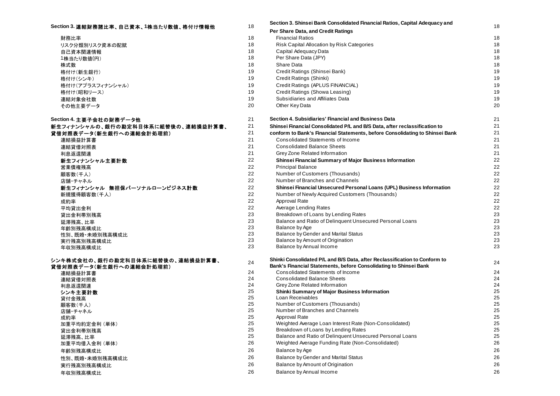# **Section 3.** 連結財務諸比率、自己資本、**1**株当たり数値、格付け情報他

| 財務比率             |
|------------------|
| リスク分類別リスク資本の配賦   |
| 自己資本関連情報         |
| 1株当たり数値(円)       |
| 株式数              |
| 格付け(新生銀行)        |
| 格付け(シンキ)         |
| 格付け(アプラスフィナンシャル) |
| 格付け(昭和リース)       |
| 連結対象会社数          |
| その他主要データ         |

| Section 4. 主要子会社の財務データ他                                    |
|------------------------------------------------------------|
| 新生フィナンシャルの、銀行の勘定科目体系に組替後の、連結損益計算書、                         |
| 貸借対照表データ(新生銀行への連結会計処理前)                                    |
| 連結損益計算書                                                    |
| 連結貸借対照表                                                    |
| 利息返還関連                                                     |
| 新生フィナンシャル主要計数                                              |
| 営業倩権残高                                                     |
| 顧客数(千人)                                                    |
| 店舗・チャネル                                                    |
| 新生フィナンシャル 無担保パーソナルローンビジネス計数                                |
| 新規獲得顧客数(千人)                                                |
| 成約率                                                        |
| 平均貸出金利                                                     |
| 貸出金利帯別残高                                                   |
| 延滞残高、比率                                                    |
| 年齢別残高構成比.                                                  |
| 性別、既婚・未婚別残高構成比                                             |
| 実行残高別残高構成比                                                 |
| 年収別残高構成比                                                   |
| <b> 、 + # キム # ぁ ぬ に ぁ # 古 # ロ # ヹ !ー {ロ #* &lt;&lt; ぁ</b> |

#### $\dot{\rm v}$ ンキ株式会社の、銀行の勘定科目体系に組替後の、連結損益計算書、 **貸借対照表データ(新生銀行への連結会計処理前)**

| 連結損益計算書        |
|----------------|
| 連結貸借対照表        |
| 利息返還関連         |
| シンキ主要計数        |
| 貸付金残高          |
| 顧客数(千人)        |
| 店舗・チャネル        |
| 成約率            |
| 加重平均約定金利 (単体)  |
| 貸出金利帯別残高       |
| 延滞残高、比率        |
| 加重平均借入金利(単体)   |
| 年齢別残高構成比       |
| 性別、既婚・未婚別残高構成比 |
| 実行残高別残高構成比     |
| 年収別残高構成比       |
|                |

| Section 3. 連結財務諸比率、自己資本、1株当たり数値、格付け情報他 | 18       | Section 3. Shinsei Bank Consolidated Financial Ratios, Capital Adequacy and  | 18       |
|----------------------------------------|----------|------------------------------------------------------------------------------|----------|
|                                        |          | Per Share Data, and Credit Ratings                                           |          |
| 財務比率                                   | 18       | <b>Financial Ratios</b>                                                      | 18       |
| リスク分類別リスク資本の配賦                         | 18       | Risk Capital Allocation by Risk Categories                                   | 18       |
| 自己資本関連情報                               | 18       | Capital Adequacy Data                                                        | 18       |
| 1株当たり数値(円)                             | 18       | Per Share Data (JPY)                                                         | 18       |
| 株式数                                    | 18       | Share Data                                                                   | 18       |
| 格付け(新生銀行)                              | 19       | Credit Ratings (Shinsei Bank)                                                | 19       |
| 格付け(シンキ)                               | 19       | Credit Ratings (Shinki)                                                      | 19       |
| 格付け(アプラスフィナンシャル)                       | 19       | Credit Ratings (APLUS FINANCIAL)                                             | 19       |
| 格付け(昭和リース)                             | 19       | Credit Ratings (Showa Leasing)                                               | 19       |
| 連結対象会社数                                | 19       | Subsidiaries and Affiliates Data                                             | 19       |
| その他主要データ                               | 20       | Other Key Data                                                               | 20       |
| Section 4. 主要子会社の財務データ他                | 21       | Section 4. Subsidiaries' Financial and Business Data                         | 21       |
| 新生フィナンシャルの、銀行の勘定科目体系に組替後の、連結損益計算書、     | 21       | Shinsei Financial Consolidated P/L and B/S Data, after reclassification to   | 21       |
| 貸借対照表データ(新生銀行への連結会計処理前)                | 21       | conform to Bank's Financial Statements, before Consolidating to Shinsei Bank | 21       |
| 連結損益計算書                                | 21       | Consolidated Statements of Income                                            | 21       |
| 連結貸借対照表                                | 21       | <b>Consolidated Balance Sheets</b>                                           | 21       |
| 利息返還関連                                 | 21       | Grey Zone Related Information                                                | 21       |
| 新生フィナンシャル主要計数                          | 22       | Shinsei Financial Summary of Major Business Information                      | 22       |
| 営業債権残高                                 | 22       | <b>Principal Balance</b>                                                     | 22       |
| 顧客数(千人)                                | 22       | Number of Customers (Thousands)                                              | 22       |
| 店舗・チャネル                                | 22       | Number of Branches and Channels                                              | 22       |
| 新生フィナンシャル 無担保パーソナルローンビジネス計数            | 22       | Shinsei Financial Unsecured Personal Loans (UPL) Business Information        | 22       |
| 新規獲得顧客数(千人)                            | 22       | Number of Newly Acquired Customers (Thousands)                               | 22       |
| 成約率                                    | 22       | Approval Rate                                                                | 22       |
| 平均貸出金利                                 | 22       | Average Lending Rates                                                        | 22       |
| 貸出金利帯別残高                               | 23       | Breakdown of Loans by Lending Rates                                          | 23       |
| 延滞残高、比率                                | 23       | Balance and Ratio of Delinquent Unsecured Personal Loans                     | 23       |
| 年齢別残高構成比                               | 23       | Balance by Age                                                               | 23       |
| 性別、既婚・未婚別残高構成比                         | 23       | Balance by Gender and Marital Status                                         | 23       |
| 実行残高別残高構成比                             | 23       | Balance by Amount of Origination                                             | 23       |
| 年収別残高構成比                               | 23       | Balance by Annual Income                                                     | 23       |
| シンキ株式会社の、銀行の勘定科目体系に組替後の、連結損益計算書、       | 24       | Shinki Consolidated P/L and B/S Data, after Reclassification to Conform to   | 24       |
| 貸借対照表データ(新生銀行への連結会計処理前)                |          | Bank's Financial Statements, before Consolidating to Shinsei Bank            |          |
| 連結損益計算書                                | 24       | Consolidated Statements of Income                                            | 24       |
| 連結貸借対照表                                | 24       | <b>Consolidated Balance Sheets</b>                                           | 24       |
| 利息返還関連                                 | 24       | Grey Zone Related Information                                                | 24       |
| シンキ主要計数                                | 25       | <b>Shinki Summary of Major Business Information</b>                          | 25       |
| 貸付金残高                                  | 25       | Loan Receivables                                                             | 25       |
| 顧客数(千人)                                | 25<br>25 | Number of Customers (Thousands)<br>Number of Branches and Channels           | 25<br>25 |
| 店舗・チャネル                                | 25       | Approval Rate                                                                | 25       |
| 成約率                                    | 25       | Weighted Average Loan Interest Rate (Non-Consolidated)                       | 25       |
| 加重平均約定金利(単体)                           | 25       | Breakdown of Loans by Lending Rates                                          | 25       |
| 貸出金利帯別残高                               | 25       | Balance and Ratio of Delinguent Unsecured Personal Loans                     | 25       |
| 延滞残高、比率<br>加重平均借入金利 (単体)               | 26       | Weighted Average Funding Rate (Non-Consolidated)                             | 26       |
|                                        | 26       | Balance by Age                                                               | 26       |
| 年齢別残高構成比                               | 26       | Balance by Gender and Marital Status                                         | 26       |
| 性別、既婚・未婚別残高構成比                         | 26       |                                                                              |          |
| 実行残高別残高構成比                             |          | Balance by Amount of Origination                                             | 26       |
| 年収別残高構成比                               | 26       | Balance by Annual Income                                                     | 26       |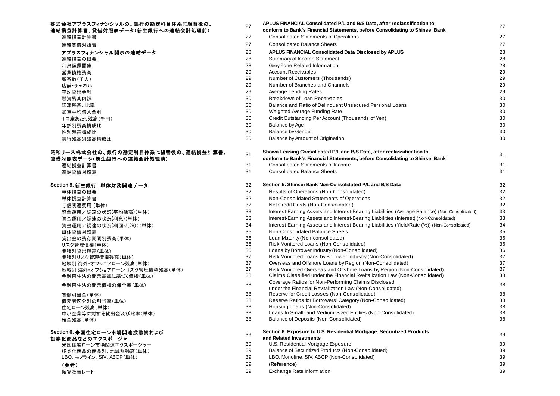## 株式会社アプラスフィナンシャルの、銀行の勘定科目体系に組替後の、 <br>
<sub>27</sub> APLUS FINANCIAL Consolidated P/L and B/S Data, after reclassification to 連結損益計算書、貸借対照表データ(新生銀行への連結会計処理前) **conform to Bank's Financial Statements, before Consolidating to Shinsei Bank**

| 2 \ 201 3 3 30 X 1 J * * |
|--------------------------|
| 連結損益計算書                  |
| 連結貸借対照表                  |
| アプラスフィナンシャル開示の連結データ      |
| 連結損益の概要                  |
| 利息返還関連                   |
| 営業倩権残高                   |
| 顧客数(千人)                  |
| 店舗・チャネル                  |
| 平均貸出金利                   |
| 融資残高内訳                   |
| 延滞残高. 比率                 |
| 加重平均借入金利                 |
| 1口座あたり残高(千円)             |
| 年齢別残高構成比.                |
| 性別残高構成比                  |
| 実行残高別残高構成比.              |
|                          |

### 昭和リース株式会社の、銀行の勘定科目体系に組替後の、連結損益計算**書、** 貸借対照表データ(新生銀行への連結会計処理前)

| 31 |
|----|
| 31 |
| 32 |
| 32 |
| 32 |
| 32 |
| 33 |
| 33 |
| 34 |
| 35 |
| 36 |
| 36 |
| 36 |
| 37 |
| 37 |
| 37 |
| 38 |
| 38 |
| 38 |
| 38 |
|    |

# **Section 6.** 米国住宅ローン市場関連投融資および

| 証券化商品などのエクスポージャー       |  |
|------------------------|--|
| 米国住宅ローン市場関連エクスポージャー    |  |
| 証券化商品の商品別、地域別残高(単体)    |  |
| LBO、モノライン、SIV、ABCP(単体) |  |
| (参考)                   |  |

| 会社アフラスフィナンシャルの、銀行の勘定枓目体糸に組替後の、   | 27       | APLUS FINANCIAL Consolidated P/L and B/S Data, after reclassification to                                                                               | 27       |
|----------------------------------|----------|--------------------------------------------------------------------------------------------------------------------------------------------------------|----------|
| 損益計算書、貸借対照表データ(新生銀行への連結会計処理前)    |          | conform to Bank's Financial Statements, before Consolidating to Shinsei Bank                                                                           |          |
| 連結損益計算書                          | 27       | <b>Consolidated Statements of Operations</b>                                                                                                           | 27       |
| 連結貸借対照表                          | 27       | <b>Consolidated Balance Sheets</b>                                                                                                                     | 27       |
| アプラスフィナンシャル開示の連結データ              | 28       | APLUS FINANCIAL Consolidated Data Disclosed by APLUS                                                                                                   | 28       |
| 連結損益の概要                          | 28       | Summary of Income Statement                                                                                                                            | 28       |
| 利息返還関連                           | 28       | Grey Zone Related Information                                                                                                                          | 28       |
| 営業債権残高                           | 29       | <b>Account Receivables</b>                                                                                                                             | 29       |
| 顧客数(千人)                          | 29       | Number of Customers (Thousands)                                                                                                                        | 29       |
| 店舗・チャネル                          | 29       | Number of Branches and Channels                                                                                                                        | 29       |
| 平均貸出金利                           | 29       | Average Lending Rates                                                                                                                                  | 29       |
| 融資残高内訳                           | 30       | Breakdown of Loan Receivables                                                                                                                          | 30       |
| 延滞残高、比率                          | 30       | Balance and Ratio of Delinquent Unsecured Personal Loans                                                                                               | 30       |
| 加重平均借入金利                         | 30       | Weighted Average Funding Rate                                                                                                                          | 30       |
| 1口座あたり残高(千円)                     | 30       | Credit Outstanding Per Account (Thousands of Yen)                                                                                                      | 30       |
| 年齡別残高構成比                         | 30       | Balance by Age                                                                                                                                         | 30       |
| 性別残高構成比                          | 30       | <b>Balance by Gender</b>                                                                                                                               | 30       |
| 実行残高別残高構成比                       | 30       | Balance by Amount of Origination                                                                                                                       | 30       |
| リース株式会社の、銀行の勘定科目体系に組替後の、連結損益計算書、 | 31       | Showa Leasing Consolidated P/L and B/S Data, after reclassification to                                                                                 | 31       |
| <b>i対照表データ(新生銀行への連結会計処理前)</b>    |          | conform to Bank's Financial Statements, before Consolidating to Shinsei Bank                                                                           |          |
| 連結損益計算書                          | 31       | Consolidated Statements of Income                                                                                                                      | 31       |
| 連結貸借対照表                          | 31       | <b>Consolidated Balance Sheets</b>                                                                                                                     | 31       |
| tion 5. 新生銀行 単体財務関連データ           | 32       | Section 5. Shinsei Bank Non-Consolidated P/L and B/S Data                                                                                              | 32       |
| 単体損益の概要                          | 32       | Results of Operations (Non-Consolidated)                                                                                                               | 32       |
| 単体損益計算書                          | 32       | Non-Consolidated Statements of Operations                                                                                                              | 32       |
| 与信関連費用 (単体)                      | 32       | Net Credit Costs (Non-Consolidated)                                                                                                                    | 32       |
| 資金運用/調達の状況(平均残高)(単体)             | 33       | Interest-Earning Assets and Interest-Bearing Liabilities (Average Balance) (Non-Consolidated)                                                          | 33       |
| 資金運用/調達の状況(利息)(単体)               | 33       | Interest-Earning Assets and Interest-Bearing Liabilities (Interest) (Non-Consolidated)                                                                 | 33       |
| 資金運用/調達の状況(利回り(%))(単体)           | 34       | Interest-Earning Assets and Interest-Bearing Liabilities (Yield/Rate (%)) (Non-Consolidated)                                                           | 34       |
| 単体貸借対照表                          | 35       | Non-Consolidated Balance Sheets                                                                                                                        | 35       |
| 貸出金の残存期間別残高(単体)                  | 36       | Loan Maturity (Non-consolidated)                                                                                                                       | 36       |
| リスク管理債権(単体)                      | 36       | Risk Monitored Loans (Non-Consolidated)                                                                                                                | 36       |
| 業種別貸出残高(単体)                      | 36       | Loans by Borrower Industry (Non-Consolidated)                                                                                                          | 36       |
| 業種別リスク管理債権残高(単体)                 | 37       | Risk Monitored Loans by Borrower Industry (Non-Consolidated)                                                                                           | 37       |
| 地域別海外・オフショアローン残高(単体)             | 37       | Overseas and Offshore Loans by Region (Non-Consolidated)                                                                                               | 37<br>37 |
| 地域別海外・オフショアローン リスク管理債権残高(単体)     | 37<br>38 | Risk Monitored Overseas and Offshore Loans by Region (Non-Consolidated)<br>Claims Classified under the Financial Revitalization Law (Non-Consolidated) | 38       |
| 金融再生法の開示基準に基づく債権(単体)             |          | Coverage Ratios for Non-Performing Claims Disclosed                                                                                                    |          |
| 金融再生法の開示債権の保全率(単体)               | 38       | under the Financial Revitalization Law (Non-Consolidated)                                                                                              | 38       |
| 貸倒引当金(単体)                        | 38       | Reserve for Credit Losses (Non-Consolidated)                                                                                                           | 38       |
| 債務者区分別の引当率(単体)                   | 38       | Reserve Ratios for Borrowers' Category (Non-Consolidated)                                                                                              | 38       |
| 住宅ローン残高(単体)                      | 38       | Housing Loans (Non-Consolidated)                                                                                                                       | 38       |
| 中小企業等に対する貸出金及び比率(単体)             | 38       | Loans to Small- and Medium-Sized Entities (Non-Consolidated)                                                                                           | 38       |
| 預金残高(単体)                         | 38       | Balance of Deposits (Non-Consolidated)                                                                                                                 | 38       |
| tion 6. 米国住宅ローン市場関連投融資および        | 39       | Section 6. Exposure to U.S. Residential Mortgage, Securitized Products                                                                                 | 39       |
| 化商品などのエクスポージャー                   |          | and Related Investments                                                                                                                                |          |
| 米国住宅ローン市場関連エクスポージャー              | 39       | U.S. Residential Mortgage Exposure                                                                                                                     | 39       |
| 証券化商品の商品別、地域別残高(単体)              | 39       | Balance of Securitized Products (Non-Consolidated)                                                                                                     | 39       |
| LBO、モノライン、SIV、ABCP(単体)           | 39       | LBO, Monoline, SIV, ABCP (Non-Consolidated)                                                                                                            | 39       |
| (参考)                             | 39       | (Reference)                                                                                                                                            | 39       |
| 換算為替レート                          | 39       | Exchange Rate Information                                                                                                                              | 39       |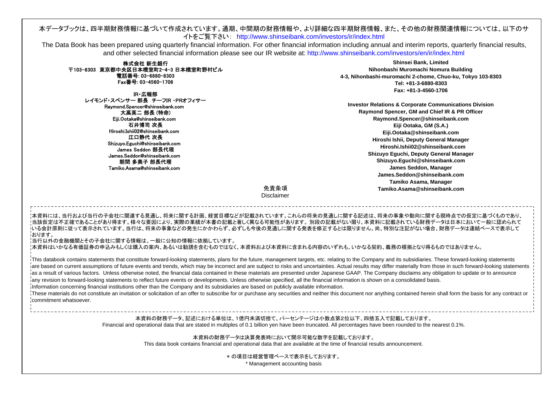# 本データブックは、四半期財務情報に基づいて作成されています。通期、中間期の財務情報や、より詳細な四半期財務情報、また、その他の財務関連情報については、以下のサ<br>イトをご覧下さい: http://www.shinseibank.com/investors/ir/index.html

The Data Book has been prepared using quarterly financial information. For other financial information including annual and interim reports, quarterly financial results, and other selected financial information please see our IR website at: http://www.shinseibank.com/investors/en/ir/index.html

|                                                                                                                                                                                                                                                                                                                                                                                                                                                                                                                                                                                                                                                                                                                                                                                                                                                                                                                                                                                                                                                                                                                                                        | Shinsei Bank, Limited                                                                                                                                                                                                                                                                                                                                                                                                                           |
|--------------------------------------------------------------------------------------------------------------------------------------------------------------------------------------------------------------------------------------------------------------------------------------------------------------------------------------------------------------------------------------------------------------------------------------------------------------------------------------------------------------------------------------------------------------------------------------------------------------------------------------------------------------------------------------------------------------------------------------------------------------------------------------------------------------------------------------------------------------------------------------------------------------------------------------------------------------------------------------------------------------------------------------------------------------------------------------------------------------------------------------------------------|-------------------------------------------------------------------------------------------------------------------------------------------------------------------------------------------------------------------------------------------------------------------------------------------------------------------------------------------------------------------------------------------------------------------------------------------------|
| 株式会社 新生銀行<br>〒103-8303 東京都中央区日本橋室町2-4-3 日本橋室町野村ビル                                                                                                                                                                                                                                                                                                                                                                                                                                                                                                                                                                                                                                                                                                                                                                                                                                                                                                                                                                                                                                                                                                      | Nihonbashi Muromachi Nomura Building                                                                                                                                                                                                                                                                                                                                                                                                            |
| 電話番号: 03-6880-8303                                                                                                                                                                                                                                                                                                                                                                                                                                                                                                                                                                                                                                                                                                                                                                                                                                                                                                                                                                                                                                                                                                                                     | 4-3, Nihonbashi-muromachi 2-chome, Chuo-ku, Tokyo 103-8303                                                                                                                                                                                                                                                                                                                                                                                      |
| Fax番号: 03-4560-1706                                                                                                                                                                                                                                                                                                                                                                                                                                                                                                                                                                                                                                                                                                                                                                                                                                                                                                                                                                                                                                                                                                                                    | Tel: +81-3-6880-8303                                                                                                                                                                                                                                                                                                                                                                                                                            |
|                                                                                                                                                                                                                                                                                                                                                                                                                                                                                                                                                                                                                                                                                                                                                                                                                                                                                                                                                                                                                                                                                                                                                        | Fax: +81-3-4560-1706                                                                                                                                                                                                                                                                                                                                                                                                                            |
| IR・広報部                                                                                                                                                                                                                                                                                                                                                                                                                                                                                                                                                                                                                                                                                                                                                                                                                                                                                                                                                                                                                                                                                                                                                 |                                                                                                                                                                                                                                                                                                                                                                                                                                                 |
| レイモンド・スペンサー 部長 チーフIR ·PRオフィサー                                                                                                                                                                                                                                                                                                                                                                                                                                                                                                                                                                                                                                                                                                                                                                                                                                                                                                                                                                                                                                                                                                                          | <b>Investor Relations &amp; Corporate Communications Division</b>                                                                                                                                                                                                                                                                                                                                                                               |
| Raymond.Spencer@shinseibank.com<br>大高英二 部長 (特命)                                                                                                                                                                                                                                                                                                                                                                                                                                                                                                                                                                                                                                                                                                                                                                                                                                                                                                                                                                                                                                                                                                        | Raymond Spencer, GM and Chief IR & PR Officer                                                                                                                                                                                                                                                                                                                                                                                                   |
| Eiji.Ootaka@shinseibank.com                                                                                                                                                                                                                                                                                                                                                                                                                                                                                                                                                                                                                                                                                                                                                                                                                                                                                                                                                                                                                                                                                                                            | Raymond.Spencer@shinseibank.com                                                                                                                                                                                                                                                                                                                                                                                                                 |
| 石井博司 次長                                                                                                                                                                                                                                                                                                                                                                                                                                                                                                                                                                                                                                                                                                                                                                                                                                                                                                                                                                                                                                                                                                                                                | Eiji Ootaka, GM (S.A.)                                                                                                                                                                                                                                                                                                                                                                                                                          |
| Hiroshi.Ishii02@shinseibank.com                                                                                                                                                                                                                                                                                                                                                                                                                                                                                                                                                                                                                                                                                                                                                                                                                                                                                                                                                                                                                                                                                                                        | Eiji.Ootaka@shinseibank.com                                                                                                                                                                                                                                                                                                                                                                                                                     |
| 江口静代 次長                                                                                                                                                                                                                                                                                                                                                                                                                                                                                                                                                                                                                                                                                                                                                                                                                                                                                                                                                                                                                                                                                                                                                | Hiroshi Ishii, Deputy General Manager                                                                                                                                                                                                                                                                                                                                                                                                           |
| Shizuyo.Eguchi@shinseibank.com                                                                                                                                                                                                                                                                                                                                                                                                                                                                                                                                                                                                                                                                                                                                                                                                                                                                                                                                                                                                                                                                                                                         | Hiroshi.Ishii02@shinseibank.com                                                                                                                                                                                                                                                                                                                                                                                                                 |
| James Seddon 部長代理                                                                                                                                                                                                                                                                                                                                                                                                                                                                                                                                                                                                                                                                                                                                                                                                                                                                                                                                                                                                                                                                                                                                      | Shizuyo Eguchi, Deputy General Manager                                                                                                                                                                                                                                                                                                                                                                                                          |
| James.Seddon@shinseibank.com<br>朝間 多美子 部長代理                                                                                                                                                                                                                                                                                                                                                                                                                                                                                                                                                                                                                                                                                                                                                                                                                                                                                                                                                                                                                                                                                                            | Shizuyo.Eguchi@shinseibank.com                                                                                                                                                                                                                                                                                                                                                                                                                  |
| Tamiko.Asama@shinseibank.com                                                                                                                                                                                                                                                                                                                                                                                                                                                                                                                                                                                                                                                                                                                                                                                                                                                                                                                                                                                                                                                                                                                           | James Seddon, Manager                                                                                                                                                                                                                                                                                                                                                                                                                           |
|                                                                                                                                                                                                                                                                                                                                                                                                                                                                                                                                                                                                                                                                                                                                                                                                                                                                                                                                                                                                                                                                                                                                                        | James.Seddon@shinseibank.com                                                                                                                                                                                                                                                                                                                                                                                                                    |
|                                                                                                                                                                                                                                                                                                                                                                                                                                                                                                                                                                                                                                                                                                                                                                                                                                                                                                                                                                                                                                                                                                                                                        | Tamiko Asama, Manager                                                                                                                                                                                                                                                                                                                                                                                                                           |
| 免責条項                                                                                                                                                                                                                                                                                                                                                                                                                                                                                                                                                                                                                                                                                                                                                                                                                                                                                                                                                                                                                                                                                                                                                   | Tamiko.Asama@shinseibank.com                                                                                                                                                                                                                                                                                                                                                                                                                    |
| <b>Disclaimer</b>                                                                                                                                                                                                                                                                                                                                                                                                                                                                                                                                                                                                                                                                                                                                                                                                                                                                                                                                                                                                                                                                                                                                      |                                                                                                                                                                                                                                                                                                                                                                                                                                                 |
| !当該仮定は不正確であることがあり得ます。様々な要因により、実際の業績が本書の記載と著しく異なる可能性があります。 別段の記載がない限り、本資料に記載されている財務データは日本において一般に認められて<br>・いる会計原則に従って表示されています。当行は、将来の事象などの発生にかかわらず、必ずしも今後の見通しに関する発表を修正するとは限りません。尚、特別な注記がない場合、財務データは連結ベースで表示して<br>はります。<br>'当行以外の金融機関とその子会社に関する情報は、一般に公知の情報に依拠しています。<br>'本資料はいかなる有価証券の申込みもしくは購入の案内、あるいは勧誘を含むものではなく、本資料および本資料に含まれる内容のいずれも、いかなる契約、義務の根拠となり得るものではありません。<br>This databook contains statements that constitute forward-looking statements, plans for the future, management targets, etc. relating to the Company and its subsidiaries. These forward-looking statements<br>ias a result of various factors. Unless otherwise noted, the financial data contained in these materials are presented under Japanese GAAP. The Company disclaims any obligation to update or to announce<br>iany revision to forward-looking statements to reflect future events or developments. Unless otherwise specified, all the financial information is shown on a consolidated basis.<br>Information concerning financial institutions other than the Company and its subsidiaries are based on publicly available information.<br>commitment whatsoever. | are based on current assumptions of future events and trends, which may be incorrect and are subject to risks and uncertainties. Actual results may differ materially from those in such forward-looking statements<br>These materials do not constitute an invitation or solicitation of an offer to subscribe for or purchase any securities and neither this document nor anything contained herein shall form the basis for any contract or |
|                                                                                                                                                                                                                                                                                                                                                                                                                                                                                                                                                                                                                                                                                                                                                                                                                                                                                                                                                                                                                                                                                                                                                        |                                                                                                                                                                                                                                                                                                                                                                                                                                                 |
|                                                                                                                                                                                                                                                                                                                                                                                                                                                                                                                                                                                                                                                                                                                                                                                                                                                                                                                                                                                                                                                                                                                                                        | 本資料の財務データ、記述における単位は、1億円未満切捨て、パーセンテージは小数点第2位以下、四捨五入で記載しております。<br>Financial and operational data that are stated in multiples of 0.1 billion yen have been truncated. All percentages have been rounded to the nearest 0.1%.                                                                                                                                                                                                                      |
|                                                                                                                                                                                                                                                                                                                                                                                                                                                                                                                                                                                                                                                                                                                                                                                                                                                                                                                                                                                                                                                                                                                                                        | 本資料の財務データは決算発表時において開示可能な数字を記載しております。<br>This data book contains financial and operational data that are available at the time of financial results announcement.                                                                                                                                                                                                                                                                                |
|                                                                                                                                                                                                                                                                                                                                                                                                                                                                                                                                                                                                                                                                                                                                                                                                                                                                                                                                                                                                                                                                                                                                                        | *の項目は経営管理ベースで表示をしております。<br>* Management accounting basis                                                                                                                                                                                                                                                                                                                                                                                        |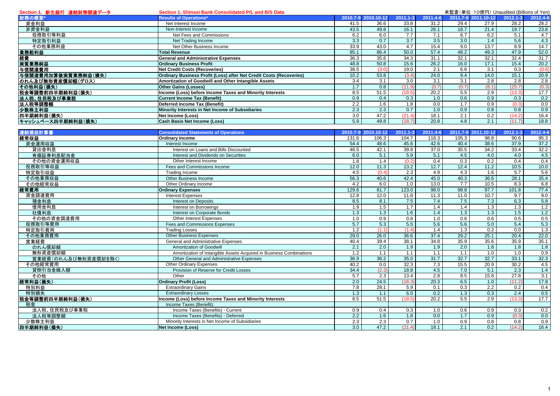| Section 1. 新生銀行 連結財務関連データ | Section 1. Shinsei Bank Consolidated P/L and B/S Data               |       |                     |              |                   |       |                     | 未監査(単位: 10億円) Unaudited (Billions of Yen) |          |
|---------------------------|---------------------------------------------------------------------|-------|---------------------|--------------|-------------------|-------|---------------------|-------------------------------------------|----------|
| 財務の概要*                    | <b>Results of Operations*</b>                                       |       | 2010.7-9 2010.10-12 | $2011.1 - 3$ | 2011.4-6          |       | 2011.7-9 2011.10-12 | 2012.1-3                                  | 2012.4-6 |
| 資金利益                      | Net Interest Income                                                 | 41.5  | 36.6                | 33.8         | 31.2              | 29.4  | 27.9                | 28.2                                      | 28.2     |
| 非資金利益                     | Non-Interest Income                                                 | 43.5  | 49.8                | 16.1         | 26.1              | 18.7  | 21.4                | 19.7                                      | 23.8     |
| 役務取引等利益                   | Net Fees and Commissions                                            | 6.2   | 6.0                 | 7.7          | 7.1               | 6.7   | 6.2                 | 5.1                                       | 4.7      |
| 特定取引利益                    | Net Trading Income                                                  | 3.3   | 0.7                 | 3.7          | 3.5               | 3.0   | 1.4                 | 5.6                                       | 4.3      |
| その他業務利益                   | Net Other Business Income                                           | 33.9  | 43.0                | 4.7          | 15.4              | 9.0   | 13.7                | 8.9                                       | 14.7     |
| 業務粗利益                     | <b>Total Revenue</b>                                                | 85.1  | 86.4                | 50.0         | 57.4              | 48.2  | 49.3                | 47.9                                      | 52.0     |
| 経費                        | <b>General and Administrative Expenses</b>                          | 36.3  | 35.6                | 34.3         | 31.1              | 32.1  | 32.1                | 32.4                                      | 31.7     |
| 実質業務純益                    | <b>Ordinary Business Profit</b>                                     | 48.8  | 50.8                | 15.6         | 26.2              | 16.0  | 17.1                | 15.4                                      | 20.2     |
| 与信関連費用                    | <b>Net Credit Costs (Recoveries)</b>                                | 38.5  | (3.0)               | 19.0         | 2.1               | 6.6   | 3.1                 | 0.3                                       | (0.6)    |
| 与信関連費用加算後実質業務純益(損失)       | Ordinary Business Profit (Loss) after Net Credit Costs (Recoveries) | 10.2  | 53.8                | (3.4)        | 24.0              | 9.4   | 14.0                | 15.1                                      | 20.9     |
| のれん及び無形資産償却額(グロス)         | Amortization of Goodwill and Other Intangible Assets                | 3.4   | 3.1                 | 3.0          | 3.1               | 3.1   | 2.8                 | 2.8                                       | 2.8      |
| その他利益(損失)                 | <b>Other Gains (Losses)</b>                                         | 1.7   | 0.8                 | (11.9)       | (0.7)             | (0.7) | (8.1)               | (25.7)                                    | (0.3)    |
| 税金等調整前四半期純利益(損失)          | Income (Loss) before Income Taxes and Minority Interests            | 8.5   | 51.5                | (18.5)       | 20.2              | 5.5   | 2.9                 | (13.3)                                    | 17.7     |
| 法人税、住民税及び事業税              | <b>Current Income Tax (Benefit)</b>                                 | 0.9   | 0.4                 | 0.3          | 1.0               | 0.6   | 0.9                 | 0.3                                       | 0.2      |
| 法人税等調整額                   | <b>Deferred Income Tax (Benefit)</b>                                | 2.2   | 1.6                 | 1.8          | 0.0               | 1.7   | 0.9                 | (0.3)                                     | 0.0      |
| 少数株主利益                    | Minority Interests in Net Income of Subsidiaries                    | 2.3   | 2.3                 | 0.7          | 1.0               | 0.9   | 0.8                 | 0.8                                       | 0.9      |
|                           | Net Income (Loss)                                                   | 3.0   | 47.2                | (21.4)       | 18.1              | 2.1   | 0.2                 | (14.2)                                    | 16.4     |
| 四半期純利益(損失)                | <b>Cash Basis Net Income (Loss)</b>                                 | 5.9   | 49.8                | (18.7)       | $\overline{20.8}$ | 4.8   | 2.1                 | (11.7)                                    | 18.8     |
| キャッシュベース四半期純利益(損失)        |                                                                     |       |                     |              |                   |       |                     |                                           |          |
| 連結損益計算書                   | <b>Consolidated Statements of Operations</b>                        |       | 2010.7-9 2010.10-12 | 2011.1-3     | 2011.4-6          |       | 2011.7-9 2011.10-12 | $2012.1 - 3$                              | 2012.4-6 |
| 経常収益                      | <b>Ordinary Income</b>                                              | 131.6 | 106.3               | 104.7        | 118.3             | 105.3 | 98.8                | 90.6                                      | 95.3     |
| 資金運用収益                    | Interest Income                                                     | 54.4  | 48.6                | 45.6         | 42.6              | 40.4  | 38.6                | 37.9                                      | 37.2     |
| 貸出金利息                     | Interest on Loans and Bills Discounted                              | 46.5  | 42.1                | 39.8         | 37.0              | 35.5  | 34.2                | 33.4                                      | 32.2     |
| 有価証券利息配当金                 | Interest and Dividends on Securities                                | 6.0   | 5.1                 | 5.9          | 5.1               | 4.5   | 4.0                 | 4.0                                       | 4.5      |
| その他の資金運用収益                | Other Interest Income                                               | 1.8   | 1.4                 | (0.2)        | 0.4               | 0.3   | 0.2                 | 0.4                                       | 0.4      |
| 役務取引等収益                   | Fees and Commissions Income                                         | 12.0  | 11.3                | 13.2         | 12.7              | 12.4  | 11.2                | 10.5                                      | 10.0     |
| 特定取引収益                    | Trading Income                                                      | 4.5   | (0.4)               | 2.3          | 4.9               | 4.3   | 1.6                 | 5.7                                       | 5.6      |
| その他業務収益                   | Other Business Income                                               | 56.3  | 40.6                | 42.4         | 45.0              | 40.3  | 36.6                | 28.1                                      | 35.4     |
| その他経常収益                   | Other Ordinary Income                                               | 4.2   | 6.0                 | 1.0          | 13.0              | 7.7   | 10.5                | 8.3                                       | 6.8      |
| 経常費用                      | <b>Ordinary Expenses</b>                                            | 129.6 | 81.7                | 123.0        | 98.0              | 98.8  | 97.7                | 101.8                                     | 77.4     |
| 資金調達費用                    | <b>Interest Expenses</b>                                            | 12.8  | 12.0                | 11.8         | 11.3              | 11.0  | 10.7                | 9.7                                       | 9.0      |
| 預金利息                      | <b>Interest on Deposits</b>                                         | 8.5   | 8.1                 | 7.5          | 7.4               | 7.5   | 7.3                 | 6.3                                       | 5.8      |
| 借用金利息                     | Interest on Borrowings                                              | 1.9   | 1.5                 | 1.7          | 1.4               | 1.4   | 1.3                 | 1.3                                       | 1.2      |
| 社債利息                      | Interest on Corporate Bonds                                         | 1.3   | 1.3                 | 1.6          | 1.4               | 1.3   | 1.3                 | 1.5                                       | 1.2      |
| その他の資金調達費用                | <b>Other Interest Expenses</b>                                      | 1.0   | 0.9                 | 0.8          | 1.0               | 0.6   | 0.6                 | 0.5                                       | 0.5      |
| 役務取引等費用                   | Fees and Commissions Expenses                                       | 5.7   | 5.3                 | 5.5          | 5.6               | 5.6   | 5.0                 | 5.4                                       | 5.3      |
| 特定取引費用                    | <b>Trading Losses</b>                                               | 1.2   | (1.1)               | (1.4)        | 1.4               | 1.3   | $\overline{0.2}$    | 0.0                                       | 1.3      |
| その他業務費用                   | <b>Other Business Expenses</b>                                      | 29.0  | 26.0                | 36.6         | 37.4              | 29.2  | 25.1                | 20.4                                      | 22.0     |
| 営業経費                      | General and Administrative Expenses                                 | 40.4  | 39.4                | 38.1         | 34.8              | 35.9  | 35.6                | 35.9                                      | 35.1     |
| のれん償却額                    | <b>Amortization of Goodwill</b>                                     | 2.1   | 2.0                 | 1.9          | 1.9               | 2.0   | 1.8                 | 1.8                                       | 1.8      |
| 無形資産償却額                   | Amortization of Intangible Assets Acquired in Business Combinations | 1.2   | 1.1                 | 1.1          | 1.1               | 1.1   | 1.0                 | 1.0                                       | 0.9      |
| 営業経費(のれん及び無形資産償却を除く)      | Other General and Administrative Expenses                           | 36.9  | 36.2                | 35.0         | 31.7              | 32.7  | 32.7                | 33.1                                      | 32.3     |
| その他経常費用                   | Other Ordinary Expenses                                             | 40.2  | 0.0                 | 32.3         | 7.3               | 15.5  | 20.9                | 30.2                                      | 4.5      |
| 貸倒引当金繰入額                  | Provision of Reserve for Credit Losses                              | 34.4  | (2.3)               | 18.8         | 4.5               | 7.0   | 5.1                 | 2.3                                       | 1.4      |
| その他                       | Other                                                               | 5.7   | 2.3                 | 13.4         | 2.8               | 8.5   | 15.8                | 27.8                                      | 3.1      |
| 経常利益(損失)                  | <b>Ordinary Profit (Loss)</b>                                       | 2.0   | 24.5                | (18.3)       | 20.3              | 6.5   | 1.0                 | (11.2)                                    | 17.8     |
| 特別利益                      | <b>Extraordinary Gains</b>                                          | 7.8   | 28.1                | 5.9          | 0.1               | 0.3   | 2.2                 | 0.2                                       | 0.4      |
| 特別損失                      | <b>Extraordinary Losses</b>                                         | 1.3   | 1.1                 | 6.0          | 0.2               | 1.3   | 0.3                 | 2.4                                       | 0.5      |
| 税金等調整前四半期純利益(損失)          | ncome (Loss) before Income Taxes and Minority Interests             | 8.5   | 51.5                | (18.5)       | 20.2              | 5.5   | 2.9                 | (13.3)                                    | 17.7     |
| 税金                        | Income Taxes (Benefit):                                             |       |                     |              |                   |       |                     |                                           |          |
| 法人税、住民税及び事業税              | Income Taxes (Benefits) - Current                                   | 0.9   | 0.4                 | 0.3          | 1.0               | 0.6   | 0.9                 | 0.3                                       | 0.2      |
| 法人税等調整額                   | Income Taxes (Benefits) - Deferred                                  | 2.2   | 1.6                 | 1.8          | 0.0               | 1.7   | 0.9                 | (0.3)                                     | 0.0      |
| 少数株主利益                    | Minority Interests in Net Income of Subsidiaries                    | 2.3   | 2.3                 | 0.7          | 1.0               | 0.9   | 0.8                 | 0.8                                       | 0.9      |
| 四半期純利益(損失)                | <b>Net Income (Loss)</b>                                            | 3.0   | 47.2                | (21.4)       | 18.1              | 2.1   | 0.2                 | (14.2)                                    | 16.4     |
|                           |                                                                     |       |                     |              |                   |       |                     |                                           |          |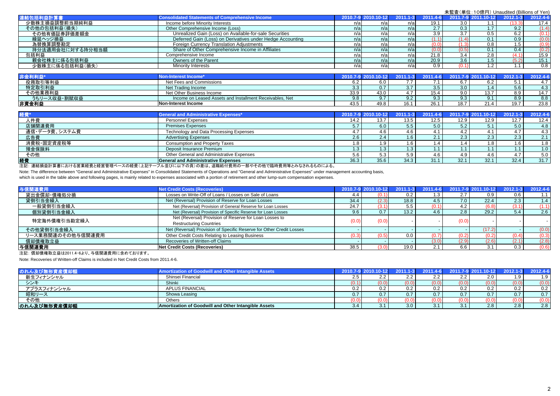| 連結包括利益計算書        | <b>Consolidated Statements of Comprehensive Income</b>     | 2010.7-9 2010.10-12 |      |      |       |       | 2011.1-3 2011.4-6 2011.7-9 2011.10-12 | $2012.1 - 3$ | 2012.4-6 |
|------------------|------------------------------------------------------------|---------------------|------|------|-------|-------|---------------------------------------|--------------|----------|
| 少数株主損益調整前当期純利益   | Income before Minority Interests                           | n/a                 | n/al |      | 19.1  | 3.0   | 1.1                                   |              | 17.4     |
| その他の包括利益(損失)     | Other Comprehensive Income (Loss)                          | n/a                 | n/a  |      | 2.7   | 0.3   | 1.7 <sub>1</sub>                      | 9.2          | (1.4)    |
| その他有価証券評価差額金     | Unrealized Gain (Loss) on Available-for-sale Securities    | n/a                 | n/a  |      | 3.9   | 3.7   | 0.5                                   | 6.2          | (0.1)    |
| 繰延ヘッジ損益          | Deferred Gain (Loss) on Derivatives under Hedge Accounting | n/a                 | n/a  | n/a  | (1.1) | (1.4) | 0.1                                   | 0.9          | (0.0)    |
| 為替換算調整勘定         | <b>Foreign Currency Translation Adjustments</b>            | n/a                 | n/a  |      |       |       | 0.8                                   | i .5         | (0.9)    |
| 持分法適用会社に対する持分相当額 | Share of Other Comprehensive Income in Affiliates          | n/a                 | n/a  | n/al | (0.0) | (0.5) | 0.1                                   | 0.4          | (0.2)    |
| 包括利益             | Comprehensive Income                                       | n/a                 | n/al |      | 21.8  | 3.4   | 2.8                                   |              | 15.9     |
| 親会社株主に係る包括利益     | Owners of the Parent                                       | n/a                 | n/a  |      | 20.9  | 3.6   | 1.5                                   |              | 15.1     |
| 少数株主に係る包括利益(損失)  | <b>Minority Interests</b>                                  | n/a                 | n/a  |      | 0.9   |       | 1.2                                   |              | 0.8      |

| 非金利利益        | Non-Interest Income <sup>,</sup>                         | $2010.7 - 9$ |      |                                    |      |                              | 2012. | 2012.4-6 |
|--------------|----------------------------------------------------------|--------------|------|------------------------------------|------|------------------------------|-------|----------|
| 役務取引等利益      | Net Fees and Commissions                                 |              |      |                                    |      | 6.2                          | ◡. ୲  |          |
| 特定取引利益       | Net Trading Income                                       | 3.3          | U. I |                                    | 3.0  |                              | 5.6   | 4.3      |
| その他業務利益      | Net Other Business Income                                | 33.9         | 43.0 | $\overline{a}$<br>10. <sup>4</sup> | 9.0  | 13.7                         | 8.9   | 14.7     |
| うちリース収益・割賦収益 | Income on Leased Assets and Installment Receivables. Net | 9.8          | 9.7  |                                    | 9.3  | 9.1                          | 8.9   | 8.8      |
| 非資金利益        | <b>INon-Interest Income</b>                              | 43.5         | 49.8 | 26.1                               | 18.7 | $\sim$ $\sim$<br><u>21.4</u> | 19.7  | 23.8     |

| 経費            | <b>General and Administrative Expenses*</b> |      | 2010.7-9 2010.10-12 | $2011.1 - 3$ |      |      | 2011.4-6 2011.7-9 2011.10-12 |            | 2012.4-6 |
|---------------|---------------------------------------------|------|---------------------|--------------|------|------|------------------------------|------------|----------|
| 人件費           | <b>Personnel Expenses</b>                   | 14.2 | 13.7                | 13.5         | 12.5 | 12.9 | 12.9                         | 12.7       | 12.4     |
| 店舗関連費用        | <b>Premises Expenses</b>                    |      | 6.0                 |              | 5.0  |      | 5.1                          | 5.0        | 4.8      |
| 通信・データ費、システム費 | Technology and Data Processing Expenses     |      | 4.6                 |              |      | 4.2  |                              |            | 4.3      |
| 広告費           | <b>Advertising Expenses</b>                 | 2.6  | 2.4 <sup>1</sup>    |              |      | 2.3  | 2.3                          | $2.3 \mid$ | 2.1      |
| 消費税·固定資産税等    | Consumption and Property Taxes              |      | 1.9                 |              |      |      | 1.8                          |            | 1.8      |
| 預金保険料         | Deposit Insurance Premium                   |      | 1.3 <sup>1</sup>    |              |      |      | 1.1                          |            | 1.0      |
| その他           | Other General and Administrative Expenses   | 5.6  | 5.3                 |              |      | 4.9  | 4.6                          | 17         | 5.0      |
| 経費            | <b>General and Administrative Expenses</b>  | 36.3 | 35.6                | 34.3         | 31.1 | 32.1 | 32.1                         | 32.4       | 31.7     |

注記: 連結損益計算書における営業経費と経営管理ベースの経費(上記テーブル並びに以下の頁)の差は、退職給付費用の一部やその他で臨時費用等とみなされるものによる。

Note: The difference between "General and Administrative Expenses" in Consolidated Statements of Operations and "General and Administrative Expenses" under management accounting basis,

which is used in the table above and following pages, is mainly related to expenses associated with a portion of retirement and other lump-sum compensation expenses.

| 与信関連費用            | <b>Net Credit Costs (Recoveries)</b>                                 |       | 2010.7-9 2010.10-12 | $2011.1 - 3$ |       |       | 2011.4-6 2011.7-9 2011.10-12 |       | 2012.4-6 |
|-------------------|----------------------------------------------------------------------|-------|---------------------|--------------|-------|-------|------------------------------|-------|----------|
| 貸出金償却·債権処分損       | Losses on Write-Off of Loans / Losses on Sale of Loans               | 4.4   |                     |              |       | 2.7   | 0.9                          | 0.6   |          |
| 貸倒引当金繰入           | Net (Reversal) Provision of Reserve for Loan Losses                  | 34.4  | (2.3)               | 18.8         | 4.5   | 7.0   | 22.4                         | 2.3   | 1.4      |
| 一般貸倒引当金繰入         | Net (Reversal) Provision of General Reserve for Loan Losses          | 24.7  |                     |              | 10.1  | 4.2   | (6.8)                        |       | (1.1)    |
| 個別貸倒引当金繰入         | Net (Reversal) Provision of Specific Reserve for Loan Losses         | 9.6   |                     | 13.2         | 4.6   | 2.8   | 29.2                         | 5.4   | 2.6      |
| 特定海外債権引当勘定繰入      | Net (Reversal) Provision of Reserve for Loan Losses to               | (0.0) | (0.0)               |              |       | (0.0) |                              |       |          |
|                   | <b>Restructuring Countries</b>                                       |       |                     |              |       |       |                              |       |          |
| その他貸倒引当金繰入        | Net (Reversal) Provision of Specific Reserve for Other Credit Losses |       |                     |              |       |       | (17.2)                       |       | (0.0)    |
| リース業務関連のその他与信関連費用 | Other Credit Costs Relating to Leasing Business                      | (0.3) |                     |              |       |       | (0.2)                        | (0.4) | (0.3)    |
| 償却債権取立益           | Recoveries of Written-off Claims                                     |       |                     |              | (3.0) | (2.9) | (2.6)                        | (2.1) | (2.8)    |
| 与信関連費用            | Net Credit Costs (Recoveries)                                        | 38.5  |                     | 19.0         | 2.1   | 6.6   | 3.1                          | 0.3   | (0.6)    |

注記: 償却債権取立益は2011.4-6より、与信関連費用に含めております。

Note: Recoveries of Written-off Claims is included in Net Credit Costs from 2011.4-6.

| のれん及び無形資産償却額 | Amortization of Goodwill and Other Intangible Assets / | 2010.7-9 2010 |      | $-1 - 3$ | $2011.4 - 6$ |                  | 2011.7-9 2011.10-12 | $2012.1 - 3$ | 2012.4-6 |
|--------------|--------------------------------------------------------|---------------|------|----------|--------------|------------------|---------------------|--------------|----------|
| 新生フィナンシャル    | Shinsei Financial                                      |               |      |          |              | ے ۔              | 2.0                 |              | 1.9      |
| シンキ          | Shinki                                                 | 10. I         | 0.0) | (U.U)    |              | (0.0)            | (0.0)               | (0.0)        | (0.0)    |
| アプラスフィナンシャル  | <b>APLUS FINANCIAL</b>                                 |               | 0.2  |          |              | 0.2              | 0.2                 | 0.2          | 0.2      |
| 昭和リース        | Showa Leasing                                          |               | 0.7  |          |              |                  | 0.7                 | 0.7          | 0.7      |
| その他          | Others                                                 |               |      |          |              | (V.V.            | (0.0)               |              |          |
| のれん及び無形資産償却額 | Amortization of Goodwill and Other Intangible Assets   | 3.4           | 3.1  | 3.0      |              | $\sim$ $\lambda$ | 2.8                 | 2.8          | 2.8      |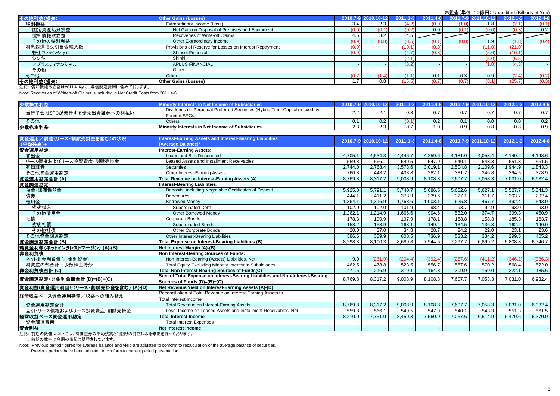| その他利益(損失)    | <b>Other Gains (Losses)</b>                            |       | 2010.7-9 2010.10-12 | 2011<br>'1-3L |                  |       | 2011.7-9 2011.10-12 | $2012.1 - 3$ | 2012.4-6 |
|--------------|--------------------------------------------------------|-------|---------------------|---------------|------------------|-------|---------------------|--------------|----------|
| 特別損益         | Extraordinary Income (Loss)                            | 3.4   | 2.3                 | 4.2           |                  |       | 1.8                 | (2.1)        | (0.1)    |
| 固定資産処分損益     | Net Gain on Disposal of Premises and Equipment         | (0.0) |                     |               | 0.0 <sub>1</sub> |       | (0.0)               | (0.3         | 0.2      |
| 償却債権取立益      | Recoveries of Write-off Claims                         | 4.5   | 3.2                 | 4.5           |                  |       |                     |              |          |
| その他の特別利益     | Other Extraordinary Income                             | (0.9) | 0.8                 | (8.5          |                  | (0.8) | . . 9               | 1.0          | (0.4)    |
| 利息返還損失引当金繰入額 | Provisions of Reserve for Losses on Interest Repayment | (0.9) |                     |               |                  |       | (11.0)              | (21.0        |          |
| 新生フィナンシャル    | Shinsei Financial                                      | (0.9) |                     |               | (0.8)            |       | (5.0)               | (10.1)       |          |
| シンキ          | Shinki                                                 |       |                     | .2.1          |                  |       | (5.0)               | (6.5)        |          |
| アプラスフィナンシャル  | <b>APLUS FINANCIAL</b>                                 |       |                     | (3.2)         |                  |       | (1.0)               | (4.3)        |          |
| その他          | Other                                                  |       |                     |               |                  |       |                     |              |          |
| その他          | Other                                                  | (0.7) |                     |               |                  | 0.3   | 0.9                 | (2.4)        | (0.2)    |
| その他利益(損失)    | <b>Other Gains (Losses)</b>                            | -7    | 0.8                 | (15.5)        |                  | (0.7) | (8.1)               | (25.7)       | (0.3)    |
|              |                                                        |       |                     |               |                  |       |                     |              |          |

注記: 償却債権取立益は2011.4-6より、与信関連費用に含めております。

Note: Recoveries of Written-off Claims is included in Net Credit Costs from 2011.4-6.

| 少数株主                     |                                                                                               | 2010.7        |               |     |     |     | 2012.1 | 2012.4-6             |
|--------------------------|-----------------------------------------------------------------------------------------------|---------------|---------------|-----|-----|-----|--------|----------------------|
| 当行子会社SPCが発行する優先出資証券への利払い | Dividends on Perpetual Preferred Securities (Hybrid Tier I Capital) issued by<br>Foreign SPCs | ົ<br><u>.</u> |               | 0.8 |     | 0.7 | 0.7    | $\sim$ $\sim$<br>∪.≀ |
| その他                      | <b>Others</b>                                                                                 | U. I          | $0.2^{\circ}$ |     |     | 0.0 | 0.0    | 0.2                  |
| 少数株主利益                   | Minority Interests in Net Income of Subsidiaries                                              | ں ے           | 2.3           |     | 0.9 | 0.8 | J.O    | 0.9                  |

| 資金運用/調達(リース・割賦売掛金を含む)の状況           | nterest-Earning Assets and Interest-Bearing Liabilities                       |         | 2010.7-9 2010.10-12 | $2011.1 - 3$ | 2011.4-6 |         | 2011.7-9 2011.10-12 | $2012.1 - 3$ | 2012.4-6 |
|------------------------------------|-------------------------------------------------------------------------------|---------|---------------------|--------------|----------|---------|---------------------|--------------|----------|
| (平均残高)*                            | (Average Balance)*                                                            |         |                     |              |          |         |                     |              |          |
| 資金運用勘定:                            | <b>Interest-Earning Assets:</b>                                               |         |                     |              |          |         |                     |              |          |
| 貸出金                                | Loans and Bills Discounted                                                    | 4,705.1 | 4,534.3             | 4,446.7      | 4,259.6  | 4,181.0 | 4,058.4             | 4,140.2      | 4,148.6  |
| リース債権およびリース投資資産・割賦売掛金              | Leased Assets and Installment Receivables                                     | 559.8   | 566.1               | 549.5        | 547.9    | 540.1   | 543.3               | 551.3        | 561.5    |
| 有価証券                               | <b>Securities</b>                                                             | 2,744.0 | 2,768.4             | 3,573.6      | 3,019.1  | 2,504.8 | 2,109.6             | 1,944.9      | 1,843.3  |
| その他資金運用勘定                          | Other Interest-Earning Assets                                                 | 760.8   | 448.2               | 438.8        | 282.1    | 381.7   | 346.8               | 394.5        | 378.9    |
| 資金運用勘定合計(A)                        | <b>Total Revenue on Interest-Earning Assets (A)</b>                           | 8.769.8 | 8.317.2             | 9.008.9      | 8.108.8  | 7.607.7 | 7.058.3             | 7.031.0      | 6.932.4  |
| 資金調達勘定:                            | Interest-Bearing Liabilities:                                                 |         |                     |              |          |         |                     |              |          |
| 預金·讓渡性預金                           | Deposits, including Negotiable Certificates of Deposit                        | 5,925.0 | 5.791.1             | 5.740.7      | 5,686.5  | 5,652.6 | 5,627.1             | 5,527.7      | 5,341.3  |
| 債券                                 | <b>Debentures</b>                                                             | 444.1   | 411.2               | 373.9        | 339.6    | 327.1   | 311.7               | 303.7        | 292.4    |
| 借用金                                | <b>Borrowed Monev</b>                                                         | 1,364.1 | 1,316.9             | .768.6       | 1,003.1  | 625.8   | 467.7               | 492.4        | 543.9    |
| 劣後借入                               | <b>Subordinated Debt</b>                                                      | 102.0   | 102.0               | 101.9        | 98.4     | 93.7    | 92.9                | 93.0         | 93.0     |
| その他借用金                             | <b>Other Borrowed Money</b>                                                   | 1.262.1 | 1,214.9             | 1,666.6      | 904.6    | 532.0   | 374.7               | 399.3        | 450.9    |
| 社債                                 | Corporate Bonds                                                               | 178.3   | 190.9               | 197.9        | 178.1    | 158.8   | 158.3               | 185.3        | 163.7    |
| 劣後社債                               | <b>Subordinated Bonds</b>                                                     | 158.2   | 153.9               | 163.1        | 149.4    | 134.5   | 136.3               | 162.2        | 140.0    |
| その他社債                              | Other Corporate Bonds                                                         | 20.0    | 37.0                | 34.8         | 28.7     | 24.2    | 22.0                | 23.1         | 23.6     |
| その他資金調達勘定                          | <b>Other Interest-Bearing Liabilities</b>                                     | 386.6   | 389.9               | 608.5        | 736.9    | 533.2   | 334.2               | 299.5        | 405.2    |
| 資金調達勘定合計 (B)                       | Total Expense on Interest-Bearing Liabilities (B)                             | 8,298.3 | 8,100.3             | 8,689.8      | 7,944.5  | 7,297.7 | 6,899.2             | 6,808.8      | 6,746.7  |
| 純資金利鞘(ネットインタレストマージン) (A)-(B)       | Net Interest Margin (A)-(B)                                                   |         |                     |              |          |         |                     |              |          |
| 非金利負債                              | Non Interest-Bearing Sources of Funds:                                        |         |                     |              |          |         |                     |              |          |
| ネット非金利負債(非金利資産)                    | Non Interest-Bearing (Assets) Liabilities, Net                                | 9.0     | (261.9)             | (204.4)      | (392.4)  | (257.6) | (411.2)             | (346.2)      | (386.3)  |
| 純資産の部合計ー少数株主持分                     | Total Equity Excluding Minority Interest in Subsidiaries                      | 462.5   | 478.8               | 523.5        | 556.7    | 567.6   | 570.2               | 568.4        | 572.0    |
| 非金利負債合計(C)                         | Total Non Interest-Bearing Sources of Funds(C)                                | 471.5   | 216.9               | 319.1        | 164.3    | 309.9   | 159.0               | 222.1        | 185.6    |
| 資金調達勘定・非金利負債合計 (D)=(B)+(C)         | Sum of Total Expense on Interest-Bearing Liabilities and Non-Interest-Bearing | 8,769.8 | 8,317.2             | 9,008.9      | 8,108.8  | 7,607.7 | 7,058.3             | 7,031.0      | 6,932.4  |
|                                    | Sources of Funds (D)=(B)+(C)                                                  |         |                     |              |          |         |                     |              |          |
| 資金利益/資金運用利回り(リース・割賦売掛金を含む) (A)-(D) | Net Revenue/Yield on Interest-Earning Assets (A)-(D)                          |         |                     |              |          |         |                     |              |          |
| 経常収益ベース資金運用勘定/収益への組み替え             | Reconciliation of Total Revenue on Interest-Earning Assets to                 |         |                     |              |          |         |                     |              |          |
|                                    | <b>Total Interest Income</b>                                                  |         |                     |              |          |         |                     |              |          |
| 資金運用勘定合計                           | Total Revenue on Interest-Earning Assets                                      | 8.769.8 | 8,317.2             | 9,008.9      | 8.108.8  | 7.607.7 | 7,058.3             | 7,031.0      | 6,932.4  |
| 差引:リース債権およびリース投資資産・割賦売掛金           | Less: Income on Leased Assets and Installment Receivables, Net                | 559.8   | 566.1               | 549.5        | 547.9    | 540.1   | 543.3               | 551.3        | 561.5    |
| 経常収益ペース資金運用勘定                      | <b>Total Interest Income</b>                                                  | 8.210.0 | 7,751.0             | 8.459.3      | 7,560.9  | 7.067.6 | 6,514.9             | 6.479.6      | 6.370.9  |
| 資金調達費用                             | <b>Total Interest Expenses</b>                                                |         |                     |              |          |         |                     |              |          |
| 資金利益                               | Net Interest Income                                                           |         |                     |              |          |         |                     |              |          |

注記: 前期の数値については、有価証券の平均残高と利回りの訂正による修正を行っております。

: 前期の数字は今期の表記に調整されています。

Note: Previous period figures for average balance and yield are adjusted to conform to recalculation of the average balance of securities.

: Previous periods have been adjusted to conform to current period presentation.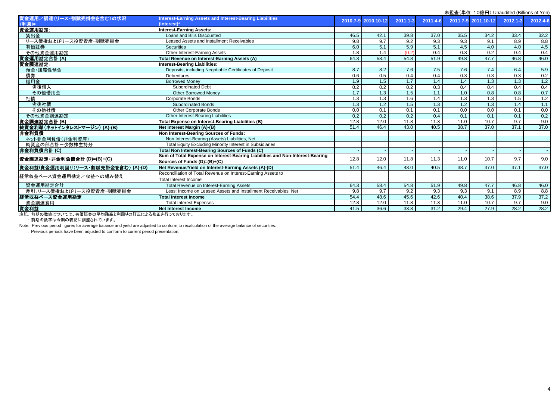|                                    | 木血且 \丰��. TOjiši ]/ Oriduulted (Dillions of Terry                             |                  |                     |              |                  |      |                     |                  |                   |
|------------------------------------|-------------------------------------------------------------------------------|------------------|---------------------|--------------|------------------|------|---------------------|------------------|-------------------|
| 資金運用/調達(リース・割賦売掛金を含む)の状況           | Interest-Earning Assets and Interest-Bearing Liabilities                      |                  | 2010.7-9 2010.10-12 | $2011.1 - 3$ | 2011.4-6         |      | 2011.7-9 2011.10-12 | 2012.1-3         | 2012.4-6          |
| (利息)*                              | (Interest)*                                                                   |                  |                     |              |                  |      |                     |                  |                   |
| 資金運用勘定:                            | <b>Interest-Earning Assets:</b>                                               |                  |                     |              |                  |      |                     |                  |                   |
| 貸出金                                | Loans and Bills Discounted                                                    | 46.5             | 42.1                | 39.8         | 37.0             | 35.5 | 34.2                | 33.4             | 32.2              |
| リース債権およびリース投資資産・割賦売掛金              | Leased Assets and Installment Receivables                                     | 9.8              | 9.7                 | 9.2          | 9.3              | 9.3  | 9.1                 | 8.9              | 8.8               |
| 有価証券                               | <b>Securities</b>                                                             | 6.0              | 5.1                 | 5.9          | 5.1              | 4.5  | 4.0                 | 4.0              | 4.5               |
| その他資金運用勘定                          | Other Interest-Earning Assets                                                 | $\overline{1.8}$ | 1.4                 | (0.2)        | 0.4              | 0.3  | 0.2                 | 0.4              | 0.4               |
| 資金運用勘定合計(A)                        | Total Revenue on Interest-Earning Assets (A)                                  | 64.3             | 58.4                | 54.8         | 51.9             | 49.8 | 47.7                | 46.8             | 46.0              |
| 資金調達勘定:                            | <b>Interest-Bearing Liabilities:</b>                                          |                  |                     |              |                  |      |                     |                  |                   |
| 預金·讓渡性預金                           | Deposits, including Negotiable Certificates of Deposit                        | 8.7              | 8.2                 | 7.6          | 7.5              | 7.6  | 7.4                 | 6.4              | 5.9               |
| 債券                                 | <b>Debentures</b>                                                             | 0.6              | 0.5                 | 0.4          | 0.4              | 0.3  | $\overline{0.3}$    | $\overline{0.3}$ | 0.2               |
| 借用金                                | <b>Borrowed Money</b>                                                         | 1.9              | 1.5                 | 1.7          | 1.4              | 1.4  | $\overline{1.3}$    | 1.3              | 1.2               |
| 劣後借入                               | <b>Subordinated Debt</b>                                                      | 0.2              | 0.2                 | 0.2          | 0.3              | 0.4  | 0.4                 | 0.4              | 0.4               |
| その他借用金                             | <b>Other Borrowed Money</b>                                                   | 1.7              | 1.3                 | 1.5          | 1.1              | 1.0  | 0.8                 | $\overline{0.8}$ | 0.7               |
| 社債                                 | Corporate Bonds                                                               | $\overline{1.3}$ | 1.3                 | 1.6          | 1.4              | 1.3  | 1.3                 | 1.5              | 1.2               |
| 劣後社債                               | <b>Subordinated Bonds</b>                                                     | 1.3              | 1.2                 | 1.5          | $\overline{1.3}$ | 1.2  | 1.3                 | 1.4              | 1.1               |
| その他社債                              | Other Corporate Bonds                                                         | 0.0              | 0.1                 | 0.1          | 0.1              | 0.0  | 0.0                 | 0.1              | $\frac{0.0}{0.2}$ |
| その他資金調達勘定                          | Other Interest-Bearing Liabilities                                            | 0.2              | 0.2                 | 0.2          | 0.4              | 0.1  | 0.1                 | 0.1              |                   |
| 資金調達勘定合計 (B)                       | Total Expense on Interest-Bearing Liabilities (B)                             | 12.8             | 12.0                | 11.8         | 11.3             | 11.0 | 10.7                | 9.7              | 9.0               |
| 純資金利鞘(ネットインタレストマージン)(A)-(B)        | Net Interest Margin (A)-(B)                                                   | 51.4             | 46.4                | 43.0         | 40.5             | 38.7 | 37.0                | 37.1             | 37.0              |
| 非金利負債                              | Non Interest-Bearing Sources of Funds:                                        |                  |                     |              |                  |      |                     |                  |                   |
| ネット非金利負債(非金利資産)                    | Non Interest-Bearing (Assets) Liabilities, Net                                |                  |                     |              |                  |      |                     |                  |                   |
| 純資産の部合計一少数株主持分                     | Total Equity Excluding Minority Interest in Subsidiaries                      |                  |                     |              |                  |      |                     |                  |                   |
| 非金利負債合計 (C)                        | <b>Total Non Interest-Bearing Sources of Funds (C)</b>                        |                  |                     |              |                  |      |                     |                  |                   |
| 資金調達勘定・非金利負債合計 (D)=(B)+(C)         | Sum of Total Expense on Interest-Bearing Liabilities and Non-Interest-Bearing | 12.8             | 12.0                | 11.8         | 11.3             | 11.0 | 10.7                | 9.7              | 9.0               |
|                                    | Sources of Funds (D)=(B)+(C)                                                  |                  |                     |              |                  |      |                     |                  |                   |
| 資金利益/資金運用利回り(リース・割賦売掛金を含む) (A)-(D) | Net Revenue/Yield on Interest-Earning Assets (A)-(D)                          | 51.4             | 46.4                | 43.0         | 40.5             | 38.7 | 37.0                | 37.1             | 37.0              |
| 経常収益ベース資金運用勘定/収益への組み替え             | Reconciliation of Total Revenue on Interest-Earning Assets to                 |                  |                     |              |                  |      |                     |                  |                   |
|                                    | <b>Total Interest Income</b>                                                  |                  |                     |              |                  |      |                     |                  |                   |
| 資金運用勘定合計                           | Total Revenue on Interest-Earning Assets                                      | 64.3             | 58.4                | 54.8         | 51.9             | 49.8 | 47.7                | 46.8             | 46.0              |
| 差引:リース債権およびリース投資資産・割賦売掛金           | Less: Income on Leased Assets and Installment Receivables, Net                | 9.8              | 9.7                 | 9.2          | 9.3              | 9.3  | 9.1                 | 8.9              | 8.8               |
| 経常収益ベース資金運用勘定                      | <b>Total Interest Income</b>                                                  | 54.4             | 48.6                | 45.6         | 42.6             | 40.4 | 38.6                | 37.9             | 37.2              |
| 資金調達費用                             | <b>Total Interest Expenses</b>                                                | 12.8             | 12.0                | 11.8         | 11.3             | 11.0 | 10.7                | 9.7              | 9.0               |
| 資金利益                               | Net Interest Income                                                           | 41.5             | 36.6                | 33.8         | 31.2             | 29.4 | 27.9                | 28.2             | 28.2              |
|                                    |                                                                               |                  |                     |              |                  |      |                     |                  |                   |

注記: 前期の数値については、有価証券の平均残高と利回りの訂正による修正を行っております。

: 前期の数字は今期の表記に調整されています。

Note: Previous period figures for average balance and yield are adjusted to conform to recalculation of the average balance of securities.

: Previous periods have been adjusted to conform to current period presentation.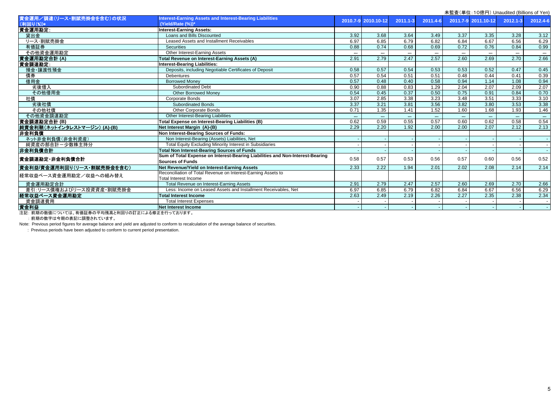| 木監査(単位:IO熄円) Unaudited (Billions of Yen) |                                                                               |       |                     |              |          |       |                     |          |                   |
|------------------------------------------|-------------------------------------------------------------------------------|-------|---------------------|--------------|----------|-------|---------------------|----------|-------------------|
| 資金運用/調達(リース・割賦売掛金を含む)の状況<br>(利回り(%))*    | Interest-Earning Assets and Interest-Bearing Liabilities<br>(Yield/Rate (%))* |       | 2010.7-9 2010.10-12 | $2011.1 - 3$ | 2011.4-6 |       | 2011.7-9 2011.10-12 | 2012.1-3 | 2012.4-6          |
| 資金運用勘定:                                  | <b>Interest-Earning Assets:</b>                                               |       |                     |              |          |       |                     |          |                   |
| 貸出金                                      | Loans and Bills Discounted                                                    | 3.92  | 3.68                | 3.64         | 3.49     | 3.37  | 3.35                | 3.28     | 3.12              |
| リース・割賦売掛金                                | Leased Assets and Installment Receivables                                     | 6.97  | 6.85                | 6.79         | 6.82     | 6.84  | 6.67                | 6.56     | 6.29              |
| 有価証券                                     | <b>Securities</b>                                                             | 0.88  | 0.74                | 0.68         | 0.69     | 0.72  | 0.76                | 0.84     | 0.99              |
| その他資金運用勘定                                | Other Interest-Earning Assets                                                 | $***$ | $***$               | $***$        | $***$    | $***$ | $***$               | $***$    | $***$             |
| 資金運用勘定合計 (A)                             | Total Revenue on Interest-Earning Assets (A)                                  | 2.91  | 2.79                | 2.47         | 2.57     | 2.60  | 2.69                | 2.70     | 2.66              |
| 資金調達勘定:                                  | Interest-Bearing Liabilities:                                                 |       |                     |              |          |       |                     |          |                   |
| 預金·讓渡性預金                                 | Deposits, including Negotiable Certificates of Deposit                        | 0.58  | 0.57                | 0.54         | 0.53     | 0.53  | 0.52                | 0.47     | 0.45              |
| 債券                                       | <b>Debentures</b>                                                             | 0.57  | 0.54                | 0.51         | 0.51     | 0.48  | 0.44                | 0.41     | 0.39              |
| 借用金                                      | <b>Borrowed Money</b>                                                         | 0.57  | 0.48                | 0.40         | 0.58     | 0.94  | 1.14                | 1.08     | 0.94              |
| 劣後借入                                     | <b>Subordinated Debt</b>                                                      | 0.90  | 0.88                | 0.83         | 1.29     | 2.04  | 2.07                | 2.09     | 2.07              |
| その他借用金                                   | <b>Other Borrowed Money</b>                                                   | 0.54  | 0.45                | 0.37         | 0.50     | 0.75  | 0.91                | 0.84     | 0.70              |
| 社債                                       | <b>Corporate Bonds</b>                                                        | 3.07  | 2.85                | 3.38         | 3.23     | 3.48  | 3.51                | 3.33     | 3.10              |
| 劣後社債                                     | <b>Subordinated Bonds</b>                                                     | 3.37  | 3.21                | 3.81         | 3.56     | 3.82  | 3.80                | 3.53     | 3.38              |
| その他社債                                    | Other Corporate Bonds                                                         | 0.71  | 1.35                | 1.41         | 1.52     | 1.60  | 1.68                | 1.93     | 1.46              |
| その他資金調達勘定                                | Other Interest-Bearing Liabilities                                            | ***   | $***$               | $***$        | $***$    | $***$ | $***$               | $***$    | $\star\star\star$ |
| 資金調達勘定合計(B)                              | Total Expense on Interest-Bearing Liabilities (B)                             | 0.62  | 0.59                | 0.55         | 0.57     | 0.60  | 0.62                | 0.58     | 0.54              |
| 純資金利鞘(ネットインタレストマージン) (A)-(B)             | Net Interest Margin (A)-(B)                                                   | 2.29  | 2.20                | 1.92         | 2.00     | 2.00  | 2.07                | 2.12     | 2.13              |
| 非金利負債                                    | Non Interest-Bearing Sources of Funds:                                        |       |                     |              |          |       |                     |          |                   |
| ネット非金利負債(非金利資産)                          | Non Interest-Bearing (Assets) Liabilities, Net                                |       |                     |              |          |       |                     |          |                   |
| 純資産の部合計ー少数株主持分                           | Total Equity Excluding Minority Interest in Subsidiaries                      |       |                     |              |          |       |                     |          |                   |
| 非金利負債合計                                  | <b>Total Non Interest-Bearing Sources of Funds</b>                            |       |                     |              |          |       |                     |          |                   |
| 資金調達勘定・非金利負債合計                           | Sum of Total Expense on Interest-Bearing Liabilities and Non-Interest-Bearing | 0.58  | 0.57                | 0.53         | 0.56     | 0.57  | 0.60                | 0.56     | 0.52              |
|                                          | <b>Sources of Funds</b>                                                       |       |                     |              |          |       |                     |          |                   |
| 資金利益/資金運用利回り(リース・割賦売掛金を含む)               | Net Revenue/Yield on Interest-Earning Assets                                  | 2.33  | 2.22                | 1.94         | 2.01     | 2.02  | 2.08                | 2.14     | 2.14              |
| 経常収益ベース資金運用勘定/収益への組み替え                   | Reconciliation of Total Revenue on Interest-Earning Assets to                 |       |                     |              |          |       |                     |          |                   |
|                                          | <b>Total Interest Income</b>                                                  |       |                     |              |          |       |                     |          |                   |
| 資金運用勘定合計                                 | Total Revenue on Interest-Earning Assets                                      | 2.91  | 2.79                | 2.47         | 2.57     | 2.60  | 2.69                | 2.70     | 2.66              |
| 差引:リース債権およびリース投資資産・割賦売掛金                 | Less: Income on Leased Assets and Installment Receivables. Net                | 6.97  | 6.85                | 6.79         | 6.82     | 6.84  | 6.67                | 6.56     | 6.29              |
| 経常収益ベース資金運用勘定                            | <b>Total Interest Income</b>                                                  | 2.63  | 2.49                | 2.19         | 2.26     | 2.27  | 2.35                | 2.38     | 2.34              |
| 資金調達費用                                   | <b>Total Interest Expenses</b>                                                |       |                     |              |          |       |                     |          |                   |
| 資金利益                                     | Net Interest Income                                                           |       |                     |              |          |       |                     |          |                   |
|                                          |                                                                               |       |                     |              |          |       |                     |          |                   |

注記: 前期の数値については、有価証券の平均残高と利回りの訂正による修正を行っております。

: 前期の数字は今期の表記に調整されています。

Note: Previous period figures for average balance and yield are adjusted to conform to recalculation of the average balance of securities.

: Previous periods have been adjusted to conform to current period presentation.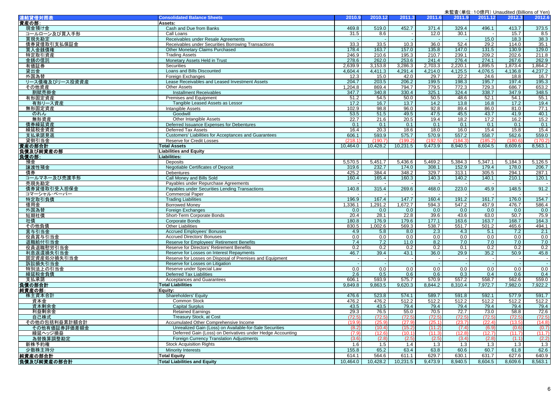| 連結貸借対照表          | <b>Consolidated Balance Sheets</b>                           | 2010.9   | 2010.12  | 2011.3                   | 2011.6  | 2011.9                   | 2011.12                  | 2012.3                   | 2012.6  |
|------------------|--------------------------------------------------------------|----------|----------|--------------------------|---------|--------------------------|--------------------------|--------------------------|---------|
| 資産の部:            | Assets:                                                      |          |          |                          |         |                          |                          |                          |         |
| 現金預け金            | Cash and Due from Banks                                      | 469.8    | 519.0    | 452.7                    | 371.4   | 329.4                    | 496.1                    | 413.7                    | 373.5   |
| コールローン及び買入手形     | Call Loans                                                   | 31.5     | 8.6      |                          | 12.0    | 30.1                     |                          | 15.7                     | 8.5     |
| 買現先勘定            | Receivables under Resale Agreements                          |          |          | $\sim$                   | $\sim$  |                          | 15.0                     | 18.3                     | 38.3    |
| 債券貸借取引支払保証金      | Receivables under Securities Borrowing Transactions          | 33.3     | 33.5     | 10.3                     | 36.0    | 52.4                     | 29.2                     | 114.0                    | 35.1    |
| 買入金銭債権           | Other Monetary Claims Purchased                              | 178.4    | 163.7    | 157.0                    | 135.8   | 147.0                    | 131.5                    | 130.9                    | 129.0   |
| 特定取引資産           | <b>Trading Assets</b>                                        | 246.9    | 210.6    | 195.3                    | 210.7   | 239.1                    | 209.2                    | 202.6                    | 211.8   |
| 金銭の信託            | Monetary Assets Held in Trust                                | 278.6    | 262.0    | 253.6                    | 241.4   | 276.4                    | 274.1                    | 267.6                    | 262.9   |
| 有価証券             | <b>Securities</b>                                            | 2,639.9  | 3,153.8  | 3,286.3                  | 2,703.3 | 2,220.1                  | 1,895.5                  | 1,873.4                  | 1,864.2 |
| 貸出金              | Loans and Bills Discounted                                   | 4,604.4  | 4,411.3  | 4,291.4                  | 4,214.0 | 4,125.5                  | 4,076.5                  | 4,136.8                  | 4,237.2 |
| 外国為替             | Foreign Exchanges                                            | 12.3     | 15.0     | 42.0                     | 29.7    | 22.2                     | 24.6                     | 18.8                     | 16.7    |
| リース債権及びリース投資資産   | Lease Receivables and Leased Investment Assets               | 204.7    | 203.5    | 206.2                    | 199.5   | 198.3                    | 195.7                    | 197.4                    | 195.3   |
| その他資産            | Other Assets                                                 | 1,204.8  | 869.4    | 794.7                    | 779.5   | 772.3                    | 729.3                    | 686.7                    | 653.2   |
| 割賦売掛金            | <b>Installment Receivables</b>                               | 347.7    | 340.8    | 330.4                    | 325.1   | 324.4                    | 338.7                    | 347.9                    | 348.5   |
| 有形固定資産           | Premises and Equipment                                       | 51.2     | 54.5     | 50.0                     | 50.5    | 48.6                     | 52.1                     | 54.1                     | 55.1    |
| 有形リース資産          | Tangible Leased Assets as Lessor                             | 17.2     | 16.7     | 13.7                     | 14.2    | 13.8                     | 16.8                     | 17.2                     | 19.4    |
| 無形固定資産           | Intangible Assets                                            | 102.9    | 98.8     | 96.0                     | 92.8    | 89.4                     | 86.0                     | 81.0                     | 77.1    |
| のれん              | Goodwill                                                     | 53.5     | 51.5     | 49.5                     | 47.5    | 45.5                     | 43.7                     | 41.9                     | 40.1    |
| 無形資産             | Other Intangible Assets                                      | 22.7     | 21.6     | 20.5                     | 19.4    | 18.2                     | 17.2                     | 16.2                     | 15.2    |
| 債券繰延資産           | Deferred Issuance Expenses for Debentures                    | 0.1      | 0.1      | 0.1                      | 0.1     | 0.1                      | 0.1                      | 0.1                      | 0.1     |
| 繰延税金資産           | Deferred Tax Assets                                          | 16.4     | 20.3     | 18.6                     | 18.0    | 16.0                     | 15.4                     | 15.8                     | 15.4    |
| 支払承諾見返           | <b>Customers' Liabilities for Acceptances and Guarantees</b> | 606.1    | 593.9    | 575.7                    | 570.9   | 557.2                    | 558.7                    | 562.6                    | 559.0   |
| 貸倒引当金            | Reserve for Credit Losses                                    | (218.1)  | (190.7)  | (199.2)                  | (192.5  | (184.3)                  | (185.2)                  | (180.6)                  | (170.2) |
| 資産の部合計           | <b>Total Assets</b>                                          | 10,464.0 | 10,428.2 | 10,231.5                 | 9,473.9 | 8,940.5                  | 8,604.5                  | 8,609.6                  | 8,563.1 |
| 負債及び純資産の部        | Liabilities and Equity                                       |          |          |                          |         |                          |                          |                          |         |
| <u>負債の部:</u>     | Liabilities:                                                 |          |          |                          |         |                          |                          |                          |         |
| 預金               | <b>Deposits</b>                                              | 5,570.5  | 5,451.7  | 5,436.6                  | 5,469.2 | 5,384.3                  | 5,347.1                  | 5,184.3                  | 5,126.5 |
| 讓渡性預金            | <b>Negotiable Certificates of Deposit</b>                    | 319.6    | 232.7    | 174.0                    | 308.1   | 152.9                    | 179.4                    | 178.0                    | 206.7   |
| 債券               | Debentures                                                   | 425.2    | 384.4    | 348.2                    | 329.7   | 313.1                    | 305.5                    | 294.1                    | 287.1   |
| コールマネー及び売渡手形     | Call Money and Bills Sold                                    | 160.4    | 165.4    | 160.3                    | 140.3   | 140.2                    | 140.1                    | 210.1                    | 120.1   |
| 売現先勘定            | Payables under Repurchase Agreements                         |          |          |                          |         |                          |                          |                          |         |
| 債券貸借取引受入担保金      | Payables under Securities Lending Transactions               | 140.8    | 315.4    | 269.6                    | 468.0   | 223.0                    | 45.9                     | 148.5                    | 91.2    |
| コマーシャル・ペーパー      | <b>Commercial Paper</b>                                      |          |          |                          |         |                          |                          |                          |         |
| 特定取引負債           | <b>Trading Liabilities</b>                                   | 196.9    | 167.4    | 147.7                    | 160.4   | 191.2                    | 161.7                    | 176.0                    | 154.7   |
| 借用金              | <b>Borrowed Money</b>                                        | 1,336.1  | 1,291.2  | 1,672.7                  | 594.3   | 547.2                    | 457.9                    | 476.7                    | 586.4   |
| 外国為替             | Foreign Exchanges                                            | 0.0      | 0.0      | 0.0                      | 0.0     | 0.0                      | 0.0                      | 0.0                      | 0.0     |
| 短期社債             | Short-Term Corporate Bonds                                   | 20.4     | 28.1     | 22.8                     | 39.6    | 43.6                     | 63.0                     | 50.7                     | 75.9    |
| 社債               | <b>Corporate Bonds</b>                                       | 180.8    | 176.9    | 179.6                    | 177.1   | 163.6                    | 163.7                    | 168.7                    | 164.3   |
| その他負債            | <b>Other Liabilities</b>                                     | 830.5    | 1,002.6  | 569.3                    | 538.7   | 551.7                    | 501.2                    | 465.6                    | 494.1   |
| 賞与引当金            | <b>Accrued Employees' Bonuses</b>                            | 4.9      | 5.8      | 8.0                      | 2.3     | 4.3                      | 5.1                      | 7.2                      | 2.1     |
| 役員賞与引当金          | <b>Accrued Directors' Bonuses</b>                            | 0.0      | 0.0      | 0.0                      | 0.0     | 0.0                      | 0.0                      | 0.0                      | 0.0     |
| 退職給付引当金          | Reserve for Employees' Retirement Benefits                   | 7.4      | 7.2      | 11.0                     | 8.2     | 7.0                      | 7.0                      | 7.0                      | 7.0     |
| 役員退職慰労引当金        | Reserve for Directors' Retirement Benefits                   | 0.2      | 0.2      | 0.2                      | 0.2     | 0.1                      | 0.2                      | 0.2                      | 0.2     |
| 利息返還損失引当金        | Reserve for Losses on Interest Repayments                    | 46.7     | 39.4     | 43.1                     | 36.0    | 29.9                     | 35.2                     | 50.9                     | 45.8    |
| 固定資産処分損失引当金      | Reserve for Losses on Disposal of Premises and Equipment     |          | $\sim$   | $\overline{\phantom{a}}$ | $\sim$  | $\overline{\phantom{a}}$ | $\overline{\phantom{a}}$ | $\overline{\phantom{a}}$ | $\sim$  |
| 訴訟損失引当金          | Reserve for Losses on Litigation                             |          | $\sim$   | $\sim$                   | $\sim$  | $\blacksquare$           |                          | $\sim$                   | $\sim$  |
| 特別法上の引当金         | Reserve under Special Law                                    | 0.0      | 0.0      | 0.0                      | 0.0     | 0.0                      | 0.0                      | 0.0                      | 0.0     |
| 繰延税金負債           | <b>Deferred Tax Liabilities</b>                              | 2.6      | 0.5      | 0.6                      | 0.6     | 0.3                      | 0.4                      | 0.6                      | 0.4     |
| 支払承諾             | <b>Acceptances and Guarantees</b>                            | 606.1    | 593.9    | 575.7                    | 570.9   | 557.2                    | 558.7                    | 562.6                    | 559.0   |
| 負債の部合計<br>純資産の部: | <b>Total Liabilities</b>                                     | 9,849.8  | 9,863.5  | 9,620.3                  | 8,844.2 | 8,310.4                  | 7,972.7                  | 7,982.0                  | 7,922.2 |
|                  | Equity:                                                      |          |          |                          |         |                          |                          |                          |         |
| 株主資本合計           | Shareholders' Equity                                         | 476.6    | 523.8    | 574.1                    | 589.7   | 591.8                    | 592.1                    | 577.9                    | 591.7   |
| 資本金              | Common Stock                                                 | 476.2    | 476.2    | 512.2                    | 512.2   | 512.2                    | 512.2                    | 512.2                    | 512.2   |
| 資本剰余金            | <b>Capital Surplus</b>                                       | 43.5     | 43.5     | 79.4                     | 79.4    | 79.4                     | 79.4                     | 79.4                     | 79.4    |
| 利益剰余金            | <b>Retained Earnings</b>                                     | 29.3     | 76.5     | 55.0                     | 70.5    | 72.7                     | 73.0                     | 58.8                     | 72.6    |
| 自己株式             | Treasury Stock, at Cost                                      | (72.5)   | (72.5)   | (72.5)                   | (72.5)  | (72.5)                   | (72.5)                   | (72.5)                   | (72.5)  |
| その他の包括利益累計額合計    | Accumulated Other Comprehensive Income                       | (19.9)   | (25.9)   | (27.9)                   | (25.1)  | (23.7)                   | (22.4)                   | (13.5)                   | (14.8)  |
| その他有価証券評価差額金     | Unrealized Gain (Loss) on Available-for-Sale Securities      | (8.2)    | (10.4)   | (15.2)                   | (11.2)  | (7.4)                    | (6.9)                    | (0.6)                    | (0.7)   |
| 繰延ヘッジ損益          | Deferred Gain (Loss) on Derivatives under Hedge Accounting   | (7.9)    | (12.6)   | (10.1)                   | (11.3)  | (12.8)                   | (12.7)                   | (11.7)                   | (11.7)  |
| 為替換算調整勘定         | Foreign Currency Translation Adjustments                     | (3.6)    | (2.8)    | (2.5)                    | (2.5)   | (3.4)                    | (2.8)                    | (1.1)                    | (2.2)   |
| 新株予約権            | <b>Stock Acquisition Rights</b>                              | 1.6      | 1.5      | 1.4                      | 1.3     | 1.3                      | 1.3                      | 1.3                      | 1.3     |
| 少数株主持分           | Minority Interests                                           | 155.8    | 65.2     | 63.4                     | 63.8    | 60.6                     | 60.7                     | 61.8                     | 62.6    |
| 純資産の部合計          | <b>Total Equity</b>                                          | 614.1    | 564.6    | 611.1                    | 629.7   | 630.1                    | 631.7                    | 627.6                    | 640.9   |
|                  |                                                              |          |          |                          |         |                          |                          |                          |         |
| 負債及び純資産の部合計      | <b>Total Liabilities and Equity</b>                          | 10,464.0 | 10,428.2 | 10,231.5                 | 9,473.9 | 8,940.5                  | 8,604.5                  | 8,609.6                  | 8,563.1 |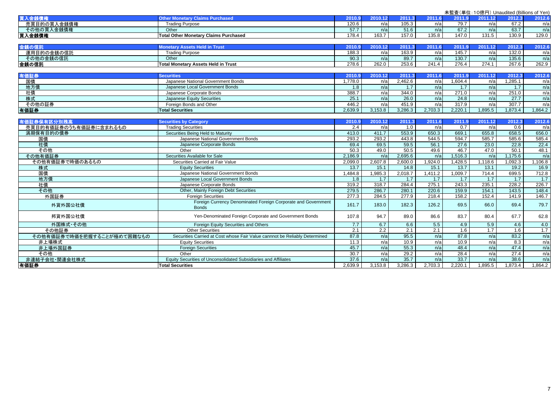|                            | 未監査(単位: 10億円) Unaudited (Billions of Yen)                                  |         |                  |         |         |                  |         |         |                  |  |
|----------------------------|----------------------------------------------------------------------------|---------|------------------|---------|---------|------------------|---------|---------|------------------|--|
| 買入金錢債権                     | <b>Other Monetary Claims Purchased</b>                                     | 2010.9  | 2010.12          | 2011.3  | 2011.6  | 2011.9           | 2011.12 | 2012.3  | 2012.6           |  |
| 売買目的の買入金銭債権                | <b>Trading Purpose</b>                                                     | 120.6   | n/a              | 105.3   | n/a     | 79.7             | n/a     | 67.2    | n/a              |  |
| その他の買入金銭債権                 | Other                                                                      | 57.7    | n/a              | 51.6    | n/a     | 67.2             | n/a     | 63.7    | n/a              |  |
| 買入金銭債権                     | <b>Total Other Monetary Claims Purchased</b>                               | 178.4   | 163.7            | 157.0   | 135.8   | 147.0            | 131.5   | 130.9   | 129.0            |  |
|                            |                                                                            |         |                  |         |         |                  |         |         |                  |  |
| 金銭の信託                      | <b>Monetary Assets Held in Trust</b>                                       | 2010.9  | 2010.12          | 2011.3  | 2011.6  | 2011.9           | 2011.12 | 2012.3  | 2012.6           |  |
| 運用目的の金銭の信託                 | <b>Trading Purpose</b>                                                     | 188.3   | n/a              | 163.9   | n/a     | 145.7            | n/a     | 132.0   | n/a              |  |
| その他の金銭の信託                  | Other                                                                      | 90.3    | n/a              | 89.7    | n/a     | 130.7            | n/a     | 135.6   | n/a              |  |
| │金銭の信託                     | <b>Total Monetary Assets Held in Trust</b>                                 | 278.6   | 262.0            | 253.6   | 241.4   | 276.4            | 274.1   | 267.6   | 262.9            |  |
|                            |                                                                            |         |                  |         |         |                  |         |         |                  |  |
| 有価証券                       | <b>Securities</b>                                                          | 2010.9  | 2010.12          | 2011.3  | 2011.6  | 2011.9           | 2011.12 | 2012.3  | 2012.6           |  |
| 国債                         | Japanese National Government Bonds                                         | 1.778.0 | n/a              | 2.462.6 | n/a     | 1.604.4          | n/a     | 1.285.1 | n/a              |  |
| 地方債                        | Japanese Local Government Bonds                                            | 1.8     | n/a              | 1.7     | n/a     | 1.7              | n/a     | 1.7     | n/a              |  |
| 社債                         | Japanese Corporate Bonds                                                   | 388.7   | n/a              | 344.0   | n/a     | 271.0            | n/a     | 251.0   | n/a              |  |
| 株式                         | Japanese Equity Securities                                                 | 25.1    | n/a              | 26.0    | n/a     | 24.8             | n/a     | 27.7    | n/a              |  |
| その他の証券                     | Foreign Bonds and Other                                                    | 446.2   | n/a              | 451.9   | n/a     | 317.9            | n/a     | 307.7   | n/a              |  |
| 有価証券                       | <b>Total Securities</b>                                                    | 2,639.9 | 3,153.8          | 3,286.3 | 2,703.3 | 2,220.1          | 1,895.5 | 1,873.4 | 1,864.2          |  |
|                            |                                                                            |         |                  |         |         |                  |         |         |                  |  |
| 有価証券保有区分別残高                | <b>Securities by Category</b>                                              | 2010.9  | 2010.12          | 2011.3  | 2011.6  | 2011.9           | 2011.12 | 2012.3  | 2012.6           |  |
| 売買目的有価証券のうち有価証券に含まれるもの     | <b>Trading Securities</b>                                                  | 2.4     | n/a              | 1.0     | n/a     | $\overline{0.7}$ | n/a     | 0.6     | n/a              |  |
| 満期保有目的の債券                  | Securities Being Held to Maturity                                          | 413.0   | 411.7            | 553.9   | 650.3   | 669.1            | 655.8   | 658.5   | 656.0            |  |
| 国債                         | Japanese National Government Bonds                                         | 293.2   | 293.2            | 443.8   | 544.5   | 594.7            | 585.7   | 585.6   | 585.4            |  |
| 社債                         | Japanese Corporate Bonds                                                   | 69.4    | 69.5             | 59.5    | 56.1    | 27.6             | 23.0    | 22.8    | 22.4             |  |
| その他                        | Other                                                                      | 50.3    | 49.0             | 50.5    | 49.6    | 46.7             | 47.0    | 50.1    | 48.1             |  |
| その他有価証券                    | Securities Available for Sale                                              | 2.186.9 | n/a              | 2.695.6 | n/a     | 1,516.3          | n/a     | 1.175.6 | n/a              |  |
| その他有価証券で時価のあるもの            | Securities Carried at Fair Value                                           | 2,099.0 | 2,607.8          | 2,600.0 | 1,924.0 | 1,428.5          | 1,118.6 | 1,092.3 | 1,106.8          |  |
| 株式                         | <b>Equity Securities</b>                                                   | 13.7    | 15.1             | 14.8    | 15.1    | 13.7             | 13.1    | 19.2    | 16.9             |  |
| 国債                         | Japanese National Government Bonds                                         | 1,484.8 | 1,985.3          | 2,018.7 | 1,411.2 | 1.009.7          | 714.4   | 699.5   | 712.8            |  |
| 地方債                        | Japanese Local Government Bonds                                            | 1.8     | 1.7              | 1.7     | 1.7     | 1.7              | 1.7     | 1.7     | $\overline{1.7}$ |  |
| 社債                         | Japanese Corporate Bonds                                                   | 319.2   | 318.7            | 284.4   | 275.1   | 243.3            | 235.1   | 228.2   | 226.7            |  |
| その他                        | Other, Mainly Foreign Debt Securities                                      | 279.5   | 286.7            | 280.1   | 220.6   | 159.9            | 154.1   | 143.5   | 148.4            |  |
| 外国証券                       | <b>Foreign Securities</b>                                                  | 277.3   | 284.5            | 277.9   | 218.4   | 158.2            | 152.4   | 141.9   | 146.7            |  |
| 外貨外国公社債                    | Foreign Currency Denominated Foreign Corporate and Government              | 161.7   | 183.0            | 182.3   | 126.2   | 69.5             | 66.0    | 69.4    | 79.7             |  |
|                            | <b>Bonds</b>                                                               |         |                  |         |         |                  |         |         |                  |  |
| 邦貨外国公社債                    | Yen-Denominated Foreign Corporate and Government Bonds                     | 107.8   | 94.7             | 89.0    | 86.6    | 83.7             | 80.4    | 67.7    | 62.8             |  |
|                            |                                                                            |         |                  |         |         |                  |         |         |                  |  |
| 外国株式·その他                   | Foreign Equity Securities and Others                                       | 7.7     | 6.7              | 6.6     | 5.5     | 4.9              | 5.9     | 4.6     | 4.0              |  |
| その他証券                      | <b>Other Securities</b>                                                    | 2.1     | $\overline{2.2}$ | 2.1     | 2.1     | 1.6              | 1.7     | 1.6     | 1.7              |  |
| その他有価証券で時価を把握することが極めて困難なもの | Securities Carried at Cost whose Fair Value cannnot be Reliably Determined | 87.8    | n/a              | 95.5    | n/a     | 87.8             | n/a     | 83.2    | n/a              |  |
| 非上場株式                      | <b>Equity Securities</b>                                                   | 11.3    | n/a              | 10.9    | n/a     | 10.9             | n/a     | 8.3     | n/a              |  |
| 非上場外国証券                    | <b>Foreign Securities</b>                                                  | 45.7    | n/a              | 55.3    | n/a     | 48.4             | n/a     | 47.4    | n/a              |  |
| その他                        | Other                                                                      | 30.7    | n/a              | 29.2    | n/a     | 28.4             | n/a     | 27.4    | n/a              |  |
| 非連結子会社·関連会社株式              | Equity Securities of Unconsolidated Subsidiaries and Affiliates            | 37.6    | n/a              | 35.7    | n/a     | 33.7             | n/a     | 38.6    | n/a              |  |
| 有価証券                       | <b>Total Securities</b>                                                    | 2,639.9 | 3,153.8          | 3,286.3 | 2,703.3 | 2,220.1          | 1,895.5 | 1.873.4 | 1,864.2          |  |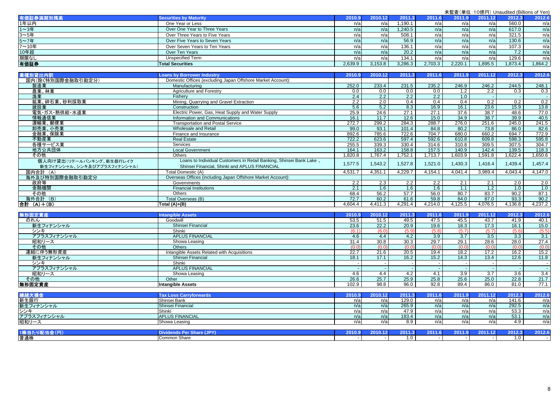| 有価証券満期別残高    | <b>Securities by Maturity</b>  | 2010.9  | 2010.12 | 2011    |         | 2011.9  | 2011.12 | 2012.3 | 2012.6  |
|--------------|--------------------------------|---------|---------|---------|---------|---------|---------|--------|---------|
| 1年以内         | One Year or Less               | n/a     | n/al    | .190.1  | n/a     | n/a     | n/a     | 560.0  | n/a     |
| 1~3年         | Over One Year to Three Years   | n/a     | n/a     | 1,240.5 | n/a     | n/a     | n/a     | 617.0  | n/a     |
| 3~5年         | Over Three Years to Five Years | n/a     | n/al    | 508.7   |         | n/a     | n/a     | 321.5  | n/a     |
| 5~7年         | Over Five Years to Seven Years | n/a     | n/a     | 56.9    | n/a     | n/a     | n/a     | 130.6  | n/a     |
| 7~10年        | Over Seven Years to Ten Years  | n/a     | n/al    | 136.7   |         | n/a     | n/a     | 107.3  | n/a     |
|              | Over Ten Years                 | n/a     | n/a     | 20.2    |         | n/a     | n/a     | 7.2    | n/a     |
| 10年超<br>期限なし | <b>Unspecified Term</b>        | n/a     | n/al    | 134.7   | n/a     | n/a     | n/a     | 129.6  | n/a     |
| 有価証券         | <b>Total Securities</b>        | 2,639.9 | 3,153.8 | 3,286.3 | 2,703.3 | 2,220.1 | 0.895.5 | .873.4 | 1,864.2 |

| 業種別貸出内訳                                                 | <b>Loans by Borrower Industry</b>                                                                                    | 2010.9  | 2010.12 | 2011.3  | 2011.6  | 2011.9  | 2011.12 | 2012.3  | 2012.6  |
|---------------------------------------------------------|----------------------------------------------------------------------------------------------------------------------|---------|---------|---------|---------|---------|---------|---------|---------|
| 国内(除く特別国際金融取引勘定分)                                       | Domestic Offices (excluding Japan Offshore Market Account):                                                          |         |         |         |         |         |         |         |         |
| 製造業                                                     | Manufacturing                                                                                                        | 252.0   | 233.4   | 231.5   | 235.2   | 246.9   | 246.2   | 244.5   | 248.1   |
| 農業、林業                                                   | Agriculture and Forestry                                                                                             | 0.0     | 0.0     | 0.0     | 0.0     | 1.2     | 2.2     | 0.3     | 0.3     |
| 漁業                                                      | Fisherv                                                                                                              | 2.4     | 2.2     | 2.2     | 2.2     | 1.0     |         |         | re l    |
| 鉱業、砕石業、砂利採取業                                            | Mining, Quarrying and Gravel Extraction                                                                              | 2.2     | 2.0     | 0.4     | 0.4     | 0.4     | 0.2     | 0.2     | 0.2     |
| 建設業                                                     | Construction                                                                                                         | 5.6     | 5.2     | 8.3     | 16.9    | 16.1    | 23.6    | 15.9    | 13.8    |
| 電気・ガス・熱供給・水道業                                           | Electric Power, Gas, Heat Supply and Water Supply                                                                    | 25.9    | 24.6    | 27.1    | 27.1    | 37.6    | 38.7    | 48.6    | 77.0    |
| 情報通信業                                                   | Information and Communications                                                                                       | 16.1    | 11.7    | 12.6    | 15.0    | 34.9    | 38.7    | 39.9    | 40.5    |
| 運輸業、郵便業                                                 | <b>Transportation and Postal Service</b>                                                                             | 272.7   | 299.2   | 284.3   | 288.7   | 276.0   | 251.6   | 245.0   | 241.5   |
| 卸売業、小売業                                                 | Wholesale and Retail                                                                                                 | 99.0    | 93.1    | 101.4   | 84.8    | 80.2    | 73.8    | 86.0    | 82.6    |
| 金融業、保険業                                                 | Finance and Insurance                                                                                                | 892.6   | 785.6   | 722.6   | 704.7   | 680.0   | 660.2   | 694.7   | 772.9   |
| 不動産業                                                    | <b>Real Estate</b>                                                                                                   | 722.2   | 623.6   | 597.4   | 592.6   | 610.8   | 609.8   | 598.3   | 595.8   |
| 各種サービス業                                                 | <b>Services</b>                                                                                                      | 255.5   | 339.3   | 330.4   | 314.6   | 310.8   | 309.5   | 307.5   | 304.7   |
| 地方公共団体                                                  | <b>Local Government</b>                                                                                              | 164.1   | 163.2   | 158.8   | 157.5   | 140.9   | 142.4   | 139.5   | 118.3   |
| その他                                                     | <b>Others</b>                                                                                                        | 1,820.8 | ,767.4  | .752.1  | 1.713.7 | 1,603.9 | 1,591.8 | .622.4  | .650.6  |
| 個人向け貸出(リテールバンキング、新生銀行レイク<br>新生フィナンシャル、シンキ及びアプラスフィナンシャル) | Loans to Individual Customers in Retail Banking, Shinsei Bank Lake,<br>Shinsei Financial, Shinki and APLUS FINANCIAL | 1,577.5 | .543.2  | 1,527.8 | 1,521.0 | 1,430.3 | 1,416.4 | 1,439.4 | 1,457.4 |
| 国内合計 (A)                                                | Total Domestic (A)                                                                                                   | 4,531.7 | 4,351.1 | 4,229.7 | 4,154.1 | 4,041.4 | 3,989.4 | 4,043.4 | 4,147.0 |
| 海外及び特別国際金融取引勘定分                                         | Overseas Offices (including Japan Offshore Market Account):                                                          |         |         |         |         |         |         |         |         |
| 政府等                                                     | Governments                                                                                                          | 2.2     | 2.3     | 2.2     | 2.2     | 2.1     | 2.1     | 2.0     | 2.0     |
| 金融機関                                                    | <b>Financial Institutions</b>                                                                                        | 2.1     | 1.6     | 1.6     | 1.6     | 1.1     | 1.2     | 1.0     | 1.0     |
| その他                                                     | <b>Others</b>                                                                                                        | 68.4    | 56.2    | 57.7    | 56.0    | 80.7    | 83.7    | 90.2    | 87.1    |
| 海外合計 (B)                                                | Total Overseas (B)                                                                                                   | 72.7    | 60.2    | 61.6    | 59.8    | 84.0    | 87.0    | 93.3    | 90.2    |
| 合計 (A)+(B)                                              | Total $(A)+(B)$                                                                                                      | 4,604.4 | 4,411.3 | 4,291.4 | 4.214.0 | 4,125.5 | 4,076.5 | 4,136.8 | 4,237.2 |

| <b>無形固定資産</b> | <b>Intangible Assets</b>                    | 2010.9 | 2010.12 | 2011.3 |       | 201   | 2011<br>12        | 2012.3           | 2012.6 |
|---------------|---------------------------------------------|--------|---------|--------|-------|-------|-------------------|------------------|--------|
| のれん           | Goodwill                                    | 53.5   | 51.5    | 49.5   | 47.5  | 45.5  | 43.7              | 41.9             | 40.1   |
| 新生フィナンシャル     | Shinsei Financial                           | 23.6   | 22.2    | 20.9   | 19.6  | 18.3  | 17.3              | 16.1             | 15.0   |
| シンキ           | Shinki                                      | 6.1    |         | (5.9)  | (5.8) | (5.7) | (5.7)             | (5.6)            | (5.5)  |
| アプラスフィナンシャル   | <b>APLUS FINANCIAL</b>                      | 4.6    |         | 4.2    | 3.9   | 3.7   | 3.5               | 3.3 <sub>1</sub> | 3.1    |
| 昭和リース         | Showa Leasing                               | 31.4   | 30.8    | 30.3   | 29.7  | 29.1  | $28.\overline{6}$ | 28.0             | 27.4   |
| その他           | Others                                      | 0.0    | 70.C    | (0.0)  | (0.0) | (0.0) | (0.0)             | (0.0)            | (0.0)  |
| 連結に伴う無形資産     | Intangible Assets Related with Acquisitions | 22.7   | 21.6    | 20.5   | 19.4  | 18.2  | 17.2              | 16.2             | 15.2   |
| 新生フィナンシャル     | Shinsei Financial                           | 18.1   | 17'     | 16.2   | 15.2  | 14.3  | 13.4              | 12.6             | 11.8   |
| シンキ           | Shinki                                      |        |         |        |       |       |                   |                  |        |
| アプラスフィナンシャル   | <b>APLUS FINANCIAL</b>                      |        |         |        |       |       |                   |                  |        |
| 昭和リース         | Showa Leasing                               | 4.6    |         | 4.2    |       | 3.9   | 3.7               | 3.6 <sub>1</sub> | 3.4    |
| その他           | Other                                       | 26.6   | 25.7    | 25.9   | 25.8  | 25.6  | 25.0              | 22.8             | 21.7   |
| 無形固定資産        | <b>Intangible Assets</b>                    | 102.9  | 98.8    | 96.0   | 92.8  | 89.4  | 86.0              | 81.0             | 77.1   |

| 繰越欠損金<br> 新生銀行<br> 新生フィナンシャル | forwards<br><b>OSS</b> | nn4<br>-- | 2011                  | 201' | $\sim$ $\sim$ $\sim$ |     | 2012.       | 2012.6 |
|------------------------------|------------------------|-----------|-----------------------|------|----------------------|-----|-------------|--------|
|                              | Shinsei Bank           | n/a       | 129.0                 | n/al | n/a                  | n/a | 141.6       | n/a    |
|                              | Shinsei Financial      | n/a       | 265.9                 | n/a  | n/a                  | n/a | 292.5       | n/a    |
| シンキ                          | Shinki                 | n/a       | 47.5                  | n/al | n/a                  | n/a | 53.<br>ບບ.ບ | n/a    |
| アプラスフィナンシャル                  | <b>APLUS FINANCIAL</b> | n/a       | 183.4                 | n/al | n/a                  | n/a | 53.1        | n/a    |
| 昭和リース                        | IShowa Leasing         | n/a       | $\circ$ $\circ$<br>ັບ | n/al | $n/\epsilon$         | n/a |             | n/a    |
|                              |                        |           |                       |      |                      |     |             |        |

| 4.444<br><b><i><u>Property Community Community</u></i></b><br>__ | $- - -$      | .<br>zvru |    | . . |  |   |  |
|------------------------------------------------------------------|--------------|-----------|----|-----|--|---|--|
| 普通株                                                              | Common Share |           | -0 |     |  | . |  |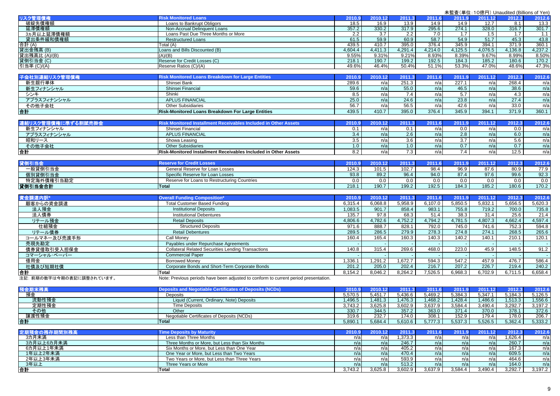|                           |                                                                                      |                   |                    |                   |                   |                   | 未監査(単位:10億円) Unaudited (Billions of Yen) |                   |                   |
|---------------------------|--------------------------------------------------------------------------------------|-------------------|--------------------|-------------------|-------------------|-------------------|------------------------------------------|-------------------|-------------------|
| リスク管理債権                   | <b>Risk Monitored Loans</b>                                                          | 2010.9            | 2010.12            | 2011.3            | 2011.6            | 2011.9            | 2011.12                                  | 2012.3            | 2012.6            |
| 破綻先債権額                    | Loans to Bankrupt Obligors                                                           | 18.5              | 16.9               | 13.9              | 14.9              | 14.9              | 12.7                                     | 8.1               | 13.3              |
| 延滞債権額                     | Non-Accrual Delinquent Loans                                                         | 357.2             | 330.2              | 317.9             | 295.6             | 274.1             | 328.0                                    | 316.7             | 301.7             |
| 3ヵ月以上延滞債権額                | Loans Past Due Three Months or More                                                  | 2.2               | 3.7                | $\overline{2.2}$  | 7.0               | 1.7               | 1.5                                      | 1.7               | 1.1               |
| 貸出条件緩和債権額                 | <b>Restructured Loans</b>                                                            | 61.5              | 59.9               | 60.9              | 58.7              | 54.9              | 51.7                                     | 45.3              | 43.8              |
| 合計(A)                     | Total (A)                                                                            | 439.5             | 410.7              | 395.0             | 376.4             | 345.9             | 394.1                                    | 371.9             | 360.1             |
| 貸出金残高(B)                  | Loans and Bills Discounted (B)                                                       | 4,604.4           | 4,411.3            | 4,291.4           | 4,214.0           | 4,125.5           | 4,076.5                                  | 4,136.8           | 4,237.2           |
| 貸出残高比 (A)/(B)             | (A)/(B)                                                                              | 9.55%             | 9.31%              | 9.21%             | 8.93%             | 8.39%             | 9.67%                                    | 8.99%             | 8.50%             |
| 貸倒引当金 (C)                 | Reserve for Credit Losses (C)<br>Reserve Ratios (C)/(A)                              | 218.1<br>49.6%    | 190.7<br>46.4%     | 199.2<br>50.4%    | 192.5<br>51.1%    | 184.3<br>53.3%    | 185.2<br>47.0%                           | 180.6<br>48.6%    | 170.2             |
| 引当率 (C)/(A)               |                                                                                      |                   |                    |                   |                   |                   |                                          |                   | 47.3%             |
| 子会社別連結リスク管理債権             | <b>Risk Monitored Loans Breakdown for Large Entities</b>                             | 2010.9            | 2010.12            | 2011.3            | 2011.6            | 2011.9            | 2011.12                                  | 2012.3            | 2012.6            |
| 新生銀行単体                    | Shinsei Bank                                                                         | 289.6             | n/a                | 251.3             | n/a               | 227.1             | n/a                                      | 268.4             | n/a               |
| 新生フィナンシャル                 | Shinsei Financial                                                                    | 59.6              | n/a                | 55.0              | n/a               | 46.5              | n/a                                      | 38.6              | n/a               |
| シンキ                       | Shinki                                                                               | 8.5               | n/a                | 7.4               | n/a               | 5.7               | n/a                                      | 4.3               | n/a               |
| アプラスフィナンシャル               | <b>APLUS FINANCIAL</b>                                                               | 25.0              | n/a                | 24.6              | n/a               | 23.8              | n/a                                      | 27.4              | n/a               |
| その他子会社                    | <b>Other Subsidiaries</b>                                                            | 56.7              | n/a                | 56.5              | n/a               | 42.6              | n/a                                      | 33.0              | n/a               |
| 合計                        | Risk-Monitored Loans Breakdown For Large Entities                                    | 439.5             | 410.7              | 395.0             | 376.4             | 345.9             | 394.1                                    | 371.9             | 360.1             |
|                           |                                                                                      |                   |                    |                   |                   |                   |                                          |                   |                   |
| 連結リスク管理債権に準ずる割賦売掛金        | Risk Monitored Installment Receivables Included in Other Assets                      | 2010.9            | 2010.12            | 2011.3            | 2011.6            | 2011.9            | 2011.12                                  | 2012.3            | 2012.6            |
| 新生フィナンシャル                 | Shinsei Financial                                                                    | 0.1               | n/a                | 0.1               | n/a               | 0.0               | n/a                                      | 0.0               | n/a               |
| アプラスフィナンシャル               | <b>APLUS FINANCIAL</b>                                                               | 3.4               | n/a                | 2.6               | n/a               | 2.8               | n/a                                      | 6.0               | n/a               |
| 昭和リース                     | Showa Leasing                                                                        | 3.5               | n/a                | $\overline{3.6}$  | n/a               | 3.7               | n/a                                      | 5.6               | n/a               |
| その他子会社                    | <b>Other Subsidiaries</b>                                                            | 1.0               | n/a                | 1.0               | n/a               | 0.7               | n/a                                      | 0.7               | n/a               |
| 合計                        | Risk-Monitored Installment Receivables Included in Other Assets                      | 8.2               | n/a                | 7.3               | n/a               | 7.4               | n/a                                      | 12.5              | n/a               |
|                           |                                                                                      |                   |                    |                   |                   |                   |                                          |                   |                   |
| 貸倒引当金                     | <b>Reserve for Credit Losses</b>                                                     | 2010.9            | 2010.12            | 2011.3            | 2011.6            | 2011.9            | 2011.12                                  | 2012.3            | 2012.6            |
| 一般貸倒引当金                   | General Reserve for Loan Losses                                                      | 124.3             | 101.5              | 102.7             | 98.4              | 96.9              | 87.6                                     | 80.9              | 77.9              |
| 個別貸倒引当金                   | Specific Reserve for Loan Losses                                                     | 93.8              | 89.2               | 96.4              | 94.0              | 87.4              | 97.6                                     | 99.6              | 92.3              |
| 特定海外債権引当勘定                | Reserve for Loans to Restructuring Countries                                         | 0.0               | 0.0                | 0.0               | 0.0               | 0.0               | 0.0                                      | 0.0               | 0.0               |
| 貸倒引当金合計                   | <b>Total</b>                                                                         | 218.1             | 190.7              | 199.2             | 192.5             | 184.3             | 185.2                                    | 180.6             | 170.2             |
|                           |                                                                                      |                   |                    |                   |                   |                   |                                          |                   |                   |
| 資金調達内訳                    | <b>Overall Funding Composition*</b>                                                  | 2010.9            | 2010.12            | 2011.3            | 2011.6            | 2011.9            | 2011.12                                  | 2012.3            | 2012.6            |
| 顧客からの資金調達                 | <b>Total Customer Based Funding</b>                                                  | 6,315.4           | 6,068.8            | 5,958.9           | 6,107.0           | 5,850.5           | 5,832.1                                  | 5,656.5           | 5,620.3           |
| 法人預金                      | <b>Institutional Deposits</b>                                                        | 1,083.5           | 901.7              | 858.4             | 983.1             | 755.8             | 719.2                                    | 700.0             | 735.8             |
| 法人債券                      | <b>Institutional Debentures</b>                                                      | 135.7             | 97.8               | 68.3              | 51.4              | 38.3              | 31.4                                     | 25.6              | 21.4              |
| リテール預金                    | <b>Retail Deposits</b>                                                               | 4,806.6           | 4,782.6            | 4,752.2           | 4,794.2           | 4,781.5           | 4,807.3                                  | 4,662.4           | 4,597.4           |
| 仕組預金                      | <b>Structured Deposits</b>                                                           | 971.6             | 888.7              | 828.1             | 792.0             | 745.0             | 741.6                                    | 752.3             | 594.8             |
| リテール債券                    | <b>Retail Debentures</b>                                                             | 289.5             | 286.5              | 279.9             | 278.3             | 274.8             | 274.1                                    | 268.5             | 265.6             |
| コールマネー及び売渡手形              | Call Monev                                                                           | 160.4             | 165.4              | 160.3             | 140.3             | 140.2             | 140.1                                    | 210.1             | 120.1             |
| 売現先勘定                     | Payables under Repurchase Agreements                                                 |                   |                    |                   |                   |                   |                                          |                   |                   |
| 債券貸借取引受入担保金               | <b>Collateral Related Securities Lending Transactions</b>                            | 140.8             | 315.4              | 269.6             | 468.0             | 223.0             | 45.9                                     | 148.5             | 91.2              |
| コマーシャル・ペーパー               | <b>Commercial Paper</b>                                                              |                   |                    |                   |                   |                   |                                          |                   |                   |
| 借用金                       | <b>Borrowed Money</b>                                                                | 1,336.1           | 1,291.2            | 1,672.7           | 594.3             | 547.2             | 457.9                                    | 476.7             | 586.4             |
| 社債及び短期社債                  | Corporate Bonds and Short-Term Corporate Bonds                                       | 201.2             | 205.0              | 202.4             | 216.7             | 207.2             | 226.7                                    | 219.4             | 240.2             |
| 合計                        | <b>Total</b>                                                                         | 8,154.2           | 8,046.2            | 8,264.2           | 7,526.5           | 6,968.3           | 6,702.9                                  | 6,711.5           | 6,658.4           |
| 注記: 前期の数字は今期の表記に調整されています。 | Note: Previous periods have been adjusted to conform to current period presentation. |                   |                    |                   |                   |                   |                                          |                   |                   |
|                           |                                                                                      |                   |                    |                   |                   |                   |                                          |                   |                   |
| 預金期末残高<br>預金              | <b>Deposits and Negotiable Certificates of Deposits (NCDs)</b><br><b>Deposits</b>    | 2010.9<br>5,570.5 | 2010.12<br>5,451.7 | 2011.3<br>5,436.6 | 2011.6<br>5,469.2 | 2011.9<br>5,384.3 | 2011.12<br>5,347.1                       | 2012.3<br>5,184.3 | 2012.6<br>5,126.5 |
| 流動性預金                     | Liquid (Current, Ordinary, Note) Deposits                                            | 1,496.5           | 1,481.3            | 1,476.3           | 1,468.2           | 1,428.4           | 1,486.6                                  | 1,513.3           | 1,556.6           |
| 定期性預金                     | <b>Time Deposits</b>                                                                 | 3,743.2           | 3,625.8            | 3,602.9           | 3,637.9           | 3,584.4           | 3,490.4                                  | 3,292.7           | 3,197.2           |
| その他                       | Other                                                                                | 330.7             | 344.5              | 357.2             | 363.0             | 371.4             | 370.0                                    | 378.1             | 372.6             |
| 讓渡性預金                     | Negotiable Certificates of Deposits (NCDs)                                           | 319.6             | 232.7              | 174.0             | 308.1             | 152.9             | 179.4                                    | 178.0             | 206.7             |
| 合計                        | Total                                                                                | 5,890.1           | 5,684.4            | 5,610.6           | 5,777.3           | 5,537.3           | 5,526.5                                  | 5,362.4           | 5,333.2           |
|                           |                                                                                      |                   |                    |                   |                   |                   |                                          |                   |                   |
| 定期預金の残存期間別残高              | <b>Time Deposits by Maturity</b>                                                     | 2010.9            | 2010.12            | 2011.3            | 2011.6            | 2011.9            | 2011.12                                  | 2012.3            | 2012.6            |
| 3カ月未満                     | Less than Three Months                                                               | n/a               | n/a                | 1,373.3           | n/a               | n/a               | n/a                                      | 1,626.4           | n/a               |
| 3カ月以上6カ月未満                | Three Months or More, but Less than Six Months                                       | n/a               | n/a                | 246.7             | n/a               | n/a               | n/a                                      | 260.7             | n/a               |
| 6カ月以上1年未満                 | Six Months or More, but Less than One Year                                           | n/a               | n/a                | 405.2             | n/a               | n/a               | n/a                                      | 167.3             | n/a               |
| 1年以上2年未満                  | One Year or More, but Less than Two Years                                            | n/a               | n/a                | 470.4             | n/a               | n/a               | n/a                                      | 609.5             | n/a               |
| 2年以上3年未満                  |                                                                                      |                   |                    |                   |                   |                   |                                          | 464.6             | n/a               |
|                           | Two Years or More, but Less than Three Years                                         | n/a               | n/a                | 593.9             | n/a               | n/a               | n/a                                      |                   |                   |
| 3年以上<br>合計                | Three Years or More<br><b>Total</b>                                                  | n/a<br>3,743.2    | n/a<br>3,625.8     | 513.2<br>3,602.9  | n/a<br>3,637.9    | n/a<br>3,584.4    | n/a<br>3,490.4                           | 164.0<br>3,292.7  | n/a<br>3,197.2    |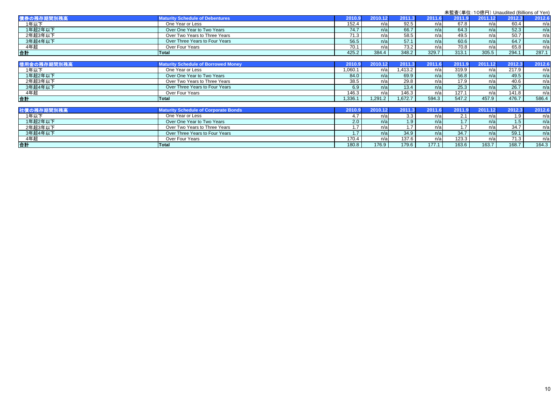|             |                                             |         |         |         |        |        | 未監査(単位:10億円) Unaudited (Billions of Yen) |        |        |
|-------------|---------------------------------------------|---------|---------|---------|--------|--------|------------------------------------------|--------|--------|
| 債券の残存期間別残高  | <b>Maturity Schedule of Debentures</b>      | 2010.9  | 2010.12 | 2011.3  | 2011.6 | 2011.9 | 2011.12                                  | 2012.3 | 2012.6 |
| 1年以下        | One Year or Less                            | 152.4   | n/a     | 92.5    | n/a    | 67.8   | n/a                                      | 60.4   | n/a    |
| 1年超2年以下     | Over One Year to Two Years                  | 74.7    | n/a     | 66.7    | n/a    | 64.3   | n/a                                      | 52.3   | n/a    |
| 2年超3年以下     | Over Two Years to Three Years               | 71.3    | n/a     | 58.5    | n/a    | 49.5   | n/a                                      | 50.7   | n/a    |
| 3年超4年以下     | Over Three Years to Four Years              | 56.5    | n/a     | 57.1    | n/a    | 60.6   | n/a                                      | 64.7   | n/a    |
| 4年超         | Over Four Years                             | 70.1    | n/a     | 73.2    | n/a    | 70.8   | n/a                                      | 65.8   | n/a    |
| 合計          | <b>Total</b>                                | 425.2   | 384.4   | 348.2   | 329.7  | 313.1  | 305.5                                    | 294.1  | 287.1  |
|             |                                             |         |         |         |        |        |                                          |        |        |
| 借用金の残存期間別残高 | <b>Maturity Schedule of Borrowed Money</b>  | 2010.9  | 2010.12 | 2011.3  | 2011.6 | 2011.9 | 2011.12                                  | 2012.3 | 2012.6 |
| 1年以下        | One Year or Less                            | 1,060.1 | n/a     | 1,413.2 | n/a    | 319.9  | n/a                                      | 217.9  | n/a    |
| 1年超2年以下     | Over One Year to Two Years                  | 84.0    | n/a     | 69.9    | n/a    | 56.8   | n/a                                      | 49.5   | n/a    |
| 2年超3年以下     | Over Two Years to Three Years               | 38.5    | n/a     | 29.8    | n/a    | 17.9   | n/a                                      | 40.6   | n/a    |
| 3年超4年以下     | Over Three Years to Four Years              | 6.9     | n/a     | 13.4    | n/a    | 25.3   | n/a                                      | 26.7   | n/a    |
| 4年超         | Over Four Years                             | 146.3   | n/a     | 146.3   | n/a    | 127.1  | n/a                                      | 141.8  | n/a    |
| 合計          | Total                                       | .336.1  | 1,291.2 | 1,672.7 | 594.3  | 547.2  | 457.9                                    | 476.7  | 586.4  |
| 社債の残存期間別残高  | <b>Maturity Schedule of Corporate Bonds</b> | 2010.9  | 2010.12 | 2011.3  | 2011.6 | 2011.9 | 2011.12                                  | 2012.3 | 2012.6 |
| 1年以下        | One Year or Less                            | 4.7     | n/a     | 3.3     | n/a    | 2.1    | n/a                                      | 1.9    | n/a    |
| 1年超2年以下     | Over One Year to Two Years                  | 2.0     | n/a     | 1.9     | n/a    | 1.7    | n/a                                      | 1.5    | n/a    |
| 2年超3年以下     | Over Two Years to Three Years               | 1.7     | n/a     | 1.7     | n/a    | 1.7    | n/a                                      | 34.7   | n/a    |
| 3年超4年以下     | Over Three Years to Four Years              | 1.7     | n/a     | 34.9    | n/a    | 34.7   | n/a                                      | 59.1   | n/a    |
| 4年超         | Over Four Years                             | 170.4   | n/a     | 137.6   | n/a    | 123.3  | n/a                                      | 71.3   | n/a    |
| 合計          | Total                                       | 180.8   | 176.9   | 179.6   | 177.1  | 163.6  | 163.7                                    | 168.7  | 164.3  |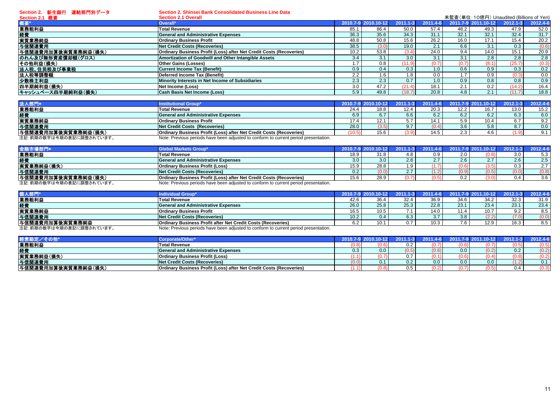**Section 2.** 新生銀行 連結部門別データ

**Section 2. Shinsei Bank Consolidated Business Line Data**

| Section 2.1 概要      | <b>Section 2.1 Overall</b>                                          |      |                     |        |          |      | 未監査(単位:10億円) Unaudited (Billions of Yen) |              |          |
|---------------------|---------------------------------------------------------------------|------|---------------------|--------|----------|------|------------------------------------------|--------------|----------|
|                     | Overall*                                                            |      | 2010.7-9 2010.10-12 | 2011   | 2011.4-6 |      | 2011.7-9 2011.10-12                      | $2012.1 - 3$ | 2012.4-6 |
| 業務粗利益               | <b>Total Revenue</b>                                                | 85.1 | 86.4                | 50.0   | 57.4     | 48.2 | 49.3                                     | 47.9         | 52.0     |
| 経費                  | <b>General and Administrative Expenses</b>                          | 36.3 | 35.6                | 34.3   | 31.1     | 32.1 | 32.1                                     | 32.4         | 31.7     |
| 実質業務純益              | <b>Ordinary Business Profit</b>                                     | 48.8 | 50.8                | 15.6   | 26.2     | 16.0 | 17.1                                     | 15.4         | 20.2     |
| 与信関連費用              | <b>Net Credit Costs (Recoveries)</b>                                | 38.5 |                     | 19.0   | 2.1      | 6.6  | 3.1                                      | 0.3          | (0.6)    |
| 与信関連費用加算後実質業務純益(損失) | Ordinary Business Profit (Loss) after Net Credit Costs (Recoveries) | 10.2 | 53.8                | (3.4   | 24.0     | 9.4  | 14.0                                     | 15.1         | 20.9     |
| のれん及び無形資産償却額(グロス)   | Amortization of Goodwill and Other Intangible Assets                | 3.4  |                     | 3.0    | 3.1      | 3.1  | 2.8                                      | 2.8          | 2.8      |
| その他利益(損失)           | <b>Other Gains (Losses)</b>                                         | 1.7  | 0.8                 | (11.9  | (0.7)    | (0.7 | (8.1)                                    | (25.7)       | (0.3)    |
| 法人税、住民税及び事業税        | Current Income Tax (Benefit)                                        | 0.9  | 0.4                 | 0.3    |          | 0.6  | 0.9                                      | 0.3          | 0.2      |
| 法人税等調整額             | Deferred Income Tax (Benefit)                                       | 2.2  | .6                  |        | 0.0      | 1.7  | 0.9                                      | (0.3)        | 0.0      |
| 少数株主利益              | Minority Interests in Net Income of Subsidiaries                    | 2.3  | 2.3                 | 0.7    | 0.1      | 0.9  | 0.8                                      | 0.8          | 0.9      |
| 四半期純利益(損失)          | Net Income (Loss)                                                   | 3.0  | 47.2                | (21.4) | 18.1     | 2.1  | 0.2                                      | (14.2)       | 16.4     |
| キャッシュベース四半期純利益(損失)  | Cash Basis Net Income (Loss)                                        | 5.9  | 49.8                | (18.7) | 20.8     | 4.8  | 2.1                                      |              | 18.8     |

| 法人部門*                    | nstitutional Group'                                                                  | 2010.7-9 |      | 2011.1 |       |      |      |      | 2012.4-6   |
|--------------------------|--------------------------------------------------------------------------------------|----------|------|--------|-------|------|------|------|------------|
| 業務粗利益                    | <b>Total Revenue</b>                                                                 | 24.4     | 18.8 | 12.4   | 20.3  | 12.2 | 16.7 | 13.0 | 15.2       |
| 経費                       | <b>General and Administrative Expenses</b>                                           | 6.9      |      |        |       | Ω.∠  | 6.2  | 6.3  | 6.0        |
| 実質業務純益                   | <b>Ordinary Business Profit</b>                                                      |          |      |        | 14.1  | 5.9  | 10.4 |      | 9.2        |
| 与信関連費用                   | Net Credit Costs (Recoveries)                                                        | 28.0     | 0.01 |        | (0.4) | 3.6  | 5.8  | 8.7  | 0.0        |
| 与信関連費用加算後実質業務純益(損失)      | <b>Ordinary Business Profit (Loss) after Net Credit Costs (Recoveries)</b>           |          | 15.6 |        | 14.5  |      | 4.6  |      | <b>011</b> |
| 注記:前期の数字は今期の表記に調整されています。 | Note: Previous periods have been adjusted to conform to current period presentation. |          |      |        |       |      |      |      |            |

|                          | <b>Global Markets Group'</b>                                                         | 2010.7-9 2010    |      | $2011.1 - 3$ | $2011.4 - 6$ |       | 2011.7-9 2011.10-12 | $2012.1 - 3$ | 2012.4-6         |
|--------------------------|--------------------------------------------------------------------------------------|------------------|------|--------------|--------------|-------|---------------------|--------------|------------------|
| 業務粗利益                    | <b>Total Revenue</b>                                                                 | 18.9             |      |              | 0.9          | 2.0   | 0.8)                | 3.0          | 5.3              |
| 経費                       | <b>General and Administrative Expenses</b>                                           | 3.0 <sub>1</sub> | 3.0  | 2.8          |              | 2.6   | 2.7                 | 2.6          | 2.5 <sub>1</sub> |
| 実質業務純益(損失)               | <b>Ordinary Business Profit (Loss)</b>                                               | 15.9             | 28.8 | റ            |              | (0.6) | 3.5                 | 0.3          | 2.7              |
| 与信関連費用                   | <b>Net Credit Costs (Recoveries)</b>                                                 | 0.2              |      |              |              | (0.9) | (0.5)               | (0.0         | (0.8)            |
| 与信関連費用加算後実質業務純益(損失)      | Ordinary Business Profit (Loss) after Net Credit Costs (Recoveries)                  | 15.6             | າຂ ດ |              |              | 0.2   | 3.0                 |              | 3.6              |
| 注記:前期の数字は今期の表記に調整されています。 | Note: Previous periods have been adjusted to conform to current period presentation. |                  |      |              |              |       |                     |              |                  |

| 個人部門                     | ndividual Group <sup>®</sup>                                                         | 2010.7            |      |      | -61  | 2011.7-9 201 | $1.10 - 12$ |                | $2012.4 - 6$ |
|--------------------------|--------------------------------------------------------------------------------------|-------------------|------|------|------|--------------|-------------|----------------|--------------|
| 業務粗利益                    | <b>Total Revenue</b>                                                                 | 42.6              | 36.4 | 32.4 | 36.9 | 34.6         | 34.2        | 32.3           | 31.9         |
| 経費                       | <b>General and Administrative Expenses</b>                                           | 26.0              | 25.8 | 25.3 | 22.8 | 23.1         | 23.4        | 23.1           | 23.4         |
| 実質業務純益                   | <b>Ordinary Business Profit</b>                                                      | 16.5              | 10.5 |      | 14.0 | 11.4         | 10.7        | Q <sub>2</sub> | 8.5          |
| 与信関連費用                   | Net Credit Costs (Recoveries)                                                        | 10.2 <sub>1</sub> | 0.4  | 6.3  | v.I  | 3.8          | (2.2)       | (7.0)          | 0.0          |
| <b> 与信関連費用加算後実質業務純益</b>  | Ordinary Business Profit after Net Credit Costs (Recoveries)                         |                   | 10.1 |      | 10.3 | 7.6          | 12.9        | 16.3           | 8.5          |
| 注記:前期の数字は今期の表記に調整されています。 | Note: Previous periods have been adjusted to conform to current period presentation. |                   |      |      |      |              |             |                |              |

| :営勘定/その他            | corporate/Other                                                     | 2010.7 |                  |       |       |      | 2012.1 |       |
|---------------------|---------------------------------------------------------------------|--------|------------------|-------|-------|------|--------|-------|
| 業務粗利益               | <b>Total Revenue</b>                                                |        |                  |       | (0.6) |      |        | 0.5,  |
| 経費                  | <b>General and Administrative Expenses</b>                          | 0.3    | 0.0 <sub>1</sub> | (0.6) | 0.0   | 0.2) |        | (0.2) |
| 実質業務純益(損失)          | <b>Ordinary Business Profit (Loss)</b>                              |        |                  |       | (0.6) |      |        |       |
| 与信関連費用              | Net Credit Costs (Recoveries)                                       |        |                  | 0.0   | 0.0   | 0.0  |        | 0.1   |
| 与信関連費用加算後実質業務純益(損失) | Ordinary Business Profit (Loss) after Net Credit Costs (Recoveries) |        |                  |       | (0.7) |      |        | 0.3)  |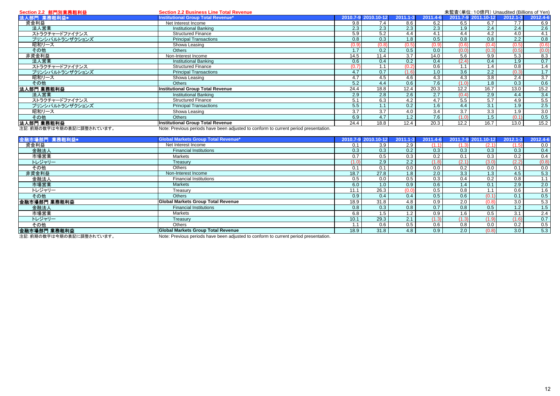| Section 2.2 部門別業務粗利益    | <b>Section 2.2 Business Line Total Revenue</b>                                      |       |                     |              |          |       | 未監査(単位: 10億円) Unaudited (Billions of Yen) |              |          |
|-------------------------|-------------------------------------------------------------------------------------|-------|---------------------|--------------|----------|-------|-------------------------------------------|--------------|----------|
| 法人部門 業務粗利益*             | Institutional Group Total Revenue*                                                  |       | 2010.7-9 2010.10-12 | $2011.1 - 3$ | 2011.4-6 |       | 2011.7-9 2011.10-12                       | $2012.1 - 3$ | 2012.4-6 |
| 資金利益                    | Net Interest Income                                                                 | 9.8   | 7.4                 | 8.6          | 6.2      | 6.5   | 6.7                                       | 7.7          | 6.9      |
| 法人営業                    | <b>Institutional Banking</b>                                                        | 2.3   | 2.3                 | 2.3          | 2.3      | 1.9   | 2.4                                       | 2.4          | 2.6      |
| ストラクチャードファイナンス          | <b>Structured Finance</b>                                                           | 5.9   | 5.2                 | 4.4          | 4.1      | 4.4   | 4.2                                       | 4.0          | 4.1      |
| プリンシパルトランザクションズ         | <b>Principal Transactions</b>                                                       | 0.8   | 0.3                 | 1.8          | 0.5      | 0.8   | 0.8                                       | 2.2          | 0.8      |
| 昭和リース                   | Showa Leasing                                                                       | (0.9) |                     | (0.5)        | (0.9)    | (0.6) | (0.4)                                     | (0.5)        | (0.6)    |
| その他                     | <b>Others</b>                                                                       |       | 0.2                 | 0.5          | 0.0      | (0.0) | (0.3)                                     | (0.5)        | (0.0)    |
| 非資金利益                   | Non-Interest Income                                                                 | 14.5  | 11.4                | 3.7          | 14.0     | 5.6   | 9.9                                       | 5.3          | 8.3      |
| 法人営業                    | <b>Institutional Banking</b>                                                        | 0.6   | 0.4                 | 0.2          | 0.4      | (2.4) | 0.4                                       | 1.9          | 0.7      |
| ストラクチャードファイナンス          | <b>Structured Finance</b>                                                           | (0.7) |                     |              | 0.6      | 1.1   | 1.4                                       | 0.8          | 1.4      |
| プリンシパルトランザクションズ         | <b>Principal Transactions</b>                                                       | 4.7   | 0.7                 |              | 1.0      | 3.6   | 2.2                                       | (0.3)        | 1.7      |
| 昭和リース                   | Showa Leasing                                                                       | 4.7   | 4.5                 | 4.6          | 4.3      | 4.3   | 3.8                                       | 2.4          | 3.7      |
| その他                     | <b>Others</b>                                                                       | 5.2   | 4.4                 | 0.6          | 7.6      | (1.0) | 1.8                                       | 0.3          | 0.6      |
| 法人部門 業務粗利益              | Institutional Group Total Revenue                                                   | 24.4  | 18.8                | 12.4         | 20.3     | 12.2  | 16.7                                      | 13.0         | 15.2     |
| 法人営業                    | <b>Institutional Banking</b>                                                        | 2.9   | 2.8                 | 2.6          | 2.7      | (0.4) | 2.9                                       | 4.4          | 3.4      |
| ストラクチャードファイナンス          | <b>Structured Finance</b>                                                           | 5.1   | 6.3                 | 4.2          | 4.7      | 5.5   | 5.7                                       | 4.9          | 5.5      |
| プリンシパルトランザクションズ         | <b>Principal Transactions</b>                                                       | 5.5   |                     | 0.2          | 1.6      | 4.4   | 3.1                                       | 1.9          | 2.5      |
| 昭和リース                   | Showa Leasing                                                                       | 3.7   | 3.7                 | 4.0          | 3.4      | 3.7   | 3.3                                       | 1.9          | 3.0      |
| その他                     | <b>Others</b>                                                                       | 6.9   | 4.7                 | 1.2          | 7.6      | (1.0) | 1.5                                       | (0.1)        | 0.5      |
| 法人部門 業務粗利益              | Institutional Group Total Revenue                                                   | 24.4  | 18.8                | 12.4         | 20.3     | 12.2  | 16.7                                      | 13.0         | 15.2     |
| 注記 苛期の数字仕会期の実記に調整されています | Note: Province periode have been adjusted to conferm to ourrent period presentation |       |                     |              |          |       |                                           |              |          |

注記: 前期の数字は今期の表記に調整されています。 Note: Previous periods have been adjusted to conform to current period presentation.

| 金融市場部門 業務粗利益* | <b>Global Markets Group Total Revenue*</b> | 2010.7-9 2010.10-12  | $2011.1 - 3$ | 2011.4-6 |       | 2011.7-9 2011.10-12 | $2012.1 - 3$     | 2012.4-6 |
|---------------|--------------------------------------------|----------------------|--------------|----------|-------|---------------------|------------------|----------|
| 資金利益          | Net Interest Income                        | 3.9<br>0.1           | 2.9          | (1.1)    | (1.3) | (2.1)               | (1.5)            | 0.0      |
| 金融法人          | <b>Financial Institutions</b>              | 0.3<br>0.3           | 0.2          | 0.3      | 0.3   | 0.3                 | 0.3              | 0.4      |
| 市場営業          | Markets                                    | 0.7<br>0.5           | 0.3          | 0.2      | 0.1   | 0.3                 | 0.2              | 0.4      |
| トレジャリー        | Treasury                                   | 2.9<br>(1.0)         | 2.2          | (1.8)    | (2.1) | (3.0)               | (2.2)            | (0.8)    |
| その他           | Others                                     | 0.1<br>0.1           | 0.0          | 0.0      | 0.2   | 0.0                 | 0.1              | 0.0      |
| 非資金利益         | Non-Interest Income                        | 18.7<br>27.8         | 1.8          | 2.0      | 3.3   | $1.\overline{3}$    | 4.5              | 5.3      |
| 金融法人          | <b>Financial Institutions</b>              | 0.5<br>0.0           | 0.5          | 0.3      | 0.4   | 0.2                 | 0.8              |          |
| 市場営業          | <b>Markets</b>                             | 6.0<br>1.0           | 0.9          | 0.6      | 1.4   | 0.1                 | 2.9              | 2.0      |
| トレジャリー        | Treasury                                   | 26.3<br>11.1         |              | 0.5      | 0.8   | 1.1                 | 0.6              | 1.6      |
| その他           | Others                                     | 0.9<br>$0.4^{\circ}$ | 0.4          | 0.5      | 0.6   | (0.1)               | 0.1              | 0.5      |
| 金融市場部門 業務粗利益  | <b>Global Markets Group Total Revenue</b>  | 18.9<br>31.8         | 4.8          | 0.9      | 2.0   | (0.8)               | 3.0 <sub>1</sub> | 5.3      |
| 金融法人          | <b>Financial Institutions</b>              | 0.8<br>0.3           | 0.8          | 0.7      | 0.8   | 0.5                 | 1.2              | 1.5      |
| 市場営業          | Markets                                    | 6.8<br>1.5           | 1.2          | 0.9      | 1.6   | 0.5                 | 3.1              | 2.4      |
| トレジャリー        | Treasury                                   | 29.3<br>10.1         | 2.1          | (1.3)    | (1.3) | (1.9)               | (1.6)            | 0.7      |
| その他           | Others                                     | 0.6                  | 0.5          | 0.6      | 0.8   | 0.0                 | 0.2              | 0.5      |
| 金融市場部門 業務粗利益  | <b>Global Markets Group Total Revenue</b>  | 18.9<br>31.8         | 4.8          | 0.9      | 2.0   | (0.8)               | 3.0              | 5.3      |

注記:前期の数字は今期の表記に調整されています。 Note: Previous periods have been adjusted to conform to current period presentation.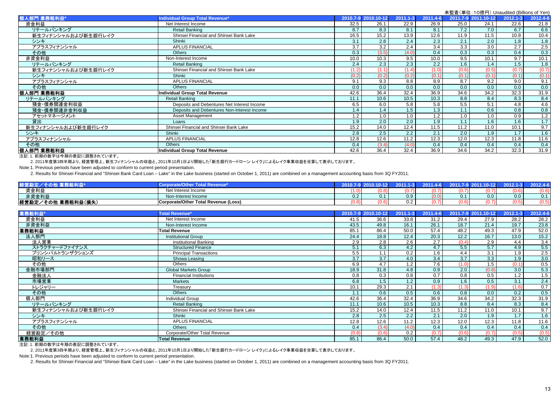未監査(単位:10億円) Unaudited (Billions of Yen)<br>2011.7-9 2011.10-12 2012.1-3 2012.4-6 人部門 業務粗利益 ام 2012.1-3 2012.1-3 2012.1-3 2012.4-6 2011.1-3 2011.1-3 2011.1-3 2011.1-3 2011.1-4-6 2011.7-9 2011.1-0-12 201 資金利益 Net Interest Income 32.5 26.1 22.9 26.9 25.0 24.1 22.6 21.8 リテールバンキング Retail Banking 8.7 8.3 8.1 8.1 7.2 7.0 6.7 6.6 新生フィナンシャルおよび新生銀行レイク Shinsei Financial and Shinsei Bank Lake 16.5 16.5 16.5 16.5 16.5 16.5 16.9 16.9 16.9 16.8 10.4 10.8 10.4 シンキキ | Shinki | 3.1 | 2.8 | 2.3 | 2.1 | 2.0 | 1.8 | 1.8 アプラスフィナンシャル APLUS FINANCIAL 3.7 3.2 2.4 3.4 3.3 3.0 2.7 2.5 その他 Others 0.3 (3.5) (4.0) 0.4 0.3 0.3 0.4 0.3 非資金利益 Non-Interest Income 10.0 10.3 9.5 10.0 9.5 10.1 9.7 10.1 リテールバンキンググ | Retail Banking | 2.4 | 2.3 | 2.2 | 1.6 | 1.4 | 1.5 | 1.8 新生フィナンシャルおよび新生銀行レイクShinsei Financial and Shinsei Bank Lake (1.2) (1.2) (1.2) (1.4) (1.4) (1.4) (1.0) (0.6) (0.5) (0.7) (0.7) (0.7) シンキ Shinki (0.2) (0.2) (0.2) (0.1) (0.1) (0.1) (0.1) (0.1) アプラスフィナンシャル APLUS FINANCIAL 9.1 9.3 8.8 8.9 8.7 9.2 9.0 9.1 その他他 | Others | 0.0 | 0.0 | 0.0 | 0.0 | 0.0 | 0.0 | 0.0 個人部門 業務粗利益 **Individual Group Total Revenue** 42.6 36.4 32.4 36.9 34.6 34.2 32.3 31.9 リテールバンキング Retail Banking 11.1 10.6 10.5 10.3 8.8 8.4 8.3 8.4 預金・債券関連金利収益 Deposits and Debentures Net Interest Income 6.5 6.0 5.8 5.8 5.5 5.1 4.8 4.6 預金・債券関連非金利収益 Deposits and Debentures Non-Interest Income 1.4 1.4 1.4 1.4 1.5 1.3 1.1 0.1 0.8 0.8 アセットマネージメント Asset Management 1.2 1.0 1.0 1.2 1.0 1.0 0.9 1.2 貸出 Loans 1.9 2.0 2.0 1.9 1.1 1.6 1.6 1.7 新生フィナンシャルおよび新生銀行レイク Shinsei Financial and Shinsei Bank Lake 15.2 14.0 12.4 11.5 11.2 11.0 10.1 9.7 シンキ Shinki 2.8 2.5 2.2 2.1 2.0 1.9 1.7 1.6 アプラスフィナンシャル APLUS FINANCIAL 12.8 12.6 11.2 12.3 12.0 12.3 11.8 11.6 その他 Others 0.4 (3.4) (4.0) 0.4 0.4 0.4 0.4 0.4 個人部門 業務粗利益**Individual Group Total Revenue** 42.6 | 36.4 | 36.9 | 34.6 | 34.2 | 32.3 | 31.9

注記:1. 前期の数字は今期の表記に調整されています。

2. 2011年度第3四半期より、経営管理上、新生フィナンシャルの収益と、2011年10月1日より開始した「新生銀行カードローン レイク」によるレイク事業収益を合算して表示しております。

Note:1. Previous periods have been adjusted to conform to current period presentation.

2. Results for Shinsei Financial and "Shinsei Bank Card Loan – Lake" in the Lake business (started on October 1, 2011) are combined on a management accounting basis from 3Q FY2011.

|                         |                                      | 4010 |     |       |                              |     |     |
|-------------------------|--------------------------------------|------|-----|-------|------------------------------|-----|-----|
| 資金利益                    | Net Interest Income                  |      |     |       |                              |     | በ ፍ |
| 非資金利益                   | Non-Interest Income                  |      | 0.9 | 0.1   | 0.0                          | 0.0 |     |
| 経営勘定<br>ミノその他 業務粗利益(損失) | Corporate/Other Total Revenue (Loss) |      | 0.2 | (0.6) | $\sim$ $\rightarrow$<br>J.I. |     |     |

| 業務粗利益*              | <b>Total Revenue*</b>                   |       | 2010.7-9 2010.10-12 | $2011.1 - 3$ | 2011.4-6 | 2011.7-9 2011.10-12 |       | $2012.1 - 3$ | 2012.4-6 |
|---------------------|-----------------------------------------|-------|---------------------|--------------|----------|---------------------|-------|--------------|----------|
| 資金利益                | Net Interest Income                     | 41.5  | 36.6                | 33.8         | 31.2     | 29.4                | 27.9  | 28.2         | 28.2     |
| 非資金利益               | Non-Interest Income                     | 43.5  | 49.8                | 16.1         | 26.1     | 18.7                | 21.4  | 19.7         | 23.8     |
| 業務粗利益               | <b>Total Revenue</b>                    | 85.1  | 86.4                | 50.0         | 57.4     | 48.2                | 49.3  | 47.9         | 52.0     |
| 法人部門                | <b>Institutional Group</b>              | 24.4  | 18.8                | 12.4         | 20.3     | 12.2                | 16.7  | 13.0         | 15.2     |
| 法人営業                | Institutional Banking                   | 2.9   | 2.8                 | 2.6          | 2.7      | (0.4)               | 2.9   | 4.4          | 3.4      |
| ストラクチャードファイナンス      | <b>Structured Finance</b>               | 5.1   | 6.3                 | 4.2          | 4.7      | 5.5                 | 5.7   | 4.9          | 5.5      |
| プリンシパルトランザクションズ     | <b>Principal Transactions</b>           | 5.5   | 1.1                 | 0.2          | 1.6      | 4.4                 | 3.1   | 1.9          | 2.5      |
| 昭和リース               | Showa Leasing                           | 3.7   | 3.7                 | 4.0          | 3.4      | 3.7                 | 3.3   | 1.9          | 3.0      |
| その他                 | <b>Others</b>                           | 6.9   | 4.7                 | 1.2          | 7.6      | (1.0)               | 1.5   | (0.1)        | 0.5      |
| 金融市場部門              | <b>Global Markets Group</b>             | 18.9  | 31.8                | 4.8          | 0.9      | 2.0                 | (0.8) | 3.0          | 5.3      |
| 金融法人                | <b>Financial Institutions</b>           | 0.8   | 0.3                 | 0.8          | 0.7      | 0.8                 | 0.5   | 1.2          | 1.5      |
| 市場営業                | <b>Markets</b>                          | 6.8   | 1.5                 | 1.2          | 0.9      | 1.6                 | 0.5   | 3.1          | 2.4      |
| トレジャリー              | Treasury                                | 10.1  | 29.3                | 2.1          | (1.3)    | (1.3)               | (1.9) | (1.6)        | 0.7      |
| その他                 | <b>Others</b>                           | 1.1   | 0.6                 | 0.5          | 0.6      | 0.8                 | 0.0   | 0.2          | 0.5      |
| 個人部門                | <b>Individual Group</b>                 | 42.6  | 36.4                | 32.4         | 36.9     | 34.6                | 34.2  | 32.3         | 31.9     |
| リテールバンキング           | Retail Banking                          | 11.1  | 10.6                | 10.5         | 10.3     | 8.8                 | 8.4   | 8.3          | 8.4      |
| 新生フィナンシャルおよび新生銀行レイク | Shinsei Financial and Shinsei Bank Lake | 15.2  | 14.0                | 12.4         | 11.5     | 11.2                | 11.0  | 10.1         | 9.7      |
| シンキ                 | Shinki                                  | 2.8   | 2.5                 | 2.2          | 2.1      | 2.0                 | 1.9   | 1.7          | 1.6      |
| アプラスフィナンシャル         | <b>APLUS FINANCIAL</b>                  | 12.8  | 12.6                | 11.2         | 12.3     | 12.0                | 12.3  | 11.8         | 11.6     |
| その他                 | Others                                  | 0.4   | (3.4)               | (4.0)        | 0.4      | 0.4                 | 0.4   | 0.4          | 0.4      |
| 経営勘定/その他            | Corporate/Other Total Revenue           | (0.8) | (0.6)               | 0.2          | (0.7)    | (0.6)               | (0.7) | (0.5)        | (0.5)    |
| 業務粗利益               | <b>Total Revenue</b>                    | 85.1  | 86.4                | 50.0         | 57.4     | 48.2                | 49.3  | 47.9         | 52.0     |

注記:1. 前期の数字は今期の表記に調整されています。

2. 2011年度第3四半期より、経営管理上、新生フィナンシャルの収益と、2011年10月1日より開始した「新生銀行カードローン レイク」によるレイク事業収益を合算して表示しております。

Note:1. Previous periods have been adjusted to conform to current period presentation.

2. Results for Shinsei Financial and "Shinsei Bank Card Loan – Lake" in the Lake business (started on October 1, 2011) are combined on a management accounting basis from 3Q FY2011.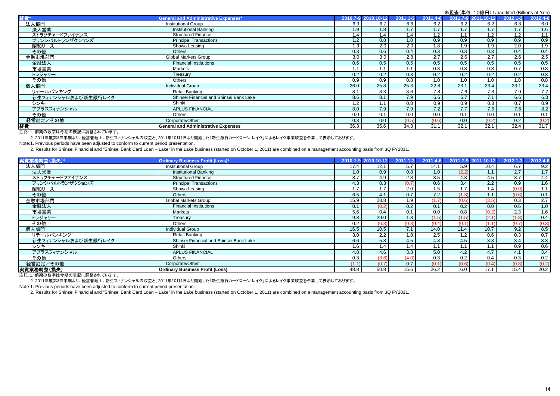|                     | $\sqrt{m}$ is $\sqrt{m}$ . To ket 1, or labelled (billions of Terr |      |                     |              |          |      |                     |          |          |
|---------------------|--------------------------------------------------------------------|------|---------------------|--------------|----------|------|---------------------|----------|----------|
| 経費                  | <b>General and Administrative Expenses*</b>                        |      | 2010.7-9 2010.10-12 | $2011.1 - 3$ | 2011.4-6 |      | 2011.7-9 2011.10-12 | 2012.1-3 | 2012.4-6 |
| 法人部門                | <b>Institutional Group</b>                                         | 6.9  | 6.7                 | 6.6          | 6.2      | 6.2  | 6.2                 | 6.3      | 6.0      |
| 法人営業                | Institutional Banking                                              | 1.9  | 1.8                 | 1.7          | 1.7      | 1.7  | 1.7                 | 1.7      | 1.6      |
| ストラクチャードファイナンス      | <b>Structured Finance</b>                                          | 1.4  |                     | 1.4          | 1.2      | 1.1  | 1.2                 | 1.2      | 1.1      |
| プリンシパルトランザクションズ     | <b>Principal Transactions</b>                                      | 1.2  | 0.8                 | 1.0          | 0.9      | 0.9  | 0.9                 | 0.9      | 0.9      |
| 昭和リース               | Showa Leasing                                                      | 1.9  | 2.0                 | 2.0          | 1.8      | 1.9  | 1.9                 | 2.0      | 1.9      |
| その他                 | <b>Others</b>                                                      | 0.3  | 0.6                 | 0.4          | 0.3      | 0.3  | 0.3                 | 0.4      | 0.4      |
| 金融市場部門              | <b>Global Markets Group</b>                                        | 3.0  | 3.0                 | 2.8          | 2.7      | 2.6  | 2.7                 | 2.6      | 2.5      |
| 金融法人                | <b>Financial Institutions</b>                                      | 0.6  | 0.5                 | 0.5          | 0.5      | 0.5  | 0.5                 | 0.5      | 0.5      |
| 市場営業                | <b>Markets</b>                                                     |      |                     | 1.1          | 0.8      | 0.8  | 0.8                 | 0.7      | 0.8      |
| トレジャリー              | Treasury                                                           | 0.2  | 0.2                 | 0.3          | 0.2      | 0.2  | 0.2                 | 0.2      | 0.3      |
| その他                 | Others                                                             | 0.9  | 0.9                 | 0.8          | 1.0      | 1.0  | 1.0                 | 1.0      | 0.8      |
| 個人部門                | <b>Individual Group</b>                                            | 26.0 | 25.8                | 25.3         | 22.8     | 23.1 | 23.4                | 23.1     | 23.4     |
| リテールバンキング           | Retail Banking                                                     | 8.1  | 8.3                 | 8.6          | 7.8      | 7.6  | 7.8                 | 7.9      | 7.7      |
| 新生フィナンシャルおよび新生銀行レイク | Shinsei Financial and Shinsei Bank Lake                            | 8.6  | 8.1                 | 7.9          | 6.6      | 6.7  | 7.1                 | 6.6      | 6.3      |
| シンキ                 | Shinki                                                             | 1.2  |                     | 0.8          | 0.9      | 0.9  | 0.8                 | 0.7      | 0.9      |
| アプラスフィナンシャル         | <b>APLUS FINANCIAL</b>                                             | 8.0  | 7.9                 | 7.9          | 7.2      | 7.7  | 7.6                 | 7.6      | 8.2      |
| その他                 | Others                                                             | 0.0  | 0.1                 | 0.0          | 0.0      | 0.1  | 0.0                 | 0.1      | 0.1      |
| 経営勘定/その他            | Corporate/Other                                                    | 0.3  | 0.0                 | (0.5)        | (0.6)    | 0.0  | (0.2)               | 0.2      | (0.2)    |
| 経費                  | <b>General and Administrative Expenses</b>                         | 36.3 | 35.6                | 34.3         | 31.1     | 32.1 | 32.1                | 32.4     | 31.7     |

注記:1. 前期の数字は今期の表記に調整されています。

2. 2011年度第3四半期より、経営管理上、新生フィナンシャルの収益と、2011年10月1日より開始した「新生銀行カードローン レイク」によるレイク事業収益を合算して表示しております。

Note:1. Previous periods have been adjusted to conform to current period presentation.

2. Results for Shinsei Financial and "Shinsei Bank Card Loan – Lake" in the Lake business (started on October 1, 2011) are combined on a management accounting basis from 3Q FY2011.

| 実質業務純益(損失)*         | <b>Ordinary Business Profit (Loss)*</b> |       | 2010.7-9 2010.10-12 | $2011.1 - 3$ | 2011.4-6 |       | 2011.7-9 2011.10-12 | $2012.1 - 3$ | 2012.4-6         |
|---------------------|-----------------------------------------|-------|---------------------|--------------|----------|-------|---------------------|--------------|------------------|
| 法人部門                | <b>Institutional Group</b>              | 17.4  | 12.1                | 5.7          | 14.1     | 5.9   | 10.4                | 6.7          | 9.2              |
| 法人営業                | <b>Institutional Banking</b>            | 1.0   | 0.9                 | 0.8          | 1.0      | (2.2) | 1.1                 | 2.7          | 1.7              |
| ストラクチャードファイナンス      | <b>Structured Finance</b>               | 3.7   | 4.9                 | 2.8          | 3.5      | 4.3   | 4.5                 | 3.7          | 4.4              |
| プリンシパルトランザクションズ     | <b>Principal Transactions</b>           | 4.3   | 0.3                 | (0.7)        | 0.6      | 3.4   | 2.2                 | 0.9          | 1.6              |
| 昭和リース               | Showa Leasing                           | 1.7   | 1.7                 | 2.0          | 1.5      | 1.7   | 1.4                 | (0.0)        | 1.1              |
| その他                 | Others                                  | 6.5   | 4.1                 | 0.7          | 7.2      | (1.3) | 1.1                 | (0.6)        | 0.1              |
| 金融市場部門              | <b>Global Markets Group</b>             | 15.9  | 28.8                | 1.9          | (1.7)    | (0.6) | (3.5)               | 0.3          | 2.7              |
| 金融法人                | <b>Financial Institutions</b>           | 0.1   | (0.2)               | 0.2          | 0.1      | 0.2   | 0.0                 | 0.6          | 1.0              |
| 市場営業                | <b>Markets</b>                          | 5.6   | 0.4                 | 0.1          | 0.0      | 0.8   | (0.2)               | 2.3          | 1.6              |
| トレジャリー              | Treasury                                | 9.8   | 29.0                | 1.8          | (1.5)    | (1.5) | (2.1)               | (1.8)        | 0.4              |
| その他                 | <b>Others</b>                           | 0.2   | (0.3)               | (0.3)        | (0.4)    | (0.1) | (1.1)               | (0.7)        | (0.3)            |
| 個人部門                | <b>Individual Group</b>                 | 16.5  | 10.5                | 7.1          | 14.0     | 11.4  | 10.7                | 9.2          | 8.5              |
| リテールバンキング           | Retail Banking                          | 3.0   | 2.2                 | 1.8          | 2.5      | 1.2   | 0.6                 | 0.3          | 0.7              |
| 新生フィナンシャルおよび新生銀行レイク | Shinsei Financial and Shinsei Bank Lake | 6.6   | 5.8                 | 4.5          | 4.8      | 4.5   | 3.8                 | 3.4          | 3.3              |
| シンキ                 | Shinki                                  | 1.6   | 1.4                 | 1.4          |          | 1.1   | 1.1                 | 0.9          | 0.6 <sub>1</sub> |
| アプラスフィナンシャル         | <b>APLUS FINANCIAL</b>                  | 4.8   | 4.6                 | 3.3          | 5.0      | 4.2   | 4.7                 | 4.1          | 3.4              |
| その他                 | <b>Others</b>                           | 0.3   | (3.6)               | (4.0)        | 0.3      | 0.2   | 0.4                 | 0.3          | 0.2 <sub>1</sub> |
| 経営勘定/その他            | Corporate/Other                         | (1.1) | (0.7)               | 0.7          | (0.1)    | (0.6) | (0.4)               | (0.8)        | (0.2)            |
| 実質業務純益(損失)          | <b>Ordinary Business Profit (Loss)</b>  | 48.8  | 50.8                | 15.6         | 26.2     | 16.0  | 17.1                | 15.4         | 20.2             |

注記:1. 前期の数字は今期の表記に調整されています。

2. 2011年度第3四半期より、経営管理上、新生フィナンシャルの収益と、2011年10月1日より開始した「新生銀行カードローン レイク」によるレイク事業収益を合算して表示しております。

Note:1. Previous periods have been adjusted to conform to current period presentation.

2. Results for Shinsei Financial and "Shinsei Bank Card Loan – Lake" in the Lake business (started on October 1, 2011) are combined on a management accounting basis from 3Q FY2011.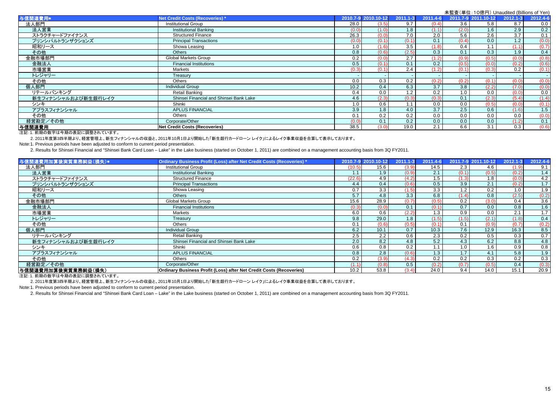|                     |                                         | <b>木血且 \丰立. TO is I J) Origium Cd (Dillions Of Terry</b> |                     |       |              |          |       |                     |          |          |
|---------------------|-----------------------------------------|----------------------------------------------------------|---------------------|-------|--------------|----------|-------|---------------------|----------|----------|
| 与信関連費用*             | Net Credit Costs (Recoveries)*          |                                                          | 2010.7-9 2010.10-12 |       | $2011.1 - 3$ | 2011.4-6 |       | 2011.7-9 2011.10-12 | 2012.1-3 | 2012.4-6 |
| 法人部門                | <b>Institutional Group</b>              |                                                          | 28.0                | (3.5) | 9.7          | (0.4)    | 3.6   | 5.8                 | 8.7      | 0.0      |
| 法人営業                | <b>Institutional Banking</b>            |                                                          | (0.0)               | (1.0  | 1.8          | (1.1)    | (2.0) | 1.6                 | 2.9      | 0.2      |
| ストラクチャードファイナンス      | <b>Structured Finance</b>               |                                                          | 26.3                | (0.0) | 7.0          | 2.0      | 5.6   | 2.6                 | 3.7      | 0.1      |
| プリンシパルトランザクションズ     | <b>Principal Transactions</b>           |                                                          | (0.0)               | (0.1) | (0.1)        | 0.1      | (0.4) | 0.0                 | 1.2      | (0.0)    |
| 昭和リース               | Showa Leasing                           |                                                          | 1.0                 |       | 3.5          | (1.8)    | 0.4   | 1.1                 | (1.1)    | (0.7)    |
| その他                 | <b>Others</b>                           |                                                          | 0.8                 | (0.6) | (2.5)        | 0.3      | 0.1   | 0.3                 | 1.9      | 0.4      |
| 金融市場部門              | Global Markets Group                    |                                                          | 0.2                 | (0.0) | 2.7          | (1.2)    | (0.9) | (0.5)               | (0.0)    | (0.8)    |
| 金融法人                | <b>Financial Institutions</b>           |                                                          | 0.5                 | (0.1) | 0.1          | 0.2      | (0.5) | (0.0)               | (0.2)    | (0.6)    |
| 市場営業                | Markets                                 |                                                          | (0.3)               | (0.1) | 2.4          | (1.2)    | (0.1) | (0.3)               | 0.2      | (0.1)    |
| トレジャリー              | Treasury                                |                                                          |                     |       |              |          |       |                     |          | $\sim$ 1 |
| その他                 | <b>Others</b>                           |                                                          | 0.0                 | 0.3   | 0.2          | (0.2)    | (0.2) | (0.1)               | (0.0)    | (0.0)    |
| 個人部門                | <b>Individual Group</b>                 |                                                          | 10.2                | 0.4   | 6.3          | 3.7      | 3.8   | (2.2)               | (7.0)    | (0.0)    |
| リテールバンキング           | Retail Banking                          |                                                          | 0.4                 | 0.0   | 1.2          | 0.2      | 1.0   | 0.0                 | (0.0)    | 0.0      |
| 新生フィナンシャルおよび新生銀行レイク | Shinsei Financial and Shinsei Bank Lake |                                                          | 4.6                 | (2.3) | (0.3)        | (0.3)    | 0.1   | (2.3)               | (5.4)    | (1.4)    |
| シンキ                 | Shinki                                  |                                                          | 1.0                 | 0.6   |              | 0.0      | 0.0   | (0.5)               | (0.0)    | (0.1)    |
| アプラスフィナンシャル         | <b>APLUS FINANCIAL</b>                  |                                                          | 3.9                 | 1.8   | 4.0          | 3.7      | 2.5   | 0.6                 | (1.6)    | 1.5      |
| その他                 | Others                                  |                                                          | 0.1                 | 0.2   | 0.2          | 0.0      | 0.0   | 0.0                 | 0.0      | (0.0)    |
| 経営勘定/その他            | Corporate/Other                         |                                                          | (0.0)               | 0.1   | 0.2          | 0.0      | 0.0   | 0.0                 | (1.2)    | 0.1      |
| 与信関連費用              | <b>Net Credit Costs (Recoveries)</b>    |                                                          | 38.5                | (3.0) | 19.0         | 2.1      | 6.6   | 3.1                 | 0.3      | (0.6)    |
|                     |                                         |                                                          |                     |       |              |          |       |                     |          |          |

注記:1. 前期の数字は今期の表記に調整されています。

2. 2011年度第3四半期より、経営管理上、新生フィナンシャルの収益と、2011年10月1日より開始した「新生銀行カードローン レイク」によるレイク事業収益を合算して表示しております。

Note:1. Previous periods have been adjusted to conform to current period presentation.

2. Results for Shinsei Financial and "Shinsei Bank Card Loan – Lake" in the Lake business (started on October 1, 2011) are combined on a management accounting basis from 3Q FY2011.

| 与信関連費用加算後実質業務純益(損失)* | Ordinary Business Profit (Loss) after Net Credit Costs (Recoveries) * |        | 2010.7-9 2010.10-12 | $2011.1 - 3$ | 2011.4-6 |       | 2011.7-9 2011.10-12 | $2012.1 - 3$ | 2012.4-6         |
|----------------------|-----------------------------------------------------------------------|--------|---------------------|--------------|----------|-------|---------------------|--------------|------------------|
| 法人部門                 | Institutional Group                                                   | (10.5) | 15.6                | (3.9)        | 14.5     | 2.3   | 4.6                 | (1.9)        | 9.1              |
| 法人営業                 | <b>Institutional Banking</b>                                          |        | 1.9                 | (0.9)        | 2.1      | (0.1) | (0.5)               | (0.2)        | 1.4              |
| ストラクチャードファイナンス       | <b>Structured Finance</b>                                             | (22.6) | 4.9                 | (4.2)        | 1.5      | (1.3) | 1.8                 | (0.0)        | 4.2              |
| プリンシパルトランザクションズ      | <b>Principal Transactions</b>                                         | 4.4    | 0.4                 | (0.6)        | 0.5      | 3.9   | 2.1                 | (0.2)        | 1.7              |
| 昭和リース                | Showa Leasing                                                         | 0.7    | 3.3                 | (1.5)        | 3.3      | 1.2   | 0.2                 | 1.0          | 1.9              |
| その他                  | <b>Others</b>                                                         | 5.7    | 4.8                 | 3.3          | 6.8      | (1.4) | 0.8                 | (2.5)        | (0.2)            |
| 金融市場部門               | Global Markets Group                                                  | 15.6   | 28.9                | (0.7)        | (0.5)    | 0.2   | (3.0)               | 0.4          | $3.\overline{6}$ |
| 金融法人                 | <b>Financial Institutions</b>                                         | (0.3)  | (0.0)               | 0.1          | (0.1)    | 0.7   | 0.0                 | 0.8          | 1.6              |
| 市場営業                 | Markets                                                               | 6.0    | 0.6                 | (2.2)        | 1.3      | 0.9   | 0.0                 | 2.1          | 1.7              |
| トレジャリー               | Treasury                                                              | 9.8    | 29.0                | 1.8          | (1.5)    | (1.5) | (2.1)               | (1.8)        | 0.4              |
| その他                  | <b>Others</b>                                                         | 0.1    | (0.6)               | (0.5)        | (0.1)    | 0.1   | (0.9)               | (0.7)        | (0.2)            |
| 個人部門                 | <b>Individual Group</b>                                               | 6.2    | 10.1                | 0.7          | 10.3     | 7.6   | 12.9                | 16.3         | 8.5              |
| リテールバンキング            | Retail Banking                                                        | 2.5    | 2.2                 | 0.6          | 2.3      | 0.2   | 0.5                 | 0.3          | 0.7              |
| 新生フィナンシャルおよび新生銀行レイク  | Shinsei Financial and Shinsei Bank Lake                               | 2.0    | 8.2                 | 4.8          | 5.2      | 4.3   | 6.2                 | 8.8          | 4.8              |
| シンキ                  | Shinki                                                                | 0.6    | 0.8                 | 0.2          |          | 1.0   | 1.6                 | 0.9          | 0.8              |
| アプラスフィナンシャル          | <b>APLUS FINANCIAL</b>                                                | 0.8    | 2.8                 | (0.6)        | 1.3      | 1.7   | 4.1                 | 5.8          | 1.9              |
| その他                  | <b>Others</b>                                                         | 0.2    | (3.9)               | (4.3)        | 0.2      | 0.2   | 0.3                 | 0.2          | 0.3              |
| 経営勘定/その他             | Corporate/Other                                                       | (1.1)  | (0.8)               | 0.5          | (0.2)    | (0.7) | (0.5)               | 0.4          | (0.3)            |
| 与信関連費用加算後実質業務純益(損失)  | Ordinary Business Profit (Loss) after Net Credit Costs (Recoveries)   | 10.2   | 53.8                | (3.4)        | 24.0     | 9.4   | 14.0                | 15.1         | 20.9             |

注記:1. 前期の数字は今期の表記に調整されています。

2. 2011年度第3四半期より、経営管理上、新生フィナンシャルの収益と、2011年10月1日より開始した「新生銀行カードローン レイク」によるレイク事業収益を合算して表示しております。

Note:1. Previous periods have been adjusted to conform to current period presentation.

2. Results for Shinsei Financial and "Shinsei Bank Card Loan – Lake" in the Lake business (started on October 1, 2011) are combined on a management accounting basis from 3Q FY2011.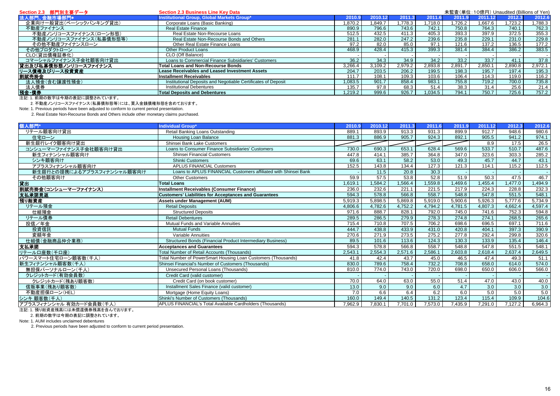| Section 2.3 部門別主要データ    | <b>Section 2.3 Business Line Key Data</b>                     |         |         |         |         | 未監査(単位: 10億円) Unaudited (Billions of Yen) |         |         |         |
|-------------------------|---------------------------------------------------------------|---------|---------|---------|---------|-------------------------------------------|---------|---------|---------|
| 法人部門、金融市場部門*            | Institutional Group, Global Markets Group*                    | 2010.9  | 2010.12 | 2011.   | 2011.6  |                                           | 2011.12 | 2012.3  | 2012.6  |
| 企業向け一般貸出(ベーシックバンキング貸出)  | Corporate Loans (Basic Banking)                               | 1.870.2 | .849.7  | .778.3  | .718.0  | 1.726.2                                   | 1.667.6 | .723.2  | 1,788.3 |
| 不動産ファイナンス               | Real Estate Finance                                           | 890.9   | 796.6   | 743.6   | 742.1   | 750.8                                     | 764.3   | 740.1   | 762.3   |
| 不動産ノンリコースファイナンス(ローン形態)  | Real Estate Non-Recourse Loans                                | 512.5   | 432.5   | 411.3   | 405.3   | 393.3                                     | 397.9   | 372.5   | 355.3   |
| 不動産ノンリコースファイナンス(私募債形態等) | Real Estate Non-Recourse Bonds and Others                     | 281.7   | 282.0   | 247.2   | 239.6   | 235.8                                     | 229.7   | 231.0   | 229.8   |
| その他不動産ファイナンスローン         | Other Real Estate Finance Loans                               | 97.2    | 82.0    | 85.0    | 97.1    | 121.6                                     | 137.2   | 136.5   | 177.2   |
| その他プロダクトローン             | <b>Other Product Loans</b>                                    | 468.9   | 428.4   | 415.3   | 399.3   | 381.4                                     | 384.4   | 386.2   | 383.5   |
| CLO(貸出債権証券化)            | CLO (Off Balance)                                             |         |         |         |         |                                           |         |         |         |
| コマーシャルファイナンス子会社顧客向け貸出   | Loans to Commercial Finance Subsidiaries' Customers           | 36.2    | 34.3    | 34.9    | 34.2    | 33.2                                      | 33.7    | 41.1    | 37.8    |
| 貸出及び私募債形態ノンリコースファイナンス   | <b>Total Loans and Non-Recourse Bonds</b>                     | 3.266.4 | 3.109.2 | 2,979.2 | 2.893.8 | 2.891.7                                   | 2,850.1 | 2.890.8 | 2,972.1 |
| リース債権及びリース投資資産          | <b>Lease Receivables and Leased Investment Assets</b>         | 204.7   | 203.5   | 206.2   | 199.5   | 198.3                                     | 195.7   | 197.4   | 195.3   |
| 割賦売掛金                   | <b>Installment Receivables</b>                                | 111.7   | 108.1   | 109.3   | 103.6   | 106.4                                     | 114.3   | 119.0   | 116.2   |
| 法人預金(含む讓渡性預金)           | Institutional Deposits and Negotiable Certificates of Deposit | 1.083.5 | 901.7   | 858.4   | 983.1   | 755.8                                     | 719.2   | 700.0   | 735.8   |
| 法人債券                    | <b>Institutional Debentures</b>                               | 135.7   | 97.8    | 68.3    | 51.4    | 38.3                                      | 31.4    | 25.6    | 21.4    |
| 預金·債券                   | <b>Total Deposits and Debentures</b>                          | 1,219.2 | 999.6   | 926.7   | .034.5  | 794.1                                     | 750.7   | 725.6   | 757.2   |
|                         |                                                               |         |         |         |         |                                           |         |         |         |

注記:1. 前期の数字は今期の表記に調整されています。

2. 不動産ノンリコースファイナンス(私募債形態等)には、買入金銭債権形態を含めております。

Note: 1. Previous periods have been adjusted to conform to current period presentation.

2. Real Estate Non-Recourse Bonds and Others include other monetary claims purchased.

| 個人部門*                      | Individual Group*                                                    | 2010.9  | 2010.12 | 2011.3  | 2011.6  | 2011.9  | 2011.12 | 2012.3  | 2012.6  |
|----------------------------|----------------------------------------------------------------------|---------|---------|---------|---------|---------|---------|---------|---------|
| リテール顧客向け貸出                 | Retail Banking Loans Outstanding                                     | 889.1   | 893.9   | 913.3   | 931.3   | 899.9   | 912.7   | 948.6   | 980.6   |
| 住宅ローン                      | <b>Housing Loan Balance</b>                                          | 881.3   | 886.9   | 905.7   | 924.3   | 892.1   | 905.5   | 941.2   | 974.1   |
| 新生銀行レイク顧客向け貸出              | Shinsei Bank Lake Customers                                          |         |         |         |         |         | 8.9     | 17.5    | 26.5    |
| コンシューマーファイナンス子会社顧客向け貸出     | Loans to Consumer Finance Subsidiaries' Customers                    | 730.0   | 690.3   | 653.1   | 628.4   | 569.6   | 533.7   | 510.7   | 487.6   |
| 新生フィナンシャル顧客向け              | <b>Shinsei Financial Customers</b>                                   | 447.8   | 414.1   | 385.7   | 364.8   | 347.0   | 323.6   | 303.3   | 285.2   |
| シンキ顧客向け                    | <b>Shinki Customers</b>                                              | 69.6    | 63.1    | 58.2    | 53.0    | 49.3    | 45.7    | 44.7    | 43.1    |
| アプラスフィナンシャル顧客向け            | <b>APLUS FINANCIAL Customers</b>                                     | 152.5   | 143.8   | 134.4   | 127.3   | 121.3   | 114.1   | 115.2   | 112.5   |
| 新生銀行との提携によるアプラスフィナンシャル顧客向け | Loans to APLUS FINANCIAL Customers affiliated with Shinsei Bank      |         | 11.5    | 20.8    | 30.3    |         |         |         |         |
| その他顧客向け                    | <b>Other Customers</b>                                               | 59.9    | 57.5    | 53.8    | 52.8    | 51.9    | 50.3    | 47.5    | 46.7    |
| 貸出                         | <b>Total Loans</b>                                                   | 1,619.1 | .584.2  | ,566.4  | ,559.8  | ,469.6  | .455.4  | 1.477.0 | 1,494.9 |
| 割賦売掛金(コンシューマーファイナンス)       | Installment Receivables (Consumer Finance)                           | 236.0   | 232.6   | 221.1   | 221.5   | 217.9   | 224.3   | 228.8   | 232.3   |
| 支払承諾見返                     | <b>Customers' Liabilities for Acceptances and Guarantees</b>         | 594.3   | 578.8   | 566.8   | 558.7   | 548.8   | 547.8   | 551.5   | 548.1   |
| 預り総資産                      | <b>Assets under Management (AUM)</b>                                 | 5,919.3 | 5,898.5 | 5,869.8 | 5,919.0 | 5,900.6 | 5,926.3 | 5,777.6 | 5,734.9 |
| リテール預金                     | <b>Retail Deposits</b>                                               | 4.806.6 | 4.782.6 | 4.752.2 | 4.794.2 | 4.781.5 | 4,807.3 | 4.662.4 | 4,597.4 |
| 仕組預金                       | <b>Structured Deposits</b>                                           | 971.6   | 888.7   | 828.1   | 792.0   | 745.0   | 741.6   | 752.3   | 594.8   |
| リテール債券                     | <b>Retail Debentures</b>                                             | 289.5   | 286.5   | 279.9   | 278.3   | 274.8   | 274.1   | 268.5   | 265.6   |
| 投信/年金                      | Mutual Funds and Variable Annuities                                  | 715.4   | 710.8   | 707.5   | 706.2   | 698.6   | 696.5   | 697.1   | 711.6   |
| 投資信託                       | <b>Mutual Funds</b>                                                  | 444.7   | 438.8   | 433.9   | 431.0   | 420.8   | 404.1   | 397.3   | 390.9   |
| 変額年金                       | Variable Annuities                                                   | 270.6   | 271.9   | 273.5   | 275.2   | 277.8   | 292.4   | 299.8   | 320.6   |
| 仕組債(金融商品仲介業務)              | <b>Structured Bonds (Financial Product Intermediary Business)</b>    | 89.5    | 101.6   | 113.6   | 124.3   | 130.3   | 133.9   | 135.4   | 146.4   |
| 支払承諾                       | <b>Acceptances and Guarantees</b>                                    | 594.3   | 578.8   | 566.8   | 558.7   | 548.8   | 547.8   | 551.5   | 548.1   |
| リテールロ座数(千口座)               | Total Number of Retail Accounts (Thousands)                          | 2,543.1 | 2,554.3 | 2,571.6 | 2,586.1 | 2,603.8 | 2,618.4 | 2,637.4 | 2,649.5 |
| パワースマート住宅ローン顧客数(千人)        | <b>Fotal Number of PowerSmart Housing Loan Customers (Thousands)</b> | 41.8    | 42.4    | 43.7    | 45.0    | 46.5    | 47.4    | 49.3    | 51.1    |
| 新生フィナンシャル顧客数(千人)           | Shinsei Financial's Number of Customers (Thousands)                  | 830.0   | 789.6   | 758.4   | 732.2   | 708.8   | 658.0   | 614.0   | 574.0   |
| 無担保パーソナルローン(千人)            | Unsecured Personal Loans (Thousands)                                 | 810.0   | 774.0   | 743.0   | 720.0   | 698.0   | 650.0   | 606.0   | 566.0   |
| クレジットカード(有効会員数)            | Credit Card (valid customer)                                         |         |         |         |         |         |         |         |         |
| クレジットカード(残あり顧客数)           | Credit Card (on book customer)                                       | 70.0    | 64.0    | 63.0    | 55.0    | 51.4    | 47.0    | 43.0    | 40.0    |
| 信販事業(残あり顧客数)               | Installment Sales Finance (valid customer)                           | 13.0    | 9.0     | 9.0     | 6.0     | 4.7     | 3.0     | 3.0     | 3.0     |
| 不動産担保ローン(HEL)              | Mortgage (Home Equity Loans)                                         | 7.0     | 6.6     | 6.4     | 6.2     | 6.0     | 5.0     | 5.0     | 5.0     |
| シンキ 顧客数(千人)                | Shinki's Number of Customers (Thousands)                             | 160.0   | 149.4   | 140.5   | 131.2   | 123.4   | 115.4   | 109.9   | 104.6   |
| アプラスフィナンシャル 有効カード会員数(千人)   | APLUS FINANCIAL's Total Available Cardholders (Thousands)            | 7.962.9 | 7.830.1 | 7,701.0 | 7,573.0 | 7,435.9 | 7.291.0 | 7,127.2 | 6,964.3 |

注記:1. 預り総資産残高には未償還債券残高を含んでおります。

2. 前期の数字は今期の表記に調整されています。

Note: 1. AUM includes unclaimed debentures

2. Previous periods have been adjusted to conform to current period presentation.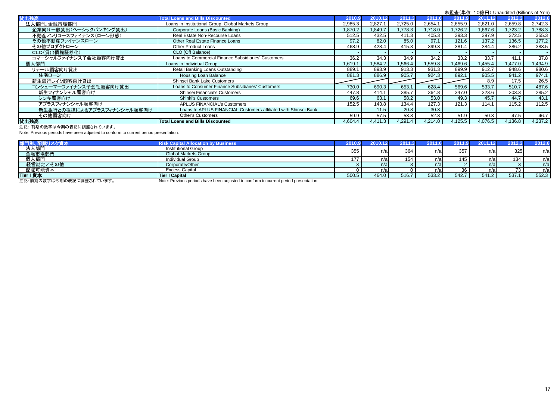|                            |                                                                 |         |         |         |         |         | 未監査(単位: 10億円) Unaudited (Billions of Yen) |         |                   |
|----------------------------|-----------------------------------------------------------------|---------|---------|---------|---------|---------|-------------------------------------------|---------|-------------------|
| 貸出残高                       | <b>Total Loans and Bills Discounted</b>                         | 2010.9  | 2010.12 | 2011.3  | 2011.6  | 2011.9  | 2011.12                                   | 2012.3  | 2012.6            |
| 法人部門、金融市場部門                | Loans in Institutional Group, Global Markets Group              | 2,985.3 | 2.827.1 | 2.725.0 | 2,654.1 | 2.655.9 | 2.621.0                                   | 2,659.8 | 2.742.3           |
| 企業向け一般貸出(ベーシックバンキング貸出)     | Corporate Loans (Basic Banking)                                 | 1.870.2 | .849.7  | ,778.3  | 1,718.0 | 1,726.2 | 1,667.6                                   | .723.2  | 1,788.3           |
| 不動産ノンリコースファイナンス(ローン形態)     | Real Estate Non-Recourse Loans                                  | 512.5   | 432.5   | 411.3   | 405.3   | 393.3   | 397.9                                     | 372.5   | 355.3             |
| その他不動産ファイナンスローン            | Other Real Estate Finance Loans                                 | 97.2    | 82.0    | 85.0    | 97.1    | 121.6   | 137.2                                     | 136.5   | 177.2             |
| その他プロダクトローン                | Other Product Loans                                             | 468.9   | 428.4   | 415.3   | 399.3   | 381.4   | 384.4                                     | 386.2   | 383.5             |
| CLO(貸出債権証券化)               | CLO (Off Balance)                                               |         |         |         |         |         |                                           |         |                   |
| コマーシャルファイナンス子会社顧客向け貸出      | Loans to Commercial Finance Subsidiaries' Customers             | 36.2    | 34.3    | 34.9    | 34.2    | 33.2    | 33.7                                      | 41.1    | 37.8              |
| 個人部門                       | Loans in Individual Group                                       | 1.619.1 | .584.2  | .566.4  | 1,559.8 | 1,469.6 | 1,455.4                                   | 1,477.0 | 1,494.9           |
| リテール顧客向け貸出                 | Retail Banking Loans Outstanding                                | 889.1   | 893.9   | 913.3   | 931.3   | 899.9   | 912.7                                     | 948.6   | 980.6             |
| 住宅ローン                      | Housing Loan Balance                                            | 881.3   | 886.9   | 905.7   | 924.3   | 892.1   | 905.5                                     | 941.2   | 974.1             |
| 新生銀行レイク顧客向け貸出              | Shinsei Bank Lake Customers                                     |         |         |         |         |         | 8.9                                       | 17.5    | 26.5              |
| コンシューマーファイナンス子会社顧客向け貸出     | Loans to Consumer Finance Subsidiaries' Customers               | 730.0   | 690.3   | 653.    | 628.4   | 569.6   | 533.7                                     | 510.7   | 487.6             |
| 新生フィナンシャル顧客向け              | Shinsei Financial's Customers                                   | 447.8   | 414.1   | 385.7   | 364.8   | 347.0   | 323.6                                     | 303.3   | 285.2             |
| シンキ顧客向け                    | <b>Shinki's Customers</b>                                       | 69.6    | 63.1    | 58.2    | 53.0    | 49.3    | 45.7                                      | 44.7    | 43.1              |
| アプラスフィナンシャル顧客向け            | <b>APLUS FINANCIAL's Customers</b>                              | 152.5   | 143.8   | 134.4   | 127.3   | 121.3   | 114.1                                     | 115.2   | 112.5             |
| 新生銀行との提携によるアプラスフィナンシャル顧客向け | Loans to APLUS FINANCIAL Customers affiliated with Shinsei Bank |         | 11.5    | 20.8    | 30.3    |         |                                           |         |                   |
| その他顧客向け                    | <b>Other's Customers</b>                                        | 59.9    | 57.5    | 53.8    | 52.8    | 51.9    | 50.3                                      | 47.5    | $\overline{46.7}$ |
| 貸出残高                       | <b>Total Loans and Bills Discounted</b>                         | 4,604.4 | 4,411.3 | 4,291.4 | 4,214.0 | 4,125.5 | 4,076.5                                   | 4,136.8 | 4,237.2           |

注記: 前期の数字は今期の表記に調整されています。

Note: Previous periods have been adjusted to conform to current period presentation.

|                          | <b>Risk Capital Allocation by Business</b>                                           | 2010.9 | 2010. |       | 2011. |       |         | 2012.3 | 2012.6 |
|--------------------------|--------------------------------------------------------------------------------------|--------|-------|-------|-------|-------|---------|--------|--------|
| 法人部門                     | Institutional Group                                                                  | 355    | n/a   | 364   | n/a   | 357   | n/i     | 325    | n/a    |
| 金融市場部門                   | <b>Global Markets Group</b>                                                          |        |       |       |       |       |         |        |        |
| 個人部門                     | <b>Individual Group</b>                                                              | 177    | n/a   |       | n/al  | 145   | n/a     | 134    | n/a    |
| 経営勘定/その他                 | Corporate/Other                                                                      |        | n/a   |       | n/a   |       | $n \in$ |        | n/a    |
| 配賦可能資本                   | <b>Excess Capital</b>                                                                |        | n/a   |       | .va   |       |         | 73     | n/a    |
| Tier I 資本                | Tier I Capital                                                                       | 500.5  | 464.0 | 516.7 | 533.2 | 542.7 | 541.2   | 537.1  | 552.3  |
| 注記:前期の数字は今期の表記に調整されています。 | Note: Previous periods have been adjusted to conform to current period presentation. |        |       |       |       |       |         |        |        |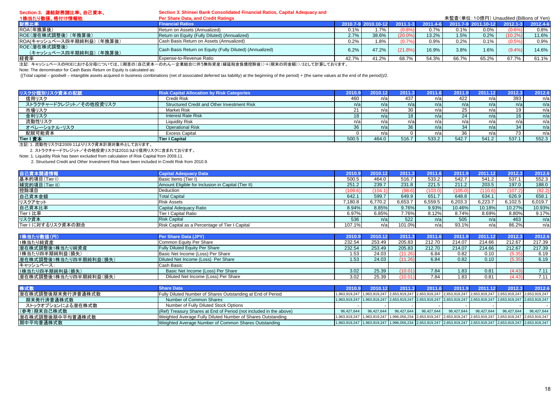| Section 3. 連結財務諸比率、自己資本、                | Section 3. Shinsei Bank Consolidated Financial Ratios, Capital Adequacy and                       |             |       |              |              |       |                                           |            |          |
|-----------------------------------------|---------------------------------------------------------------------------------------------------|-------------|-------|--------------|--------------|-------|-------------------------------------------|------------|----------|
| 1株当たり数値、格付け情報他                          | Per Share Data, and Credit Ratings                                                                |             |       |              |              |       | 未監査(単位: 10億円) Unaudited (Billions of Yen) |            |          |
| 財務比率                                    | <b>Financial Ratios</b>                                                                           | 2010.7-9 20 |       | $2011.1 - 3$ | $2011.4 - 6$ |       | $2011.7 - 92011.10 - 12$                  | 2012.1-3   | 2012.4-6 |
| ROA(年換算後)                               | Return on Assets (Annualized)                                                                     | 0.1%        |       | (0.8%        | 0.7%         | 0.1%  | 0.0%                                      | (0.6%      | 0.8%     |
| ROE(潜在株式調整後)(年換算後)                      | Return on Equity (Fully Diluted) (Annualized)                                                     | 2.7%        | 38.6% | (20.0%)      | 13.2%        | 1.5%  | 0.2%                                      | $(10.2\%)$ | 11.6%    |
| ROA(キャッシュベース四半期純利益) (年換算後)              | Cash Basis Return on Assets (Annualized)                                                          | 0.2%        | 8%،   | (0.7%        | 0.9%         | 0.2%  | 0.1%                                      | (0.5%      | 0.9%     |
| ROE(潜在株式調整後)<br>(キャッシュベース四半期純利益) (年換算後) | Cash Basis Return on Equity (Fully Diluted) (Annualized)                                          | 6.2%        | 47.2% | (21.8%)      | 16.9%        | 3.8%  | 1.6%                                      | (9.4%      | 14.6%    |
| 経費率                                     | Expense-to-Revenue Ratio                                                                          | 42.7%       | 41.2% | 68.7%        | 54.3%        | 66.7% | 65.2%                                     | 67.7%      | 61.1%    |
|                                         | 注記、+ ww2.u x゜ヮのDOFにセはそハ母については //期苦の(白コ姿士・のあ / ・本業はムに伴え無形姿在/緑延税会各集拡映後)\ +/期古の巨会婚\\ /o は て試質L てセリキナ |             |       |              |              |       |                                           |            |          |

注記: キャッシュベースのROEにおける分母については、((期首の(自己資本-のれん-企業結合に伴う無形資産(繰延税金負債控除後))+(期末の同金額))/2として計算しております。

Note: The denominator for Cash Basis Return on Equity is calculated as:

((Total capital – goodwill – intangible assets acquired in business combinations (net of associated deferred tax liability) at the beginning of the period) + (the same values at the end of the period))/2.

| リスク分類別リスク資本の配賦         | <b>Risk Capital Allocation by Risk Categories</b>  | 2010.9 | 2010.12 | 2011. | 2011.6 | $201^{\circ}$ | 2011.12 | 2012.3          | 2012.6 |
|------------------------|----------------------------------------------------|--------|---------|-------|--------|---------------|---------|-----------------|--------|
| 信用リスク                  | <b>Credit Risk</b>                                 | 460    | n/al    | 437   | n/a    | 422           | n/a     | 393             | n/a    |
| ストラクチャードクレジット/その他投資リスク | <b>Structured Credit and Other Investment Risk</b> | n/a    | n/al    | n/a   | n/a    | n/a           | n/a     | n/a             | n/a    |
| 市場リスク                  | <b>Market Risk</b>                                 |        | n/a     |       | n/a    | 25            | n/a     | 19              | n/a    |
| 金利リスク                  | <b>Interest Rate Risk</b>                          |        | n/al    |       | n/al   |               | n/a     | 16 <sub>1</sub> | n/a    |
| 流動性リスク                 | Liquidity Risk                                     | n/a    | n/al    |       | n/a    |               | n/a     | n/a             | n/a    |
| オペレーショナル・リスク           | <b>Operational Risk</b>                            | 36     | n/a     |       | n/a    | 34            | n/a     | 34              | n/a    |
| 配賦可能資本                 | <b>Excess Capital</b>                              |        | n/a     |       |        | 36            | n/a     | 73              | n/a    |
| Tier I 資本              | <b>Tier I Capital</b>                              | 500.5  | 464.0   | 516.7 | 533.2  | 542.7         | 541.2   | 537.1           | 552.3  |

注記: 1. 流動性リスクは2009.11よりリスク資本計測対象外としております。

2. ストラクチャードクレジット/その他投資リスクは2010.9より信用リスクに含まれております。

Note: 1. Liquidity Risk has been excluded from calculation of Risk Capital from 2009.11.

2. Structured Credit and Other Investment Risk have been included in Credit Risk from 2010.9.

| 自己資本関連情報            | <b>Capital Adequacy Data</b>                       | 2010.9  | 2010.12 | 2011.3  | 2011.6  | 2011.9  | 2011.12 | 2012.3  | 2012.6  |
|---------------------|----------------------------------------------------|---------|---------|---------|---------|---------|---------|---------|---------|
| 基本的項目(Tier I)       | Basic Items (Tier I)                               | 500.5   | 464.0   | 516.7   | 533.2   | 542.7   | 541.2   | 537.1   | 552.3   |
| 補完的項目(Tier II)      | Amount Eligible for Inclusion in Capital (Tier II) | 251.2   | 239.7   | 231.8   | 221.5   | 211.2   | 203.5   | 197.0   | 188.0   |
| 控除項目                | Deduction                                          | (109.6) | 1104.1  | (98.6)  | (103.0) | (105.0) | (110.6) | (107.2) | (82.2)  |
| 自己資本金額              | <b>Total Capital</b>                               | 642.1   | 599.7   | 649.9   | 651.7   | 648.8   | 634.1   | 626.9   | 658.1   |
| リスクアセット             | <b>Risk Assets</b>                                 | 7.180.8 | 6.770.2 | 6.653.7 | 6.559.5 | 6,203.3 | 6.223.7 | 6,102.5 | 6,019.7 |
| 自己資本比率              | Capital Adequacy Ratio                             | 8.94%   | 8.85%   | 9.76%   | 9.93%   | 10.46%  | 10.18%  | 10.27%  | 10.93%  |
| <b>Tier I 比率</b>    | Tier I Capital Ratio                               | 6.97%   | 6.85%   | 7.76%   | 8.12%   | 8.74%   | 8.69%   | 8.80%   | 9.17%   |
| リスク資本               | <b>Risk Capital</b>                                | 536     | n/a     | 522     | n/a     | 505     | n/a     | 463     | n/a     |
| Tier I に対するリスク資本の割合 | Risk Capital as a Percentage of Tier I Capital     | 107.1%  | n/al    | 101.0%  | n/al    | 93.1%   | n/a     | 86.2%   | n/al    |

| 1株当たり数値(円)             | Per Share Data (JPY)                  | 2010   | 2010.12 | 2011.3  | 2011.6 |        | 2011.12 | 2012.3 | 2012.6 |
|------------------------|---------------------------------------|--------|---------|---------|--------|--------|---------|--------|--------|
| 1株当たり純資産               | Common Equity Per Share               | 232.54 | 253.49  | 205.83  | 212.70 | 214.07 | 214.66  | 212.67 | 217.39 |
| 潜在株式調整後1株当たり純資産        | <b>Fully Diluted Equity Per Share</b> | 232.54 | 253.49  | 205.83  | 212.70 | 214.07 | 214.66  | 212.67 | 217.39 |
| 1株当たり四半期純利益(損失)        | Basic Net Income (Loss) Per Share     | .53    | 24.03   | (11.26) | 6.84   | 0.82   | 0.10    | (5.35) | 6.19   |
| 潜在株式調整後1株当たり四半期純利益(損失) | Diluted Net Income (Loss) Per Share   | .53    | 24.03   | (11.26) | 6.84   | 0.82   | 0.10    | (5.35) | 6.19   |
| キャッシュベース:              | Cash Basis:                           |        |         |         |        |        |         |        |        |
| 1株当たり四半期純利益(損失)        | Basic Net Income (Loss) Per Share     | 3.02   | 25.39   | (10.01  | 7.84   | 1.83   | 0.81    | (4.43) | 7.11   |
| 潜在株式調整後1株当たり四半期純利益(損失) | Diluted Net Income (Loss) Per Share   | 3.02   | 25.39   | (10.01) | 7.84   | 1.83   | 0.81    | (4.43) | 7.11   |

| 株式数               | <b>Share Data</b>                                                  |            | 2010.9 2010.12 | 2011.3     |            |            | 2011.6 2011.9 2011.12 | 2012.3     | 2012.6                                                                                                                                                                                                                        |
|-------------------|--------------------------------------------------------------------|------------|----------------|------------|------------|------------|-----------------------|------------|-------------------------------------------------------------------------------------------------------------------------------------------------------------------------------------------------------------------------------|
| 潜在株式調整後期末発行済普通株式数 | Fully Diluted Number of Shares Outstanding at End of Period        |            |                |            |            |            |                       |            | 1,963,919,247   1,963,919,247   2,653,919,247   2,653,919,247   2,653,919,247   2,653,919,247   2,653,919,247   2,653,919,247   2,653,919,247   2,653,919,247   2,953,919,247   2,953,919,247   2,953,919,247   2,953,919,247 |
| 期末発行済普通株式数        | Number of Common Shares                                            |            |                |            |            |            |                       |            | 1,963,919,247  1,963,919,247  2,653,919,247  2,653,919,247  2,653,919,247  2,653,919,247  2,653,919,247  2,653,919,247                                                                                                        |
| ストックオプションによる潜在株式数 | Number of Fully Diluted Stock Options                              |            |                |            |            |            |                       |            |                                                                                                                                                                                                                               |
| (参考)期末自己株式数       | (Ref) Treasury Shares at End of Period (not included in the above) | 96.427.644 | 96,427,644     | 96,427,644 | 96,427,644 | 96,427,644 | 96,427,644            | 96,427,644 | 96,427,644                                                                                                                                                                                                                    |
| 潜在株式調整後期中平均普通株式数  | Weighted Average Fully Diluted Number of Shares Outstanding        |            |                |            |            |            |                       |            | 1,963,919,247  1,963,919,247  1,996,056,234  2,653,919,247  2,653,919,247  2,653,919,247  2,653,919,247  2,653,919,247                                                                                                        |
| 期中平均普通株式数         | Weighted Average Number of Common Shares Outstanding               |            |                |            |            |            |                       |            | 1,963,919,247   1,963,919,247   1,996,056,234   2,653,919,247   2,653,919,247   2,653,919,247   2,653,919,247   2,653,919,247                                                                                                 |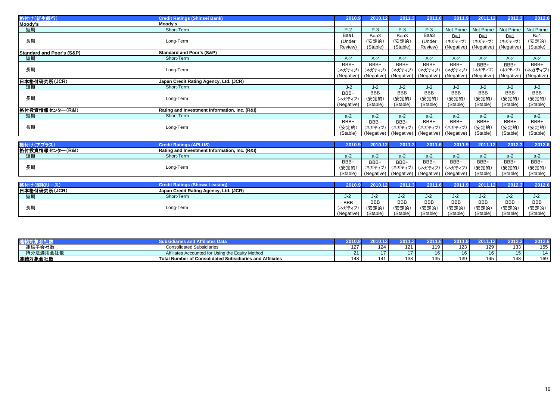| 格付け(新生銀行)                            | <b>Credit Ratings (Shinsei Bank)</b>          | 2010.9     | 2010.12                      | 2011.3                | 2011.6                           | 2011.9     | 2011.12          | 2012.3     | 2012.6           |
|--------------------------------------|-----------------------------------------------|------------|------------------------------|-----------------------|----------------------------------|------------|------------------|------------|------------------|
| Moody's                              | Moody's                                       |            |                              |                       |                                  |            |                  |            |                  |
| 短期                                   | Short-Term                                    | $P-2$      | $P-3$                        | $P-3$                 | $P-3$                            | Not Prime  | Not Prime        | Not Prime  | <b>Not Prime</b> |
|                                      |                                               | Baa1       | Baa3                         | Baa3                  | Baa3                             | Ba1        | Ba1              | Ba1        | Ba1              |
| 長期                                   | Long-Term                                     | (Under     | (安定的)                        | (安定的)                 | (Under                           | (ネガティブ)    | (ネガティブ)          | (ネガティブ)    | (安定的)            |
|                                      |                                               | Review)    | (Stable)                     | (Stable)              | Review)                          | (Negative) | (Negative)       | (Negative) | (Stable)         |
| <b>Standard and Poor's (S&amp;P)</b> | <b>Standard and Poor's (S&amp;P)</b>          |            |                              |                       |                                  |            |                  |            |                  |
| 短期                                   | Short-Term                                    | $A-2$      | $A-2$                        | $A-2$                 | $A-2$                            | $A-2$      | $A-2$            | $A-2$      | $A-2$            |
|                                      |                                               | BBB+       | BBB+                         | BBB+                  | BBB+                             | BBB+       | BBB+             | BBB+       | BBB+             |
| 長期                                   | Long-Term                                     | (ネガティブ)    | (ネガティブ)                      | (ネガティブ)               | (ネガティブ)                          | (ネガティブ)    | (ネガティブ)          | (ネガティブ)    | (ネガティブ)          |
|                                      |                                               | (Negative) |                              | (Negative) (Negative) | (Negative)                       | (Negative) | (Negative)       | (Negative) | (Negative)       |
| 日本格付研究所(JCR)                         | Japan Credit Rating Agency, Ltd. (JCR)        |            |                              |                       |                                  |            |                  |            |                  |
| 短期                                   | Short-Term                                    | $J-2$      | $J-2$                        | $J-2$                 | $J-2$                            | $J-2$      | $J-2$            | $J-2$      | $J-2$            |
|                                      |                                               | BBB+       | <b>BBB</b>                   | <b>BBB</b>            | <b>BBB</b>                       | <b>BBB</b> | <b>BBB</b>       | <b>BBB</b> | <b>BBB</b>       |
| 長期                                   | Long-Term                                     | (ネガティブ)    | (安定的)                        | (安定的)                 | (安定的)                            | (安定的)      | (安定的)            | (安定的)      | (安定的)            |
|                                      |                                               | (Negative) | (Stable)                     | (Stable)              | (Stable)                         | (Stable)   | (Stable)         | (Stable)   | (Stable)         |
| 格付投資情報センター(R&I)                      | Rating and Investment Information, Inc. (R&I) |            |                              |                       |                                  |            |                  |            |                  |
| 短期                                   | Short-Term                                    | $a-2$      | $a-2$                        | $a-2$                 | $a-2$                            | $a-2$      | $a-2$            | $a-2$      | $a-2$            |
|                                      |                                               | BBB+       | BBB+                         | BBB+                  | BBB+                             | BBB+       | BBB+             | BBB+       | BBB+             |
| 長期                                   | Long-Term                                     | (安定的)      | (ネガティブ)                      | (ネガティブ)               | (ネガティブ)                          | (ネガティブ)    | (安定的)            | (安定的)      | (安定的)            |
|                                      |                                               | (Stable)   |                              |                       | (Negative) (Negative) (Negative) | (Negative) | (Stable)         | (Stable)   | (Stable)         |
|                                      |                                               |            |                              |                       |                                  |            |                  |            |                  |
| 格付け(アプラス)                            | <b>Credit Ratings (APLUS)</b>                 | 2010.9     | 2010.12                      | 2011.3                | 2011.6                           | 2011.9     | 2011.12          | 2012.3     | 2012.6           |
| 格付投資情報センター(R&I)                      | Rating and Investment Information, Inc. (R&I) |            |                              |                       |                                  |            |                  |            |                  |
| 短期                                   | Short-Term                                    | $a-2$      | $a-2$                        | $a-2$                 | $a-2$                            | $a-2$      | $a-2$            | $a-2$      | $a-2$            |
|                                      |                                               | BBB+       | BBB+                         | BBB+                  | BBB+                             | BBB+       | BBB+             | BBB+       | BBB+             |
| 長期                                   | Long-Term                                     | (安定的)      | (ネガティブ)                      | (ネガティブ)               | (ネガティブ)                          | (ネガティブ)    | (安定的)            | (安定的)      | (安定的)            |
|                                      |                                               | (Stable)   |                              | (Negative) (Negative) | (Negative)                       | (Negative) | (Stable)         | (Stable)   | (Stable)         |
|                                      |                                               |            |                              |                       |                                  |            |                  |            |                  |
| 被从床(面积口一つ)                           | Overalla Disaligna (Olympical Installation)   |            | 2010.0 2010.12 2011.2 2014.0 |                       |                                  |            | $0.140$ $0.1440$ | 00100      | 0042c            |

| 格付け(昭和リ      | a Leasin                               | 2010.9     | 2010.12    | 0044          | 2011.6        | 2011.9     |            | 2012.3     | 2012.6     |
|--------------|----------------------------------------|------------|------------|---------------|---------------|------------|------------|------------|------------|
| 日本格付研究所(JCR) | Japan Credit Rating Agency, Ltd. (JCR) |            |            |               |               |            |            |            |            |
| 短期           | Short-Term                             | $J-2$      | J-Z.       | $\sim$<br>J-Z | $\sim$<br>J-Z | J-Z        | J-Z.       |            |            |
|              |                                        | <b>BBB</b> | <b>BBB</b> | <b>BBB</b>    | <b>BBB</b>    | <b>BBB</b> | <b>BBB</b> | <b>BBB</b> | <b>BBB</b> |
| 長期           | Long-Term                              | (ネガティブ     | (安定的       | (安定的          | (安定的)         | (安定的)      | (安定的)      | (安定的,      | (安定的)      |
|              |                                        | (Negative) | (Stable)   | (Stable)      | (Stable)      | (Stable)   | (Stable)   | (Stable)   | (Stable)   |

|          |                                                               |     | U 1 U      |               |                        |               |                      | 2012 |     |
|----------|---------------------------------------------------------------|-----|------------|---------------|------------------------|---------------|----------------------|------|-----|
| 連結子会社数   | <b>Consolidated Subsidiaries</b>                              | 127 | 101<br>- - | 101           | 110<br>. .             | 122<br>ہ کا ا | 129                  | 33   | 155 |
| 持分法適用会社数 | Affiliates Accounted for Using<br>the Equity Method           | ິ   |            |               | . ס                    | 16            | $\overline{A}$<br>ıb | ا ت  | 14  |
| 連結対象会社数  | al Number of Consolidated Subsidiaries and Affiliates<br>Tota |     |            | $\sim$<br>-48 | 10 <sup>h</sup><br>135 | 139           | 145                  |      | 169 |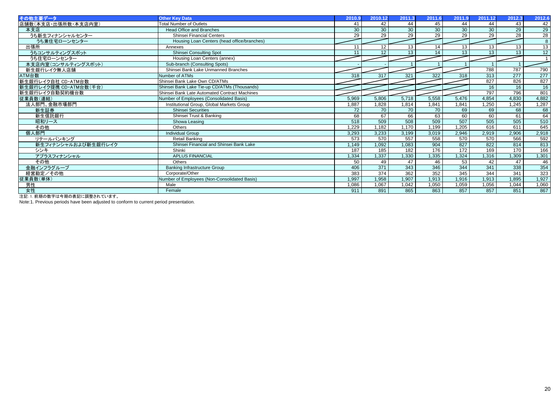| その他主要データ                                                     | <b>Other Kev Data</b>                         | 2010.9 | 2010.12         | 2011.3          | 2011.6          | 2011.9          | 2011.12         | 2012.3          | 2012.6           |
|--------------------------------------------------------------|-----------------------------------------------|--------|-----------------|-----------------|-----------------|-----------------|-----------------|-----------------|------------------|
| 店舗数(本支店・出張所数・本支店内室)                                          | <b>Total Number of Outlets</b>                | 41     | 42              | 44              | 45              | 44              | 44              | 43              | 42               |
| 本支店                                                          | <b>Head Office and Branches</b>               | 30     | 30              | $\overline{30}$ | 30              | $\overline{30}$ | 30              | 29              | 29               |
| うち新生フィナンシャルセンター                                              | Shinsei Financial Centers                     | 29     | 29              | $\overline{29}$ | 29              | 29              | $\overline{29}$ | $\overline{28}$ | $\overline{28}$  |
| うち兼住宅ローンセンター                                                 | Housing Loan Centers (head office/branches)   |        |                 |                 |                 |                 |                 |                 | 8                |
| 出張所                                                          | Annexes                                       | 11     | 12              | 13              | 14              | 13              | 13              | 13              | $\overline{13}$  |
| うちコンサルティングスポット                                               | <b>Shinsei Consulting Spot</b>                | 11     | 12 <sup>2</sup> | 13              | 14              | 13              | 13              | 13              | 12               |
| うち住宅ローンセンター                                                  | Housing Loan Centers (annex)                  |        |                 |                 |                 |                 |                 |                 |                  |
| 本支店内室(コンサルティングスポット)                                          | Sub-branch (Consulting Spots)                 |        |                 |                 |                 |                 |                 |                 |                  |
| 新生銀行レイク無人店舗                                                  | Shinsei Bank Lake Unmanned Branches           |        |                 |                 |                 |                 | 788             | 787             | 790              |
| ATM台数                                                        | Number of ATMs                                | 318    | 317             | 321             | 322             | 318             | 313             | 277             | 277              |
| 新生銀行レイク自社 CD·ATM台数                                           | Shinsei Bank Lake Own CD/ATMs                 |        |                 |                 |                 |                 | 827             | 826             | 827              |
| 新生銀行レイク提携 CD·ATM台数(千台)                                       | Shinsei Bank Lake Tie-up CD/ATMs (Thousands)  |        |                 |                 |                 |                 | 16              | 16              | 16               |
| 新生銀行レイク自動契約機台数                                               | Shinsei Bank Late Automated Contract Machines |        |                 |                 |                 |                 | 797             | 796             | 801              |
| 従業員数(連結)                                                     | Number of Employees (Consolidated Basis)      | 5,969  | 5,806           | 5,718           | 5,558           | 5,476           | 4,854           | 4,830           | 4,882            |
| 法人部門、金融市場部門                                                  | Institutional Group, Global Markets Group     | ,887   | 1,828           | 1.814           | 1.841           | 1,841           | 1,250           | 1,245           | 1,287            |
| 新生証券                                                         | <b>Shinsei Securities</b>                     | 72     | 70              | 70              | $\overline{70}$ | 69              | 69              | 68              | 68               |
| 新生信託銀行                                                       | Shinsei Trust & Banking                       | 68     | 67              | 66              | 63              | 60              | 60              | 61              | 64               |
| 昭和リース                                                        | Showa Leasing                                 | 518    | 509             | 508             | 509             | 507             | 505             | 505             | 510              |
| その他                                                          | Others                                        | .229   | 1.182           | 1,170           | 1.199           | 1,205           | 616             | 611             | 645              |
| 個人部門                                                         | <b>Individual Group</b>                       | 3,293  | 3,233           | 3,199           | 3,019           | 2,946           | 2,919           | 2,906           | 2,918            |
| リテールバンキング                                                    | Retail Banking                                | 573    | 570             | 557             | 558             | 570             | 570             | 566             | 592              |
| 新生フィナンシャルおよび新生銀行レイク                                          | Shinsei Financial and Shinsei Bank Lake       | ,149   | 1,092           | 1,083           | 904             | 827             | 822             | 814             | 813              |
| シンキ                                                          | Shinki                                        | 187    | 185             | 182             | 176             | 172             | 169             | 170             | 166              |
| アプラスフィナンシャル                                                  | <b>APLUS FINANCIAL</b>                        | ,334   | 1,337           | 1,330           | .335            | 1,324           | 1,316           | 1,309           | 1,301            |
| その他                                                          | Others                                        | 50     | 49              | 47              | 46              | 53              | 42              | 47              | 46               |
| 金融インフラグループ                                                   | <b>Banking Infrastructure Group</b>           | 406    | 371             | 343             | 346             | 344             | 341             | 338             | 354              |
| 経営勘定/その他                                                     | Corporate/Other                               | 383    | 374             | 362             | 352             | 345             | 344             | 341             | $\overline{323}$ |
| 従業員数(単体)                                                     | Number of Employees (Non-Consolidated Basis)  | 1.997  | 1.958           | 1.907           | 1,913           | 1,916           | 1,913           | 1,895           | 1,927            |
| 男性                                                           | Male                                          | ,086   | 1,067           | 1,042           | 1,050           | 1,059           | 1,056           | 1,044           | 1,060            |
| 女性<br><u>、 노는 그 나는 사람이 좋다는 거나 소개에 소를 들기는 등대하는 나는 나</u> 나는 나는 | Female                                        | 911    | 891             | 865             | 863             | 857             | 857             | 851             | 867              |

注記:1. 前期の数字は今期の表記に調整されています。

Note:1. Previous periods have been adjusted to conform to current period presentation.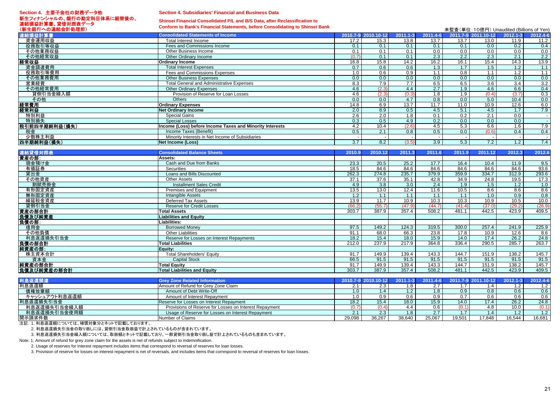### **Section 4.** 主要子会社の財務データ他新生フィナンシャルの、銀行の勘定科目体系に組替後の、 連結損益計算書、貸借対照表データ

#### **Section 4. Subsidiaries' Financial and Business Data**

# **Shinsei Financial Consolidated P/L and B/S Data, after Reclassification to**

**Conform to Bank's Financial Statements, before Consolidating to Shinsei Bank**

| (新生銀行への連結会計処理前) | Comoni to Dank S i mancial clatements, before consolidating to chinisel Dank |                  |                     |              |                  | 未監査(単位: 10億円) Unaudited (Billions of Yen) |                     |                  |                   |
|-----------------|------------------------------------------------------------------------------|------------------|---------------------|--------------|------------------|-------------------------------------------|---------------------|------------------|-------------------|
| 連結損益計算書         | <b>Consolidated Statements of Income</b>                                     |                  | 2010.7-9 2010.10-12 | $2011.1 - 3$ | 2011.4-6         |                                           | 2011.7-9 2011.10-12 | $2012.1 - 3$     | 2012.4-6          |
| 資金運用収益          | Total Interest Income                                                        | 17.2             | 15.3                | 13.8         | 13.7             | 13.7                                      | 13.0                | 11.9             | 11.2              |
| 役務取引等収益         | Fees and Commissions Income                                                  | 0.1              | 0.1                 | 0.1          | 0.1              | 0.1                                       | 0.0                 | 0.2              | 0.4               |
| その他業務収益         | Other Business Income                                                        | 0.1              | 0.1                 | 0.1          | 0.0              | 0.0                                       | 0.0                 | 0.0              | 0.0               |
| その他経常収益         | Other Ordinary Income                                                        | (0.7)            | 0.1                 | 0.1          | 2.3              | 2.2                                       | 2.3                 | 2.1              | 2.2               |
| 経常収益            | <b>Ordinary Income</b>                                                       | 16.8             | 15.8                | 14.2         | 16.2             | 16.1                                      | 15.4                | 14.3             | 13.9              |
| 資金調達費用          | <b>Total Interest Expenses</b>                                               | 0.7              | 0.6                 | 0.6          | 1.3              | 1.7                                       | 1.5                 | 1.2              | 1.1               |
| 役務取引等費用         | Fees and Commissions Expenses                                                | 1.0              | 0.6                 | 0.9          | 1.1              | 0.8                                       | 1.1                 | 1.2              | 1.1               |
| その他業務費用         | <b>Other Business Expenses</b>                                               | 0.0              | 0.0                 | 0.0          | 0.0              | 0.0                                       | 0.0                 | 0.0              | 0.0               |
| 営業経費            | <b>Total General and Administrative Expenses</b>                             | 8.3              | 7.9                 | 7.7          | 6.5              | 6.5                                       | 3.6                 | $\overline{3.4}$ | $\frac{3.2}{0.4}$ |
| その他経常費用         | <b>Other Ordinary Expenses</b>                                               | 4.6              | (2.3)               | 4.4          | 2.7              | 1.9                                       | 4.6                 | 6.6              |                   |
| 貸倒引当金繰入額        | Provision of Reserve for Loan Losses                                         | 4.6              | (2.3)               | (0.3)        | $\overline{1.8}$ | 1.9                                       | (0.4)               | (3.7)            | 0.3               |
| その他             | <b>Others</b>                                                                | 0.0              | 0.0                 | 4.7          | 0.8              | 0.0                                       | 5.0                 | 10.4             | 0.0               |
| 経常費用            | <b>Ordinary Expenses</b>                                                     | 14.8             | 6.9                 | 13.7         | 11.7             | 11.0                                      | 10.9                | 12.6             | 6.0               |
| 経常利益            | <b>Net Ordinary Income</b>                                                   | 2.0              | 8.9                 | 0.5          | 4.5              | 5.1                                       | 4.5                 | 1.7              | 7.9               |
| 特別利益            | <b>Special Gains</b>                                                         | 2.6              | 2.0                 | 1.8          | 0.1              | 0.2                                       | 2.1                 | 0.0              |                   |
| 特別損失            | <b>Special Losses</b>                                                        | 0.3              | 0.5                 | 4.9          | 0.2              | 0.0                                       | 0.0                 | 0.0              |                   |
| 税引前四半期純利益(損失)   | Income (Loss) before Income Taxes and Minority Interests                     | 4.2              | 10.4                | (2.6)        | 4.5              | 5.3                                       | 6.6                 | 1.6              | 7.9               |
| 税金              | Income Taxes (Benefit)                                                       | 0.5              | 2.1                 | 0.8          | 0.5              | 0.0                                       | (0,6)               | 0.4              | 0.4               |
| 少数株主利益          | Minority Interests in Net Income of Subsidiaries                             |                  | $\sim$              |              |                  | $\sim$                                    |                     |                  |                   |
| 四半期純利益(損失)      | <b>Net Income (Loss)</b>                                                     | $\overline{3.7}$ | 8.2                 | (3.5)        | 3.9              | 5.3                                       | 7.2                 | 1.2              | 7.4               |
|                 |                                                                              |                  |                     |              |                  |                                           |                     |                  |                   |
| 連結貸借対照表         | <b>Consolidated Balance Sheets</b>                                           | 2010.9           | 2010.12             | 2011.3       | 2011.6           | 2011.9                                    | 2011.12             | 2012.3           | 2012.6            |
| 資産の部:           | Assets:                                                                      |                  |                     |              |                  |                                           |                     |                  |                   |
| 現金預け金           | Cash and Due from Banks                                                      | 23.3             | 20.5                | 25.2         | 17.7             | 16.4                                      | 10.4                | 11.9             | 9.5               |
| 有価証券            | <b>Securities</b>                                                            | 18.5             | 84.6                | 84.6         | 84.6             | 84.6                                      | 84.6                | 84.6             | 93.6              |
| 貸出金             | Loans and Bills Discounted                                                   | 262.3            | 274.8               | 235.7        | 379.9            | 359.9                                     | 334.7               | 312.9            | 293.6             |
| その他資産           | <b>Other Assets</b>                                                          | 37.1             | 37.6                | 35.1         | 42.8             | 34.9                                      | 24.8                | 19.5             | 17.3              |
| 割賦売掛金           | <b>Installment Sales Credit</b>                                              | 4.9              | $\overline{3.8}$    | 3.0          | 2.4              | $\overline{1.9}$                          | 1.5                 | 1.2              | 1.0               |
| 有形固定資産          | Premises and Equipment                                                       | 13.5             | 13.0                | 12.4         | 11.6             | 10.5                                      | 8.6                 | 8.6              | 8.6               |
| 無形固定資産          | <b>Intangible Assets</b>                                                     | 1.2              | 1.1                 | 1.1          | 1.1              | 1.1                                       | 1.0                 | 0.9              | 0.8               |
| 繰延税金資産          | <b>Deferred Tax Assets</b>                                                   | 13.9             | 11.7                | 10.9         | 10.3             | 10.3                                      | 10.9                | 10.5             | 10.0              |
| 貸倒引当金           | <b>Reserve for Credit Losses</b>                                             | (66.2)           | (55.7)              | (47.9)       | (44.7)           | (41.4)                                    | (37.0)              | (29.2)           | (26.9)            |
| 資産の部合計          | <b>Total Assets</b>                                                          | 303.7            | 387.9               | 357.4        | 508.2            | 481.1                                     | 442.5               | 423.9            | 409.5             |
| 負債及び純資産         | <b>Liabilities and Equity</b>                                                |                  |                     |              |                  |                                           |                     |                  |                   |
| 負債の部:           | Liabilities:                                                                 |                  |                     |              |                  |                                           |                     |                  |                   |
| 借用金             | <b>Borrowed Money</b>                                                        | 97.5             | 149.2               | 124.3        | 319.5            | 300.0                                     | 257.4               | 241.9            | 225.9             |
| その他負債           | <b>Other Liabilities</b>                                                     | 91.1             | 68.0                | 66.3         | 23.8             | 17.8                                      | 10.9                | 12.6             | 8.6               |
| 利息返還損失引当金       | Reserve for Losses on Interest Repayments                                    | 18.2             | 15.4                | 18.0         | 15.9             | 14.0                                      | 17.4                | 26.2             | 24.8              |
| 負債の部合計          | <b>Total Liabilities</b>                                                     | 212.0            | 237.9               | 217.9        | 364.8            | 336.4                                     | 290.5               | 285.7            | 263.7             |
| 純資産の部:          | Equity:                                                                      |                  |                     |              |                  |                                           |                     |                  |                   |
| 株主資本合計          | <b>Total Shareholders' Equity</b>                                            | 91.7             | 149.9               | 139.4        | 143.3            | 144.7                                     | 151.9               | 138.2            | 145.7             |
| 資本金             | <b>Capital Stock</b>                                                         | 66.5             | 91.5                | 91.5         | 91.5             | 91.5                                      | 91.5                | 91.5             | 91.5              |
| 純資産の部合計         | <b>Total Equity</b>                                                          | 91.7             | 149.9               | 139.4        | 143.3            | 144.7                                     | 151.9               | 138.2            | 145.7             |
| 負債及び純資産の部合計     | <b>Total Liabilities and Equity</b>                                          | 303.7            | 387.9               | 357.4        | 508.2            | 481.1                                     | 442.5               | 423.9            | 409.5             |
|                 |                                                                              |                  |                     |              |                  |                                           |                     |                  |                   |
| 利息返還関連          | <b>Grev Zone Related Information</b>                                         |                  | 2010.7-9 2010.10-12 | $2011.1 - 3$ | 2011.4-6         |                                           | 2011.7-9 2011.10-12 | $2012.1 - 3$     | 2012.4-6          |
| 利息返還額           | Amount of Refund for Grey Zone Claim                                         | 2.1              | 2.3                 | 1.8          | 2.7              | 1.7                                       | 1.4                 | 1.2              | 1.2               |
| 債権放棄額           | Amount of Debt Write-Off                                                     | 1.0              | 1.4                 | 1.2          | 1.8              | 0.9                                       | 0.8                 | 0.6              | 0.6               |
| キャッシュアウト利息返還額   | Amount of Interest Repayment                                                 | 1.0              | 0.9                 | 0.6          | 0.9              | 0.7                                       | 0.6                 | 0.6              | 0.6               |
| 利息返還損失引当金       | Reserve for Losses on Interest Repayment                                     | 18.2             | 15.4                | 18.0         | 15.9             | 14.0                                      | 17.4                | 26.2             | 24.8              |

Provisions of Reserve for Losses on Interest Repayment (0.7) (0.4) (0.4) 4.4 0.6 (0.1) 4.8 10.0 (0.1) (0.1)

———————————————————<br>利息返還損失引当金使用額 Usage of Reserve for Losses on Interest Repayment 1.2 1.1 2.3 1.8 2.7 1.7 1.4 1.2 1.2 開示請求件数Number of Claims 29,098 36,267 38,640 25,067 19,501 17,848 16,544 16,681

注記: 1. 利息返還額については、補償対象分とネットで記載しております。

利息返還損失引当金繰入額

2. 利息返還損失引当金の取り崩しには、貸倒引当金取崩益で計上されているものが含まれています。

3. 利息返還損失引当金繰入額については、取崩額とネットで記載しており、一部貸倒引当金取り崩し益で計上されているものも含まれています。

Note: 1. Amount of refund for grey zone claim for the assets is net of refunds subject to indemnification.

2. Usage of reserves for interest repayment includes items that correspond to reversal of reserves for loan losses.

3. Provision of reserve for losses on interest repayment is net of reversals, and includes items that correspond to reversal of reserves for loan losses.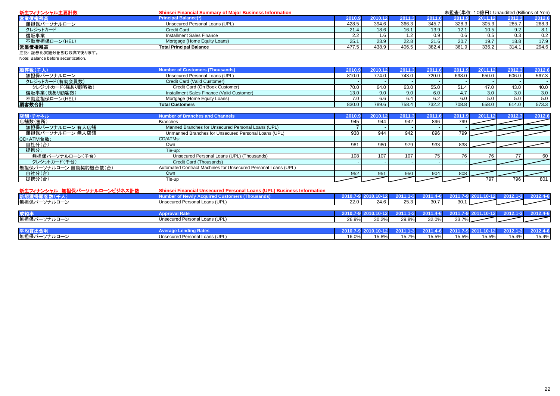| 新生フィナンシャル主要計数          | <b>Shinsei Financial Summary of Major Business Information</b> |        |       |       |          |        | 未監査(単位:10億円) Unaudited (Billions of Yen) |        |        |
|------------------------|----------------------------------------------------------------|--------|-------|-------|----------|--------|------------------------------------------|--------|--------|
| <b>齸業債権残高</b>          | <b>Principal Balance(*)</b>                                    | 2010.9 |       |       | ا 2011.6 | 2011.9 | 2011.12                                  | 2012.3 | 2012.6 |
| 無担保パーソナルローン            | Unsecured Personal Loans (UPL)                                 | 428.5  | 394.6 | 366.3 | 345.7    | 328.3  | 305.3                                    | 285.7  | 268.3  |
| クレジットカード               | Credit Card                                                    | 21.4   | 18.6  | 16.1  | 13.9     | 12.1   | 10.5                                     | 9.2    | 8.1    |
| 信販事業                   | Installment Sales Finance                                      | 2.2    |       |       | 0.9      | 0.6    | 0.5                                      | 0.3    | 0.2    |
| 不動産担保ローン(HEL)          | Mortgage (Home Equity Loans)                                   | 25.7   | 23.9  | 22.8  | 21.6     | 20.7   | 19.7                                     | 18.8   | 17.9   |
| 営業債権残高                 | <b>Total Principal Balance</b>                                 | 477.5  | 438.9 | 406.5 | 382.4    | 361.9  | 336.2                                    | 314.   | 294.6  |
| 2+51 57半ル中地ハナ合セ建吉オセリナナ |                                                                |        |       |       |          |        |                                          |        |        |

#### 注記: 証券化実施分を含む残高であります。

Note: Balance before securitization.

| 图象数(千人)          | <b>Number of Customers (Thousands)</b>     | 2010.9 | 2010.12       | 2011  | 2011.6 | 2011  | 2011112 | 2012.3 | 2012.6 |
|------------------|--------------------------------------------|--------|---------------|-------|--------|-------|---------|--------|--------|
| 無担保パーソナルローン      | Unsecured Personal Loans (UPL)             | 810.0  | 774.0         | 743.0 | 720.0  | 698.0 | 650.0   | 606.0  | 567.3  |
| クレジットカード(有効会員数)  | Credit Card (Valid Customer)               |        |               |       |        |       |         |        |        |
| クレジットカード(残あり顧客数) | Credit Card (On Book Customer)             | 70.0   | 64.0          | 63.0  | 55.0   | 51.4  | 47.0    | 43.0   | 40.0   |
| 信販事業(残あり顧客数)     | Installment Sales Finance (Valid Customer) | 13.0   | $9.0^{\circ}$ | 9.0   | 6.0    | 4.7   | 3.0     | 3.0    | 3.0    |
| 不動産担保ローン(HEL)    | Mortgage (Home Equity Loans)               | 7.0    | 6.6           |       |        | 6.0   | 5.0     | 5.0    | 5.0    |
| 顧客数合計            | <b>Total Customers</b>                     | 830.0  | 789.6         | 758.4 | 732.2  | 708.8 | 658.0   | 614.0  | 573.3  |

| 店舗・チャネル                | <b>Number of Branches and Channels</b>                         | 2010.9 | 2010.12 | 2011.3 | 2011.6 | 2011 | 2011.12 | 2012.3 | 2012.6 |
|------------------------|----------------------------------------------------------------|--------|---------|--------|--------|------|---------|--------|--------|
| 店舗数(箇所)                | <b>Branches</b>                                                | 945    | 944     | 942    | 896    | 799  |         |        |        |
| 無担保パーソナルローン 有人店舗       | Manned Branches for Unsecured Personal Loans (UPL)             |        |         |        |        |      |         |        |        |
| 無担保パーソナルローン 無人店舗       | Unmanned Branches for Unsecured Personal Loans (UPL)           | 938    | 944     | 942    | 896    | 799  |         |        |        |
| CD·ATM台数:              | CD/ATMs:                                                       |        |         |        |        |      |         |        |        |
| 自社分(台)                 | Own                                                            | 981    | 980     | 979    | 933    | 838  |         |        |        |
| 提携分:                   | Tie-up:                                                        |        |         |        |        |      |         |        |        |
| 無担保パーソナルローン(千台)        | Unsecured Personal Loans (UPL) (Thousands)                     | 108    | 107     | 107    |        |      | 76      | 77     | 60     |
| クレジットカード(千台)           | Credit Card (Thousands)                                        |        |         |        |        |      |         |        |        |
| 無担保パーソナルローン 自動契約機台数(台) | Automated Contract Machines for Unsecured Personal Loans (UPL) |        |         |        |        |      |         |        |        |
| 自社分(台)                 | Own                                                            | 952    | 951     | 950    | 904    | 808  |         |        |        |
| 提携分(台)                 | Tie-up                                                         |        |         |        |        |      | 797     | 796    | 801    |

| 新生フィナンシャル 無担保パーソナルローンビジネス計数 | <b>Shinsei Financial Unsecured Personal Loans (UPL) Business Information</b> |       |                     |       |       |                                                         |       |       |          |
|-----------------------------|------------------------------------------------------------------------------|-------|---------------------|-------|-------|---------------------------------------------------------|-------|-------|----------|
| 新規獲得顧客数(千人)                 | <b>Number of Newly Acquired Customers (Thousands)</b>                        |       | 2010.7-9 2010.10-12 |       |       | 2011.1-3 2011.4-6 2011.7-9 2011.10-12 2012.1-3 2012.4-6 |       |       |          |
| 無担保パーソナルローン                 | Unsecured Personal Loans (UPL)                                               | 22.0  | 24.6                | 25.3  | 30.7  | 30.1                                                    |       |       |          |
|                             |                                                                              |       |                     |       |       |                                                         |       |       |          |
| 成約率                         | <b>Approval Rate</b>                                                         |       | 2010.7-9 2010.10-12 |       |       | 2011.1-3 2011.4-6 2011.7-9 2011.10-12 2012.1-3 2012.4-6 |       |       |          |
| 無担保パーソナルローン                 | Unsecured Personal Loans (UPL)                                               | 26.9% | 30.2%               | 29.8% | 32.0% | 33.7%                                                   |       |       |          |
|                             |                                                                              |       |                     |       |       |                                                         |       |       |          |
| 平均貸出金利                      | <b>Average Lending Rates</b>                                                 |       | 2010.7-9 2010.10-12 |       |       | 2011.1-3 2011.4-6 2011.7-9 2011.10-12 2012.1-3          |       |       | 2012.4-6 |
| 無担保パーソナルローン                 | Unsecured Personal Loans (UPL)                                               | 16.0% | 15.8%               | 15.7% | 15.5% | 15.5%                                                   | 15.5% | 15.4% | 15.4%    |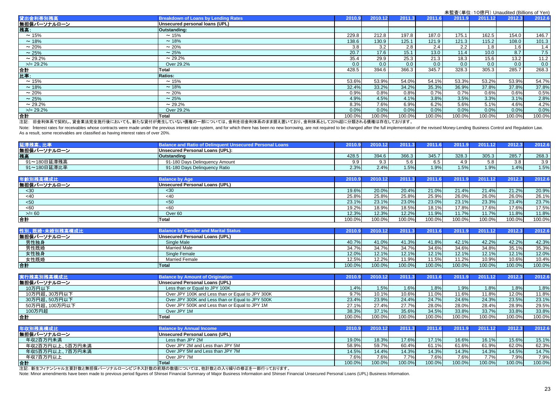| 貸出金利帯別残高     | <b>Breakdown of Loans by Lending Rates</b>                                                               | 2010.9 | 2010.12 | 2011.3 | 2011.6 | 2011.9 | 2011.12 | 2012.3 | 2012.6 |
|--------------|----------------------------------------------------------------------------------------------------------|--------|---------|--------|--------|--------|---------|--------|--------|
| 無担保パーソナルローン  | Unsecured personal loans (UPL)                                                                           |        |         |        |        |        |         |        |        |
| 残高:          | Outstanding:                                                                                             |        |         |        |        |        |         |        |        |
| $\sim$ 15%   | $\sim$ 15%                                                                                               | 229.8  | 212.8   | 197.8  | 187.0  | 175.1  | 162.5   | 154.0  | 146.7  |
| $\sim$ 18%   | $\sim$ 18%                                                                                               | 138.6  | 130.9   | 125.1  | 121.9  | 121.3  | 115.2   | 108.0  | 101.3  |
| $\sim$ 20%   | $\sim 20\%$                                                                                              | 3.8    | 3.2     | 2.8    | 2.4    | 2.2    | 1.8     | 1.6    | 1.4    |
| $\sim$ 25%   | $\sim$ 25%                                                                                               | 20.7   | 17.6    | 15.1   | 13.0   | 11.4   | 10.0    | 8.7    | 7.5    |
| $\sim$ 29.2% | $\sim$ 29.2%                                                                                             | 35.4   | 29.9    | 25.3   | 21.3   | 18.3   | 15.6    | 13.2   | 11.2   |
| $>$ /= 29.2% | Over 29.2%                                                                                               | 0.0    | 0.0     | 0.0    | 0.0    | 0.0    | 0.0     | 0.0    | 0.0    |
| 合計           | Total                                                                                                    | 428.5  | 394.6   | 366.3  | 345.7  | 328.3  | 305.3   | 285.7  | 268.3  |
| 比率:          | <b>Ratios:</b>                                                                                           |        |         |        |        |        |         |        |        |
| $\sim$ 15%   | $\sim$ 15%                                                                                               | 53.6%  | 53.9%   | 54.0%  | 54.1%  | 53.3%  | 53.2%   | 53.9%  | 54.7%  |
| $\sim$ 18%   | $\sim$ 18%                                                                                               | 32.4%  | 33.2%   | 34.2%  | 35.3%  | 36.9%  | 37.8%   | 37.8%  | 37.8%  |
| $\sim$ 20%   | $\sim 20\%$                                                                                              | 0.9%   | 0.8%    | 0.8%   | 0.7%   | 0.7%   | 0.6%    | 0.6%   | 0.5%   |
| $\sim$ 25%   | $\sim$ 25%                                                                                               | 4.9%   | 4.5%    | 4.1%   | 3.8%   | 3.5%   | 3.3%    | 3.1%   | 2.8%   |
| $\sim$ 29.2% | $\sim$ 29.2%                                                                                             | 8.3%   | 7.6%    | 6.9%   | 6.2%   | 5.6%   | 5.1%    | 4.6%   | 4.2%   |
| $>$ /= 29.2% | Over 29.2%                                                                                               | 0.0%   | 0.0%    | 0.0%   | 0.0%   | 0.0%   | 0.0%    | 0.0%   | 0.0%   |
| 合計           | Total                                                                                                    | 100.0% | 100.0%  | 100.0% | 100.0% | 100.0% | 100.0%  | 100.0% | 100.0% |
|              | 33.5m,原人和什么一切从广,他人要让古人让卢劝《同行》(1)就让我做过这就让广大心理地看,她是"1)"(1),人和王原人和什么无主道?四○"三同"(大和什么,不但不了,三个好!也不是让"三国"(1)"王主 |        |         |        |        |        |         |        |        |

注記: 旧金利体系で契約し、貸金業法完全施行後においても、新たな貸付が発生していない債権の一部については、金利を旧金利体系のまま据え置いており、金利体系として20%超に分類される債権は存在しております。

Note: Interest rates for receivables whose contracts were made under the previous interest rate system, and for which there has been no new borrowing, are not required to be changed after the full implementation of the rev As a result, some receivables are classified as having interest rates of over 20%.

| 延滞残         | Balance and Ratio of Delinguent Unsecured Personal Loans ، |       |       |       |       |       |       | 2012.3 | 2012.6 |
|-------------|------------------------------------------------------------|-------|-------|-------|-------|-------|-------|--------|--------|
| 無担保パーソナルローン | Unsecured Personal Loans (UPL):                            |       |       |       |       |       |       |        |        |
| 残高          | Outstanding                                                | 428.5 | 394.6 | 366.3 | 345.7 | 328.3 | 305.3 | 285.7  | 268.3  |
| 91~180日延滞残高 | 91-180 Davs Delinguency Amount                             | 9.9   | 9.3   |       |       |       | 5.8   | 3.8    | 3.9    |
| 91~180日延滞比率 | 91-180 Davs Delinguency Ratio                              | 2.3%  | 2.4%  | 1.5%  | 1.9%  | 1.5%  | 1.9%  | 1.4%   | 1.5%   |
|             |                                                            |       |       |       |       |       |       |        |        |

| 年齡別残高構成比    | <b>Balance by Age</b>          | 2010.9 | 2010.12 | 2011.3 |        | 2011.9 | 2011.12 | 2012.3 | 2012.6 |
|-------------|--------------------------------|--------|---------|--------|--------|--------|---------|--------|--------|
| 無担保パーソナルローン | Unsecured Personal Loans (UPL) |        |         |        |        |        |         |        |        |
| $30$        | $30$                           | 19.6%  | 20.0%   | 20.4%  | 21.0%  | 21.4%  | 21.4%   | 21.2%  | 20.9%  |
| <40         | <40                            | 25.8%  | 25.8%   | 25.8%  | 25.9%  | 26.0%  | 26.0%   | 26.0%  | 26.1%  |
| < 50        | $50$                           | 23.1%  | 23.1%   | 23.0%  | 23.0%  | 23.1%  | 23.3%   | 23.4%  | 23.7%  |
| < 60        | <60                            | 19.2%  | 18.9%   | 18.5%  | 18.1%  | 17.8%  | 17.6%   | 17.6%  | 17.5%  |
| $>/- 60$    | Over 60                        | 12.3%  | 12.3%   | 12.2%  | 11.9%  | 11.7%  | 11.7%   | 11.8%  | 11.8%  |
| 合計          | Total                          | 100.0% | 100.0%  | 100.0% | 100.0% | 100.0% | 100.0%  | 100.0% | 100.0% |

| 性別、既婚·未婚別残高構成比 | <b>Balance by Gender and Marital Status</b> | 2010   | 2010.12 | 2011.  | 2011.6 | 2011.9 | 2011.12 | 2012.3 | 2012.6 |
|----------------|---------------------------------------------|--------|---------|--------|--------|--------|---------|--------|--------|
| 無担保パーソナルローン    | Unsecured Personal Loans (UPL)              |        |         |        |        |        |         |        |        |
| 男性独身           | Single Male                                 | 40.7%  | 41.0%   | 41.3%  | 41.8%  | 42.1%  | 42.2%   | 42.2%  | 42.3%  |
| 男性既婚           | <b>Married Male</b>                         | 34.7%  | 34.7%   | 34.7%  | 34.6%  | 34.6%  | 34.8%   | 35.1%  | 35.3%  |
| 女性独身           | Single Female                               | 12.0%  | 12.1%   | 12.1%  | 12.1%  | 12.1%  | 12.1%   | 12.1%  | 12.0%  |
| 女性既婚           | <b>Married Female</b>                       | 12.5%  | 12.2%   | 11.9%  | 11.5%  | 11.2%  | 10.9%   | 10.6%  | 10.4%  |
| 合計             | Total                                       | 100.0% | 100.0%  | 100.0% | 100.0% | 100.0% | 100.0%  | 100.0% | 100.0% |

| 実行残高別残高構成比    | <b>Balance by Amount of Origination</b>          | 2010.9 | 2010.12 | 2011.3 | 2011.6 | 2011   | 2011.12 | 2012.3 | 2012.6 |
|---------------|--------------------------------------------------|--------|---------|--------|--------|--------|---------|--------|--------|
| 無担保パーソナルローン   | Unsecured Personal Loans (UPL)                   |        |         |        |        |        |         |        |        |
| 10万円以下        | Less than or Equal to JPY 100K                   | 1.4%   | .5%     | 1.6%   | 1.8%   | 1.9%   | 1.8%    | 1.8%   | 1.8%   |
| 10万円超、30万円以下  | Over JPY 100K and Less than or Equal to JPY 300K | 9.7%   | 10.1%   | 10.6%  | 11.0%  | 11.6%  | 11.8%   | 12.0%  | 11.8%  |
| 30万円超、50万円以下  | Over JPY 300K and Less than or Equal to JPY 500K | 23.4%  | 23.9%   | 24.4%  | 24.7%  | 24.6%  | 24.3%   | 23.5%  | 23.1%  |
| 50万円超、100万円以下 | Over JPY 500K and Less than or Equal to JPY 1M   | 27.1%  | 27.4%   | 27.7%  | 28.0%  | 28.0%  | 28.4%   | 28.9%  | 29.5%  |
| 100万円超        | Over JPY 1M                                      | 38.3%  | 37.1%   | 35.6%  | 34.5%  | 33.8%  | 33.7%   | 33.8%  | 33.8%  |
| 合計            | Total                                            | 100.0% | 100.0%  | 100.0% | 100.0% | 100.0% | 100.0%  | 100.0% | 100.0% |

| 年収別残高構成比                                                                                                                                                                                                                          | <b>Balance by Annual Income</b>  | 2010.9 | 2010.12 | 2011.3 | 2011.6 | 2011.9 | 2011.12 | 2012.3   | 2012.6 |
|-----------------------------------------------------------------------------------------------------------------------------------------------------------------------------------------------------------------------------------|----------------------------------|--------|---------|--------|--------|--------|---------|----------|--------|
| 無担保パーソナルローン                                                                                                                                                                                                                       | Unsecured Personal Loans (UPL)   |        |         |        |        |        |         |          |        |
| 年収2百万円未満                                                                                                                                                                                                                          | Less than JPY 2M                 | 19.0%  | 18.3%   | 17.6%  | 17.1%  | 16.6%  | 16.1%   | $15.6\%$ | 15.1%  |
| 年収2百万円以上、5百万円未満                                                                                                                                                                                                                   | Over JPY 2M and Less than JPY 5M | 58.9%  | 59.7%   | 60.4%  | 61.1%  | 61.6%  | 61.9%   | 62.0%    | 62.3%  |
| 年収5百万円以上、7百万円未満                                                                                                                                                                                                                   | Over JPY 5M and Less than JPY 7M | 14.5%  | 14.4%   | 14.3%  | 14.3%  | 14.3%  | 14.3%   | 14.5%    | 14.7%  |
| 年収7百万円以上                                                                                                                                                                                                                          | Over JPY 7M                      | 7.6%   | 7.6%    | 770%   | 7.6%   | 7.6%   | 7.7%    | 7.9%     | 7.9%   |
| 合計                                                                                                                                                                                                                                | Total                            | 100.0% | 100.0%  | 100.0% | 100.0% | 100.0% | 100.0%  | 100.0%   | 100.0% |
| $\alpha$ . The change of the contract of the contract of the contract of the contract of the contract of the contract of the contract of the contract of the contract of the contract of the contract of the contract of the cont |                                  |        |         |        |        |        |         |          |        |

注記: 新生フィナンシャル主要計数と無担保パーソナルローンビジネス計数の前期の数値については、他計数との入り繰りの修正を一部行っております。

Note: Minor amendments have been made to previous period figures of Shinsei Financial Summary of Major Business Information and Shinsei Financial Unsecured Personal Loans (UPL) Business Information.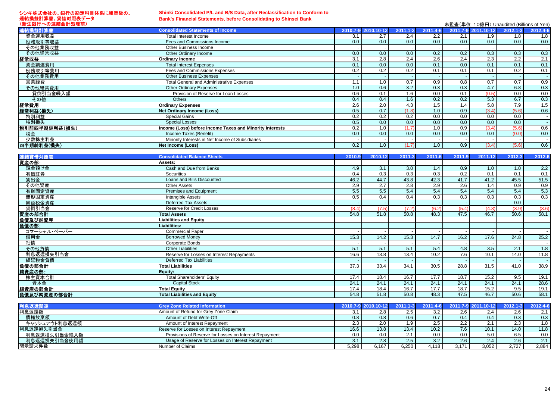#### シンキ株式会社の、銀行の勘定科目体系に組替後の、 連結損益計算書、貸借対照表データ (新生銀行への連結会計処理前)

# **Shinki Consolidated P/L and B/S Data, after Reclassification to Conform to**

**Bank's Financial Statements, before Consolidating to Shinsei Bank**

| (新生銀行への連結会計処理前) |                                                          |     |                     |              |                  |     | 未監査(単位: 10億円) Unaudited (Billions of Yen) |              |          |
|-----------------|----------------------------------------------------------|-----|---------------------|--------------|------------------|-----|-------------------------------------------|--------------|----------|
| 連結損益計算書         | <b>Consolidated Statements of Income</b>                 |     | 2010.7-9 2010.10-12 | $2011.1 - 3$ | 2011.4-6         |     | 2011.7-9 2011.10-12                       | $2012.1 - 3$ | 2012.4-6 |
| 資金運用収益          | Total Interest Income                                    | 3.1 | 2.7                 | 2.4          | 2.2              | 2.1 | 1.9                                       | 1.8          | 1.8      |
| 役務取引等収益         | Fees and Commissions Income                              | 0.0 | 0.0                 | 0.0          | 0.0              | 0.0 | 0.0                                       | 0.0          | 0.0      |
| その他業務収益         | Other Business Income                                    |     |                     |              |                  |     |                                           |              |          |
| その他経常収益         | Other Ordinary Income                                    | 0.0 | 0.0                 | 0.0          | 0.2              | 0.2 | 0.3                                       | 0.3          | 0.3      |
| 経常収益            | <b>Ordinary Income</b>                                   | 3.1 | 2.8                 | 2.4          | $2.\overline{6}$ | 2.4 | 2.3                                       | 2.2          | 2.1      |
| 資金調達費用          | <b>Total Interest Expenses</b>                           | 0.1 | 0.0 <sub>1</sub>    | 0.0          | 0.1              | 0.0 | 0.1                                       | 0.1          | 0.1      |
| 役務取引等費用         | Fees and Commissions Expenses                            | 0.2 | 0.2                 | 0.2          | 0.1              | 0.1 | 0.1                                       | 0.2          | 0.1      |
| その他業務費用         | <b>Other Business Expenses</b>                           |     |                     |              |                  |     |                                           |              |          |
| 営業経費            | <b>Total General and Administrative Expenses</b>         | 1.1 | 1.0                 | 0.7          | 0.9              | 0.8 | 0.7                                       | 0.7          | 0.9      |
| その他経常費用         | <b>Other Ordinary Expenses</b>                           | 1.0 | 0.6                 | 3.2          | 0.3              | 0.3 | 4.7                                       | 6.8          | 0.3      |
| 貸倒引当金繰入額        | Provision of Reserve for Loan Losses                     | 0.6 | 0.1                 | 1.6          | 0.0              | 0.1 | (0.5)                                     | 0.0          | 0.0      |
| その他             | <b>Others</b>                                            | 0.4 | 0.4                 | 1.6          | 0.2              | 0.2 | 5.3                                       | 6.7          | 0.3      |
| 経常費用            | <b>Ordinary Expenses</b>                                 | 2.6 | 2.0                 | 4.3          | 1.5              | 1.4 | 5.8                                       | 7.9          | 1.5      |
| 経常利益(損失)        | <b>Net Ordinary Income (Loss)</b>                        | 0.5 | 0.7                 | (1.8)        | 1.0              | 0.9 | (3.4)                                     | (5.6)        | 0.6      |
| 特別利益            | <b>Special Gains</b>                                     | 0.2 | 0.2                 | 0.2          | 0.0              | 0.0 | 0.0                                       | 0.0          |          |
| 特別損失            | <b>Special Losses</b>                                    | 0.5 | 0.0                 | 0.0          | 0.0              | 0.0 | 0.0                                       | 0.0          |          |
| 税引前四半期純利益(損失)   | Income (Loss) before Income Taxes and Minority Interests | 0.2 | 1.0                 | (1.7)        | 1.0              | 0.9 | (3.4)                                     | (5.6)        | 0.6      |
| 税金              | Income Taxes (Benefit)                                   | 0.0 | 0.0                 | 0.0          | 0.0              | 0.0 | 0.0                                       | (0.0)        | 0.0      |
| 少数株主利益          | Minority Interests in Net Income of Subsidiaries         |     |                     |              |                  |     |                                           |              |          |
| 四半期純利益(損失)      | <b>Net Income (Loss)</b>                                 | 0.2 | 1.0                 | (1.7)        |                  | 0.9 | (3.4)                                     | (5.6)        | 0.6      |

| 連結貸借対照表                       | <b>Consolidated Balance Sheets</b>        | 2010.9 | 2010.12             | 2011.3       | 2011.6   | 2011.9           | 2011.12             | 2012.3       | 2012.6   |
|-------------------------------|-------------------------------------------|--------|---------------------|--------------|----------|------------------|---------------------|--------------|----------|
| 資産の部:                         | Assets:                                   |        |                     |              |          |                  |                     |              |          |
| 現金預け金                         | Cash and Due from Banks                   | 4.9    | 3.1                 | 3.0          | 1.4      | 0.9              | 1.0                 | 1.0          | 2.2      |
| 有価証券                          | <b>Securities</b>                         | 0.4    | 0.3                 | 0.3          | 0.3      | 0.2              | 0.1                 | 0.1          | 0.1      |
| 貸出金                           | Loans and Bills Discounted                | 46.2   | 44.7                | 43.8         | 42.3     | 41.7             | 41.2                | 45.5         | 51.5     |
| その他資産                         | <b>Other Assets</b>                       | 2.9    | 2.7                 | 2.8          | 2.9      | 2.6              | 1.4                 | 0.9          | 0.9      |
| 有形固定資産                        | Premises and Equipment                    | 5.5    | 5.5                 | 5.4          | 5.4      | 5.4              | 5.4                 | 5.4          | 5.3      |
| 無形固定資産                        | <b>Intangible Assets</b>                  | 0.5    | 0.4                 | 0.4          | 0.3      | 0.3              | 0.3                 | 0.3          | 0.3      |
| 繰延税金資産                        | Deferred Tax Assets                       |        |                     |              |          |                  |                     | 0.0          |          |
| 貸倒引当金                         | <b>Reserve for Credit Losses</b>          | (8.4)  | (7.5)               | (7.2)        | (6.2)    | (5.4)            | (4.3)               | (3.9)        | (3.6)    |
| 資産の部合計                        | <b>Total Assets</b>                       | 54.8   | 51.8                | 50.8         | 48.3     | 47.5             | 46.7                | 50.6         | 58.1     |
| 負債及び純資産                       | Liabilities and Equity                    |        |                     |              |          |                  |                     |              |          |
| 負債の部:                         | Liabilities:                              |        |                     |              |          |                  |                     |              |          |
| コマーシャル・ペーパー                   | <b>Commercial Paper</b>                   |        |                     |              |          |                  |                     |              |          |
| 借用金                           | <b>Borrowed Monev</b>                     | 15.3   | 14.2                | 15.3         | 14.7     | 16.2             | 17.6                | 24.8         | 25.2     |
| 社債                            | Corporate Bonds                           |        |                     |              |          |                  |                     |              |          |
| その他負債                         | <b>Other Liabilities</b>                  | 5.1    | 5.1                 | 5.1          | 5.4      | 4.8              | 3.5                 | 2.1          | 1.8      |
| 利息返還損失引当金                     | Reserve for Losses on Interest Repayments | 16.6   | 13.8                | 13.4         | 10.2     | $\overline{7.6}$ | 10.1                | 14.0         | 11.8     |
| 繰延税金負債                        | <b>Deferred Tax Liabilities</b>           |        |                     |              |          |                  |                     |              |          |
| 負債の部合計                        | <b>Total Liabilities</b>                  | 37.3   | 33.4                | 34.1         | 30.5     | 28.8             | 31.5                | 41.0         | 38.9     |
| 純資産の部:                        | Equity:                                   |        |                     |              |          |                  |                     |              |          |
| 株主資本合計                        | <b>Total Shareholders' Equity</b>         | 17.4   | 18.4                | 16.7         | 17.7     | 18.7             | 15.2                | 9.5          | 19.1     |
| 資本金                           | <b>Capital Stock</b>                      | 24.1   | 24.1                | 24.1         | 24.1     | 24.1             | 24.1                | 24.1         | 28.6     |
| 純資産の部合計                       | <b>Total Equity</b>                       | 17.4   | 18.4                | 16.7         | 17.7     | 18.7             | 15.2                | 9.5          | 19.1     |
| 負債及び純資産の部合計                   | <b>Total Liabilities and Equity</b>       | 54.8   | 51.8                | 50.8         | 48.3     | 47.5             | 46.7                | 50.6         | 58.1     |
|                               |                                           |        |                     |              |          |                  |                     |              |          |
| 利息返還関連                        | <b>Grey Zone Related Information</b>      |        | 2010.7-9 2010.10-12 | $2011.1 - 3$ | 2011.4-6 |                  | 2011.7-9 2011.10-12 | $2012.1 - 3$ | 2012.4-6 |
| 利息返還額                         | Amount of Refund for Grey Zone Claim      | 3.1    | 2.8                 | 2.5          | 3.2      | 2.6              | 2.4                 | 2.6          | 2.1      |
| 債権放棄額                         | Amount of Debt Write-Off                  | 0.8    | 0.8                 | 0.6          | 0.7      | 0.4              | 0.4                 | 0.3          | 0.3      |
| - - - - - - - - - - - - - - - |                                           |        |                     |              |          |                  |                     |              |          |

| 利思返遠額         | TAmount of Refund for Grey Zone Claim                  |       | 2.8   | 2.5   | 3.2   | 2.6   |                         | 2.6                  |       |
|---------------|--------------------------------------------------------|-------|-------|-------|-------|-------|-------------------------|----------------------|-------|
| 債権放棄額         | Amount of Debt Write-Off                               |       |       | 0.6   | 0.7   | 0.4   | 0.4                     | 0.3                  | 0.3   |
| キャッシュアウト利息返還額 | Amount of Interest Repayment                           |       | 2.0   |       | 2.5   | つつ    |                         | $\sim$ $\sim$<br>د.ے |       |
| 利息返還損失引当金     | Reserve for Losses on Interest Repayment               |       | 13.8  | 13.4  | 10.2  | 7.6   | 10.1                    | 14.0                 | 11.8  |
| 利息返還損失引当金繰入額  | Provisions of Reserve for Losses on Interest Repayment |       | 0.0   |       | 0.0   | 0.0   | 5.0                     | 6.5                  | 0.0   |
| 利息返還損失引当金使用額  | Usage of Reserve for Losses on Interest Repayment      |       | 2.O   | 2.5   | 3.2   | 2.6   | $\Omega$<br>$\angle$ .4 | 2.6                  |       |
| 開示請求件数        | Number of Claims                                       | 5.298 | 6.167 | 6.250 | 4.118 | 3.171 | 3.052                   | 2.727                | 2,884 |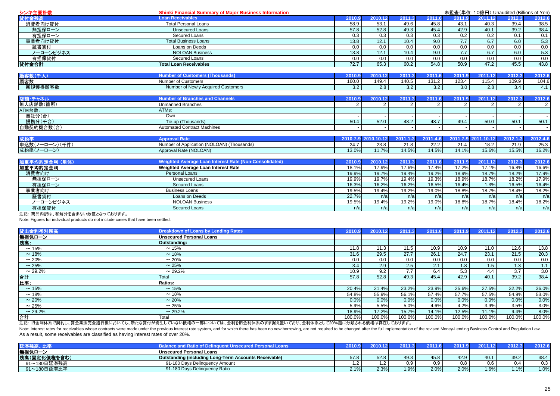| シンキ主要計数        | <b>Shinki Financial Summary of Major Business Information</b> |                     |         | 未監査(単位: 10億円) Unaudited (Billions of Yen) |                |                  |                     |              |                   |  |
|----------------|---------------------------------------------------------------|---------------------|---------|-------------------------------------------|----------------|------------------|---------------------|--------------|-------------------|--|
| 貸付金残高          | <b>Loan Receivables</b>                                       | 2010.9              | 2010.12 | 2011.3                                    | 2011.6         | 2011.9           | 2011.12             | 2012.3       | 2012.6            |  |
| 消費者向け貸付        | <b>Total Personal Loans</b>                                   | 58.9                | 53.1    | 49.6                                      | 45.8           | 43.1             | 40.3                | 39.4         | 38.5              |  |
| 無担保ローン         | <b>Unsecured Loans</b>                                        | 57.8                | 52.8    | 49.3                                      | 45.4           | 42.9             | 40.1                | 39.2         | 38.4              |  |
| 有担保ローン         | Secured Loans                                                 | 0.3                 | 0.3     | 0.3                                       | 0.3            | 0.2              | 0.2                 | 0.1          | 0.1               |  |
| 事業者向け貸付        | <b>Total Business Loans</b>                                   | 13.8                | 12.1    | 10.4                                      | 9.0            | 7.7              | 6.7                 | 6.0          | 5.3               |  |
| 証書貸付           | Loans on Deeds                                                | 0.0                 | 0.0     | 0.0                                       | 0.0            | 0.0              | 0.0                 | 0.0          | 0.0               |  |
| ノーローンビジネス      | <b>NOLOAN Business</b>                                        | 13.8                | 12.1    | 10.4                                      | 9.0            | 7.7              | 6.7                 | 6.0          | $\frac{5.3}{0.0}$ |  |
| 有担保貸付          | <b>Secured Loans</b>                                          | 0.0                 | 0.0     | 0.0                                       | 0.0            | $\overline{0.0}$ | $\overline{0.0}$    | 0.0          |                   |  |
| 貸付金合計          | <b>Total Loan Receivables</b>                                 | 72.7                | 65.3    | 60.2                                      | 54.8           | 50.9             | 47.2                | 45.5         | 43.8              |  |
|                | <b>Number of Customers (Thousands)</b>                        | 2010.9              | 2010.12 | 2011.3                                    | 2011.6         | 2011.9           | 2011.12             | 2012.3       |                   |  |
| 顧客数(千人)<br>顧客数 | <b>Number of Customers</b>                                    | 160.0               | 149.4   | 140.5                                     | 131.2          | 123.4            | 115.4               | 109.9        | 2012.6            |  |
| 新規獲得顧客数        | Number of Newly Acquired Customers                            | 3.2                 | 2.8     | 3.2                                       | 3.2            | 3.0              | 2.8                 | 3.4          | 104.6<br>4.1      |  |
|                |                                                               |                     |         |                                           |                |                  |                     |              |                   |  |
| 店舗・チャネル        | <b>Number of Branches and Channels</b>                        | 2010.9              | 2010.12 | 2011.3                                    | 2011.6         | 2011.9           | 2011.12             | 2012.3       | 2012.6            |  |
| 無人店舗数(箇所)      | <b>Unmanned Branches</b>                                      |                     |         | $\mathcal{P}$                             | $\overline{2}$ |                  | $\overline{2}$      | 2            | $\overline{2}$    |  |
| ATM台数:         | ATMs:                                                         |                     |         |                                           |                |                  |                     |              |                   |  |
| 自社分(台)         | Own                                                           |                     |         |                                           |                |                  |                     |              |                   |  |
| 提携分(千台)        | Tie-up (Thousands)                                            | 50.4                | 52.0    | 48.2                                      | 48.7           | 49.4             | 50.0                | 50.1         | 50.1              |  |
| 自動契約機台数(台)     | <b>Automated Contract Machines</b>                            |                     |         |                                           |                |                  |                     |              |                   |  |
|                |                                                               |                     |         |                                           |                |                  |                     |              |                   |  |
| 成約率            | <b>Approval Rate</b>                                          | 2010.7-9 2010.10-12 |         | $2011.1 - 3$                              | 2011.4-6       |                  | 2011.7-9 2011.10-12 | $2012.1 - 3$ | 2012.4-6          |  |
| 申込数(ノーローン)(千件) | Number of Application (NOLOAN) (Thousands)                    | 24.7                | 23.8    | 21.8                                      | 22.2           | 21.4             | 18.2                | 21.9         | 25.3              |  |
| 成約率(ノーローン)     | Approval Rate (NOLOAN)                                        | 13.0%               | 11.7%   | 14.5%                                     | 14.5%          | 14.1%            | 15.6%               | 15.5%        | 16.2%             |  |
| 加重平均約定金利 (単体)  | <b>Weighted Average Loan Interest Rate (Non-Consolidated)</b> | 2010.9              | 2010.12 | 2011.3                                    | 2011.6         | 2011.9           | 2011.12             | 2012.3       | 2012.6            |  |
| 加重平均約定金利       | Weighted Average Loan Interest Rate                           | 18.1%               | 17.9%   | 17.6%                                     | 17.4%          | 17.2%            | 17.1%               | 16.8%        | 16.6%             |  |
| 消費者向け          | Personal Loans                                                | 19.9%               | 19.7%   | 19.4%                                     | 19.2%          | 18.9%            | 18.7%               | 18.2%        | 17.9%             |  |
| 無担保ローン         | <b>Unsecured Loans</b>                                        | 19.9%               | 19.7%   | 19.4%                                     | 19.3%          | 18.9%            | 18.7%               | 18.2%        | 17.9%             |  |
| 有担保ローン         | <b>Secured Loans</b>                                          | 16.3%               | 16.2%   | 16.2%                                     | 16.5%          | 16.4%            | 1.3%                | 16.5%        | 16.4%             |  |
| 事業者向け          | <b>Business Loans</b>                                         | 19.5%               | 19.4%   | 19.2%                                     | 19.0%          | 18.8%            | $18.\overline{7\%}$ | 18.4%        | 18.2%             |  |
| 証書貸付           | Loans on Deeds                                                | 22.7%               | n/a     | n/a                                       | n/a            | n/a              | n/a                 | n/a          | n/a               |  |
| ノーローンビジネス      | <b>NOLOAN Business</b>                                        | 19.5%               | 19.4%   | 19.2%                                     | 19.0%          | 18.8%            | 18.7%               | 18.4%        | 18.2%             |  |
| 有担保貸付          | <b>Secured Loans</b>                                          | n/a                 | n/a     | n/a                                       | n/a            | n/a              | n/a                 | n/a          | n/a               |  |

注記: 商品内訳は、和解分を含まない数値となっております。

Note: Figures for individual products do not include cases that have been settled.

| 貸出金利帯別残高     | <b>Breakdown of Loans by Lending Rates</b>                                                                                                                                                                                                   | 2010.9 | 2010.12 | 2011.3 | 2011.6 | 2011.9 | 2011.12 | 2012.3           | 2012.6 |
|--------------|----------------------------------------------------------------------------------------------------------------------------------------------------------------------------------------------------------------------------------------------|--------|---------|--------|--------|--------|---------|------------------|--------|
| 無担保ローン       | <b>Unsecured Personal Loans</b>                                                                                                                                                                                                              |        |         |        |        |        |         |                  |        |
| 残高:          | Outstanding:                                                                                                                                                                                                                                 |        |         |        |        |        |         |                  |        |
| $\sim$ 15%   | $\sim$ 15%                                                                                                                                                                                                                                   | 11.8   | 11 2    | 11.5   | 10.9   | 10.9   | 11.0    | 12.6             | 13.8   |
| ~18%         | $~18\%$                                                                                                                                                                                                                                      | 31.6   | 29.5    | 27.7   | 26.1   | 24.7   | 23.1    | 21.5             | 20.3   |
| $\sim$ 20%   | $\sim 20\%$                                                                                                                                                                                                                                  | 0.0    | 0.0     | 0.0    | 0.0    | 0.0    | 0.0     | 0.0              | 0.0    |
| $\sim$ 25%   | $\sim$ 25%                                                                                                                                                                                                                                   | 3.4    | 2.9     | 2.5    | 2.1    | 1.8    | 1.5     | 1.3 <sub>1</sub> | 1.1    |
| $\sim$ 29.2% | $\sim$ 29.2%                                                                                                                                                                                                                                 | 10.9   | 9.2     | 7.7    | 6.4    | 5.3    | 4.4     | 3.7              | 3.0    |
| 合計           | Total                                                                                                                                                                                                                                        | 57.8   | 52.8    | 49.3   | 45.4   | 42.9   | 40.1    | 39.2             | 38.4   |
| 比率:          | <b>Ratios:</b>                                                                                                                                                                                                                               |        |         |        |        |        |         |                  |        |
| $\sim$ 15%   | $\sim$ 15%                                                                                                                                                                                                                                   | 20.4%  | 21.4%   | 23.2%  | 23.9%  | 25.6%  | 27.5%   | 32.2%            | 36.0%  |
| ~18%         | $\sim$ 18%                                                                                                                                                                                                                                   | 54.8%  | 55.9%   | 56.1%  | 57.4%  | 57.7%  | 57.5%   | 54.9%            | 53.0%  |
| $\sim$ 20%   | $\sim 20\%$                                                                                                                                                                                                                                  | 0.0%   | 0.0%    | 0.0%   | 0.0%   | 0.0%   | 0.0%    | 0.0%             | 0.0%   |
| $\sim 25%$   | $\sim$ 25%                                                                                                                                                                                                                                   | 5.9%   | 5.5%    | 5.0%   | 4.6%   | 4.2%   | 3.9%    | 3.5%             | 3.0%   |
| $\sim$ 29.2% | $\sim$ 29.2%                                                                                                                                                                                                                                 | 18.9%  | 17.2%   | 15.7%  | 14.1%  | 12.5%  | 11.1%   | 9.4%             | 8.0%   |
| 合計           | Total<br><u>. Lo de la componenta de la contra de la contra de la contra del contra de la contra de la contra del componenta de la contra de la contra de la contra de la contra de la contra de la contra de la contra de la contra de </u> | 100.0% | 100.0%  | 100.0% | 100.0% | 100.0% | 100.0%  | 100.0%           | 100.0% |

注記: 旧金利体系で契約し、貸金業法完全施行後においても、新たな貸付が発生していない債権の一部については、金利を旧金利体系のまま据え置いており、金利体系として20%超に分類される債権は存在しております。

Note: Interest rates for receivables whose contracts were made under the previous interest rate system, and for which there has been no new borrowing, are not required to be changed after the full implementation of the rev As a result, some receivables are classified as having interest rates of over 20%.

|              |                                                              | 2010. |      |      |      |      |      |      |      |
|--------------|--------------------------------------------------------------|-------|------|------|------|------|------|------|------|
| 無担保ローン       | <b>Unsecured Personal Loans</b>                              |       |      |      |      |      |      |      |      |
| 残高(固定化債権を含む) | <b>Outstanding (including Long-Term Accounts Receivable)</b> | 57.8  | 52.8 | 49.5 | 45.8 | 42.9 | 40.1 | 39.2 | 38.4 |
| 91~180日延滞残高  | 91-180 Davs Delinguency Amount                               | .     |      |      | 0.9  | v.c  | 0.6  | J.4  | 0.3  |
| 91~180日延滞比率  | 91-180 Days Delinguency Ratio                                | 2.1%  | 2.3% | 1.9% | 2.0% | 2.0% | 1.6% | 1.1% | 1.0% |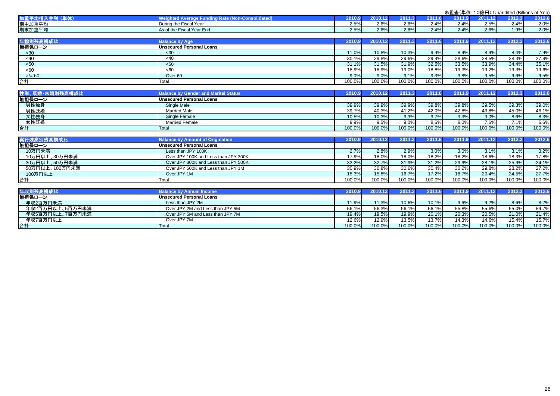|                 |                                                         |        |         |        |        |        | 未監査(単位: 10億円) Unaudited (Billions of Yen) |        |        |
|-----------------|---------------------------------------------------------|--------|---------|--------|--------|--------|-------------------------------------------|--------|--------|
| 加重平均借入金利 (単体)   | <b>Weighted Average Funding Rate (Non-Consolidated)</b> | 2010.9 | 2010.12 | 2011.3 | 2011.6 | 2011.9 | 2011.12                                   | 2012.3 | 2012.6 |
| 期中加重平均          | During the Fiscal Year                                  | 2.5%   | 2.6%    | 2.6%   | 2.4%   | 2.4%   | 2.5%                                      | 2.4%   | 2.0%   |
| 期末加重平均          | As of the Fiscal Year End                               | 2.5%   | 2.6%    | 2.6%   | 2.4%   | 2.4%   | 2.6%                                      | 1.9%   | 2.0%   |
| 年齢別残高横成比        | <b>Balance by Age</b>                                   | 2010.9 | 2010.12 | 2011.3 | 2011.6 | 2011.9 | 2011.12                                   | 2012.3 | 2012.6 |
| 無担保ローン          | <b>Unsecured Personal Loans</b>                         |        |         |        |        |        |                                           |        |        |
| <30             | $30$                                                    | 11.0%  | 10.8%   | 10.3%  | 9.9%   | 8.9%   | 8.9%                                      | 8.4%   | 7.9%   |
| <40             | <40                                                     | 30.1%  | 29.8%   | 29.6%  | 29.4%  | 28.6%  | 28.5%                                     | 28.3%  | 27.9%  |
| < 50            | $50$                                                    | 31.1%  | 31.5%   | 31.9%  | 32.5%  | 33.5%  | 33.9%                                     | 34.4%  | 35.1%  |
| <60             | 50 <sub>60</sub>                                        | 18.9%  | 18.9%   | 19.0%  | 18.8%  | 19.3%  | 19.2%                                     | 19.3%  | 19.6%  |
| $>$ /= 60       | Over <sub>60</sub>                                      | 9.0%   | 9.0%    | 9.1%   | 9.3%   | 9.8%   | 9.5%                                      | 9.6%   | 9.5%   |
| 合計              | Total                                                   | 100.0% | 100.0%  | 100.0% | 100.0% | 100.0% | 100.0%                                    | 100.0% | 100.0% |
|                 |                                                         |        |         |        |        |        |                                           |        |        |
| 性別、既婚·未婚別残高構成比  | <b>Balance by Gender and Marital Status</b>             | 2010.9 | 2010.12 | 2011.3 | 2011.6 | 2011.9 | 2011.12                                   | 2012.3 | 2012.6 |
| 無担保ローン          | <b>Unsecured Personal Loans</b>                         |        |         |        |        |        |                                           |        |        |
| 男性独身            | Single Male                                             | 39.9%  | 39.9%   | 39.9%  | 39.8%  | 39.8%  | 39.5%                                     | 39.3%  | 39.0%  |
| 男性既婚            | <b>Married Male</b>                                     | 39.7%  | 40.3%   | 41.2%  | 42.0%  | 42.8%  | 43.8%                                     | 45.0%  | 46.1%  |
| 女性独身            | Single Female                                           | 10.5%  | 10.3%   | 9.9%   | 9.7%   | 9.3%   | 9.0%                                      | 8.6%   | 8.3%   |
| 女性既婚            | <b>Married Female</b>                                   | 9.9%   | 9.5%    | 9.0%   | 8.6%   | 8.0%   | 7.6%                                      | 7.1%   | 6.6%   |
| 合計              | Total                                                   | 100.0% | 100.0%  | 100.0% | 100.0% | 100.0% | 100.0%                                    | 100.0% | 100.0% |
|                 |                                                         |        |         |        |        |        |                                           |        |        |
| 実行残高別残高構成比      | <b>Balance by Amount of Origination</b>                 | 2010.9 | 2010.12 | 2011.3 | 2011.6 | 2011.9 | 2011.12                                   | 2012.3 | 2012.6 |
| 無担保ローン          | <b>Unsecured Personal Loans</b>                         |        |         |        |        |        |                                           |        |        |
| 10万円未満          | Less than JPY 100K                                      | 2.7%   | 2.8%    | 2.9%   | 3.0%   | 3.0%   | 3.1%                                      | 3.1%   | 3.2%   |
| 10万円以上、30万円未満   | Over JPY 100K and Less than JPY 300K                    | 17.9%  | 18.0%   | 18.0%  | 18.2%  | 18.2%  | 18.6%                                     | 18.3%  | 17.8%  |
| 30万円以上、50万円未満   | Over JPY 300K and Less than JPY 500K                    | 33.2%  | 32.7%   | 31.9%  | 31.2%  | 29.9%  | 28.1%                                     | 25.9%  | 24.1%  |
| 50万円以上、100万円未満  | Over JPY 500K and Less than JPY 1M                      | 30.9%  | 30.8%   | 30.6%  | 30.4%  | 30.2%  | 29.8%                                     | 28.2%  | 27.2%  |
| 100万円以上         | Over JPY 1M                                             | 15.3%  | 15.8%   | 16.7%  | 17.2%  | 18.7%  | 20.4%                                     | 24.5%  | 27.7%  |
| 合計              | Total                                                   | 100.0% | 100.0%  | 100.0% | 100.0% | 100.0% | 100.0%                                    | 100.0% | 100.0% |
| 年収別残高横成比        | <b>Balance by Annual Income</b>                         | 2010.9 | 2010.12 | 2011.3 | 2011.6 | 2011.9 | 2011.12                                   | 2012.3 | 2012.6 |
| 無担保ローン          | <b>Unsecured Personal Loans</b>                         |        |         |        |        |        |                                           |        |        |
| 年収2百万円未満        | Less than JPY 2M                                        | 11.9%  | 11.3%   | 10.6%  | 10.1%  | 9.6%   | 9.2%                                      | 8.6%   | 8.2%   |
| 年収2百万円以上、5百万円未満 | Over JPY 2M and Less than JPY 5M                        | 56.1%  | 56.3%   | 56.1%  | 56.1%  | 55.8%  | 55.6%                                     | 55.0%  | 54.7%  |
| 年収5百万円以上、7百万円未満 | Over JPY 5M and Less than JPY 7M                        | 19.4%  | 19.5%   | 19.9%  | 20.1%  | 20.3%  | 20.5%                                     | 21.0%  | 21.4%  |
| 年収7百万円以上        | Over JPY 7M                                             | 12.6%  | 12.9%   | 13.5%  | 13.7%  | 14.3%  | 14.6%                                     | 15.4%  | 15.7%  |
| 合計              | <b>Total</b>                                            | 100.0% | 100.0%  | 100.0% | 100.0% | 100.0% | 100.0%                                    | 100.0% | 100.0% |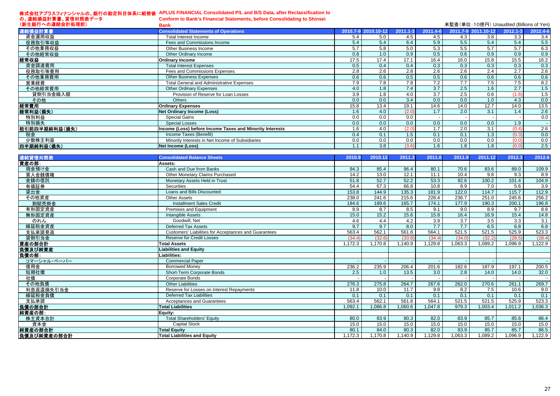# 株式会社アプラスフィナンシャルの、銀行の勘定科目体系に組替後 **APLUS FINANCIAL Consolidated P/L and B/S Data, after Reclassification to**

| の、連結損益計算書、貸借対照表データ<br>(新生銀行への連結会計処理前) | Conform to Bank's Financial Statements, before Consolidating to Shinsei<br>Bank |                                       |  |
|---------------------------------------|---------------------------------------------------------------------------------|---------------------------------------|--|
| 連結損益計算書                               | onsolidated Statements of Operations                                            | 2010.7-9 2010.10-12 2011.1-3 2011.4-0 |  |

| 連結損益計算書       | <b>Consolidated Statements of Operations</b>             |      | 2010.7-9 2010.10-12 |       |      |      | 2011.1-3 2011.4-6 2011.7-9 2011.10-12 | $2012.1 - 3$ | 2012.4-6 |
|---------------|----------------------------------------------------------|------|---------------------|-------|------|------|---------------------------------------|--------------|----------|
| 資金運用収益        | Total Interest Income                                    | 5.4  | 5.0                 | 4.5   | 4.5  | 4.3  | 3.8                                   | 3.3          | 3.4      |
| 役務取引等収益       | Fees and Commissions Income                              | 5.4  | 5.4                 | 6.4   | 5.9  | 5.5  | 5.4                                   | 5.4          | 5.5      |
| その他業務収益       | Other Business Income                                    | 5.7  | 5.8                 | 5.0   | 5.3  | 5.5  | 5.7                                   | 5.7          | 6.3      |
| その他経常収益       | Other Ordinary Income                                    | 0.8  | 1.0                 | 0.9   | 0.5  | 0.6  | 0.9                                   | 0.9          | 0.9      |
| 経常収益          | Ordinary Income                                          | 17.5 | 17.4                | 17.1  | 16.4 | 16.0 | 15.8                                  | 15.5         | 16.2     |
| 資金調達費用        | <b>Total Interest Expenses</b>                           | 0.5  | 0.4                 | 0.4   | 0.3  | 0.3  | 0.3                                   | 0.3          | 0.3      |
| 役務取引等費用       | Fees and Commissions Expenses                            | 2.8  | 2.6                 | 2.8   | 2.6  | 2.6  | 2.4                                   | 2.7          | 2.6      |
| その他業務費用       | <b>Other Business Expenses</b>                           | 0.6  | 0.6                 | 0.5   | 0.5  | 0.6  | 0.6                                   | 0.6          | 0.6      |
| 営業経費          | <b>Total General and Administrative Expenses</b>         | 7.9  | 7.8                 | 7.8   | 7.2  | 7.7  | 7.5                                   | 7.5          | 8.2      |
| その他経常費用       | <b>Other Ordinary Expenses</b>                           | 4.0  | 1.8                 | 7.4   | 3.7  | 2.5  | 1.6                                   | 2.7          | 1.5      |
| 貸倒引当金繰入額      | Provision of Reserve for Loan Losses                     | 3.9  | 1.8                 | 4.0   | 3.7  | 2.5  | 0.6                                   | (1.6)        | 1.5      |
| その他           | <b>Others</b>                                            | 0.0  | 0.0                 | 3.4   | 0.0  | 0.0  | 1.0                                   | 4.3          | 0.0      |
| 経常費用          | <b>Ordinary Expenses</b>                                 | 15.8 | 13.4                | 19.1  | 14.6 | 14.0 | 12.7                                  | 14.0         | 13.5     |
| 経常利益(損失)      | <b>Net Ordinary Income (Loss)</b>                        | 1.6  | 4.0                 | (2.0) | 1.7  | 2.0  | 3.1                                   | 1.4          | 2.6      |
| 特別利益          | Special Gains                                            | 0.0  | 0.0                 | 0.0   |      |      |                                       |              | 0.0      |
| 特別損失          | <b>Special Losses</b>                                    | 0.0  | 0.0                 | 0.0   | 0.0  | 0.0  | 0.0                                   | 1.9          |          |
| 税引前四半期純利益(損失) | Income (Loss) before Income Taxes and Minority Interests | 1.6  | 4.0                 | (2.0) | 1.7  | 2.0  | 3.1                                   | (0.4)        | 2.6      |
| 税金            | Income Taxes (Benefit)                                   | 0.4  | 0.1                 | 1.5   | 0.1  | 0.1  | 1.3                                   | (0.3)        | 0.0      |
| 少数株主利益        | Minority Interests in Net Income of Subsidiaries         | 0.0  | 0.0                 | 0.0   | 0.0  | 0.0  | 0.0                                   | (0.0)        | 0.0      |
| 四半期純利益(損失)    | Net Income (Loss)                                        |      | 3.8                 | (3.6) | 1.6  | 1.8  | 1.8                                   | (0.0)        | 2.5      |

| 連結貸借対照表     | <b>Consolidated Balance Sheets</b>                    | 2010.9  | 2010.12 | 2011.3  | 2011.6  | 2011.9           | 2011.12          | 2012.3           | 2012.6  |
|-------------|-------------------------------------------------------|---------|---------|---------|---------|------------------|------------------|------------------|---------|
| 資産の部:       | Assets:                                               |         |         |         |         |                  |                  |                  |         |
| 現金預け金       | Cash and Due from Banks                               | 94.3    | 85.4    | 96.4    | 80.1    | 70.6             | 83.6             | 89.0             | 109.9   |
| 買入金銭債権      | Other Monetary Claims Purchased                       | 14.2    | 13.0    | 12.1    | 11.1    | 10.4             | 9.8              | 9.3              | 8.9     |
| 金銭の信託       | Monetary Assets Held in Trust                         | 51.8    | 52.7    | 52.2    | 53.3    | 92.6             | 100.2            | 101.4            | 104.9   |
| 有価証券        | <b>Securities</b>                                     | 54.4    | 67.3    | 66.8    | 10.8    | 8.9              | 7.0              | 5.6              | 3.9     |
| 貸出金         | Loans and Bills Discounted                            | 153.8   | 144.9   | 135.3   | 181.9   | 122.0            | 114.7            | 115.7            | 112.9   |
| その他資産       | <b>Other Assets</b>                                   | 238.0   | 241.6   | 215.6   | 228.4   | 236.7            | 251.0            | 245.6            | 256.2   |
| 割賦売掛金       | <b>Installment Sales Credit</b>                       | 184.6   | 189.6   | 165.7   | 174.1   | 177.9            | 190.3            | 200.1            | 196.8   |
| 有形固定資産      | Premises and Equipment                                | 8.9     | 8.7     | 8.5     | 9.1     | 9.0              | 8.9              | 9.7              | 8.8     |
| 無形固定資産      | <b>Intangible Assets</b>                              | 15.0    | 15.2    | 15.6    | 15.8    | 16.4             | 16.9             | 15.4             | 14.8    |
| のれん         | Goodwill, Net                                         | 4.6     | 4.4     | 4.2     | 3.9     | $\overline{3.7}$ | $\overline{3.5}$ | $\overline{3.3}$ | 3.1     |
| 繰延税金資産      | <b>Deferred Tax Assets</b>                            | 9.7     | 9.7     | 8.0     | 7.7     | 7.7              | 6.5              | 6.8              | 6.8     |
| 支払承諾見返      | Customers' Liabilities for Acceptances and Guarantees | 563.4   | 562.1   | 561.8   | 564.1   | 521.5            | 521.5            | 525.9            | 523.3   |
| 貸倒引当金       | <b>Reserve for Credit Losses</b>                      | (34.4)  | (32.6)  | (33.8)  | (34.4)  | (34.0)           | (32.2)           | (28.5)           | (28.4)  |
| 資産の部合計      | <b>Total Assets</b>                                   | 1.172.3 | 1.170.8 | 1.140.9 | 1,129.8 | 1,063.3          | 1.089.2          | 1.096.9          | 1,122.9 |
| 負債及び純資産     | <b>Liabilities and Equity</b>                         |         |         |         |         |                  |                  |                  |         |
| 負債の部:       | Liabilities:                                          |         |         |         |         |                  |                  |                  |         |
| コマーシャル・ペーパー | <b>Commercial Paper</b>                               |         |         |         |         |                  |                  |                  |         |
| 借用金         | <b>Borrowed Money</b>                                 | 236.2   | 235.9   | 206.4   | 201.6   | 182.6            | 187.9            | 197.1            | 200.5   |
| 短期社債        | Short-Term Corporate Bonds                            | 2.5     | 1.0     | 13.5    | 3.0     | 2.8              | 14.0             | 14.0             | 32.0    |
| 社債          | <b>Corporate Bonds</b>                                |         |         |         |         |                  |                  |                  |         |
| その他負債       | <b>Other Liabilities</b>                              | 276.3   | 275.8   | 264.7   | 267.6   | 262.0            | 270.6            | 261.1            | 269.7   |
| 利息返還損失引当金   | Reserve for Losses on Interest Repayments             | 11.8    | 10.0    | 11.7    | 9.8     | 8.2              | 7.5              | 10.6             | 9.0     |
| 繰延税金負債      | <b>Deferred Tax Liabilities</b>                       | 0.1     | 0.1     | 0.1     | 0.1     | 0.1              | 0.1              | 0.1              | 0.1     |
| 支払承諾        | <b>Acceptances and Guarantees</b>                     | 563.4   | 562.1   | 561.8   | 564.1   | 521.5            | 521.5            | 525.9            | 523.3   |
| 負債の部合計      | <b>Total Liabilities</b>                              | 1,092.  | 8.880,1 | 1,060.6 | 1,047.8 | 979.3            | 1,003.4          | 1,011.2          | 1,036.3 |
| 純資産の部:      | Equity:                                               |         |         |         |         |                  |                  |                  |         |
| 株主資本合計      | <b>Total Shareholders' Equity</b>                     | 80.0    | 83.9    | 80.3    | 82.0    | 83.9             | 85.7             | 85.6             | 86.4    |
| 資本金         | <b>Capital Stock</b>                                  | 15.0    | 15.0    | 15.0    | 15.0    | 15.0             | 15.0             | 15.0             | 15.0    |
| 純資産の部合計     | <b>Total Equity</b>                                   | 80.1    | 84.0    | 80.3    | 82.0    | 83.9             | 85.7             | 85.7             | 86.5    |
| 負債及び純資産の部合計 | <b>Total Liabilities and Equity</b>                   | 1,172.3 | 1,170.8 | 1,140.9 | .129.8  | 1,063.3          | ,089.2           | 1,096.9          | 1,122.9 |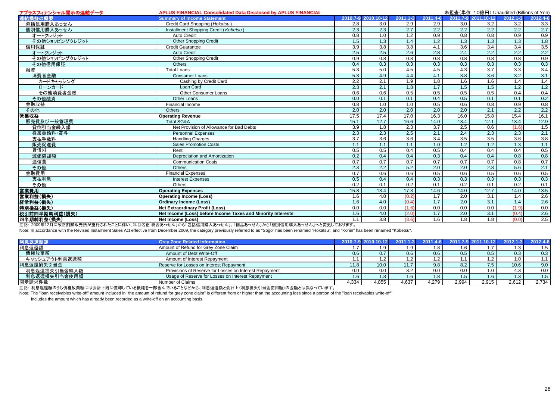| アプラスフィナンシャル開示の連結データ | <b>APLUS FINANCIAL Consolidated Data Disclosed by APLUS FINANCIAL</b> |                  |                     |                  |                  |                  | 未監査(単位: 10億円) Unaudited (Billions of Yen) |                  |                                                                                                          |
|---------------------|-----------------------------------------------------------------------|------------------|---------------------|------------------|------------------|------------------|-------------------------------------------|------------------|----------------------------------------------------------------------------------------------------------|
| 連結損益の概要             | <b>Summary of Income Statement</b>                                    |                  | 2010.7-9 2010.10-12 | 2011.1-3         | 2011.4-6         |                  | 2011.7-9 2011.10-12                       | $2012.1 - 3$     | 2012.4-6                                                                                                 |
| 包括信用購入あっせん          | Credit Card Shopping (Hokatsu)                                        | 2.8              | 3.0                 | 2.9              | 2.9              | 3.0              | $\overline{3.2}$                          | 3.2              | $\frac{3.3}{2.7}$                                                                                        |
| 個別信用購入あっせん          | Installment Shopping Credit (Kobetsu)                                 | 2.3              | 2.3                 | 2.7              | 2.2              | 2.2              | 2.2                                       | 2.2              |                                                                                                          |
| オートクレジット            | Auto Credit                                                           | 0.8              | 1.0                 | 1.2              | 0.9              | 0.8              | 0.8                                       | 0.9              |                                                                                                          |
| その他ショッピングクレジット      | <b>Other Shopping Credit</b>                                          | 1.5              | 1.3                 | 1.4              | 1.2              | 1.3              | 1.3                                       | 1.3              |                                                                                                          |
| 信用保証                | <b>Credit Guarantee</b>                                               | 3.9              | $\overline{3.8}$    | $\overline{3.8}$ | 4.1              | 3.6              | 3.4                                       | 3.4              |                                                                                                          |
| オートクレジット            | <b>Auto Credit</b>                                                    | 2.5              | 2.5                 | 2.6              | 2.8              | 2.4              | 2.2                                       | 2.2              | $\begin{array}{r} 0.9 \\ \hline 1.8 \\ 3.5 \\ \hline 2.2 \\ 0.9 \\ 0.3 \\ 3.4 \\ \hline 3.1 \end{array}$ |
| その他ショッピングクレジット      | <b>Other Shopping Credit</b>                                          | 0.9              | 0.8                 | 0.8              | 0.8              | 0.8              | 0.8                                       | 0.8              |                                                                                                          |
| その他信用保証             | <b>Others</b>                                                         | 0.4              | 0.3                 | 0.3              | 0.3              | 0.3              | 0.3                                       | 0.3              |                                                                                                          |
| 融資                  | Total Loans                                                           | 5.3              | 5.0                 | 4.5              | 4.5              | 4.3              | 3.7                                       | 3.3              |                                                                                                          |
| 消費者金融               | <b>Consumer Loans</b>                                                 | 5.3              | 4.9                 | 4.4              | 4.1              | $\overline{3.8}$ | 3.6                                       | 3.2              |                                                                                                          |
| カードキャッシング           | Cashing by Credit Card                                                | 2.2              | 2.1                 | 1.9              | 1.8              | 1.6              | 1.6                                       | 1.4              | 1.4                                                                                                      |
| ローンカード              | Loan Card                                                             | $\overline{2.3}$ | 2.1                 | 1.8              | 1.7              | 1.5              | 1.5                                       | $\overline{1.2}$ | 1.2                                                                                                      |
| その他消費者金融            | Other Consumer Loans                                                  | 0.6              | 0.6                 | 0.5              | 0.5              | 0.5              | 0.5                                       | 0.4              |                                                                                                          |
| その他融資               | Other Loans                                                           | 0.0              | 0.1                 | 0.1              | 0.4              | 0.5              | 0.1                                       | 0.1              |                                                                                                          |
| 金融収益                | Financial Income                                                      | 0.8              | 1.0                 | 1.0              | 0.5              | 0.6              | 0.8                                       | 0.9              |                                                                                                          |
| その他                 | Others                                                                | $\overline{2.0}$ | $\overline{2.0}$    | 2.0              | 2.0              | 2.0              | 2.1                                       | 2.2              |                                                                                                          |
| 営業収益                | <b>Operating Revenue</b>                                              | 17.5             | 17.4                | 17.0             | 16.3             | 16.0             | 15.8                                      | 15.4             | $\begin{array}{r} \hline 0.4 \\ \hline 0.2 \\ \hline 0.8 \\ \hline 2.2 \\ \hline 16.1 \end{array}$       |
| 販売費及び一般管理費          | <b>Total SG&amp;A</b>                                                 | 15.1             | 12.7                | 16.6             | 14.0             | 13.4             | 12.1                                      | 13.4             | $\frac{12.9}{1.5}$                                                                                       |
| 貸倒引当金繰入額            | Net Provision of Allowance for Bad Debts                              | 3.9              | 1.8                 | 2.3              | $\overline{3.7}$ | 2.5              | 0.6                                       | (1.6)            |                                                                                                          |
| 従業員給料·賞与            | <b>Personnel Expenses</b>                                             | 2.3              | 2.3                 | 2.5              | 2.1              | 2.4              | 2.3                                       | 2.3              |                                                                                                          |
| 支払手数料               | <b>Handling Charges</b>                                               | $\overline{3.7}$ | 3.6                 | 3.6              | 3.4              | 3.5              | 3.5                                       | 3.6              | $\frac{3.8}{1.1}$                                                                                        |
| 販売促進費               | <b>Sales Promotion Costs</b>                                          | 1.1              | 1.1                 | 1.1              | 1.0              | 1.2              | 1.2                                       | 1.3              |                                                                                                          |
| 賃借料                 | Rent                                                                  | 0.5              | 0.5                 | 0.4              | 0.5              | 0.4              | 0.4                                       | 0.4              |                                                                                                          |
| 減価償却額               | Depreciation and Amortization                                         | 0.2              | 0.4                 | 0.4              | 0.3              | 0.4              | 0.4                                       | 0.8              |                                                                                                          |
| 通信費                 | <b>Communication Costs</b>                                            | 0.7              | 0.7                 | 0.7              | 0.7              | 0.7              | 0.7                                       | 0.8              | $\frac{0.5}{0.8}$<br>$\frac{0.8}{0.7}$                                                                   |
| その他                 | Others                                                                | 2.3              | 2.2                 | 5.2              | 2.0              | 2.0              | 2.8                                       | 5.6              |                                                                                                          |
| 金融費用                | Financial Expenses                                                    | 0.7              | 0.6                 | 0.6              | 0.5              | 0.6              | 0.5                                       | 0.6              |                                                                                                          |
| 支払利息                | <b>Interest Expenses</b>                                              | 0.5              | 0.4                 | 0.4              | 0.3              | 0.3              | 0.3                                       | 0.3              |                                                                                                          |
| その他                 | Others                                                                | 0.2              | 0.1                 | $\overline{0.2}$ | 0.1              | $\overline{0.2}$ | 0.1                                       | $\overline{0.2}$ | $\frac{0.5}{0.3}$<br>0.1                                                                                 |
| 営業費用                | <b>Operating Expenses</b>                                             | 15.8             | 13.4                | 17.3             | 14.6             | 14.0             | 12.7                                      | 14.0             | 13.5                                                                                                     |
| 営業利益(損失)            | <b>Operating Income (Loss)</b>                                        | 1.6              | 4.0                 | (0.2)            | $\overline{1.7}$ | 2.0              | $\overline{3.1}$                          | 1.4              |                                                                                                          |
| 経常利益(損失)            | <b>Ordinary Income (Loss)</b>                                         | 1.6              | 4.0                 | (0.4)            | $\overline{1.7}$ | $\overline{2.0}$ | $\overline{3.1}$                          | 1.4              | $\frac{2.6}{2.6}$                                                                                        |
| 特別損益(損失)            | <b>Net Extraordinary Profit (Loss)</b>                                | 0.0              | 0.0                 | (1.6)            | 0.0              | 0.0              | 0.0                                       | (1.9)            |                                                                                                          |
| 税引前四半期純利益(損失)       | Net Income (Loss) before Income Taxes and Minority Interests          | 1.6              | 4.0                 | (2.0)            | 1.7              | 2.0              | 3.1                                       | (0.4)            | $\frac{0.0}{2.6}$<br>$\frac{2.6}{2.5}$                                                                   |
| 四半期純利益(損失)          | <b>Net Income (Loss)</b>                                              | 1.1              | $\overline{3.8}$    | (3.6)            | 1.6              | 1.8              | 1.8                                       | (0.0)            |                                                                                                          |

注記: 2009年12月に改正割賦販売法が施行されたことに伴い、科目名を「総合あっせん」から「包括信用購入あっせん」、「個品あっせん」から「個別信用購入あっせん」へと変更しております。

Note: In accordance with the Revised Installment Sales Act effective from December 2009, the category previously referred to as "Sogo" has been renamed "Hokatsu", and "Kohin" has been renamed "Kobetsu".

| 利息返還関連        | <b>Grey Zone Related Information</b>                   |       | 2010.7-9 2010.10-12 |          |       |       | 2011.1-3 2011.4-6 2011.7-9 2011.10-12 |       | 2012.1-3 2012.4-6 |
|---------------|--------------------------------------------------------|-------|---------------------|----------|-------|-------|---------------------------------------|-------|-------------------|
| 利息返還額         | Amount of Refund for Grey Zone Claim                   |       |                     |          |       | 1.O   |                                       |       |                   |
| 債権放棄額         | Amount of Debt Write-Off                               | 0.6   |                     | 0.6      | 0.6   | 0.5   | $0.5\,$                               | 0.3   | 0.3               |
| キャッシュアウト利息返還額 | Amount of Interest Repayment                           |       |                     |          |       |       | י י                                   |       |                   |
| 利息返還損失引当金     | Reserve for Losses on Interest Repayment               | 11.8  | 10.0                | 44.7     | 9.8   | 8.2   | $7.5 \mid$                            | 10.6  | 9.0               |
| 利息返還損失引当金繰入額  | Provisions of Reserve for Losses on Interest Repayment | 0.0   | 0.0                 | $\Omega$ | 0.0   | 0.0   | 1.0                                   |       | 0.0               |
| 利息返還損失引当金使用額  | Usage of Reserve for Losses on Interest Repayment      | 1.6   |                     |          |       | 1.5   | 1.6 <sub>1</sub>                      |       |                   |
| 開示請求件数        | Number of Claims                                       | 4.334 | 4.855               | 4.637    | 4.279 | 2,994 | 2.915                                 | 2.612 | 2,734             |

注記: 利息返還額のうち債権放棄額には会計上既に償却している債権を一部含んでいることなどから、利息返還額と会計上(利息損失引当金使用額)の金額とは異なっています。

Note: The "loan receivables write-off" amount included in "the amount of refund for grey zone claim" is different from or higher than the accounting loss since a portion of the "loan receivables write-off"

includes the amount which has already been recorded as a write-off on an accounting basis.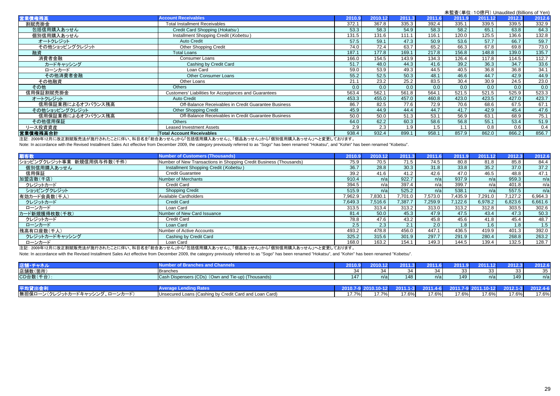|                   |                                                       |        |         |        |        |        |         | 未監査(単位: 10億円) Unaudited (Billions of Yen) |        |
|-------------------|-------------------------------------------------------|--------|---------|--------|--------|--------|---------|-------------------------------------------|--------|
| 営業債権残高            | <b>Account Receivables</b>                            | 2010.9 | 2010.12 | 2011.3 | 2011.6 | 2011.9 | 2011.12 | 2012.3                                    | 2012.6 |
| 割賦売掛金             | <b>Total Installment Receivables</b>                  | 372.1  | 367.8   | 335.3  | 392.4  | 335.1  | 339.5   | 339.5                                     | 332.9  |
| 包括信用購入あっせん        | Credit Card Shopping (Hokatsu)                        | 53.3   | 58.3    | 54.9   | 58.3   | 58.2   | 65.1    | 63.8                                      | 64.3   |
| 個別信用購入あっせん        | Installment Shopping Credit (Kobetsu)                 | 131.5  | 131.6   | 111.1  | 116.1  | 120.0  | 125.5   | 136.6                                     | 132.8  |
| オートクレジット          | <b>Auto Credit</b>                                    | 57.5   | 59.1    | 47.3   | 50.9   | 53.6   | 57.7    | 66.7                                      | 59.7   |
| その他ショッピングクレジット    | <b>Other Shopping Credit</b>                          | 74.0   | 72.4    | 63.7   | 65.2   | 66.3   | 67.8    | 69.8                                      | 73.0   |
| 融資                | <b>Total Loans</b>                                    | 187.1  | 177.8   | 169.1  | 217.8  | 156.8  | 148.8   | 139.0                                     | 135.7  |
| 消費者金融             | <b>Consumer Loans</b>                                 | 166.0  | 154.5   | 143.9  | 134.3  | 126.4  | 117.8   | 114.5                                     | 112.7  |
| カードキャッシング         | Cashing by Credit Card                                | 51.7   | 48.0    | 44.3   | 41.6   | 39.2   | 36.3    | 34.7                                      | 33.6   |
| ローンカード            | Loan Card                                             | 59.0   | 53.9    | 49.3   | 44.5   | 40.5   | 36.8    | 36.8                                      | 34.1   |
| その他消費者金融          | <b>Other Consumer Loans</b>                           | 55.2   | 52.5    | 50.3   | 48.1   | 46.6   | 44.7    | 42.9                                      | 44.9   |
| その他融資             | Other Loans                                           | 21.1   | 23.2    | 25.2   | 83.5   | 30.4   | 30.9    | 24.5                                      | 23.0   |
| その他               | <b>Others</b>                                         | 0.0    | 0.0     | 0.0    | 0.0    | 0.0    | 0.0     | 0.0                                       | 0.0    |
| 信用保証割賦売掛金         | Customers' Liabilities for Acceptances and Guarantees | 563.4  | 562.1   | 561.8  | 564.1  | 521.5  | 521.5   | 525.9                                     | 523.3  |
| オートクレジット          | <b>Auto Credit</b>                                    | 453.3  | 455.0   | 457.0  | 460.8  | 423.0  | 423.5   | 427.0                                     | 423.7  |
| 信用保証業務によるオフバランス残高 | Off-Balance Receivables in Credit Guarantee Business  | 86.7   | 82.5    | 77.6   | 72.9   | 70.6   | 68.6    | 67.5                                      | 67.1   |
| その他ショッピングクレジット    | <b>Other Shopping Credit</b>                          | 45.9   | 44.9    | 44.4   | 44.7   | 41.7   | 42.9    | 45.4                                      | 47.6   |
| 信用保証業務によるオフバランス残高 | Off-Balance Receivables in Credit Guarantee Business  | 50.0   | 50.0    | 51.3   | 53.1   | 56.9   | 63.1    | 68.9                                      | 75.1   |
| その他信用保証           | <b>Others</b>                                         | 64.0   | 62.2    | 60.3   | 58.6   | 56.8   | 55.1    | 53.4                                      | 51.9   |
| リース投資資産           | <b>Leased Investment Assets</b>                       | 2.9    | 2.3     | 1.9    | 1.5    | 1.1    | 0.8     | 0.6                                       | 0.4    |
| 営業債権残高合計          | <b>Total Account Receivables</b>                      | 938.4  | 932.4   | 899.1  | 958.1  | 857.9  | 862.0   | 866.2                                     | 856.7  |

注記: 2009年12月に改正割賦販売法が施行されたことに伴い、科目名を「総合あっせん」から「包括信用購入あっせん」、「個品あっせん」から「個別信用購入あっせん」へと変更しております。

Note: In accordance with the Revised Installment Sales Act effective from December 2009, the category previously referred to as "Sogo" has been renamed "Hokatsu", and "Kohin" has been renamed "Kobetsu".

| 順客数                        | <b>Number of Customers (Thousands)</b>                             | 2010.9  | 2010.12 | 2011.3  | 2011.6  | 2011.9  | 2011.12 | 2012.3  | 2012.6  |
|----------------------------|--------------------------------------------------------------------|---------|---------|---------|---------|---------|---------|---------|---------|
| ショッピングクレジット事業 新規信用供与件数(千件) | Number of New Transactions in Shopping Credit Business (Thousands) | 75.9    | 70.5    | 71.5    | 74.5    | 80.8    | 81.8    | 85.8    | 84.4    |
| 個別信用購入あっせん                 | Installment Shopping Credit (Kobetsu)                              | 36.7    | 28.8    | 30.3    | 31.8    | 33.8    | 35.2    | 37.0    | 37.2    |
| 信用保証                       | <b>Credit Guarantee</b>                                            | 39.2    | 41.6    | 41.2    | 42.6    | 47.0    | 46.5    | 48.8    | 47.1    |
| 加盟店数(千店)                   | <b>Number of Merchants</b>                                         | 910.4   | n/a     | 922.7   | n/a     | 937.9   | n/a     | 959.3   | n/a     |
| クレジットカード                   | <b>Credit Card</b>                                                 | 394.5   | n/al    | 397.4   | n/a     | 399.7   | n/a     | 401.8   | n/a     |
| ショッピングクレジット                | <b>Shopping Credit</b>                                             | 515.9   | n/a     | 525.2   | n/a     | 538.1   | n/a     | 557.5   | n/a     |
| 有効カード会員数(千人)               | Available Cardholders                                              | 7,962.9 | 7,830.1 | 7.701.0 | 7,573.0 | 7,435.9 | 7,291.0 | 127.2   | 6,964.3 |
| クレジットカード                   | <b>Credit Card</b>                                                 | 7,649.3 | 7.516.6 | 7.387.7 | 7,259.9 | 7.122.6 | 6,978.2 | 6,823.6 | 6,661.6 |
| ローンカード                     | Loan Card                                                          | 313.5   | 313.4   | 313.2   | 313.0   | 313.2   | 312.8   | 303.5   | 302.6   |
| カード新規獲得枚数(千枚)              | Number of New Card Issuance                                        | 81.4    | 50.0    | 45.3    | 47.9    | 47.5    | 43.4    | 47.3    | 50.3    |
| クレジットカード                   | Credit Card                                                        | 78.8    | 47.6    | 43.2    | 45.8    | 45.6    | 41.8    | 45.4    | 48.7    |
| ローンカード                     | Loan Card                                                          | 2.5     | 2.3     | 2.1     | 2.0     | 1.8     | 1.6     | 1.8     | 1.5     |
| 残高有口座数(千人)                 | Number of Active Accounts                                          | 493.2   | 478.8   | 456.0   | 447.1   | 436.5   | 419.9   | 401.3   | 392.0   |
| クレジットカードキャッシング             | Cashing by Credit Card                                             | 325.2   | 315.6   | 301.9   | 297.7   | 291.9   | 280.4   | 268.8   | 263.2   |
| ローンカード                     | Loan Card                                                          | 168.0   | 163.2   | 154.1   | 149.3   | 144.5   | 139.4   | 132.5   | 128.7   |

注記: 2009年12月に改正割賦販売法が施行されたことに伴い、科目名を「総合あっせん」から「包括信用購入あっせん」、「個品あっせん」から「個別信用購入あっせん」へと変更しております。

Note: In accordance with the Revised Installment Sales Act effective from December 2009, the category previously referred to as "Sogo" has been renamed "Hokatsu", and "Kohin" has been renamed "Kohetsu".

| 店舗 チャネ    |                                                       | <b>DOMA</b> THE | 2010.12<br>$\sim$ | 2011 | 2011 | 2011                   | 121      |          | 2012.6     |
|-----------|-------------------------------------------------------|-----------------|-------------------|------|------|------------------------|----------|----------|------------|
| 店舗数(箇所)   | <b>Branches</b>                                       | $\sim$<br>⊬ت    |                   |      |      | $\sim$<br>$\sim$<br>ບບ | າາ<br>၁၁ | 22<br>ບບ | $ -$<br>ບບ |
| CD台数(千台): | Cash Dispensers (CDs)<br>(Own and Tie-up) (Thousands) | 147             | n/a               | 148  | n/al | 149                    | n/a      | 149      | n/a        |
|           |                                                       |                 |                   |      |      |                        |          |          |            |
| 平均貸出金     | a Kates<br>Average L                                  | 2010.7          |                   | 40 T |      |                        |          | 2012.1   | 2012.4-6   |

| 平均貸出                                                            |                                                                                        |                                           |                   | 21 1 1 |       |       |       |       | 2012.4-6 |
|-----------------------------------------------------------------|----------------------------------------------------------------------------------------|-------------------------------------------|-------------------|--------|-------|-------|-------|-------|----------|
| 無担保ローン<br>ン(クレジットカードキャッシング、<br>$\overline{\phantom{a}}$<br>ンカート | n by Credit v<br>Card and Loa<br>(Card)<br>l Inconurad I<br>⊺ ∩on<br>nans<br>…ashin^ ∶ | $\sim$ $\sim$ $\sim$ $\sim$ $\sim$ $\sim$ | $\rightarrow - -$ | 17.6%  | 17.6% | 17.6% | 17.6% | 17.6% | 17.6%    |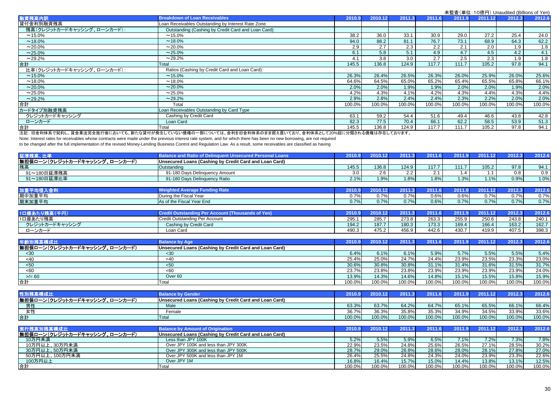|                            |                                                     |        |         |        |        | $\lambda = \frac{1}{2}$ and $\lambda = \frac{1}{2}$ and $\lambda = \frac{1}{2}$ and $\lambda = \frac{1}{2}$ and $\lambda = \frac{1}{2}$ |         |        |        |
|----------------------------|-----------------------------------------------------|--------|---------|--------|--------|-----------------------------------------------------------------------------------------------------------------------------------------|---------|--------|--------|
| 融資残高内訳                     | <b>Breakdown of Loan Receivables</b>                | 2010.9 | 2010.12 | 2011.3 | 2011.6 | 2011.9                                                                                                                                  | 2011.12 | 2012.3 | 2012.6 |
| 貸付金利別融資残高                  | Loan Receivables Outstanding by Interest Rate Zone  |        |         |        |        |                                                                                                                                         |         |        |        |
| 残高(クレジットカードキャッシング、ローンカード): | Outstanding (Cashing by Credit Card and Loan Card): |        |         |        |        |                                                                                                                                         |         |        |        |
| $~15.0\%$                  | $~15.0\%$                                           | 38.2   | 36.0    | 33.1   | 30.9   | 29.0                                                                                                                                    | 27.2    | 25.4   | 24.0   |
| $~18.0\%$                  | $~18.0\%$                                           | 94.0   | 88.2    | 81.1   | 76.7   | 73.1                                                                                                                                    | 68.9    | 64.3   | 62.2   |
| $~20.0\%$                  | $~20.0\%$                                           | 2.9    | 2.7     | 2.3    | 2.2    | 2.1                                                                                                                                     | 2.0     | 1.9    | 1.8    |
| $~25.0\%$                  | $~25.0\%$                                           | 6.1    | 5.8     | 5.1    | 4.9    | 4.7                                                                                                                                     | 4.5     | 4.2    | 4.1    |
| $~29.2\%$                  | ~29.2%                                              | 4.1    | 3.8     | 3.0    | 2.7    | 2.5                                                                                                                                     | 2.3     | 1.9    | 1.8    |
| 合計                         | Total                                               | 145.5  | 136.8   | 124.9  | 117.7  | 111.7                                                                                                                                   | 105.2   | 97.8   | 94.1   |
| 比率(クレジットカードキャッシング、ローンカード): | Ratios (Cashing by Credit Card and Loan Card):      |        |         |        |        |                                                                                                                                         |         |        |        |
| $~15.0\%$                  | $~15.0\%$                                           | 26.3%  | 26.4%   | 26.5%  | 26.3%  | 26.0%                                                                                                                                   | 25.9%   | 26.0%  | 25.6%  |
| $~18.0\%$                  | $~18.0\%$                                           | 64.6%  | 64.5%   | 65.0%  | 65.2%  | 65.4%                                                                                                                                   | 65.5%   | 65.8%  | 66.1%  |
| $~20.0\%$                  | $~20.0\%$                                           | 2.0%   | 2.0%    | 1.9%   | 1.9%   | 2.0%                                                                                                                                    | 2.0%    | 1.9%   | 2.0%   |
| $~25.0\%$                  | $~25.0\%$                                           | 4.2%   | 4.3%    | 4.1%   | 4.2%   | 4.3%                                                                                                                                    | 4.4%    | 4.3%   | 4.4%   |
| $~29.2\%$                  | $~29.2\%$                                           | 2.9%   | 2.8%    | 2.4%   | 2.4%   | 2.3%                                                                                                                                    | 2.2%    | 2.0%   | 2.0%   |
| 提                          | Total                                               | 100.0% | 100.0%  | 100.0% | 100.0% | 100.0%                                                                                                                                  | 100.0%  | 100.0% | 100.0% |
| カードタイプ別融資残高                | Loan Receivables Outstanding by Card Type           |        |         |        |        |                                                                                                                                         |         |        |        |
| クレジットカードキャッシング             | Cashing by Credit Card                              | 63.1   | 59.2    | 54.4   | 51.6   | 49.4                                                                                                                                    | 46.6    | 43.8   | 42.8   |
| ローンカード                     | Loan Card                                           | 82.3   | 77.5    | 70.4   | 66.1   | 62.2                                                                                                                                    | 58.5    | 53.9   | 51.3   |
| 合計                         | Total                                               | 145.5  | 136.8   | 124.9  | 117.7  | 111.7                                                                                                                                   | 105.2   | 97.8   | 94.1   |

注記: 旧金利体系で契約し、貸金業法完全施行後においても、新たな貸付が発生していない債権の一部については、金利を旧金利体系のまま据え置いており、金利体系として20%超に分類される債権は存在しております。

Note: Interest rates for receivables whose contracts were made under the previous interest rate system, and for which there has been no new borrowing, are not required

to be changed after the full implementation of the revised Money-Lending Business Control and Regulation Law. As a result, some receivables are classified as having

| 延滞残高、比率                       | <b>Balance and Ratio of Delinquent Unsecured Personal Loans</b> | 2010.9 | 2010.12 | 2011.3 | 2011.6       | 2011.9   | 2011.12 | 2012.3 | 2012.6 |
|-------------------------------|-----------------------------------------------------------------|--------|---------|--------|--------------|----------|---------|--------|--------|
| 無担保ローン(クレジットカードキャッシング、ローンカード) | Unsecured Loans (Cashing by Credit Card and Loan Card)          |        |         |        |              |          |         |        |        |
| 残高                            | Outstanding                                                     | 145.5  | 136.8   | 124.9  | 117.7        | 111.7    | 105.2   | 97.8   | 94.1   |
| 91~180日延滞残高                   | 91-180 Days Delinguency Amount                                  | 3.0    |         | 2.2    | <u> 2. I</u> | .4       | 1.1     | 0.8    | 0.9    |
| 91~180日延滞比率                   | 91-180 Days Delinguency Ratio                                   | 2.1%   | 1.9%    | 1.8%   | 1.8%         | 1.3%     | 1.1%    | 0.9%   | 1.0%   |
|                               |                                                                 |        |         |        |              |          |         |        |        |
| 加重平均借入金利                      | <b>Weighted Average Funding Rate</b>                            | 2010.9 |         | 2011.3 |              | 2011.9 7 | 2011.12 | 2012.3 | 2012.6 |
| 期中加重平均                        | During the Fiscal Year                                          | 0.7%   | 0.7%    | 0.7%   | 0.6%         | 0.6%     | 0.7%    | 0.7%   | 0.7%   |
| 期末加重平均                        | As of the Fiscal Year End                                       | 0.7%   | 0.7%    | 0.7%   | 0.6%         | 0.7%     | 0.7%    | 0.7%   | 0.7%   |
|                               |                                                                 |        |         |        |              |          |         |        |        |

| り残高            | un vutst<br>ooun               | 2010  |                 | <b>SOO A</b><br>20 F | 664 A | 2011  |       | 20123 |       |
|----------------|--------------------------------|-------|-----------------|----------------------|-------|-------|-------|-------|-------|
| 1口座あたり残高       | Credit Outstanding Per Account | 295.  | $\sim$<br>285.7 | 273.8                | 263.3 | 255.9 | 250.6 | 243.8 | 240.1 |
| クレジットカードキャッシング | Cashing by Credit Card         | 194.2 | $107 -$         | 180.3                | 173.3 | 169.4 | 166.4 | 163.2 | 162.7 |
| ローンカー          | Loan<br>າ Card                 | 490.3 | 475.∠           | 456.9                | 442.6 | 430.7 | 419.9 | 407.5 | 398.3 |

| 年齢別残?                         | <b>Balance by Age</b>                                  | 2010.9 | 2010   | 2011   |        |        | 2011.12 | 2012.3 | 2012.6 |
|-------------------------------|--------------------------------------------------------|--------|--------|--------|--------|--------|---------|--------|--------|
| 無担保ローン(クレジットカードキャッシング、ローンカード) | Unsecured Loans (Cashing by Credit Card and Loan Card) |        |        |        |        |        |         |        |        |
| $30$                          | $30$                                                   | 6.4%   | 6.1%   | 6.1%   | 5.9%   | 5.7%   | 5.5%    | 5.5%   | 5.4%   |
| -40                           | <40                                                    | 25.4%  | 25.0%  | 24.7%  | 24.4%  | 23.9%  | 23.5%   | 23.3%  | 23.0%  |
| $50$                          | < 50                                                   | 30.6%  | 30.8%  | 30.8%  | 31.1%  | 31.4%  | 31.6%   | 31.5%  | 31.7%  |
| < 60                          | <60                                                    | 23.7%  | 23.8%  | 23.8%  | 23.9%  | 23.9%  | 23.9%   | 23.9%  | 24.0%  |
| $>= 60$                       | Over 60                                                | 13.9%  | 14.3%  | 14.6%  | 14.8%  | 15.1%  | 15.5%   | 15.8%  | 15.9%  |
| 合計                            | Total                                                  | 100.0% | 100.0% | 100.0% | 100.0% | 100.0% | 100.0%  | 100.0% | 100.0% |

| 标为什                                  | <b>Considere</b>                                       | 2010.9 |        |        |        | 2011   | 2011.12 | 0.0409 | 2012.6 |
|--------------------------------------|--------------------------------------------------------|--------|--------|--------|--------|--------|---------|--------|--------|
| 無担保ローン(クレジットカードキャッシング、ロー<br>、ローンカード) | Unsecured Loans (Cashing by Credit Card and Loan Card) |        |        |        |        |        |         |        |        |
| 男性                                   | Male                                                   | 63.3%  | 63.7%  | 64.2%  | 64.7%  | 65.1%  | 65.5%   | 66.1%  | 66.4%  |
| カツ<br>- -                            | Female                                                 | 36.7%  | 36.3%  | 35.8%  | 35.3%  | 34.9%  | 34.5%   | 33.9%  | 33.6%  |
| 合言                                   | Total                                                  | 100.0% | 100.0% | 100.0% | 100.0% | 100.0% | 100.0%  | 100.0% | 100.0% |

| 実行残高別残高構成比                    | <b>Balance by Amount of Origination</b>                | 2010.9 | 2010.12 | 2011.3 |        | 2011.9 | 2011.12 | 2012.3 | 2012.6              |
|-------------------------------|--------------------------------------------------------|--------|---------|--------|--------|--------|---------|--------|---------------------|
| 無担保ローン(クレジットカードキャッシング、ローンカード) | Unsecured Loans (Cashing by Credit Card and Loan Card) |        |         |        |        |        |         |        |                     |
| 10万円未満                        | Less than JPY 100K                                     | 5.2%   | 5.5%    | 5.9%   | 6.5%   | 7.1%   | 7.2%    | 7.3%   | 7.8%                |
| 10万円以上、30万円未満                 | Over JPY 100K and less than JPY 300K                   | 22.9%  | 23.5%   | 24.8%  | 25.6%  | 26.5%  | 27.1%   | 28.5%  | 30.2%               |
| 30万円以上、50万円未満                 | Over JPY 300K and less than JPY 500K                   | 28.7%  | 29.0%   | 28.8%  | 28.6%  | 28.0%  | 28.1%   | 27.8%  | 27.0%               |
| 50万円以上、100万円未満                | Over JPY 500K and less than JPY 1M                     | 26.4%  | 25.5%   | 24.8%  | 24.3%  | 24.0%  | 23.9%   | 23.3%  | $22.\overline{6\%}$ |
| 100万円以上                       | Over JPY 1M                                            | 16.8%  | 16.4%   | 15.7%  | 15.0%  | 14.4%  | 13.8%   | 13.1%  | 12.5%               |
| 合計                            | Total                                                  | 100.0% | 100.0%  | 100.0% | 100.0% | 100.0% | 100.0%  | 100.0% | 100.0%              |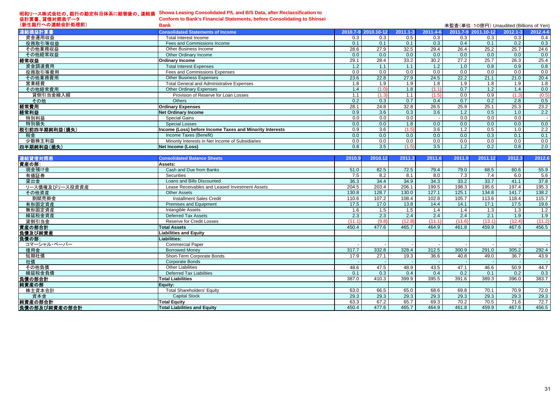#### 昭和リース株式会社の、銀行の勘定科目体系に組替後の、連結損 益計算書、貸借対照表データ **Showa Leasing Consolidated P/L and B/S Data, after Reclassification to**

| <b>Conform to Bank's Financial Statements, before Consolidating to Shinsei</b> |
|--------------------------------------------------------------------------------|
| <b>Bank</b>                                                                    |

| (新生銀行への連結会計処理前) | <b>Bank</b>                                              |      |                     |          |          | 未監査(単位: 10億円) Unaudited (Billions of Yen) |                     |          |          |
|-----------------|----------------------------------------------------------|------|---------------------|----------|----------|-------------------------------------------|---------------------|----------|----------|
| 連結損益計算書         | <b>Consolidated Statements of Income</b>                 |      | 2010.7-9 2010.10-12 | 2011.1-3 | 2011.4-6 |                                           | 2011.7-9 2011.10-12 | 2012.1-3 | 2012.4-6 |
| 資金運用収益          | Total Interest Income                                    | 0.3  | 0.3                 | 0.5      | 0.3      | 0.3                                       | 0.3                 | 0.3      | 0.4      |
| 役務取引等収益         | Fees and Commissions Income                              | 0.1  | 0.1                 | 0.1      | 0.3      | 0.4                                       | 0.1                 | 0.2      | 0.3      |
| その他業務収益         | Other Business Income                                    | 28.6 | 27.9                | 32.5     | 29.4     | 26.4                                      | 25.2                | 25.7     | 24.6     |
| その他経常収益         | Other Ordinary Income                                    | 0.0  | 0.0                 | 0.0      | 0.0      | 0.0                                       | 0.0                 | 0.0      | 0.0      |
| 経常収益            | <b>Ordinary Income</b>                                   | 29.1 | 28.4                | 33.2     | 30.2     | 27.2                                      | 25.7                | 26.3     | 25.4     |
| 資金調達費用          | <b>Total Interest Expenses</b>                           | 1.2  | 1.1                 |          | 1.2      | 1.0                                       | 0.8                 | 0.9      | 0.8      |
| 役務取引等費用         | Fees and Commissions Expenses                            | 0.0  | 0.0                 | 0.0      | 0.0      | 0.0                                       | 0.0                 | 0.0      | 0.0      |
| その他業務費用         | <b>Other Business Expenses</b>                           | 23.6 | 22.8                | 27.9     | 24.5     | 22.2                                      | 21.1                | 21.0     | 20.4     |
| 営業経費            | <b>Total General and Administrative Expenses</b>         | 1.8  | 1.9                 | 1.9      | 1.8      | 1.9                                       | 1.8                 | 1.9      | 1.8      |
| その他経常費用         | <b>Other Ordinary Expenses</b>                           | 1.4  | (1.0)               | 1.8      | (1.1)    | 0.7                                       | 1.2                 | 1.4      | 0.0      |
| 貸倒引当金繰入額        | Provision of Reserve for Loan Losses                     |      | (1.3)               |          | (1.5)    | 0.0                                       | 0.9                 | (1.3)    | (0.5)    |
| その他             | Others                                                   | 0.2  | 0.3                 | 0.7      | 0.4      | 0.7                                       | 0.2                 | 2.8      | 0.5      |
| 経常費用            | <b>Ordinary Expenses</b>                                 | 28.1 | 24.8                | 32.8     | 26.5     | 25.9                                      | 25.1                | 25.3     | 23.2     |
| 経常利益            | <b>Net Ordinary Income</b>                               | 0.9  | 3.6                 | 0.3      | 3.6      | 1.2                                       | 0.5                 | 1.0      | 2.2      |
| 特別利益            | Special Gains                                            | 0.0  | 0.0                 | 0.0      |          | 0.0                                       | 0.0                 | 0.0      |          |
| 特別損失            | Special Losses                                           | 0.0  | 0.0                 | 1.8      | 0.0      | 0.0                                       | 0.0                 | 0.0      | 0.0      |
| 税引前四半期純利益(損失)   | Income (Loss) before Income Taxes and Minority Interests | 0.9  | 3.6                 |          | 3.6      | 1.2                                       | 0.5                 | 1.0      | 2.2      |
| 税金              | Income Taxes (Benefit)                                   | 0.0  | 0.0                 | 0.0      | 0.0      | 0.0                                       | 0.3                 | 0.1      | 0.1      |
| 少数株主利益          | Minority Interests in Net Income of Subsidiaries         | 0.0  | 0.0                 | 0.0      | 0.0      | 0.0                                       | 0.0                 | 0.0      | 0.0      |
| 四半期純利益(損失)      | Net Income (Loss)                                        | 0.8  | 3.5                 | (1.5)    | 3.5      | 1.2                                       | 0.2                 | 0.8      | 2.0      |

| 連結貸借対照表        | <b>Consolidated Balance Sheets</b>             | 2010.9 | 2010.12 | 2011.3 | 2011.6 | 2011.9 | 2011.12 | 2012.3 | 2012.6 |
|----------------|------------------------------------------------|--------|---------|--------|--------|--------|---------|--------|--------|
| 資産の部:          | Assets:                                        |        |         |        |        |        |         |        |        |
| 現金預け金          | Cash and Due from Banks                        | 51.0   | 82.5    | 72.5   | 79.4   | 79.0   | 68.5    | 60.6   | 55.9   |
| 有価証券           | Securities                                     | 7.5    | 8.2     | 8.1    | 8.0    | 7.3    | 7.4     | 6.0    | 5.6    |
| 貸出金            | Loans and Bills Discounted                     | 36.3   | 34.4    | 34.9   | 34.3   | 33.2   | 33.7    | 41.1   | 37.8   |
| リース債権及びリース投資資産 | Lease Receivables and Leased Investment Assets | 204.5  | 203.4   | 206.1  | 199.5  | 198.3  | 195.6   | 197.4  | 195.3  |
| その他資産          | <b>Other Assets</b>                            | 130.8  | 128.7   | 130.0  | 127.1  | 125.1  | 134.8   | 141.7  | 138.2  |
| 割賦売掛金          | <b>Installment Sales Credit</b>                | 110.6  | 107.2   | 108.4  | 102.8  | 105.7  | 113.6   | 118.4  | 115.7  |
| 有形固定資産         | Premises and Equipment                         | 17.5   | 17.0    | 13.8   | 14.4   | 14.1   | 17.1    | 17.5   | 19.6   |
| 無形固定資産         | Intangible Assets                              | 1.6    | 1.5     | 1.5    | 1.4    | 1.4    | 1.3     | 1.3    | 1.2    |
| 繰延税金資産         | <b>Deferred Tax Assets</b>                     | 2.3    | 2.3     | 2.4    | 2.4    | 2.4    | 2.1     | 1.9    | 1.9    |
| 貸倒引当金          | <b>Reserve for Credit Losses</b>               | (11.1) | (9.8)   | (12.8) | (11.1) | (11.6) | (13.1)  | (12.4) | (11.2) |
| 資産の部合計         | <b>Total Assets</b>                            | 450.4  | 477.6   | 465.7  | 464.9  | 461.8  | 459.9   | 467.6  | 456.5  |
| 負債及び純資産        | <b>Liabilities and Equity</b>                  |        |         |        |        |        |         |        |        |
| 負債の部:          | Liabilities:                                   |        |         |        |        |        |         |        |        |
| コマーシャル・ペーパー    | <b>Commercial Paper</b>                        |        |         |        |        |        |         |        |        |
| 借用金            | <b>Borrowed Monev</b>                          | 317.7  | 332.8   | 328.4  | 312.5  | 300.9  | 291.0   | 305.2  | 292.4  |
| 短期社債           | Short-Term Corporate Bonds                     | 17.9   | 27.1    | 19.3   | 36.6   | 40.8   | 49.0    | 36.7   | 43.9   |
| 社債             | <b>Corporate Bonds</b>                         |        |         |        |        |        |         |        |        |
| その他負債          | <b>Other Liabilities</b>                       | 48.6   | 47.5    | 48.9   | 43.5   | 47.1   | 46.6    | 50.9   | 44.7   |
| 繰延税金負債         | <b>Deferred Tax Liabilities</b>                | 0.1    | 0.3     | 0.4    | 0.4    | 0.2    | 0.1     | 0.2    | 0.3    |
| 負債の部合計         | <b>Total Liabilities</b>                       | 387.0  | 410.3   | 399.9  | 395.5  | 391.6  | 389.3   | 396.0  | 383.7  |
| 純資産の部          | Equity:                                        |        |         |        |        |        |         |        |        |
| 株主資本合計         | <b>Total Shareholders' Equity</b>              | 63.0   | 66.5    | 65.0   | 68.6   | 69.8   | 70.1    | 70.9   | 72.0   |
| 資本金            | <b>Capital Stock</b>                           | 29.3   | 29.3    | 29.3   | 29.3   | 29.3   | 29.3    | 29.3   | 29.3   |
| 純資産の部合計        | <b>Total Equity</b>                            | 63.3   | 67.2    | 65.7   | 69.3   | 70.2   | 70.5    | 71.6   | 72.7   |
| 負債の部及び純資産の部合計  | <b>Total Liabilities and Equity</b>            | 450.4  | 477.6   | 465.7  | 464.9  | 461.8  | 459.9   | 467.6  | 456.5  |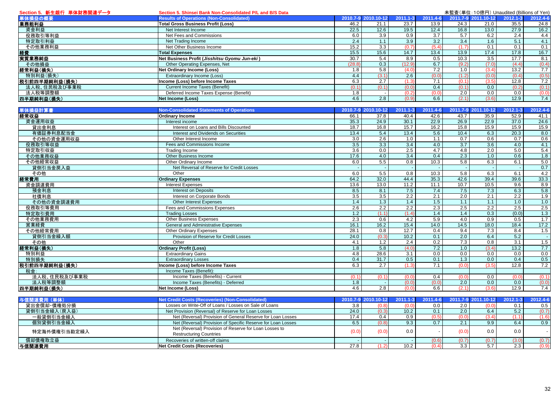| Section 5. 新生銀行 単体財務関連データ | 未監査(単位: 10億円) Unaudited (Billions of Yen)<br>Section 5. Shinsei Bank Non-Consolidated P/L and B/S Data |        |                          |                   |                  |                  |                     |                  |            |
|---------------------------|--------------------------------------------------------------------------------------------------------|--------|--------------------------|-------------------|------------------|------------------|---------------------|------------------|------------|
| 単体損益の概要                   | <b>Results of Operations (Non-Consolidated)</b>                                                        |        | 2010.7-9 2010.10-12      | 2011.1-3          | 2011.4-6         |                  | 2011.7-9 2011.10-12 | $2012.1 - 3$     | 2012.4-6   |
| 業務粗利益                     | <b>Total Gross Business Profit (Loss)</b>                                                              | 46.2   | 21.1                     | 23.7              | 13.9             | 24.3             | 21.0                | 35.5             | 24.8       |
| 資金利益                      | Net Interest Income                                                                                    | 22.5   | 12.6                     | 19.5              | 12.4             | 16.8             | 13.0                | 27.9             | 16.2       |
| 役務取引等利益                   | Net Fees and Commissions                                                                               | 6.0    | 3.9                      | 0.9               | $\overline{3.7}$ | 5.7              | 6.2                 | $\overline{2.4}$ | 4.4        |
| 特定取引利益                    | Net Trading Income                                                                                     | 2.4    | 1.1                      | 3.9               | 3.2              | $\overline{3.4}$ | 1.6                 | 5.1              | 4.1        |
| その他業務利益                   | Net Other Business Income                                                                              | 15.2   | 3.3                      | (0.7)             | (5.4)            | (1.7)            | 0.1                 | 0.1              | 0.1        |
| 経費                        | <b>Total Expenses</b>                                                                                  | 15.5   | 15.6                     | 14.7              | 13.4             | 13.9             | 17.4                | 17.8             | 16.7       |
| 実質業務純益                    | Net Business Profit (Jisshitsu Gyomu Jun-eki)                                                          | 30.7   | 5.4                      | 8.9               | 0.5              | 10.3             | 3.5                 | 17.7             | 8.1        |
| その他損益                     | Other Operating Expenses, Net                                                                          | (28.8) | 0.3                      | (12.9)            | 6.7              | (9.2)            | (7.0)               | (4.4)            | (0.4)      |
| 経常利益(損失)                  | <b>Net Ordinary Income (Loss)</b>                                                                      | 1.8    | 5.8                      | (4.0)             | 7.2              | 1.0              | (3.4)               | 13.2             | 7.7        |
| 特別利益(損失)                  | Extraordinary Income (Loss)                                                                            | 4.4    | (3.1)                    | 2.6               | (0.0)            | (1.2)            | (0.0)               | (0.4)            | (0.5)      |
| 税引前四半期純利益(損失)             | ncome (Loss) before Income Taxes                                                                       | 6.3    | 2.7                      | (1.3)             | 7.1              | (0.1)            | (3.5)               | 12.8             | 7.2        |
| 法人税、住民税及び事業税              | <b>Current Income Taxes (Benefit)</b>                                                                  | (0.1)  | (0.1)                    | (0.0)             | 0.4              | (0.1)            | 0.0                 | (0.2)            | (0.1)      |
| 法人税等調整額                   |                                                                                                        |        |                          | (0.2)             | (0.0)            | 2.0              | 0.0                 | 0.0              | (0.0)      |
|                           | Deferred Income Taxes Expense (Benefit)                                                                | 1.8    | $\overline{\phantom{a}}$ |                   |                  |                  |                     |                  |            |
| 四半期純利益(損失)                | <b>Net Income (Loss)</b>                                                                               | 4.6    | 2.8                      | (0.9)             | 6.6              | (2.1)            | (3.6)               | 12.9             | 7.4        |
| 単体損益計算書                   | <b>Non-Consolidated Statements of Operations</b>                                                       |        | 2010.7-9 2010.10-12      | $2011.1 - 3$      | 2011.4-6         |                  | 2011.7-9 2011.10-12 | 2012.1-3         | 2012.4-6   |
| 経常収益                      | <b>Ordinary Income</b>                                                                                 | 66.1   | 37.8                     | 40.4              | 42.6             | 43.7             | 35.9                | 52.9             | 41.1       |
|                           | Interest income                                                                                        | 35.3   | 24.9                     | 30.1              | 22.9             | 26.9             | 22.9                | 37.0             | 24.6       |
| 資金運用収益<br>貸出金利息           | Interest on Loans and Bills Discounted                                                                 | 18.7   | 16.8                     | 15.7              | 16.2             | 15.8             | 15.9                | 15.9             | 15.9       |
|                           | Interest and Dividends on Securities                                                                   | 13.4   | 5.4                      | 13.4              | 5.6              | 10.4             | 6.3                 | 20.3             | 8.0        |
| 有価証券利息配当金                 |                                                                                                        | 3.0    | 2.6                      | 1.0               | 1.1              | 0.7              | 0.6                 | 0.7              | 0.6        |
| その他の資金運用収益                | Other Interest Income                                                                                  |        |                          |                   |                  |                  |                     | 4.0              |            |
| 役務取引等収益                   | Fees and Commissions Income                                                                            | 3.5    | 3.3                      | 3.4               | 4.0              | 3.7              | 3.6                 | 5.0              | 4.1<br>5.4 |
| 特定取引収益                    | Trading Income                                                                                         | 3.6    | 0.0                      | 2.5               | 4.7              | 4.8              | 2.0                 |                  |            |
| その他業務収益                   | Other Business Income                                                                                  | 17.6   | 4.0                      | 3.4               | 0.4              | 2.3              | 1.0                 | 0.6              | 1.8        |
| その他経常収益                   | Other Ordinary Income                                                                                  | 6.0    | 5.5                      | 0.8               | 10.3             | 5.8              | 6.3                 | 6.1              | 5.0        |
| 貸倒引当金戻入益                  | Net Reversal of Reserve for Credit Losses                                                              |        |                          |                   |                  |                  |                     |                  | 0.7        |
| その他                       | Other                                                                                                  | 6.0    | 5.5                      | 0.8               | 10.3             | 5.8              | 6.3                 | 6.1              | 4.2        |
| 経常費用                      | <b>Ordinary Expenses</b>                                                                               | 64.2   | 32.0                     | 44.4              | 35.3             | 42.6             | 39.4                | 39.6             | 33.3       |
| 資金調達費用                    | <b>Interest Expenses</b>                                                                               | 13.6   | 13.0                     | 11.2              | 11.1             | 10.7             | 10.5                | 9.6              | 8.9        |
| 預金利息                      | <b>Interest on Deposits</b>                                                                            | 8.5    | 8.1                      | 7.5               | 7.4              | 7.5              | 7.3                 | 6.3              | 5.8        |
| 社債利息                      | Interest on Corporate Bonds                                                                            | 3.5    | 3.5                      | 2.2               | 2.1              | 2.0              | 2.1                 | 2.2              | 1.9        |
| その他の資金調達費用                | <b>Other Interest Expenses</b>                                                                         | 1.4    | 1.3                      | 1.4               | 1.5              | 1.1              | 1.1                 | 1.0              | 1.0        |
| 役務取引等費用                   | Fees and Commissions Expenses                                                                          | 2.6    | 2.2                      | 2.2               | 2.3              | 2.5              | 2.2                 | 2.5              | 2.5        |
| 特定取引費用                    | <b>Trading Losses</b>                                                                                  | 1.2    | (1.1)                    | (1.4)             | 1.4              | 1.4              | 0.3                 | (0.0)            | 1.3        |
| その他業務費用                   | <b>Other Business Expenses</b>                                                                         | 2.3    | 0.6                      | 4.2               | 5.9              | 4.0              | 0.9                 | 0.5              | 1.7        |
| 営業経費                      | General and Administrative Expenses                                                                    | 16.1   | 16.2                     | 15.4              | 14.0             | 14.5             | 18.0                | 18.4             | 17.2       |
| その他経常費用                   | <b>Other Ordinary Expenses</b>                                                                         | 28.1   | 0.8                      | 12.7              | 0.4              | 9.4              | 7.3                 | 8.4              | 1.5        |
| 貸倒引当金繰入額                  | Provision of Reserve for Credit Losses                                                                 | 24.0   | (0.3)                    | 10.2              | 0.1              | 2.0              | 6.4                 | 5.2              |            |
| その他                       | Other                                                                                                  | 4.1    | 1.2                      | 2.4               | 0.2              | 7.3              | 0.8                 | $\overline{3.1}$ | 1.5        |
| 経常利益(損失)                  | <b>Ordinary Profit (Loss)</b>                                                                          | 1.8    | 5.8                      | (4.0)             | 7.2              | 1.0              | (3.4)               | 13.2             | 7.7        |
| 特別利益                      | <b>Extraordinary Gains</b>                                                                             | 4.8    | 28.6                     | 3.1               | 0.0              | 0.0              | 0.0                 | 0.0              | 0.0        |
| 特別損失                      | <b>Extraordinary Losses</b>                                                                            | 0.4    | 31.7                     | 0.5               | 0.1              | 1.3              | 0.0                 | 0.4              | 0.5        |
| 税引前四半期純利益(損失)             | ncome (Loss) before Income Taxes                                                                       | 6.3    | 2.7                      | (1.3)             | 7.1              | (0.0)            | (3.5)               | 12.8             | 7.2        |
| 税金:                       | Income Taxes (Benefit):                                                                                |        |                          |                   |                  |                  |                     |                  |            |
| 法人税、住民税及び事業税              | Income Taxes (Benefits) - Current                                                                      | (0.1)  | (0.1)                    | (0.0)             | 0.4              | (0.0)            | 0.0                 | (0.0)            | (0.1)      |
| 法人税等調整額                   | Income Taxes (Benefits) - Deferred                                                                     | 1.8    |                          | (0.0)             | (0.0)            | 2.0              | 0.0                 | 0.0              | (0.0)      |
| 四半期純利益(損失)                | Net Income (Loss)                                                                                      | 4.6    | 2.8                      | (0.0)             | 6.6              | (2.1)            | (3.6)               | 12.9             | 7.4        |
|                           |                                                                                                        |        |                          |                   |                  |                  |                     |                  |            |
| 与信関連費用 (単体)               | <b>Net Credit Costs (Recoveries) (Non-Consolidated)</b>                                                |        | 2010.7-9 2010.10-12      | 2011.1-3<br>(0.0) | 2011.4-6         |                  | 2011.7-9 2011.10-12 | 2012.1-3         | 2012.4-6   |
| 貸出金償却·債権処分損               | Losses on Write-Off of Loans / Losses on Sale of Loans                                                 | 3.8    | (0.8)                    |                   | 0.0              | 2.0              | (0.0)               | 0.1              | 0.5        |
| 貸倒引当金繰入(戻入益)              | Net Provision (Reversal) of Reserve for Loan Losses                                                    | 24.0   | (0.3)                    | 10.2              | 0.1              | 2.0              | 6.4                 | $\overline{5.2}$ | (0.7)      |
| 一般貸倒引当金繰入                 | Net (Reversal) Provision of General Reserve for Loan Losses                                            | 17.4   | 0.4                      | 0.9               | (0.5)            | (0.0)            | (3.4)               | (1.1)            | (1.6)      |
| 個別貸倒引当金繰入                 | Net (Reversal) Provision of Specific Reserve for Loan Losses                                           | 6.5    | (0.8)                    | 9.3               | 0.7              | 2.1              | 9.9                 | 6.4              | 0.9        |
| 特定海外債権引当勘定繰入              | Net (Reversal) Provision of Reserve for Loan Losses to                                                 | (0.0)  | (0.0)                    | 0.0               |                  | (0.0)            | 0.0                 | 0.0              |            |
|                           | <b>Restructuring Countries</b>                                                                         |        |                          |                   |                  |                  |                     |                  |            |
| 償却債権取立益                   | Recoveries of written-off claims                                                                       |        |                          |                   | (0.6)            | (0.7)            | (0.7)               | (3.0)            | (0.7)      |
| 与信関連費用                    | <b>Net Credit Costs (Recoveries)</b>                                                                   | 27.8   | (1.2)                    | 10.2              | (0.4)            | 3.3              | 5.7                 | 2.3              | (0.9)      |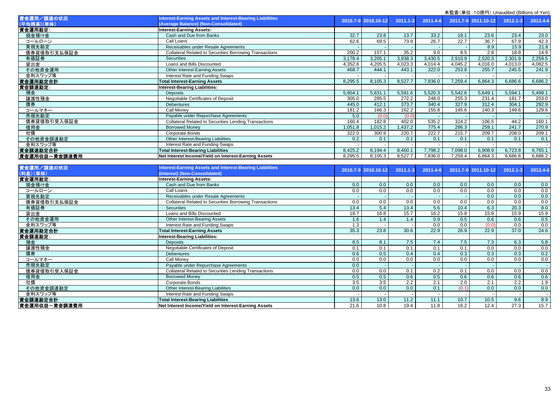| 木血且 \丰��. TOjiši ]/ Oriduulted (Dillions of Terry |                                                                                                  |         |                     |              |          |         |                     |          |          |
|---------------------------------------------------|--------------------------------------------------------------------------------------------------|---------|---------------------|--------------|----------|---------|---------------------|----------|----------|
| 資金運用/調達の状況<br>(平均残高)(単体)                          | Interest-Earning Assets and Interest-Bearing Liabilities<br>(Average Balance) (Non-Consolidated) |         | 2010.7-9 2010.10-12 | $2011.1 - 3$ | 2011.4-6 |         | 2011.7-9 2011.10-12 | 2012.1-3 | 2012.4-6 |
| 資金運用勘定:                                           | <b>Interest-Earning Assets:</b>                                                                  |         |                     |              |          |         |                     |          |          |
| 現金預け金                                             | Cash and Due from Banks                                                                          | 32.7    | 23.8                | 13.7         | 33.2     | 18.1    | 23.6                | 23.4     | 23.0     |
| コールローン                                            | Call Loans                                                                                       | 62.6    | 69.5                | 73.9         | 26.7     | 22.7    | 36.7                | 67.9     | 42.3     |
| 買現先勘定                                             | Receivables under Resale Agreements                                                              |         |                     |              |          |         | 8.9                 | 15.9     | 21.8     |
| 債券貸借取引支払保証金                                       | <b>Collateral Related to Securities Borrowing Transactions</b>                                   | 200.2   | 157.1               | 35.2         | 9.0      | 8.5     | 2.8                 | 18.8     | 14.9     |
| 有価証券                                              | <b>Securities</b>                                                                                | 3,178.4 | 3,205.1             | 3,938.3      | 3,430.5  | 2,910.9 | 2,520.3             | 2,301.9  | 2,259.5  |
| 貸出金                                               | Loans and Bills Discounted                                                                       | 4,352.6 | 4,205.5             | 4,023.3      | 4,014.4  | 4,045.2 | 4,016.0             | 4,013.0  | 4,082.5  |
| その他資金運用                                           | Other Interest-Earning Assets                                                                    | 468.7   | 444.1               | 443.1        | 322.0    | 253.8   | 255.7               | 245.5    | 241.9    |
| 金利スワップ等                                           | Interest Rate and Funding Swaps                                                                  |         |                     |              |          |         |                     |          |          |
| 資金運用勘定合計                                          | <b>Total Interest-Earning Assets</b>                                                             | 8.295.5 | 8,105.3             | 8,527.7      | 7.836.0  | 7,259.4 | 6.864.3             | 6.686.6  | 6,686.2  |
| 資金調達勘定:                                           | Interest-Bearing Liabilities:                                                                    |         |                     |              |          |         |                     |          |          |
| 預金                                                | <b>Deposits</b>                                                                                  | 5,954.1 | 5,831.1             | 5,591.6      | 5,520.3  | 5,542.6 | 5,649.1             | 5,594.1  | 5,499.1  |
| 讓渡性預金                                             | Negotiable Certificates of Deposit                                                               | 305.0   | 285.5               | 272.2        | 248.0    | 255.3   | 231.4               | 181.7    | 203.0    |
| 債券                                                | <b>Debentures</b>                                                                                | 445.0   | 412.1               | 373.7        | 340.4    | 327.9   | 312.4               | 304.1    | 292.9    |
| コールマネー                                            | Call Monev                                                                                       | 181.2   | 166.3               | 162.2        | 155.8    | 145.6   | 140.3               | 149.6    | 129.6    |
| 売現先勘定                                             | Payable under Repurchase Agreements                                                              | 5.0     | (0.0)               | (0.0)        |          |         |                     |          |          |
| 債券貸借取引受入保証金                                       | <b>Collateral Related to Securities Lending Transactions</b>                                     | 160.4   | 182.8               | 402.0        | 535.2    | 324.2   | 106.5               | 44.2     | 160.1    |
| 借用金                                               | <b>Borrowed Money</b>                                                                            | 1,051.8 | ,015.2              | ,437.2       | 775.4    | 286.3   | 259.1               | 241.7    | 270.9    |
| 社債                                                | Corporate Bonds                                                                                  | 322.0   | 300.9               | 220.7        | 222.7    | 215.7   | 209.7               | 208.0    | 209.1    |
| その他資金調達勘定                                         | Other Interest-Bearing Liabilities                                                               | 0.2     | 0.1                 | 0.1          | 0.1      | 0.1     | 0.1                 | 0.1      | 0.1      |
| 金利スワップ等                                           | Interest Rate and Funding Swaps                                                                  |         |                     |              |          |         |                     |          |          |
| 資金調達勘定合計                                          | <b>Total Interest-Bearing Liabilities</b>                                                        | 8,425.2 | 8,194.4             | 8,460.1      | 7,798.2  | 7,098.0 | 6,908.9             | 6,723.8  | 6,765.1  |
| 資金運用収益一資金調達費用                                     | Net Interest Income/Yield on Interest-Earning Assets                                             | 8,295.5 | 8,105.3             | 8,527.7      | 7,836.0  | 7,259.4 | 6,864.3             | 6,686.6  | 6,686.2  |
|                                                   |                                                                                                  |         |                     |              |          |         |                     |          |          |
| 資金運用/調達の状況                                        | nterest-Earning Assets and Interest-Bearing Liabilities                                          |         | 2010.7-9 2010.10-12 | $2011.1 - 3$ | 2011.4-6 |         | 2011.7-9 2011.10-12 | 2012.1-3 | 2012.4-6 |
| (利息)(単体)                                          | (Interest) (Non-Consolidated)                                                                    |         |                     |              |          |         |                     |          |          |
| 資金運用勘定:                                           | <b>Interest-Earning Assets:</b>                                                                  |         |                     |              |          |         |                     |          |          |
| 現金預け金                                             | Cash and Due from Banks                                                                          | 0.0     | 0.0                 | 0.0          | 0.0      | 0.0     | 0.0                 | 0.0      | 0.0      |

| 貫金連用勘定:       | Interest-Earning Assets:                                     |      |      |      |      |       |       |      |      |
|---------------|--------------------------------------------------------------|------|------|------|------|-------|-------|------|------|
| 現金預け金         | Cash and Due from Banks                                      | 0.0  | 0.0  | 0.0  | 0.0  | 0.0   | 0.0   | 0.0  | 0.0  |
| コールローン        | Call Loans                                                   | 0.0  | 0.0  | 0.0  | 0.0  | 0.0   | 0.0   | 0.0  | 0.0  |
| 買現先勘定         | Receivables under Resale Agreements                          |      |      |      |      |       | 0.0   | 0.0  | 0.0  |
| 債券貸借取引支払保証金   | Collateral Related to Securities Borrowing Transactions      | 0.0  | 0.0  | 0.0  | 0.0  | 0.0   | 0.0   | 0.0  | 0.0  |
| 有価証券          | <b>Securities</b>                                            | 13.4 | 5.4  | 13.4 | 5.6  | 10.4  | 6.3   | 20.3 | 8.0  |
| 貸出金           | Loans and Bills Discounted                                   | 18.7 | 16.8 | 15.7 | 16.2 | 15.8  | 15.9  | 15.9 | 15.9 |
| その他資金運用       | Other Interest-Bearing Assets                                | 1.6  | 1.4  | 1.4  | 0.9  | 0.5   | 0.6   | 0.6  | 0.5  |
| 金利スワップ等       | Interest Rate and Funding Swaps                              | 1.3  |      |      | 0.0  | 0.0   | (0.0) | 0.0  | 0.0  |
| 資金運用勘定合計      | <b>Total Interest-Earning Assets</b>                         | 35.3 | 23.8 | 30.6 | 22.9 | 26.9  | 22.9  | 37.0 | 24.6 |
| 資金調達勘定:       | Interest-Bearing Liabilities:                                |      |      |      |      |       |       |      |      |
| 預金            | <b>Deposits</b>                                              | 8.5  | 8.1  | 7.5  | 7.4  | 7.5   | 7.3   | 6.3  | 5.8  |
| 讓渡性預金         | Negotiable Certificates of Deposit                           | 0.1  | 0.1  | 0.1  | 0.1  | 0.1   | 0.0   | 0.0  | 0.0  |
| 債券            | <b>Debentures</b>                                            | 0.6  | 0.5  | 0.4  | 0.4  | 0.3   | 0.3   | 0.3  | 0.2  |
| コールマネー        | Call Money                                                   | 0.0  | 0.0  | 0.0  | 0.0  | 0.0   | 0.0   | 0.0  | 0.0  |
| 売現先勘定         | Payable under Repurchase Agreements                          | 0.0  |      |      |      |       |       |      |      |
| 債券貸借取引受入保証金   | <b>Collateral Related to Securities Lending Transactions</b> | 0.0  | 0.0  | 0.1  | 0.2  | 0.1   | 0.0   | 0.0  | 0.0  |
| 借用金           | <b>Borrowed Money</b>                                        | 0.5  | 0.5  | 0.6  | 0.5  | 0.6   | 0.6   | 0.6  | 0.6  |
| 社債            | Corporate Bonds                                              | 3.5  | 3.5  | 2.2  | 2.1  | 2.0   | 2.1   | 2.2  | 1.9  |
| その他資金調達勘定     | Other Interest-Bearing Liabilities                           | 0.0  | 0.0  | 0.0  | 0.1  | (0.1) | 0.0   | 0.0  | 0.0  |
| 金利スワップ等       | Interest Rate and Funding Swaps                              |      |      |      |      |       |       |      |      |
| 資金調達勘定合計      | <b>Total Interest-Bearing Liabilities</b>                    | 13.6 | 13.0 | 11.2 | 11.1 | 10.7  | 10.5  | 9.6  | 8.9  |
| 資金運用収益一資金調達費用 | Net Interest Income/Yield on Interest-Earning Assets         | 21.6 | 10.8 | 19.4 | 11.8 | 16.2  | 12.4  | 27.3 | 15.7 |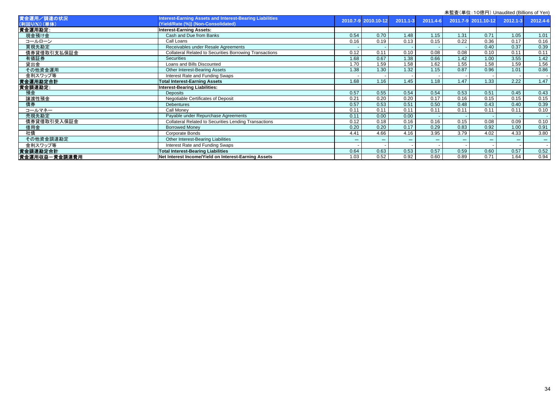|                             |                                                                                                 | <b>木血且 \宇吐. TV応I ]/ Unaudited (Dillions Of Ten</b> |                     |              |          |       |                     |          |          |
|-----------------------------|-------------------------------------------------------------------------------------------------|----------------------------------------------------|---------------------|--------------|----------|-------|---------------------|----------|----------|
| 資金運用/調達の状況<br>(利回り(%)) (単体) | Interest-Earning Assets and Interest-Bearing Liabilities<br>(Yield/Rate (%)) (Non-Consolidated) |                                                    | 2010.7-9 2010.10-12 | $2011.1 - 3$ | 2011.4-6 |       | 2011.7-9 2011.10-12 | 2012.1-3 | 2012.4-6 |
|                             |                                                                                                 |                                                    |                     |              |          |       |                     |          |          |
| 資金運用勘定:                     | <b>Interest-Earning Assets:</b>                                                                 |                                                    |                     |              |          |       |                     |          |          |
| 現金預け金                       | Cash and Due from Banks                                                                         | 0.54                                               | 0.70                | 1.48         | 1.15     | 1.31  | 0.71                | 1.05     | 1.01     |
| コールローン                      | Call Loans                                                                                      | 0.16                                               | 0.19                | 0.13         | 0.15     | 0.22  | 0.36                | 0.17     | 0.16     |
| 買現先勘定                       | Receivables under Resale Agreements                                                             |                                                    |                     |              |          |       | 0.40                | 0.37     | 0.39     |
| 債券貸借取引支払保証金                 | <b>Collateral Related to Securities Borrowing Transactions</b>                                  | 0.12                                               | 0.11                | 0.10         | 0.08     | 0.08  | 0.10                | 0.11     | 0.11     |
| 有価証券                        | <b>Securities</b>                                                                               | 1.68                                               | 0.67                | 1.38         | 0.66     | 1.42  | 1.00                | 3.55     | 1.42     |
| 貸出金                         | Loans and Bills Discounted                                                                      | 1.70                                               | 1.59                | 1.58         | 1.62     | 1.55  | 1.58                | 1.59     | 1.56     |
| その他資金運用                     | Other Interest-Bearing Assets                                                                   | 1.38                                               | 1.30                | 1.32         | 1.15     | 0.87  | 0.96                | 1.01     | 0.86     |
| 金利スワップ等                     | Interest Rate and Funding Swaps                                                                 |                                                    |                     |              |          |       |                     |          |          |
| 資金運用勘定合計                    | <b>Total Interest-Earning Assets</b>                                                            | 1.68                                               | 1.16                | 1.45         | 1.18     | 1.47  | 1.33                | 2.22     | 1.47     |
| 資金調達勘定:                     | <b>Interest-Bearing Liabilities:</b>                                                            |                                                    |                     |              |          |       |                     |          |          |
| 預金                          | <b>Deposits</b>                                                                                 | 0.57                                               | 0.55                | 0.54         | 0.54     | 0.53  | 0.51                | 0.45     | 0.43     |
| 讓渡性預金                       | Negotiable Certificates of Deposit                                                              | 0.21                                               | 0.20                | 0.20         | 0.17     | 0.16  | 0.15                | 0.15     | 0.15     |
| 債券                          | <b>Debentures</b>                                                                               | 0.57                                               | 0.53                | 0.51         | 0.50     | 0.48  | 0.43                | 0.40     | 0.39     |
| コールマネー                      | Call Monev                                                                                      | 0.11                                               | 0.11                | 0.11         | 0.11     | 0.11  | 0.11                | 0.11     | 0.10     |
| 売現先勘定                       | Payable under Repurchase Agreements                                                             | 0.11                                               | 0.00                | 0.00         |          |       |                     |          |          |
| 債券貸借取引受入保証金                 | <b>Collateral Related to Securities Lending Transactions</b>                                    | 0.12                                               | 0.18                | 0.16         | 0.16     | 0.15  | 0.08                | 0.09     | 0.10     |
| 借用金                         | <b>Borrowed Money</b>                                                                           | 0.20                                               | 0.20                | 0.17         | 0.29     | 0.83  | 0.92                | 1.00     | 0.91     |
| 社債                          | Corporate Bonds                                                                                 | 4.41                                               | 4.66                | 4.16         | 3.95     | 3.79  | 4.02                | 4.33     | 3.80     |
| その他資金調達勘定                   | Other Interest-Bearing Liabilities                                                              | ***                                                | $***$               | $***$        | ***      | $***$ | $***$               | $***$    | ***      |
| 金利スワップ等                     | Interest Rate and Funding Swaps                                                                 |                                                    |                     |              |          |       |                     |          |          |
| 資金調達勘定合計                    | <b>Total Interest-Bearing Liabilities</b>                                                       | 0.64                                               | 0.63                | 0.53         | 0.57     | 0.59  | 0.60                | 0.57     | 0.52     |
| 資金運用収益一資金調達費用               | Net Interest Income/Yield on Interest-Earning Assets                                            | 1.03                                               | 0.52                | 0.92         | 0.60     | 0.89  | 0.71                | 1.64     | 0.94     |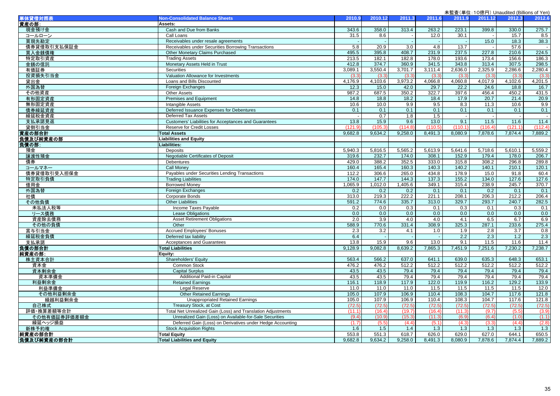|              |                                                              |         |         |         |         |                          | 未監査(単位: 10億円) Unaudited (Billions of Yen) |         |         |
|--------------|--------------------------------------------------------------|---------|---------|---------|---------|--------------------------|-------------------------------------------|---------|---------|
| 単体貸借対照表      | <b>Non-Consolidated Balance Sheets</b>                       | 2010.9  | 2010.12 | 2011.3  | 2011.6  | 2011.9                   | 2011.12                                   | 2012.3  | 2012.6  |
| 資産の部:        | Assets:                                                      |         |         |         |         |                          |                                           |         |         |
| 現金預け金        | Cash and Due from Banks                                      | 343.6   | 358.0   | 313.4   | 263.2   | 223.1                    | 399.8                                     | 330.0   | 275.7   |
| コールローン       | Call Loans                                                   | 31.5    | 8.6     |         | 12.0    | 30.1                     |                                           | 15.7    | 8.5     |
| 買現先勘定        | Receivables under resale agreements                          |         |         |         |         |                          | 15.0                                      | 18.3    | 38.3    |
| 債券貸借取引支払保証金  | Receivables under Securities Borrowing Transactions          | 5.8     | 20.9    | 3.0     | 4.8     | 13.7                     |                                           | 57.6    |         |
| 買入金銭債権       | Other Monetary Claims Purchased                              | 495.5   | 395.8   | 408.7   | 231.9   | 237.5                    | 227.8                                     | 210.6   | 224.5   |
| 特定取引資産       | <b>Trading Assets</b>                                        | 213.5   | 182.1   | 182.8   | 178.0   | 193.6                    | 173.4                                     | 156.6   | 186.3   |
| 金銭の信託        | Monetary Assets Held in Trust                                | 412.8   | 374.7   | 360.9   | 341.5   | 343.8                    | 313.4                                     | 307.5   | 298.5   |
| 有価証券         | <b>Securities</b>                                            | 3.089.1 | 3,550.4 | 3,701.7 | 3,111.4 | 2,636.0                  | 2,325.9                                   | 2,286.6 | 2,280.4 |
| 投資損失引当金      | Valuation Allowance for Investments                          | (3.3)   | (3.3)   | (3.3)   | (3.3)   | (3.3)                    | (3.3)                                     | (3.3)   | (3.3)   |
| 貸出金          | Loans and Bills Discounted                                   | 4.176.9 | 4.103.6 | 3,973.2 | 4,066.8 | 4,060.8                  | 4.017.9                                   | 4,102.6 | 4,201.5 |
| 外国為替         | Foreign Exchanges                                            | 12.3    | 15.0    | 42.0    | 29.7    | 22.2                     | 24.6                                      | 18.8    | 16.7    |
| その他資産        | <b>Other Assets</b>                                          | 987.2   | 687.5   | 350.2   | 322.7   | 397.6                    | 456.4                                     | 450.2   | 431.5   |
| 有形固定資産       | Premises and Equipment                                       | 14.8    | 18.8    | 18.2    | 18.4    | 17.9                     | 20.7                                      | 21.4    | 20.9    |
| 無形固定資産       | <b>Intangible Assets</b>                                     | 10.6    | 10.0    | 9.9     | 9.5     | 8.3                      | 11.3                                      | 10.6    | 9.9     |
| 債券繰延資産       | Deferred Issuance Expenses for Debentures                    | 0.1     | 0.1     | 0.1     | 0.1     | 0.1                      | 0.1                                       | 0.1     | 0.1     |
| 繰延税金資産       | Deferred Tax Assets                                          |         | 0.7     | 1.8     | 1.5     | $\overline{\phantom{a}}$ | $\sim$                                    | $\sim$  |         |
| 支払承諾見返       | Customers' Liabilities for Acceptances and Guarantees        | 13.8    | 15.9    | 9.6     | 13.0    | 9.1                      | 11.5                                      | 11.6    | 11.4    |
| 貸倒引当金        | <b>Reserve for Credit Losses</b>                             | (121.9) | (105.3) | (114.8) | (110.5) | (110.1)                  | (116.4)                                   | (121.1) | (112.4) |
| 資産の部合計       | <b>Total Assets</b>                                          | 9,682.8 | 9,634.2 | 9,258.0 | 8,491.3 | 8,080.9                  | 7,878.6                                   | 7,874.4 | 7,889.2 |
| 負債及び純資産の部    | <b>Liabilities and Equity</b>                                |         |         |         |         |                          |                                           |         |         |
| 負債の部:        | Liabilities:                                                 |         |         |         |         |                          |                                           |         |         |
| 預金           | Deposits                                                     | 5.940.3 | 5.816.5 | 5,565.2 | 5,613.9 | 5.641.6                  | 5,718.6                                   | 5,610.1 | 5,559.2 |
| 讓渡性預金        | Negotiable Certificates of Deposit                           | 319.6   | 232.7   | 174.0   | 308.1   | 152.9                    | 179.4                                     | 178.0   | 206.7   |
| 債券           | Debentures                                                   | 429.0   | 388.2   | 352.5   | 333.0   | 315.8                    | 308.2                                     | 296.8   | 289.8   |
| コールマネー       | <b>Call Money</b>                                            | 160.4   | 165.4   | 160.3   | 140.3   | 140.2                    | 140.1                                     | 210.1   | 120.1   |
| 債券貸借取引受入担保金  | Payables under Securities Lending Transactions               | 112.2   | 306.6   | 265.0   | 434.8   | 178.9                    | 15.0                                      | 91.8    | 60.4    |
| 特定取引負債       | <b>Trading Liabilities</b>                                   | 174.0   | 147.7   | 144.3   | 137.3   | 155.2                    | 134.0                                     | 127.6   | 127.6   |
| 借用金          | <b>Borrowed Money</b>                                        | 1.065.9 | 1.012.0 | 1,405.6 | 349.1   | 315.4                    | 238.9                                     | 245.7   | 370.7   |
| 外国為替         | <b>Foreign Exchanges</b>                                     | 0.2     | 0.2     | 0.2     | 0.1     | 0.1                      | 0.2                                       | 0.1     | 0.1     |
| 社債           | <b>Corporate Bonds</b>                                       | 313.0   | 219.3   | 222.2   | 221.1   | 208.1                    | 206.3                                     | 212.2   | 206.4   |
| その他負債        | <b>Other Liabilities</b>                                     | 591.2   | 774.6   | 335.7   | 313.0   | 329.7                    | 293.7                                     | 240.7   | 282.5   |
| 未払法人税等       | Income Taxes Payable                                         | 0.2     | 0.0     | 0.3     | 0.1     | 0.3                      | 0.1                                       | 0.3     | 0.1     |
| リース債務        | <b>Lease Obligations</b>                                     | 0.0     | 0.0     | 0.0     | 0.0     | 0.0                      | 0.0                                       | 0.0     | 0.0     |
| 資産除去債務       | <b>Asset Retirement Obligations</b>                          | 2.0     | 3.9     | 4.0     | 4.0     | 4.1                      | 6.5                                       | 6.7     | 6.9     |
| その他の負債       | Other                                                        | 588.9   | 770.6   | 331.4   | 308.9   | 325.3                    | 287.1                                     | 233.6   | 275.4   |
| 賞与引当金        | <b>Accrued Employees' Bonuses</b>                            | 2.3     | 3.2     | 4.1     | 1.0     | 1.9                      | 2.8                                       | 3.7     | 0.8     |
| 繰延税金負債       | Deferred tax liability                                       | 6.4     | $\sim$  | $\sim$  | $\sim$  | $\overline{2.2}$         | 2.3                                       | 1.2     | 2.3     |
| 支払承諾         | <b>Acceptances and Guarantees</b>                            | 13.8    | 15.9    | 9.6     | 13.0    | 9.1                      | 11.5                                      | 11.6    | 11.4    |
| 負債の部合計       | <b>Total Liabilities</b>                                     | 9,128.9 | 9,082.8 | 8,639.2 | 7,865.3 | 7,451.9                  | 7,251.6                                   | 7,230.2 | 7,238.7 |
| 純資産の部:       | Equity:                                                      |         |         |         |         |                          |                                           |         |         |
| 株主資本合計       | <b>Shareholders' Equity</b>                                  | 563.4   | 566.2   | 637.0   | 641.1   | 639.0                    | 635.3                                     | 648.3   | 653.1   |
| 資本金          | Common Stock                                                 | 476.2   | 476.2   | 512.2   | 512.2   | 512.2                    | 512.2                                     | 512.2   | 512.2   |
| 資本剰余金        | <b>Capital Surplus</b>                                       | 43.5    | 43.5    | 79.4    | 79.4    | 79.4                     | 79.4                                      | 79.4    | 79.4    |
| 資本準備金        | Additional Paid-in Capital                                   | 43.5    | 43.5    | 79.4    | 79.4    | 79.4                     | 79.4                                      | 79.4    | 79.4    |
| 利益剰余金        | <b>Retained Earnings</b>                                     | 116.1   | 118.9   | 117.9   | 122.0   | 119.9                    | 116.2                                     | 129.2   | 133.9   |
| 利益準備金        | Legal Reserve                                                | 11.0    | 11.0    | 11.0    | 11.5    | 11.5                     | 11.5                                      | 11.5    | 12.0    |
| その他利益剰余金     | Other Retained Earnings                                      | 105.0   | 107.9   | 106.9   | 110.4   | 108.3                    | 104.7                                     | 117.6   | 121.8   |
| 繰越利益剰余金      | <b>Unappropriated Retained Earnings</b>                      | 105.0   | 107.9   | 106.9   | 110.4   | 108.3                    | 104.7                                     | 117.6   | 121.8   |
| 自己株式         | <b>Treasury Stock, at Cost</b>                               | (72.5)  | (72.5)  | (72.5)  | (72.5)  | (72.5)                   | (72.5)                                    | (72.5)  | (72.5)  |
| 評価・換算差額等合計   | Total Net Unrealized Gain (Loss) and Translation Adjustments | (11.1)  | (16.4)  | (19.7)  | (16.4)  | (11.3)                   | (9.7)                                     | (5.5)   | (3.9)   |
| その他有価証券評価差額金 | Unrealized Gain (Loss) on Available-for-Sale Securities      | (9.4)   | (10.9)  | (15.3)  | (11.3)  | (6.9)                    | (6.4)                                     | (1.0)   | (1.1)   |
| 繰延ヘッジ損益      | Deferred Gain (Loss) on Derivatives under Hedge Accounting   | (1.7)   | (5.5)   | (4.4)   | (5.1)   | (4.3)                    | (3.3)                                     | (4.4)   | (2.8)   |
| 新株予約権        | <b>Stock Acquisition Rights</b>                              | 1.6     | 1.5     | 1.4     | 1.3     | 1.3                      | 1.3                                       | 1.3     | 1.3     |
| 純資産の部合計      | <b>Total Equity</b>                                          | 553.8   | 551.3   | 618.7   | 626.0   | 629.0                    | 627.0                                     | 644.1   | 650.5   |
| 負債及び純資産の部合計  | <b>Total Liabilities and Equity</b>                          | 9.682.8 | 9.634.2 | 9.258.0 | 8.491.3 | 8.080.9                  | 7.878.6                                   | 7.874.4 | 7.889.2 |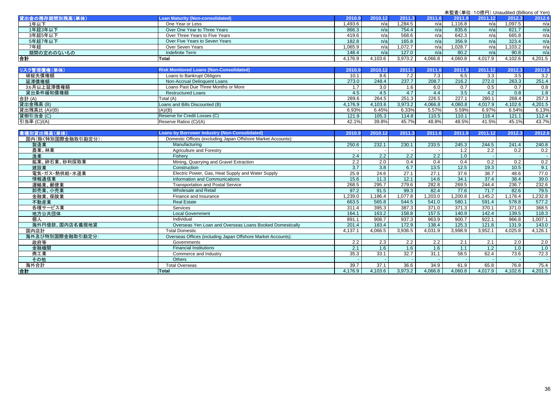|                    |                                                              |                  |                  |         |                  |         |                  |         | 未監査(単位: 10億円) Unaudited (Billions of Yen) |
|--------------------|--------------------------------------------------------------|------------------|------------------|---------|------------------|---------|------------------|---------|-------------------------------------------|
| 貸出金の残存期間別残高(単体)    | <b>Loan Maturity (Non-consolidated)</b>                      | 2010.9           | 2010.12          | 2011.3  | 2011.6           | 2011.9  | 2011.12          | 2012.3  | 2012.6                                    |
| 1年以下               | One Year or Less                                             | 1.493.6          | n/a              | 1.284.5 | n/a              | 1.116.8 | n/a              | 1.097.5 | n/a                                       |
| 1年超3年以下            | Over One Year to Three Years                                 | 866.3            | n/a              | 754.4   | n/a              | 835.6   | n/a              | 821.7   | n/a                                       |
| 3年超5年以下            | Over Three Years to Five Years                               | 419.6            | n/a              | 568.6   | n/a              | 642.3   | n/a              | 665.8   | n/a                                       |
| 5年超7年以下            | Over Five Years to Seven Years                               | 182.8            | n/a              | 165.8   | n/a              | 356.9   | n/a              | 323.4   | n/a                                       |
| 7年超                | Over Seven Years                                             | 1.065.9          | n/a              | 1.072.7 | n/a              | 1.028.7 | n/a              | 1.103.2 | n/a                                       |
| 期間の定めのないもの         | <b>Indefinite Term</b>                                       | 148.4            | n/a              | 127.0   | n/a              | 80.2    | n/a              | 90.8    | n/a                                       |
| 合計                 | <b>Total</b>                                                 | 4.176.9          | 4.103.6          | 3.973.2 | 4.066.8          | 4.060.8 | 4,017.9          | 4.102.6 | 4,201.5                                   |
|                    |                                                              |                  |                  |         |                  |         |                  |         |                                           |
| リスク管理債権(単体)        | <b>Risk Monitored Loans (Non-Consolidated)</b>               | 2010.9           | 2010.12          | 2011.3  | 2011.6           | 2011.9  | 2011.12          | 2012.3  | 2012.6                                    |
| 破綻先債権額             | Loans to Bankrupt Obligors                                   | 10.1             | 8.6              | 7.2     | 7.3              | 6.5     | 3.3              | 3.5     | 3.2                                       |
| 延滞債権額              | Non-Accrual Delinquent Loans                                 | 273.0            | 248.4            | 237.7   | 208.7            | 216.2   | 272.0            | 263.3   | 251.4                                     |
| 3ヵ月以上延滞債権額         | Loans Past Due Three Months or More                          | 1.7              | 3.0              | 1.6     | 6.0              | 0.7     | 0.5              | 0.7     | 0.8                                       |
| 貸出条件緩和債権額          | <b>Restructured Loans</b>                                    | 4.5              | 4.5              | 4.7     | 4.4              | 3.5     | 4.2              | 0.8     | 1.8                                       |
| 合計 (A)             | Total (A)                                                    | 289.6            | 264.5            | 251.3   | 226.5            | 227.1   | 280.1            | 268.4   | 257.3                                     |
| 貸出金残高 (B)          | Loans and Bills Discounted (B)                               | 4,176.9          | 4,103.6          | 3,973.2 | 4,066.8          | 4,060.8 | 4,017.9          | 4,102.6 | 4,201.5                                   |
| 貸出残高比 (A)/(B)      | (A)/(B)                                                      | 6.93%            | 6.45%            | 6.33%   | 5.57%            | 5.59%   | 6.97%            | 6.54%   | 6.13%                                     |
| 貸倒引当金 (C)          | Reserve for Credit Losses (C)                                | 121.9            | 105.3            | 114.8   | 110.5            | 110.1   | 116.4            | 121.1   | 112.4                                     |
| 引当率 (C)/(A)        | Reserve Ratios (C)/(A)                                       | 42.1%            | 39.8%            | 45.7%   | 48.8%            | 48.5%   | 41.5%            | 45.1%   | 43.7%                                     |
|                    |                                                              |                  |                  |         |                  |         |                  |         |                                           |
| 業種別貸出残高(単体)        | <b>Loans by Borrower Industry (Non-Consolidated)</b>         | 2010.9           | 2010.12          | 2011.3  | 2011.6           | 2011.9  | 2011.12          | 2012.3  | 2012.6                                    |
| 国内(除く特別国際金融取引勘定分): | Domestic Offices (excluding Japan Offshore Market Accounts): |                  |                  |         |                  |         |                  |         |                                           |
| 製造業                | Manufacturing                                                | 250.6            | 232.1            | 230.1   | 233.5            | 245.3   | 244.5            | 241.4   | 240.8                                     |
| 農業、林業              | Agriculture and Forestry                                     |                  |                  |         |                  | 1.2     | $\overline{2.2}$ | 0.2     | 0.2                                       |
| 漁業                 | Fisherv                                                      | 2.4              | $\overline{2.2}$ | 2.2     | $\overline{2.2}$ | 1.0     |                  |         |                                           |
| 鉱業、砕石業、砂利採取業       | Mining, Quarrying and Gravel Extraction                      | $\overline{2.2}$ | 2.0              | 0.4     | 0.4              | 0.4     | 0.2              | 0.2     | 0.2                                       |
| 建設業                | Construction                                                 | 3.7              | 3.8              | 6.7     | 13.5             | 12.5    | 19.3             | 10.5    | 9.1                                       |
| 電気・ガス・熱供給・水道業      | Electric Power, Gas, Heat Supply and Water Supply            | 25.9             | 24.6             | 27.1    | 27.1             | 37.6    | 38.7             | 48.6    | 77.0                                      |
| 情報通信業              | Information and Communications                               | 15.6             | 11.3             | 12.1    | 14.6             | 34.1    | 37.4             | 38.4    | 39.0                                      |
| 運輸業、郵便業            | <b>Transportation and Postal Service</b>                     | 268.5            | 295.7            | 279.6   | 282.8            | 269.5   | 244.4            | 236.7   | 232.6                                     |
| 卸売業、小売業            | Wholesale and Retail                                         | 97.2             | 91.5             | 99.3    | 82.4             | 77.6    | 71.7             | 82.6    | 79.5                                      |
| 金融業、保険業            | Finance and Insurance                                        | 1,239.0          | 1.186.4          | 1.077.8 | 1,203.0          | 1,200.8 | 1.145.2          | 1.178.4 | 1,232.8                                   |
| 不動産業               | <b>Real Estate</b>                                           | 663.5            | 565.8            | 544.5   | 541.0            | 580.1   | 591.4            | 578.8   | 577.2                                     |
| 各種サービス業            | Services                                                     | 311.4            | 395.3            | 387.3   | 371.0            | 371.3   | 370.1            | 371.0   | 368.5                                     |
| 地方公共団体             | <b>Local Government</b>                                      | 164.1            | 163.2            | 158.8   | 157.5            | 140.9   | 142.4            | 139.5   | 118.3                                     |
| 個人                 | Individual                                                   | 891.1            | 908.7            | 937.3   | 963.9            | 900.7   | 922.1            | 966.8   | 1,007.1                                   |
| 海外円借款、国内店名義現地貸     | Overseas Yen Loan and Overseas Loans Booked Domestically     | 201.4            | 183.4            | 172.9   | 138.4            | 125.3   | 121.8            | 131.9   | 143.0                                     |
| 国内店計               | <b>Total Domestic</b>                                        | 4,137.1          | 4,066.5          | 3,936.5 | 4,031.9          | 3,998.9 | 3,952.1          | 4,025.8 | 4,126.1                                   |
| 海外及び特別国際金融取引勘定分:   | Overseas Offices (including Japan Offshore Market Accounts): |                  |                  |         |                  |         |                  |         |                                           |
| 政府等                | Governments                                                  | 2.2              | 2.3              | 2.2     | 2.2              | 2.1     | 2.1              | 2.0     | 2.0                                       |
| 金融機関               | <b>Financial Institutions</b>                                | 2.1              | 1.6              | 1.6     | 1.6              | 1.1     | 1.2              | 1.0     | 1.0                                       |
| 商工業                | Commerce and Industry                                        | 35.3             | 33.1             | 32.7    | 31.1             | 58.5    | 62.4             | 73.6    | 72.3                                      |
| その他                | <b>Others</b>                                                |                  |                  |         |                  |         |                  |         |                                           |
| 海外合計               | <b>Total Overseas</b>                                        | 39.7             | 37.1             | 36.6    | 34.9             | 61.9    | 65.8             | 76.8    | 75.4                                      |
| 合計                 | <b>Total</b>                                                 | 4.176.9          | 4,103.6          | 3,973.2 | 4,066.8          | 4,060.8 | 4,017.9          | 4.102.6 | 4.201.5                                   |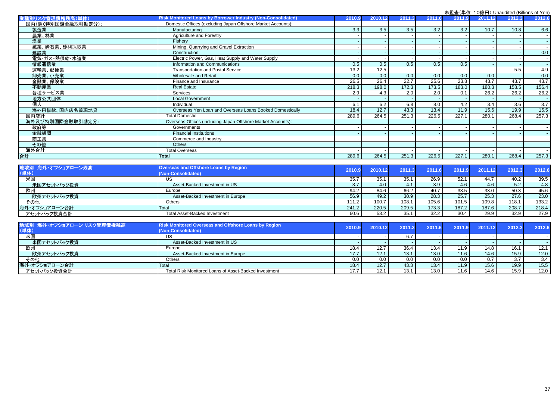|                    |                                                              |        |         |                   |        |        | <b>木血直 (半匝:10応) j/ Orladdited (Diffioris or Terry</b> |                   |                   |
|--------------------|--------------------------------------------------------------|--------|---------|-------------------|--------|--------|-------------------------------------------------------|-------------------|-------------------|
| 業種別リスク管理債権残高(単体)   | Risk Monitored Loans by Borrower Industry (Non-Consolidated) | 2010.9 | 2010.12 | 2011.3            | 2011.6 | 2011.9 | 2011.12                                               | 2012.3            | 2012.6            |
| 国内(除く特別国際金融取引勘定分): | Domestic Offices (excluding Japan Offshore Market Accounts): |        |         |                   |        |        |                                                       |                   |                   |
| 製造業                | Manufacturing                                                | 3.3    | 3.5     | 3.5               | 3.2    | 3.2    | 10.7                                                  | 10.8              | 6.6               |
| 農業、林業              | Agriculture and Forestry                                     |        |         |                   |        |        |                                                       |                   |                   |
| 漁業                 | Fisherv                                                      |        |         |                   |        |        |                                                       |                   |                   |
| 鉱業、砕石業、砂利採取業       | Mining, Quarrying and Gravel Extraction                      |        |         |                   |        |        |                                                       |                   |                   |
| 建設業                | Construction                                                 |        |         |                   |        |        |                                                       |                   | 0.0               |
| 電気・ガス・熱供給・水道業      | Electric Power, Gas, Heat Supply and Water Supply            |        |         |                   |        |        |                                                       |                   |                   |
| 情報通信業              | Information and Communications                               | 0.5    | 0.5     | 0.5               | 0.5    | 0.5    |                                                       |                   |                   |
| 運輸業、郵便業            | <b>Transportation and Postal Service</b>                     | 13.2   | 12.5    |                   |        |        |                                                       | 5.5               | 4.9               |
| 卸売業、小売業            | Wholesale and Retail                                         | 0.0    | 0.0     | 0.0               | 0.0    | 0.0    | $\overline{0.0}$                                      |                   | 0.0               |
| 金融業、保険業            | Finance and Insurance                                        | 26.5   | 26.4    | $\overline{22.7}$ | 25.6   | 23.8   | 43.7                                                  | 43.7              | 43.7              |
| 不動産業               | <b>Real Estate</b>                                           | 218.3  | 198.0   | 172.3             | 173.5  | 183.0  | 180.3                                                 | 158.5             | 156.4             |
| 各種サービス業            | Services                                                     | 2.9    | 4.3     | 2.0               | 2.0    | 0.1    | 26.2                                                  | 26.2              | 26.2              |
| 地方公共団体             | <b>Local Government</b>                                      |        |         |                   |        |        |                                                       |                   |                   |
| 個人                 | Individual                                                   | 6.1    | 6.2     | 6.8               | 8.0    | 4.2    | $\overline{3.4}$                                      | $\overline{3.6}$  | 3.7               |
| 海外円借款、国内店名義現地貸     | Overseas Yen Loan and Overseas Loans Booked Domestically     | 18.4   | 12.7    | 43.3              | 13.4   | 11.9   | 15.6                                                  | 19.9              | $\overline{15.5}$ |
| 国内店計               | <b>Total Domestic</b>                                        | 289.6  | 264.5   | 251.3             | 226.5  | 227.1  | 280.1                                                 | 268.4             | 257.3             |
| 海外及び特別国際金融取引勘定分:   | Overseas Offices (including Japan Offshore Market Accounts): |        |         |                   |        |        |                                                       |                   |                   |
| 政府等                | Governments                                                  |        |         |                   |        |        |                                                       |                   |                   |
| 金融機関               | <b>Financial Institutions</b>                                |        |         |                   |        |        |                                                       |                   |                   |
| 商工業                | Commerce and Industry                                        |        |         |                   |        |        |                                                       |                   |                   |
| その他                | <b>Others</b>                                                |        |         |                   |        |        |                                                       |                   |                   |
| 海外合計               | <b>Total Overseas</b>                                        |        |         |                   |        |        |                                                       |                   |                   |
| 合計                 | <b>Total</b>                                                 | 289.6  | 264.5   | 251.3             | 226.5  | 227.1  | 280.1                                                 | 268.4             | 257.3             |
|                    |                                                              |        |         |                   |        |        |                                                       |                   |                   |
| 地域別 海外・オフショアローン残高  | <b>Overseas and Offshore Loans by Region</b>                 | 2010.9 | 2010.12 | 2011.3            | 2011.6 | 2011.9 | 2011.12                                               | 2012.3            | 2012.6            |
| (単体)               | (Non-Consolidated)                                           |        |         |                   |        |        |                                                       |                   |                   |
| 米国                 | <b>US</b>                                                    | 35.7   | 35.1    | 35.1              | 26.9   | 52.1   | 44.7                                                  | 40.2              | 39.5              |
| 米国アセットバック投資        | Asset-Backed Investment in US                                | 3.7    | 4.0     | 4.1               | 3.9    | 4.6    | 4.6                                                   | 5.2               | 4.8               |
| 欧州                 | Europe                                                       | 94.2   | 84.6    | 66.2              | 40.7   | 33.5   | 33.0                                                  | 50.3              | 45.6              |
| 欧州アセットバック投資        | Asset-Backed Investment in Europe                            | 56.9   | 49.2    | 30.9              | 28.3   | 25.7   | 25.3                                                  | $\overline{27.6}$ | 23.0              |
| その他                | Others                                                       | 111.2  | 100.7   | 108.1             | 105.6  | 101.5  | 109.8                                                 | 118.1             | 133.2             |
| 海外・オフショアローン合計      | Total                                                        | 241.2  | 220.5   | 209.5             | 173.3  | 187.2  | 187.6                                                 | 208.7             | 218.4             |
| アセットバック投資合計        | <b>Total Asset-Backed Investment</b>                         | 60.6   | 53.2    | 35.1              | 32.2   | 30.4   | 29.9                                                  | 32.9              | 27.9              |
|                    |                                                              |        |         |                   |        |        |                                                       |                   |                   |

| 地域別 海外・オフショアローン リスク管理債権残高<br>(単体) | <b>Risk Monitored Overseas and Offshore Loans by Region</b><br>(Non-Consolidated) | 2010.9 | 2010.12 | 2011.3 | 2011.6 | 12011.9 | 2011.12 | 2012.3 | 2012.6 |
|-----------------------------------|-----------------------------------------------------------------------------------|--------|---------|--------|--------|---------|---------|--------|--------|
| 米国                                | US                                                                                |        |         |        |        |         |         |        |        |
| 米国アセットバック投資                       | Asset-Backed Investment in US                                                     |        |         |        |        |         |         |        |        |
| 欧州                                | Europe                                                                            | 18.4   | 12.7    | 36.4   | 13.4   | 11.9    | 14.8    | 16.1   | 12.1   |
| 欧州アセットバック投資                       | Asset-Backed Investment in Europe                                                 | 17.7   |         | 13.1   | 13.0   | 11.6    | 14.6    | 15.9   | 12.0   |
| その他                               | Others                                                                            | 0.0    | 0.0     |        | 0.0    | 0.0     | 0.7     | 3.7    | 3.4    |
| 海外・オフショアローン合計                     | Total                                                                             | 18.4   | 12.7    | 43.3   | 13.4   | 11.9    | 15.6    | 19.9   | 15.5   |
| アセットバック投資合計                       | Total Risk Monitored Loans of Asset-Backed Investment                             | 17.7   | 12.1    | 13.1   | 13.0   | 11.6    | 14.6    | 15.9   | 12.0   |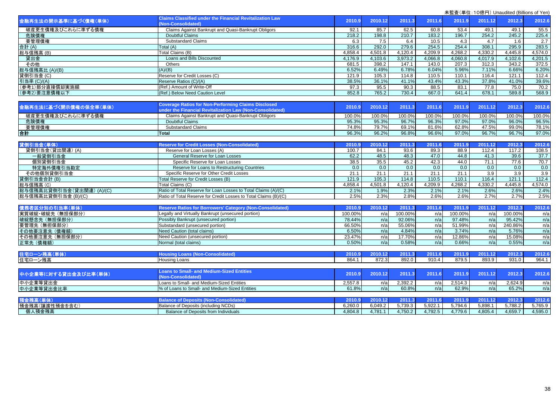| 金融再生法の開示基準に基づく債権(単体)                                   | <b>Claims Classified under the Financial Revitalization Law</b><br>(Non-Consolidated)                                   | 2010.9  | 2010.12 | 2011.3  | 2011.6  | 2011.9  | 2011.12 | 2012.3           | 2012.6  |
|--------------------------------------------------------|-------------------------------------------------------------------------------------------------------------------------|---------|---------|---------|---------|---------|---------|------------------|---------|
| 破産更生債権及びこれらに準ずる債権                                      | Claims Against Bankrupt and Quasi-Bankrupt Obligors                                                                     | 92.1    | 85.7    | 62.5    | 60.8    | 53.4    | 49.1    | 49.1             | 55.5    |
| 危険債権                                                   | <b>Doubtful Claims</b>                                                                                                  | 218.2   | 198.8   | 210.7   | 183.2   | 196.7   | 254.2   | 245.2            | 225.4   |
| 要管理債権                                                  | <b>Substandard Claims</b>                                                                                               | 6.3     | 7.5     | 6.4     | 10.5    | 4.3     | 4.7     | 1.6              | 2.7     |
| 合計(A)                                                  | Total (A)                                                                                                               | 316.6   | 292.0   | 279.6   | 254.5   | 254.4   | 308.1   | 295.9            | 283.5   |
| 総与信残高(B)                                               | Total Claims (B)                                                                                                        | 4.858.4 | 4.501.8 | 4,120.4 | 4.209.9 | 4.268.2 | 4,330.2 | 4.445.8          | 4,574.0 |
| 貸出金                                                    | Loans and Bills Discounted                                                                                              | 4,176.9 | 4,103.6 | 3,973.2 | 4,066.8 | 4,060.8 | 4,017.9 | 4,102.6          | 4,201.5 |
| その他                                                    | Others                                                                                                                  | 681.5   | 398.2   | 147.1   | 143.0   | 207.3   | 312.3   | 343.2            | 372.5   |
| 総与信残高比 (A)/(B)                                         | (A)/(B)                                                                                                                 | 6.52%   | 6.49%   | 6.78%   | 6.04%   | 5.96%   | 7.11%   | 6.66%            | 6.20%   |
| 貸倒引当金 (C)                                              | Reserve for Credit Losses (C)                                                                                           | 121.9   | 105.3   | 114.8   | 110.5   | 110.1   | 116.4   | 121.1            | 112.4   |
| 引当率 (C)/(A)                                            | Reserve Ratios (C)/(A)                                                                                                  | 38.5%   | 36.1%   | 41.1%   | 43.4%   | 43.3%   | 37.8%   | 41.0%            | 39.6%   |
| (参考1)部分直接償却実施額                                         | (Ref.) Amount of Write-Off                                                                                              | 97.3    | 95.5    | 90.3    | 88.5    | 83.1    | 77.8    | 75.0             | 70.2    |
| (参考2)要注意債権以下                                           | (Ref.) Below Need Caution Level                                                                                         | 852.8   | 765.2   | 730.4   | 667.0   | 641.4   | 678.1   | 589.8            | 568.9   |
|                                                        |                                                                                                                         |         |         |         |         |         |         |                  |         |
| 金融再生法に基づく開示債権の保全率(単体)                                  | <b>Coverage Ratios for Non-Performing Claims Disclosed</b><br>under the Financial Revitalization Law (Non-Consolidated) | 2010.9  | 2010.12 | 2011.3  | 2011.6  | 2011.9  | 2011.12 | 2012.3           | 2012.6  |
| 破産更生債権及びこれらに準ずる債権                                      | Claims Against Bankrupt and Quasi-Bankrupt Obligors                                                                     | 100.0%  | 100.0%  | 100.0%  | 100.0%  | 100.0%  | 100.0%  | 100.0%           | 100.0%  |
| 危険債権                                                   | <b>Doubtful Claims</b>                                                                                                  | 95.3%   | 95.3%   | 96.7%   | 96.3%   | 97.0%   | 97.0%   | 96.0%            | 96.5%   |
| 要管理債権                                                  | <b>Substandard Claims</b>                                                                                               | 74.8%   | 79.7%   | 69.1%   | 81.6%   | 62.8%   | 47.5%   | 99.0%            | 78.1%   |
| 台計                                                     | <b>Total</b>                                                                                                            | 96.3%   | 96.2%   | 96.8%   | 96.6%   | 97.0%   | 96.7%   | 96.7%            | 97.0%   |
|                                                        |                                                                                                                         |         |         |         |         |         |         |                  |         |
| 貸倒引当金(単体)                                              | <b>Reserve for Credit Losses (Non-Consolidated)</b>                                                                     | 2010.9  | 2010.12 | 2011.3  | 2011.6  | 2011.9  | 2011.12 | 2012.3           | 2012.6  |
| 貸倒引当金(貸出関連)(A)                                         | Reserve for Loan Losses (A)                                                                                             | 100.7   | 84.1    | 93.6    | 89.3    | 88.9    | 112.4   | 117.2            | 108.5   |
| 一般貸倒引当金                                                | General Reserve for Loan Losses                                                                                         | 62.2    | 48.5    | 48.3    | 47.0    | 44.8    | 41.3    | 39.6             | 37.7    |
| 個別貸倒引当金                                                | Specific Reserve for Loan Losses                                                                                        | 38.5    | 35.5    | 45.2    | 42.3    | 44.0    | 71.1    | 77.6             | 70.7    |
| 特定海外債権引当勘定                                             | Reserve for Loans to Restructuring Countries                                                                            | 0.0     | 0.0     | 0.0     | 0.0     | 0.0     | 0.0     | 0.0              | 0.0     |
| その他個別貸倒引当金                                             | Specific Reserve for Other Credit Losses                                                                                | 21.1    | 21.1    | 21.1    | 21.1    | 21.1    | 3.9     | $\overline{3.9}$ | 3.9     |
| 貸倒引当金合計 (B)                                            | Total Reserve for Credit Losses (B)                                                                                     | 121.9   | 105.3   | 114.8   | 110.5   | 110.1   | 116.4   | 121.1            | 112.4   |
|                                                        | Total Claims (C)                                                                                                        | 4,858.4 | 4,501.8 | 4,120.4 | 4,209.9 | 4,268.2 | 4,330.2 | 4,445.8          | 4,574.0 |
| 総与信残高 (C)<br> 総与信残高 (C)<br> 総与信残高比貸倒引当金 (貸出関連) (A)/(C) | Ratio of Total Reserve for Loan Losses to Total Claims (A)/(C)                                                          | 2.1%    | 1.9%    | 2.3%    | 2.1%    | 2.1%    | 2.6%    | 2.6%             | 2.4%    |
| 総与信残高比貸倒引当金 (B)/(C)                                    | Ratio of Total Reserve for Credit Losses to Total Claims (B)/(C)                                                        | 2.5%    | 2.3%    | 2.8%    | 2.6%    | 2.6%    | 2.7%    | 2.7%             | 2.5%    |
|                                                        |                                                                                                                         |         |         |         |         |         |         |                  |         |
| 債務者区分別の引当率(単体)                                         | <b>Reserve Ratios for Borrowers' Category (Non-Consolidated)</b>                                                        | 2010.9  | 2010.12 | 2011.3  | 2011.6  | 2011.9  | 2011.12 | 2012.3           | 2012.6  |
| 実質破綻·破綻先 (無担保部分)                                       | Legally and Virtually Bankrupt (unsecured portion)                                                                      | 100.00% | n/a     | 100.00% | n/a     | 100.00% | n/a     | 100.00%          | n/a     |
| 破綻懸念先 (無担保部分)                                          | Possibly Bankrupt (unsecured portion)                                                                                   | 78.44%  | n/a     | 92.06%  | n/a     | 97.48%  | n/a     | 95.42%           | n/a     |
| 要管理先 (無担保部分)                                           | Substandard (unsecured portion)                                                                                         | 66.50%  | n/a     | 55.06%  | n/a     | 51.99%  | n/a     | 240.86%          | n/a     |
| その他要注意先 (債権額)                                          | Need Caution (total claims)                                                                                             | 6.50%   | n/a     | 4.84%   | n/a     | 3.74%   | n/a     | 5.76%            | n/a     |
| その他要注意先 (無担保部分)                                        | Need Caution (unsecured portion)                                                                                        | 23.47%  | n/a     | 17.70%  | n/a     | 12.86%  | n/a     | 15.08%           | n/a     |
| 正常先 (債権額)                                              | Normal (total claims)                                                                                                   | 0.50%   | n/a     | 0.58%   | n/a     | 0.66%   | n/a     | 0.55%            | n/a     |
| 住宅ローン残高(単体)                                            | <b>Housing Loans (Non-Consolidated)</b>                                                                                 | 2010.9  | 2010.12 | 2011.3  | 2011.6  | 2011.9  | 2011.12 | 2012.3           | 2012.6  |
| 住宅ローン残高                                                | Housing Loans                                                                                                           | 864.1   | 872.3   | 892.0   | 910.4   | 879.5   | 893.9   | 931.0            | 964.1   |
|                                                        |                                                                                                                         |         |         |         |         |         |         |                  |         |
| 中小企業等に対する貸出金及び比率(単体)                                   | <b>Loans to Small- and Medium-Sized Entities</b><br>(Non-Consolidated)                                                  | 2010.9  | 2010.12 | 2011.3  | 2011.6  | 2011.9  | 2011.12 | 2012.3           | 2012.6  |
| 中小企業等貸出金                                               | Loans to Small- and Medium-Sized Entities                                                                               | 2,557.8 | n/a     | 2,392.2 | n/a     | 2,514.3 | n/a     | 2.624.9          | n/a     |
| 中小企業等貸出金比率                                             | % of Loans to Small- and Medium-Sized Entities                                                                          | 61.8%   | n/a     | 60.8%   | n/a     | 62.9%   | n/a     | 65.2%            | n/a     |
|                                                        |                                                                                                                         |         |         |         |         |         |         |                  |         |
| 預金残高(単体)                                               | <b>Balance of Deposits (Non-Consolidated)</b>                                                                           | 2010.9  | 2010.12 | 2011.3  | 2011.6  | 2011.9  | 2011.12 | 2012.3           | 2012.6  |
| 預金残高(譲渡性預金を含む)                                         | Balance of Deposits (including NCDs)                                                                                    | 6.260.0 | 6.049.2 | 5.739.3 | 5.922.1 | 5.794.6 | 5.898.1 | 5.788.2          | 5.765.9 |
| 個人預金残高                                                 | Balance of Deposits from Individuals                                                                                    | 4.804.8 | 4,781.1 | 4.750.2 | 4,792.5 | 4,779.6 | 4,805.4 | 4.659.7          | 4.595.0 |